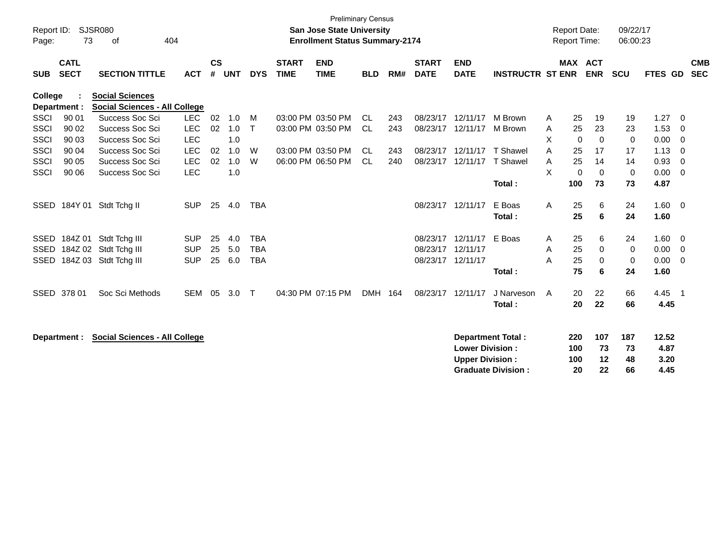|             |                            |                                                                |            |           |       |            |                             | <b>Preliminary Census</b>             |            |     |                             |                           |                           |   |                     |             |             |                |                         |                          |
|-------------|----------------------------|----------------------------------------------------------------|------------|-----------|-------|------------|-----------------------------|---------------------------------------|------------|-----|-----------------------------|---------------------------|---------------------------|---|---------------------|-------------|-------------|----------------|-------------------------|--------------------------|
| Report ID:  |                            | <b>SJSR080</b>                                                 |            |           |       |            |                             | <b>San Jose State University</b>      |            |     |                             |                           |                           |   | <b>Report Date:</b> |             | 09/22/17    |                |                         |                          |
| Page:       | 73                         | 404<br>οf                                                      |            |           |       |            |                             | <b>Enrollment Status Summary-2174</b> |            |     |                             |                           |                           |   | <b>Report Time:</b> |             | 06:00:23    |                |                         |                          |
| <b>SUB</b>  | <b>CATL</b><br><b>SECT</b> | <b>SECTION TITTLE</b>                                          | <b>ACT</b> | <b>CS</b> | # UNT | <b>DYS</b> | <b>START</b><br><b>TIME</b> | <b>END</b><br><b>TIME</b>             | <b>BLD</b> | RM# | <b>START</b><br><b>DATE</b> | <b>END</b><br><b>DATE</b> | <b>INSTRUCTR ST ENR</b>   |   | <b>MAX ACT</b>      | <b>ENR</b>  | <b>SCU</b>  | <b>FTES GD</b> |                         | <b>CMB</b><br><b>SEC</b> |
| College     | Department :               | <b>Social Sciences</b><br><b>Social Sciences - All College</b> |            |           |       |            |                             |                                       |            |     |                             |                           |                           |   |                     |             |             |                |                         |                          |
| <b>SSCI</b> | 90 01                      | Success Soc Sci                                                | <b>LEC</b> | 02        | 1.0   | M          |                             | 03:00 PM 03:50 PM                     | CL.        | 243 | 08/23/17                    | 12/11/17                  | M Brown                   | A | 25                  | 19          | 19          | 1.27           | $\overline{\mathbf{0}}$ |                          |
| <b>SSCI</b> | 90 02                      | Success Soc Sci                                                | LEC        | 02        | 1.0   | $\top$     |                             | 03:00 PM 03:50 PM                     | CL         | 243 | 08/23/17                    | 12/11/17                  | M Brown                   | A | 25                  | 23          | 23          | 1.53           | 0                       |                          |
| <b>SSCI</b> | 90 03                      | Success Soc Sci                                                | <b>LEC</b> |           | 1.0   |            |                             |                                       |            |     |                             |                           |                           | X | $\Omega$            | $\mathbf 0$ | 0           | 0.00           | - 0                     |                          |
| <b>SSCI</b> | 90 04                      | Success Soc Sci                                                | LEC        | 02        | 1.0   | W          |                             | 03:00 PM 03:50 PM                     | <b>CL</b>  | 243 | 08/23/17                    | 12/11/17                  | <b>T</b> Shawel           | A | 25                  | 17          | 17          | 1.13           | - 0                     |                          |
| <b>SSCI</b> | 90 05                      | Success Soc Sci                                                | <b>LEC</b> | 02        | 1.0   | W          |                             | 06:00 PM 06:50 PM                     | -CL        | 240 | 08/23/17                    |                           | 12/11/17 T Shawel         | A | 25                  | 14          | 14          | 0.93           | $\overline{0}$          |                          |
| SSCI        | 90 06                      | Success Soc Sci                                                | <b>LEC</b> |           | 1.0   |            |                             |                                       |            |     |                             |                           |                           | X | $\mathbf 0$         | $\Omega$    | $\mathbf 0$ | 0.00           | $\overline{0}$          |                          |
|             |                            |                                                                |            |           |       |            |                             |                                       |            |     |                             |                           | Total:                    |   | 100                 | 73          | 73          | 4.87           |                         |                          |
|             |                            | SSED 184Y 01 Stdt Tchg II                                      | <b>SUP</b> | 25        | 4.0   | <b>TBA</b> |                             |                                       |            |     |                             | 08/23/17 12/11/17         | E Boas                    | A | 25                  | 6           | 24          | $1.60 \t 0$    |                         |                          |
|             |                            |                                                                |            |           |       |            |                             |                                       |            |     |                             |                           | Total:                    |   | 25                  | 6           | 24          | 1.60           |                         |                          |
| SSED        | 184Z 01                    | Stdt Tchg III                                                  | <b>SUP</b> | 25        | 4.0   | <b>TBA</b> |                             |                                       |            |     | 08/23/17                    | 12/11/17                  | E Boas                    | A | 25                  | 6           | 24          | 1.60           | $\overline{\mathbf{0}}$ |                          |
| <b>SSED</b> |                            | 184Z 02 Stdt Tchg III                                          | <b>SUP</b> | 25        | 5.0   | <b>TBA</b> |                             |                                       |            |     | 08/23/17                    | 12/11/17                  |                           | A | 25                  | $\mathbf 0$ | 0           | 0.00           | $\overline{\mathbf{0}}$ |                          |
| SSED        |                            | 184Z 03 Stdt Tchg III                                          | <b>SUP</b> | 25        | 6.0   | <b>TBA</b> |                             |                                       |            |     | 08/23/17                    | 12/11/17                  |                           | A | 25                  | $\mathbf 0$ | 0           | 0.00           | $\overline{\mathbf{0}}$ |                          |
|             |                            |                                                                |            |           |       |            |                             |                                       |            |     |                             |                           | Total:                    |   | 75                  | 6           | 24          | 1.60           |                         |                          |
| SSED        | 378 01                     | Soc Sci Methods                                                | <b>SEM</b> | 05        | 3.0   | $\top$     |                             | 04:30 PM 07:15 PM                     | <b>DMH</b> | 164 | 08/23/17                    | 12/11/17                  | J Narveson                | A | 20                  | 22          | 66          | 4.45           | - 1                     |                          |
|             |                            |                                                                |            |           |       |            |                             |                                       |            |     |                             |                           | Total:                    |   | 20                  | 22          | 66          | 4.45           |                         |                          |
|             |                            |                                                                |            |           |       |            |                             |                                       |            |     |                             |                           |                           |   |                     |             |             |                |                         |                          |
|             | Department :               | <b>Social Sciences - All College</b>                           |            |           |       |            |                             |                                       |            |     |                             |                           | <b>Department Total:</b>  |   | 220                 | 107         | 187         | 12.52          |                         |                          |
|             |                            |                                                                |            |           |       |            |                             |                                       |            |     |                             | <b>Lower Division:</b>    |                           |   | 100                 | 73          | 73          | 4.87           |                         |                          |
|             |                            |                                                                |            |           |       |            |                             |                                       |            |     |                             | <b>Upper Division:</b>    |                           |   | 100                 | 12          | 48          | 3.20           |                         |                          |
|             |                            |                                                                |            |           |       |            |                             |                                       |            |     |                             |                           | <b>Graduate Division:</b> |   | 20                  | 22          | 66          | 4.45           |                         |                          |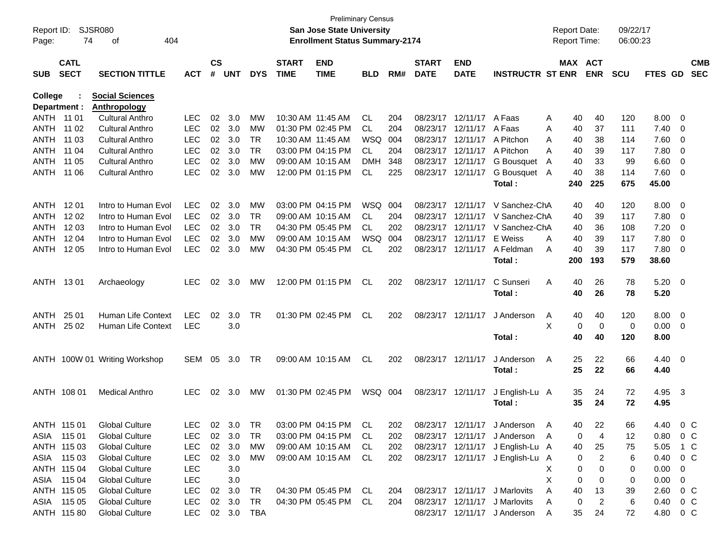| Report ID:<br>Page: | 74                         | <b>SJSR080</b><br>404<br>of   |                |                    |            |            |                             | <b>San Jose State University</b><br><b>Enrollment Status Summary-2174</b> | <b>Preliminary Census</b> |     |                             |                           |                                  |   | <b>Report Date:</b><br>Report Time: |            | 09/22/17<br>06:00:23 |         |                         |                          |
|---------------------|----------------------------|-------------------------------|----------------|--------------------|------------|------------|-----------------------------|---------------------------------------------------------------------------|---------------------------|-----|-----------------------------|---------------------------|----------------------------------|---|-------------------------------------|------------|----------------------|---------|-------------------------|--------------------------|
| <b>SUB</b>          | <b>CATL</b><br><b>SECT</b> | <b>SECTION TITTLE</b>         | <b>ACT</b>     | $\mathsf{cs}$<br># | <b>UNT</b> | <b>DYS</b> | <b>START</b><br><b>TIME</b> | <b>END</b><br><b>TIME</b>                                                 | <b>BLD</b>                | RM# | <b>START</b><br><b>DATE</b> | <b>END</b><br><b>DATE</b> | <b>INSTRUCTR ST ENR</b>          |   | MAX ACT                             | <b>ENR</b> | <b>SCU</b>           | FTES GD |                         | <b>CMB</b><br><b>SEC</b> |
| College             |                            | <b>Social Sciences</b>        |                |                    |            |            |                             |                                                                           |                           |     |                             |                           |                                  |   |                                     |            |                      |         |                         |                          |
| Department :        |                            | <b>Anthropology</b>           |                |                    |            |            |                             |                                                                           |                           |     |                             |                           |                                  |   |                                     |            |                      |         |                         |                          |
| ANTH 11 01          |                            | <b>Cultural Anthro</b>        | <b>LEC</b>     | 02                 | 3.0        | <b>MW</b>  |                             | 10:30 AM 11:45 AM                                                         | CL                        | 204 |                             | 08/23/17 12/11/17         | A Faas                           | A | 40                                  | 40         | 120                  | 8.00    | $\overline{0}$          |                          |
| ANTH                | 11 02                      | <b>Cultural Anthro</b>        | <b>LEC</b>     | 02                 | 3.0        | <b>MW</b>  |                             | 01:30 PM 02:45 PM                                                         | CL.                       | 204 |                             | 08/23/17 12/11/17         | A Faas                           | Α | 40                                  | 37         | 111                  | 7.40    | 0                       |                          |
| ANTH                | 11 03                      | <b>Cultural Anthro</b>        | <b>LEC</b>     | 02                 | 3.0        | <b>TR</b>  | 10:30 AM 11:45 AM           |                                                                           | WSQ                       | 004 |                             | 08/23/17 12/11/17         | A Pitchon                        | A | 40                                  | 38         | 114                  | 7.60    | 0                       |                          |
| ANTH                | 11 04                      | <b>Cultural Anthro</b>        | <b>LEC</b>     | 02                 | 3.0        | <b>TR</b>  |                             | 03:00 PM 04:15 PM                                                         | CL                        | 204 |                             | 08/23/17 12/11/17         | A Pitchon                        | A | 40                                  | 39         | 117                  | 7.80    | 0                       |                          |
| ANTH                | 11 05                      | <b>Cultural Anthro</b>        | <b>LEC</b>     | 02                 | 3.0        | <b>MW</b>  |                             | 09:00 AM 10:15 AM                                                         | <b>DMH</b>                | 348 |                             | 08/23/17 12/11/17         | G Bousquet                       | A | 40                                  | 33         | 99                   | 6.60    | 0                       |                          |
| ANTH                | 11 06                      | <b>Cultural Anthro</b>        | <b>LEC</b>     | 02                 | 3.0        | <b>MW</b>  |                             | 12:00 PM 01:15 PM                                                         | CL                        | 225 |                             | 08/23/17 12/11/17         | G Bousquet A                     |   | 40                                  | 38         | 114                  | 7.60    | 0                       |                          |
|                     |                            |                               |                |                    |            |            |                             |                                                                           |                           |     |                             |                           | Total:                           |   | 240                                 | 225        | 675                  | 45.00   |                         |                          |
| ANTH                | 12 01                      | Intro to Human Evol           | <b>LEC</b>     | 02                 | 3.0        | MW         |                             | 03:00 PM 04:15 PM                                                         | WSQ                       | 004 |                             | 08/23/17 12/11/17         | V Sanchez-ChA                    |   |                                     | 40         |                      | 8.00    | $\overline{0}$          |                          |
| ANTH                | 12 02                      | Intro to Human Evol           | <b>LEC</b>     | 02                 | 3.0        | TR         |                             | 09:00 AM 10:15 AM                                                         | CL                        | 204 |                             | 08/23/17 12/11/17         | V Sanchez-ChA                    |   | 40<br>40                            | 39         | 120<br>117           | 7.80    |                         |                          |
| <b>ANTH</b>         | 12 03                      | Intro to Human Evol           | <b>LEC</b>     | 02                 | 3.0        | TR         |                             | 04:30 PM 05:45 PM                                                         | CL.                       | 202 |                             | 08/23/17 12/11/17         | V Sanchez-ChA                    |   | 40                                  | 36         | 108                  | 7.20    | 0                       |                          |
| ANTH                | 12 04                      | Intro to Human Evol           | <b>LEC</b>     | 02                 | 3.0        | MW         |                             | 09:00 AM 10:15 AM                                                         | WSQ                       | 004 |                             | 08/23/17 12/11/17         | E Weiss                          | A |                                     | 39         | 117                  | 7.80    | 0                       |                          |
| ANTH                | 12 05                      | Intro to Human Evol           | <b>LEC</b>     | 02                 | 3.0        | <b>MW</b>  |                             | 04:30 PM 05:45 PM                                                         | CL                        | 202 |                             | 08/23/17 12/11/17         | A Feldman                        | A | 40<br>40                            | 39         | 117                  | 7.80    | 0<br>0                  |                          |
|                     |                            |                               |                |                    |            |            |                             |                                                                           |                           |     |                             |                           | Total:                           |   | 200                                 | 193        | 579                  | 38.60   |                         |                          |
|                     |                            |                               |                |                    |            |            |                             |                                                                           |                           |     |                             |                           |                                  |   |                                     |            |                      |         |                         |                          |
| ANTH 1301           |                            | Archaeology                   | LEC.           | 02                 | 3.0        | MW         |                             | 12:00 PM 01:15 PM                                                         | CL                        | 202 |                             | 08/23/17 12/11/17         | C Sunseri                        | Α | 40                                  | 26         | 78                   | 5.20    | $\overline{\mathbf{0}}$ |                          |
|                     |                            |                               |                |                    |            |            |                             |                                                                           |                           |     |                             |                           | Total:                           |   | 40                                  | 26         | 78                   | 5.20    |                         |                          |
|                     |                            |                               |                |                    |            |            |                             |                                                                           |                           |     |                             |                           |                                  |   |                                     |            |                      |         |                         |                          |
| ANTH                | 25 01                      | <b>Human Life Context</b>     | <b>LEC</b>     | 02                 | 3.0        | <b>TR</b>  |                             | 01:30 PM 02:45 PM                                                         | CL                        | 202 |                             | 08/23/17 12/11/17         | J Anderson                       | Α | 40                                  | 40         | 120                  | 8.00    | $\overline{\mathbf{0}}$ |                          |
| ANTH                | 25 02                      | Human Life Context            | <b>LEC</b>     |                    | 3.0        |            |                             |                                                                           |                           |     |                             |                           |                                  | X | 0                                   | 0          | 0                    | 0.00    | $\overline{0}$          |                          |
|                     |                            |                               |                |                    |            |            |                             |                                                                           |                           |     |                             |                           | Total:                           |   | 40                                  | 40         | 120                  | 8.00    |                         |                          |
|                     |                            |                               |                |                    |            |            |                             |                                                                           |                           |     |                             |                           |                                  |   |                                     |            |                      |         |                         |                          |
|                     |                            | ANTH 100W 01 Writing Workshop | <b>SEM</b>     | 05                 | 3.0        | TR         |                             | 09:00 AM 10:15 AM                                                         | CL                        | 202 |                             | 08/23/17 12/11/17         | J Anderson                       | Α | 25                                  | 22         | 66                   | 4.40    | $\overline{\mathbf{0}}$ |                          |
|                     |                            |                               |                |                    |            |            |                             |                                                                           |                           |     |                             |                           | Total:                           |   | 25                                  | 22         | 66                   | 4.40    |                         |                          |
|                     |                            |                               |                |                    |            |            |                             |                                                                           |                           |     |                             |                           |                                  |   |                                     |            |                      |         |                         |                          |
| ANTH 108 01         |                            | <b>Medical Anthro</b>         | LEC.           | 02                 | 3.0        | МW         |                             | 01:30 PM 02:45 PM                                                         | WSQ 004                   |     |                             | 08/23/17 12/11/17         | J English-Lu A                   |   | 35                                  | 24         | 72                   | 4.95 3  |                         |                          |
|                     |                            |                               |                |                    |            |            |                             |                                                                           |                           |     |                             |                           | Total:                           |   | 35                                  | 24         | 72                   | 4.95    |                         |                          |
|                     |                            |                               |                |                    |            |            |                             |                                                                           |                           |     |                             |                           |                                  |   |                                     |            |                      |         |                         |                          |
|                     | ANTH 115 01                | <b>Global Culture</b>         | LEC.           |                    | 02 3.0     | TR         |                             | 03:00 PM 04:15 PM                                                         | CI.                       | 202 |                             |                           | 08/23/17 12/11/17 J Anderson A   |   | 40.                                 | 22         | 66                   | 4.40    | $\circ$ C               |                          |
| ASIA 115 01         |                            | <b>Global Culture</b>         | LEC.           |                    | 02 3.0     | TR         |                             | 03:00 PM 04:15 PM                                                         | CL.                       | 202 |                             |                           | 08/23/17 12/11/17 J Anderson A   |   | 0                                   | 4          | 12                   | 0.80    | $0\,$ C                 |                          |
|                     | ANTH 115 03                | <b>Global Culture</b>         | <b>LEC</b>     | 02                 | 3.0        | МW         |                             | 09:00 AM 10:15 AM                                                         | CL.                       | 202 |                             |                           | 08/23/17 12/11/17 J English-Lu A |   | 40                                  | 25         | 75                   | 5.05    | 1 C                     |                          |
|                     | ASIA 115 03                | <b>Global Culture</b>         | <b>LEC</b>     | 02                 | 3.0        | МW         |                             | 09:00 AM 10:15 AM                                                         | CL.                       | 202 |                             |                           | 08/23/17 12/11/17 J English-Lu A |   | 0                                   | 2          | 6                    | 0.40    | $0\,$ C                 |                          |
|                     | ANTH 115 04                | <b>Global Culture</b>         | <b>LEC</b>     |                    | 3.0        |            |                             |                                                                           |                           |     |                             |                           |                                  | х | 0                                   | 0          | 0                    | 0.00    | 0                       |                          |
|                     | ASIA 115 04                | <b>Global Culture</b>         | <b>LEC</b>     |                    | 3.0        |            |                             |                                                                           |                           |     |                             |                           |                                  | X | 0                                   | 0          | 0                    | 0.00    | 0                       |                          |
|                     | ANTH 115 05                | <b>Global Culture</b>         | <b>LEC</b>     |                    | 02 3.0     | TR         |                             | 04:30 PM 05:45 PM                                                         | CL.                       | 204 |                             | 08/23/17 12/11/17         | J Marlovits                      | Α | 40                                  | 13         | 39                   | 2.60    | $0\,C$                  |                          |
|                     | ASIA 115 05                | <b>Global Culture</b>         | <b>LEC</b>     |                    | 02 3.0     | TR         |                             | 04:30 PM 05:45 PM                                                         | CL.                       | 204 |                             | 08/23/17 12/11/17         | J Marlovits                      | A | 0                                   | 2          | 6                    | 0.40    | $0\,$ C                 |                          |
|                     | ANTH 115 80                | <b>Global Culture</b>         | LEC 02 3.0 TBA |                    |            |            |                             |                                                                           |                           |     |                             |                           | 08/23/17 12/11/17 J Anderson     | A | 35                                  | 24         | 72                   | 4.80    | $0\,C$                  |                          |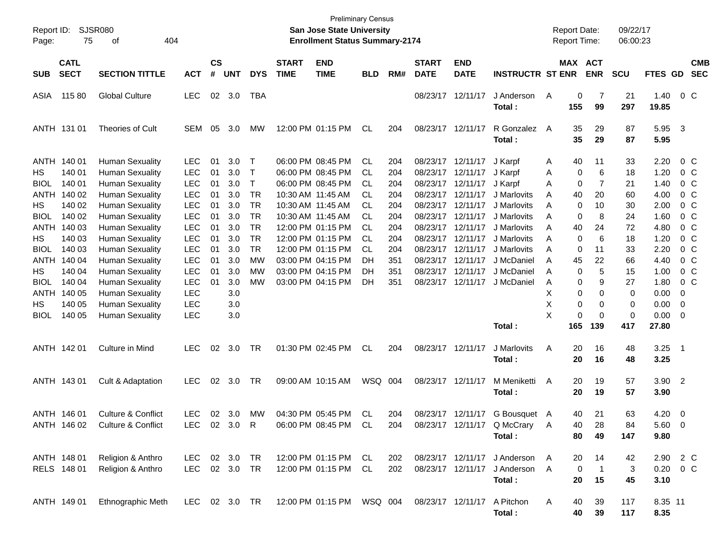| Report ID:<br>Page: | 75                         | <b>SJSR080</b><br>404<br>οf                      |                          |                    |            |              |                             | <b>Preliminary Census</b><br><b>San Jose State University</b><br><b>Enrollment Status Summary-2174</b> |            |            |                                        |                           |                             |        | <b>Report Date:</b><br>Report Time: |                | 09/22/17<br>06:00:23 |                  |                         |                           |
|---------------------|----------------------------|--------------------------------------------------|--------------------------|--------------------|------------|--------------|-----------------------------|--------------------------------------------------------------------------------------------------------|------------|------------|----------------------------------------|---------------------------|-----------------------------|--------|-------------------------------------|----------------|----------------------|------------------|-------------------------|---------------------------|
| <b>SUB</b>          | <b>CATL</b><br><b>SECT</b> | <b>SECTION TITTLE</b>                            | <b>ACT</b>               | $\mathsf{cs}$<br># | <b>UNT</b> | <b>DYS</b>   | <b>START</b><br><b>TIME</b> | <b>END</b><br><b>TIME</b>                                                                              | <b>BLD</b> | RM#        | <b>START</b><br><b>DATE</b>            | <b>END</b><br><b>DATE</b> | <b>INSTRUCTR ST ENR</b>     |        | MAX ACT                             | <b>ENR</b>     | <b>SCU</b>           | FTES GD          |                         | <b>CMB</b><br><b>SEC</b>  |
| ASIA                | 11580                      | <b>Global Culture</b>                            | <b>LEC</b>               | 02                 | 3.0        | TBA          |                             |                                                                                                        |            |            | 08/23/17 12/11/17                      |                           | J Anderson<br>Total:        | Α      | 0<br>155                            | 7<br>99        | 21<br>297            | 1.40<br>19.85    |                         | 0 <sup>C</sup>            |
|                     | ANTH 131 01                | <b>Theories of Cult</b>                          | <b>SEM</b>               | 05                 | 3.0        | <b>MW</b>    |                             | 12:00 PM 01:15 PM                                                                                      | CL         | 204        | 08/23/17 12/11/17                      |                           | R Gonzalez<br>Total:        | A      | 35<br>35                            | 29<br>29       | 87<br>87             | 5.95<br>5.95     | $\overline{\mathbf{3}}$ |                           |
| ANTH<br>НS          | 140 01<br>140 01           | <b>Human Sexuality</b><br><b>Human Sexuality</b> | <b>LEC</b><br><b>LEC</b> | 01<br>01           | 3.0<br>3.0 | T<br>T       |                             | 06:00 PM 08:45 PM<br>06:00 PM 08:45 PM                                                                 | CL.<br>CL  | 204<br>204 | 08/23/17 12/11/17<br>08/23/17 12/11/17 |                           | J Karpf<br>J Karpf          | A<br>Α | 40<br>0                             | 11<br>6        | 33<br>18             | 2.20<br>1.20     |                         | $0\,$ C<br>0 <sup>C</sup> |
| <b>BIOL</b>         | 140 01                     | <b>Human Sexuality</b>                           | <b>LEC</b>               | 01                 | 3.0        | $\mathsf{T}$ |                             | 06:00 PM 08:45 PM                                                                                      | CL         | 204        | 08/23/17 12/11/17                      |                           | J Karpf                     | Α      | 0                                   | 7              | 21                   | 1.40             |                         | 0 <sup>C</sup>            |
| ANTH                | 140 02                     | <b>Human Sexuality</b>                           | <b>LEC</b>               | 01                 | 3.0        | TR           |                             | 10:30 AM 11:45 AM                                                                                      | CL         | 204        | 08/23/17 12/11/17                      |                           | J Marlovits                 | A      | 40                                  | 20             | 60                   | 4.00             |                         | 0 <sup>C</sup>            |
| НS                  | 140 02                     | <b>Human Sexuality</b>                           | <b>LEC</b>               | 01                 | 3.0        | <b>TR</b>    |                             | 10:30 AM 11:45 AM                                                                                      | CL         | 204        | 08/23/17                               | 12/11/17                  | J Marlovits                 | A      | 0                                   | 10             | 30                   | 2.00             |                         | 0 <sup>C</sup>            |
| <b>BIOL</b>         | 140 02                     | <b>Human Sexuality</b>                           | <b>LEC</b>               | 01                 | 3.0        | <b>TR</b>    |                             | 10:30 AM 11:45 AM                                                                                      | CL         | 204        | 08/23/17 12/11/17                      |                           | J Marlovits                 | A      | 0                                   | 8              | 24                   | 1.60             |                         | 0 <sup>C</sup>            |
| ANTH                | 140 03                     | <b>Human Sexuality</b>                           | <b>LEC</b>               | 01                 | 3.0        | <b>TR</b>    |                             | 12:00 PM 01:15 PM                                                                                      | CL         | 204        | 08/23/17                               | 12/11/17                  | J Marlovits                 | Α      | 40                                  | 24             | 72                   | 4.80             |                         | 0 <sup>C</sup>            |
| НS                  | 140 03                     | <b>Human Sexuality</b>                           | <b>LEC</b>               | 01                 | 3.0        | <b>TR</b>    |                             | 12:00 PM 01:15 PM                                                                                      | CL         | 204        | 08/23/17                               | 12/11/17                  | J Marlovits                 | A      | 0                                   | 6              | 18                   | 1.20             |                         | 0 <sup>C</sup>            |
| <b>BIOL</b>         | 140 03                     | <b>Human Sexuality</b>                           | <b>LEC</b>               | 01                 | 3.0        | <b>TR</b>    |                             | 12:00 PM 01:15 PM                                                                                      | CL         | 204        | 08/23/17                               | 12/11/17                  | J Marlovits                 | A      | 0                                   | 11             | 33                   | 2.20             |                         | 0 <sup>C</sup>            |
| ANTH                | 140 04                     | <b>Human Sexuality</b>                           | <b>LEC</b>               | 01                 | 3.0        | <b>MW</b>    |                             | 03:00 PM 04:15 PM                                                                                      | DH         | 351        | 08/23/17                               | 12/11/17                  | J McDaniel                  | A      | 45                                  | 22             | 66                   | 4.40             |                         | 0 <sup>C</sup>            |
| НS                  | 140 04                     | <b>Human Sexuality</b>                           | <b>LEC</b>               | 01                 | 3.0        | МW           |                             | 03:00 PM 04:15 PM                                                                                      | DH         | 351        | 08/23/17                               | 12/11/17                  | J McDaniel                  | Α      | 0                                   | 5              | 15                   | 1.00             |                         | 0 <sup>C</sup>            |
| <b>BIOL</b>         | 140 04                     | <b>Human Sexuality</b>                           | <b>LEC</b>               | 01                 | 3.0        | MW           |                             | 03:00 PM 04:15 PM                                                                                      | DН         | 351        |                                        | 08/23/17 12/11/17         | J McDaniel                  | A      | 0                                   | 9              | 27                   | 1.80             |                         | $0\,C$                    |
| ANTH                | 140 05                     | <b>Human Sexuality</b>                           | <b>LEC</b>               |                    | 3.0        |              |                             |                                                                                                        |            |            |                                        |                           |                             | X      | 0                                   | 0              | 0                    | 0.00             | 0                       |                           |
| HS                  | 140 05                     | <b>Human Sexuality</b>                           | <b>LEC</b>               |                    | 3.0        |              |                             |                                                                                                        |            |            |                                        |                           |                             | х      | 0                                   | 0              | 0                    | 0.00             | 0                       |                           |
| <b>BIOL</b>         | 140 05                     | <b>Human Sexuality</b>                           | <b>LEC</b>               |                    | 3.0        |              |                             |                                                                                                        |            |            |                                        |                           |                             | X      | 0                                   | $\mathbf 0$    | 0                    | 0.00             | 0                       |                           |
|                     |                            |                                                  |                          |                    |            |              |                             |                                                                                                        |            |            |                                        |                           | Total:                      |        | 165                                 | 139            | 417                  | 27.80            |                         |                           |
|                     | ANTH 142 01                | Culture in Mind                                  | LEC.                     | 02                 | 3.0        | TR           |                             | 01:30 PM 02:45 PM                                                                                      | CL         | 204        | 08/23/17 12/11/17                      |                           | J Marlovits<br>Total:       | Α      | 20<br>20                            | 16<br>16       | 48<br>48             | 3.25<br>3.25     | - 1                     |                           |
|                     | ANTH 143 01                | Cult & Adaptation                                | <b>LEC</b>               | 02                 | 3.0        | TR           |                             | 09:00 AM 10:15 AM                                                                                      | WSQ 004    |            | 08/23/17 12/11/17                      |                           | M Meniketti<br>Total:       | Α      | 20<br>20                            | 19<br>19       | 57<br>57             | $3.90$ 2<br>3.90 |                         |                           |
|                     | ANTH 146 01                | Culture & Conflict                               | <b>LEC</b>               | 02                 | 3.0        | <b>MW</b>    |                             | 04:30 PM 05:45 PM                                                                                      | CL         | 204        |                                        | 08/23/17 12/11/17         | G Bousquet A                |        | 40                                  | 21             | 63                   | 4.20             | $\overline{0}$          |                           |
|                     | ANTH 146 02                | Culture & Conflict                               | LEC                      |                    | 02 3.0     | R            |                             | 06:00 PM 08:45 PM                                                                                      | CL         | 204        |                                        |                           | 08/23/17 12/11/17 Q McCrary | A      | 40                                  | 28             | 84                   | 5.60             | - 0                     |                           |
|                     |                            |                                                  |                          |                    |            |              |                             |                                                                                                        |            |            |                                        |                           | Total:                      |        | 80                                  | 49             | 147                  | 9.80             |                         |                           |
|                     | ANTH 148 01                | Religion & Anthro                                | LEC.                     |                    | 02 3.0     | <b>TR</b>    |                             | 12:00 PM 01:15 PM                                                                                      | CL.        | 202        |                                        | 08/23/17 12/11/17         | J Anderson                  | A      | 20                                  | 14             | 42                   | 2.90 2 C         |                         |                           |
|                     | RELS 148 01                | Religion & Anthro                                | <b>LEC</b>               |                    | 02 3.0 TR  |              |                             | 12:00 PM 01:15 PM                                                                                      | CL         | 202        | 08/23/17 12/11/17                      |                           | J Anderson                  | A      | 0                                   | $\overline{1}$ | 3                    | 0.20             |                         | $0\,C$                    |
|                     |                            |                                                  |                          |                    |            |              |                             |                                                                                                        |            |            |                                        |                           | Total:                      |        | 20                                  | 15             | 45                   | 3.10             |                         |                           |
|                     | ANTH 149 01                | Ethnographic Meth                                | LEC 02 3.0 TR            |                    |            |              |                             | 12:00 PM 01:15 PM   WSQ   004                                                                          |            |            | 08/23/17 12/11/17                      |                           | A Pitchon<br>Total:         | A      | 40<br>40                            | 39<br>39       | 117<br>117           | 8.35 11<br>8.35  |                         |                           |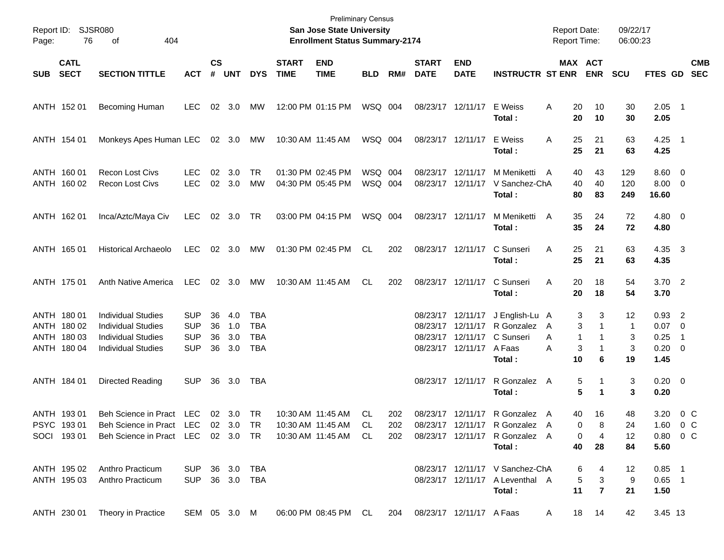| Page:      | Report ID: SJSR080<br>76                                 | 404<br>оf                                                                                                                                                                |                                                      |                             |                          |                                               |                             | <b>Preliminary Census</b><br>San Jose State University<br><b>Enrollment Status Summary-2174</b> |                    |            |                             |                                                                                         |                                                                                | <b>Report Date:</b><br><b>Report Time:</b> |                                                        | 09/22/17<br>06:00:23     |                                                    |                          |                          |
|------------|----------------------------------------------------------|--------------------------------------------------------------------------------------------------------------------------------------------------------------------------|------------------------------------------------------|-----------------------------|--------------------------|-----------------------------------------------|-----------------------------|-------------------------------------------------------------------------------------------------|--------------------|------------|-----------------------------|-----------------------------------------------------------------------------------------|--------------------------------------------------------------------------------|--------------------------------------------|--------------------------------------------------------|--------------------------|----------------------------------------------------|--------------------------|--------------------------|
| <b>SUB</b> | <b>CATL</b><br><b>SECT</b>                               | <b>SECTION TITTLE</b>                                                                                                                                                    | <b>ACT</b>                                           | $\mathsf{cs}$<br>$\pmb{\#}$ | <b>UNT</b>               | <b>DYS</b>                                    | <b>START</b><br><b>TIME</b> | <b>END</b><br><b>TIME</b>                                                                       | <b>BLD</b>         | RM#        | <b>START</b><br><b>DATE</b> | <b>END</b><br><b>DATE</b>                                                               | <b>INSTRUCTR ST ENR</b>                                                        |                                            | MAX ACT<br><b>ENR</b>                                  | <b>SCU</b>               | <b>FTES GD</b>                                     |                          | <b>CMB</b><br><b>SEC</b> |
|            | ANTH 152 01                                              | Becoming Human                                                                                                                                                           | <b>LEC</b>                                           |                             | 02 3.0                   | МW                                            |                             | 12:00 PM 01:15 PM                                                                               | WSQ 004            |            |                             | 08/23/17 12/11/17                                                                       | E Weiss<br>Total:                                                              | 20<br>A<br>20                              | 10<br>10                                               | 30<br>30                 | $2.05$ 1<br>2.05                                   |                          |                          |
|            | ANTH 154 01                                              | Monkeys Apes Human LEC 02 3.0                                                                                                                                            |                                                      |                             |                          | МW                                            |                             | 10:30 AM 11:45 AM                                                                               | WSQ 004            |            |                             | 08/23/17 12/11/17                                                                       | E Weiss<br>Total:                                                              | A<br>25<br>25                              | 21<br>21                                               | 63<br>63                 | $4.25$ 1<br>4.25                                   |                          |                          |
|            | ANTH 160 01<br>ANTH 160 02                               | <b>Recon Lost Civs</b><br><b>Recon Lost Civs</b>                                                                                                                         | LEC.<br><b>LEC</b>                                   | 02                          | 3.0<br>02 3.0            | TR<br>MW                                      |                             | 01:30 PM 02:45 PM<br>04:30 PM 05:45 PM                                                          | WSQ 004<br>WSQ 004 |            | 08/23/17                    | 12/11/17<br>08/23/17 12/11/17                                                           | M Meniketti<br>V Sanchez-ChA<br>Total:                                         | A<br>40<br>40<br>80                        | 43<br>40<br>83                                         | 129<br>120<br>249        | $8.60$ 0<br>$8.00 \t 0$<br>16.60                   |                          |                          |
|            | ANTH 162 01                                              | Inca/Aztc/Maya Civ                                                                                                                                                       | <b>LEC</b>                                           |                             | 02 3.0                   | TR                                            |                             | 03:00 PM 04:15 PM                                                                               | WSQ 004            |            |                             | 08/23/17 12/11/17                                                                       | M Meniketti<br>Total:                                                          | A<br>35<br>35                              | 24<br>24                                               | 72<br>72                 | $4.80\ 0$<br>4.80                                  |                          |                          |
|            | ANTH 165 01                                              | <b>Historical Archaeolo</b>                                                                                                                                              | LEC                                                  |                             | $02 \quad 3.0$           | MW                                            |                             | 01:30 PM 02:45 PM                                                                               | CL                 | 202        |                             | 08/23/17 12/11/17                                                                       | C Sunseri<br>Total:                                                            | A<br>25<br>25                              | 21<br>21                                               | 63<br>63                 | 4.35 3<br>4.35                                     |                          |                          |
|            | ANTH 175 01                                              | Anth Native America                                                                                                                                                      | LEC                                                  |                             | $02 \quad 3.0$           | МW                                            |                             | 10:30 AM 11:45 AM                                                                               | CL                 | 202        |                             | 08/23/17 12/11/17                                                                       | C Sunseri<br>Total:                                                            | A<br>20<br>20                              | 18<br>18                                               | 54<br>54                 | $3.70$ 2<br>3.70                                   |                          |                          |
|            | ANTH 180 01<br>ANTH 180 02<br>ANTH 180 03<br>ANTH 180 04 | <b>Individual Studies</b><br><b>Individual Studies</b><br><b>Individual Studies</b><br><b>Individual Studies</b>                                                         | <b>SUP</b><br><b>SUP</b><br><b>SUP</b><br><b>SUP</b> | 36<br>36<br>36<br>36        | 4.0<br>1.0<br>3.0<br>3.0 | TBA<br><b>TBA</b><br><b>TBA</b><br><b>TBA</b> |                             |                                                                                                 |                    |            |                             | 08/23/17 12/11/17<br>08/23/17 12/11/17<br>08/23/17 12/11/17<br>08/23/17 12/11/17 A Faas | J English-Lu A<br>R Gonzalez<br>C Sunseri<br>Total :                           | A<br>A<br>1<br>A<br>10                     | 3<br>3<br>3<br>1<br>3<br>1<br>6                        | 12<br>-1<br>3<br>3<br>19 | $0.93$ 2<br>$0.07$ 0<br>0.25<br>$0.20 \ 0$<br>1.45 | $\overline{\phantom{1}}$ |                          |
|            | ANTH 184 01                                              | Directed Reading                                                                                                                                                         | <b>SUP</b>                                           | 36                          | 3.0                      | TBA                                           |                             |                                                                                                 |                    |            |                             | 08/23/17 12/11/17                                                                       | R Gonzalez A<br>Total:                                                         |                                            | 5<br>1<br>5<br>$\mathbf 1$                             | 3<br>3                   | $0.20 \ 0$<br>0.20                                 |                          |                          |
|            | ANTH 193 01<br>PSYC 19301                                | Beh Science in Pract LEC<br>Beh Science in Pract LEC 02 3.0 TR<br>SOCI 193 01 Beh Science in Pract LEC 02 3.0 TR 10:30 AM 11:45 AM CL 202 08/23/17 12/11/17 R Gonzalez A |                                                      |                             | 02 3.0                   | TR                                            |                             | 10:30 AM 11:45 AM<br>$10:30$ AM $11:45$ AM                                                      | CL.<br>.CL         | 202<br>202 |                             | 08/23/17 12/11/17                                                                       | R Gonzalez A<br>08/23/17 12/11/17 R Gonzalez A<br>Total:                       | 40                                         | 16<br>$\Omega$<br>8<br>$\mathbf{0}$<br>- 4<br>40<br>28 | 48<br>24<br>12<br>84     | 3.20<br>$1.60 \t 0 C$<br>$0.80 \t 0 C$<br>5.60     | 0 C                      |                          |
|            |                                                          | ANTH 195 02 Anthro Practicum<br>ANTH 195 03 Anthro Practicum                                                                                                             | SUP 36 3.0 TBA<br>SUP 36 3.0 TBA                     |                             |                          |                                               |                             |                                                                                                 |                    |            |                             |                                                                                         | 08/23/17  12/11/17  V Sanchez-ChA<br>08/23/17 12/11/17 A Leventhal A<br>Total: |                                            | 64<br>$5 \quad 3$<br>$11 \quad 7$                      | 12<br>9<br>21            | $0.85$ 1<br>$0.65$ 1<br>1.50                       |                          |                          |
|            |                                                          | ANTH 230 01 Theory in Practice SEM 05 3.0 M 06:00 PM 08:45 PM CL 204 08/23/17 12/11/17 A Faas A                                                                          |                                                      |                             |                          |                                               |                             |                                                                                                 |                    |            |                             |                                                                                         |                                                                                |                                            | 18 14                                                  | 42                       | 3.45 13                                            |                          |                          |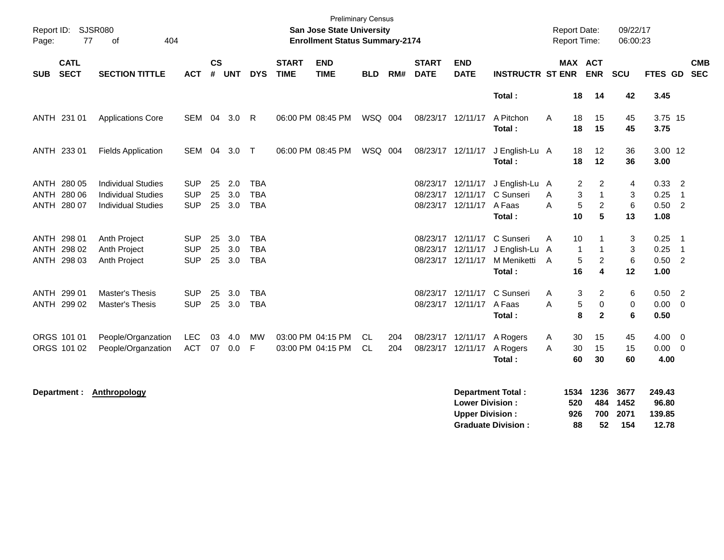| Report ID:<br>Page: | 77                         | <b>SJSR080</b><br>404<br>οf                            |                          |           |            |                          |                             | <b>Preliminary Census</b><br><b>San Jose State University</b><br><b>Enrollment Status Summary-2174</b> |            |            |                             |                               |                             | <b>Report Date:</b><br><b>Report Time:</b> |                                            | 09/22/17<br>06:00:23 |                    |                                   |
|---------------------|----------------------------|--------------------------------------------------------|--------------------------|-----------|------------|--------------------------|-----------------------------|--------------------------------------------------------------------------------------------------------|------------|------------|-----------------------------|-------------------------------|-----------------------------|--------------------------------------------|--------------------------------------------|----------------------|--------------------|-----------------------------------|
| <b>SUB</b>          | <b>CATL</b><br><b>SECT</b> | <b>SECTION TITTLE</b>                                  | <b>ACT</b>               | <b>CS</b> | # UNT      | <b>DYS</b>               | <b>START</b><br><b>TIME</b> | <b>END</b><br><b>TIME</b>                                                                              | <b>BLD</b> | RM#        | <b>START</b><br><b>DATE</b> | <b>END</b><br><b>DATE</b>     | <b>INSTRUCTR ST ENR</b>     |                                            | <b>MAX ACT</b><br><b>ENR</b>               | <b>SCU</b>           | <b>FTES GD</b>     | <b>CMB</b><br><b>SEC</b>          |
|                     |                            |                                                        |                          |           |            |                          |                             |                                                                                                        |            |            |                             |                               | Total:                      | 18                                         | 14                                         | 42                   | 3.45               |                                   |
|                     | ANTH 231 01                | <b>Applications Core</b>                               | SEM                      | 04        | 3.0        | R                        |                             | 06:00 PM 08:45 PM                                                                                      | WSQ 004    |            | 08/23/17                    | 12/11/17                      | A Pitchon<br>Total:         | A<br>18<br>18                              | 15<br>15                                   | 45<br>45             | 3.75 15<br>3.75    |                                   |
|                     | ANTH 233 01                | <b>Fields Application</b>                              | SEM 04                   |           | 3.0        | $\top$                   |                             | 06:00 PM 08:45 PM                                                                                      | WSQ 004    |            |                             | 08/23/17 12/11/17             | J English-Lu A<br>Total:    | 18<br>18                                   | 12<br>12                                   | 36<br>36             | 3.00 12<br>3.00    |                                   |
| <b>ANTH</b>         | ANTH 280 05<br>280 06      | <b>Individual Studies</b><br><b>Individual Studies</b> | <b>SUP</b><br><b>SUP</b> | 25<br>25  | 2.0<br>3.0 | <b>TBA</b><br><b>TBA</b> |                             |                                                                                                        |            |            | 08/23/17                    | 08/23/17 12/11/17<br>12/11/17 | J English-Lu A<br>C Sunseri | A                                          | $\overline{2}$<br>2<br>3<br>$\overline{1}$ | 4<br>3               | 0.33<br>0.25       | $\overline{2}$<br>$\overline{1}$  |
|                     | ANTH 280 07                | <b>Individual Studies</b>                              | <b>SUP</b>               | 25        | 3.0        | <b>TBA</b>               |                             |                                                                                                        |            |            |                             | 08/23/17 12/11/17             | A Faas<br>Total:            | A<br>10                                    | $\sqrt{5}$<br>$\overline{c}$<br>5          | 6<br>13              | 0.50 2<br>1.08     |                                   |
| <b>ANTH</b>         | ANTH 298 01<br>298 02      | Anth Project<br>Anth Project                           | <b>SUP</b><br><b>SUP</b> | 25<br>25  | 3.0<br>3.0 | <b>TBA</b><br><b>TBA</b> |                             |                                                                                                        |            |            | 08/23/17<br>08/23/17        | 12/11/17<br>12/11/17          | C Sunseri<br>J English-Lu   | 10<br>A<br>1<br>A                          | -1<br>-1                                   | 3<br>3               | 0.25<br>0.25       | - 1<br>$\overline{\phantom{0}}$ 1 |
|                     | ANTH 298 03                | Anth Project                                           | <b>SUP</b>               | 25        | 3.0        | <b>TBA</b>               |                             |                                                                                                        |            |            | 08/23/17                    | 12/11/17                      | M Meniketti<br>Total:       | $\overline{A}$<br>16                       | $\overline{2}$<br>5<br>4                   | 6<br>12              | 0.50<br>1.00       | $\overline{2}$                    |
|                     | ANTH 299 01                | Master's Thesis                                        | <b>SUP</b>               | 25        | 3.0        | <b>TBA</b>               |                             |                                                                                                        |            |            | 08/23/17                    | 12/11/17                      | C Sunseri                   | A                                          | 3<br>2                                     | 6                    | 0.50 2             |                                   |
|                     | ANTH 299 02                | <b>Master's Thesis</b>                                 | <b>SUP</b>               | 25        | 3.0        | <b>TBA</b>               |                             |                                                                                                        |            |            |                             | 08/23/17 12/11/17             | A Faas<br>Total:            | A                                          | 5<br>$\mathbf 0$<br>8<br>$\mathbf{2}$      | 0<br>6               | 0.00<br>0.50       | $\overline{0}$                    |
|                     | ORGS 101 01<br>ORGS 101 02 | People/Organzation<br>People/Organzation               | <b>LEC</b><br><b>ACT</b> | 03<br>07  | 4.0<br>0.0 | MW<br>F                  |                             | 03:00 PM 04:15 PM<br>03:00 PM 04:15 PM                                                                 | CL.<br>CL. | 204<br>204 | 08/23/17<br>08/23/17        | 12/11/17<br>12/11/17          | A Rogers<br>A Rogers        | 30<br>A<br>30<br>A                         | 15<br>15                                   | 45<br>15             | $4.00 \ 0$<br>0.00 | $\overline{\mathbf{0}}$           |
|                     |                            |                                                        |                          |           |            |                          |                             |                                                                                                        |            |            |                             |                               | Total:                      | 60                                         | 30                                         | 60                   | 4.00               |                                   |

**Department : Anthropology** 

| Department Total:         |      |     | 1534 1236 3677 | 249.43 |
|---------------------------|------|-----|----------------|--------|
| <b>Lower Division:</b>    | 520  |     | 484 1452       | 96.80  |
| <b>Upper Division:</b>    | 926. |     | 700 2071       | 139.85 |
| <b>Graduate Division:</b> | 88   | 52. | -154           | 12.78  |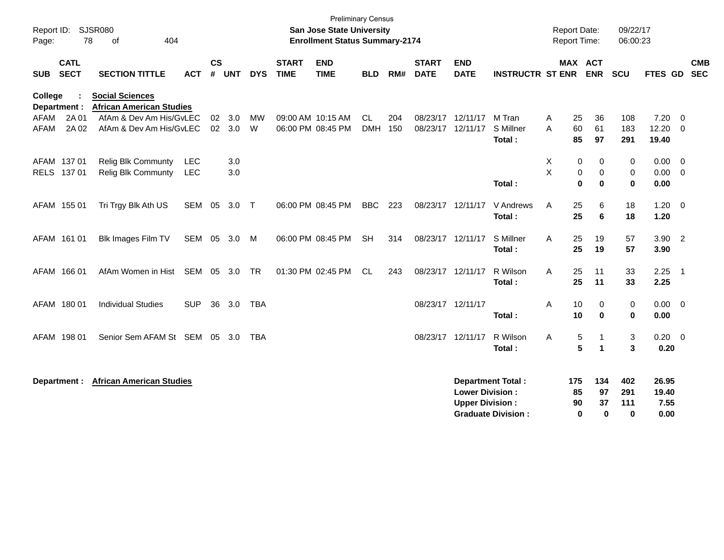| Report ID:<br>Page: | 78                         | <b>SJSR080</b><br>404<br>of                               |                   |                |               |                |                             | <b>Preliminary Census</b><br><b>San Jose State University</b><br><b>Enrollment Status Summary-2174</b> |                         |            |                                        |                                                  |                                                 |        | <b>Report Date:</b><br>Report Time: |                                | 09/22/17<br>06:00:23          |                                |                          |
|---------------------|----------------------------|-----------------------------------------------------------|-------------------|----------------|---------------|----------------|-----------------------------|--------------------------------------------------------------------------------------------------------|-------------------------|------------|----------------------------------------|--------------------------------------------------|-------------------------------------------------|--------|-------------------------------------|--------------------------------|-------------------------------|--------------------------------|--------------------------|
| <b>SUB</b>          | <b>CATL</b><br><b>SECT</b> | <b>SECTION TITTLE</b>                                     | <b>ACT</b>        | <b>CS</b><br># | <b>UNT</b>    | <b>DYS</b>     | <b>START</b><br><b>TIME</b> | <b>END</b><br><b>TIME</b>                                                                              | <b>BLD</b>              | RM#        | <b>START</b><br><b>DATE</b>            | <b>END</b><br><b>DATE</b>                        | <b>INSTRUCTR ST ENR</b>                         |        | <b>MAX ACT</b><br><b>ENR</b>        |                                | <b>SCU</b>                    | FTES GD                        | <b>CMB</b><br><b>SEC</b> |
| <b>College</b>      | Department :               | <b>Social Sciences</b><br><b>African American Studies</b> |                   |                |               |                |                             |                                                                                                        |                         |            |                                        |                                                  |                                                 |        |                                     |                                |                               |                                |                          |
| AFAM<br><b>AFAM</b> | 2A 01<br>2A 02             | AfAm & Dev Am His/GvLEC<br>AfAm & Dev Am His/GvLEC        |                   | 02             | 3.0<br>02 3.0 | <b>MW</b><br>W |                             | 09:00 AM 10:15 AM<br>06:00 PM 08:45 PM                                                                 | <b>CL</b><br><b>DMH</b> | 204<br>150 | 08/23/17 12/11/17<br>08/23/17 12/11/17 |                                                  | M Tran<br>S Millner<br>Total:                   | A<br>A | 25<br>60<br>85                      | 36<br>61<br>97                 | 108<br>183<br>291             | 7.20<br>12.20<br>19.40         | $\overline{0}$<br>- 0    |
|                     | AFAM 137 01<br>RELS 137 01 | <b>Relig Blk Communty</b><br>Relig Blk Communty           | <b>LEC</b><br>LEC |                | 3.0<br>3.0    |                |                             |                                                                                                        |                         |            |                                        |                                                  | Total:                                          | X<br>X | 0<br>0<br>$\bf{0}$                  | 0<br>$\pmb{0}$<br>$\mathbf 0$  | 0<br>$\mathbf 0$<br>$\bf{0}$  | 0.00<br>0.00<br>0.00           | $\overline{0}$<br>- 0    |
|                     | AFAM 155 01                | Tri Trgy Blk Ath US                                       | SEM 05            |                | 3.0           | $\top$         |                             | 06:00 PM 08:45 PM                                                                                      | <b>BBC</b>              | 223        | 08/23/17 12/11/17                      |                                                  | V Andrews<br>Total:                             | A      | 25<br>25                            | 6<br>6                         | 18<br>18                      | 1.20<br>1.20                   | $\overline{\mathbf{0}}$  |
|                     | AFAM 161 01                | Blk Images Film TV                                        | SEM 05 3.0        |                |               | M              |                             | 06:00 PM 08:45 PM                                                                                      | <b>SH</b>               | 314        | 08/23/17 12/11/17                      |                                                  | S Millner<br>Total:                             | A      | 25<br>25                            | 19<br>19                       | 57<br>57                      | $3.90$ 2<br>3.90               |                          |
|                     | AFAM 166 01                | AfAm Women in Hist                                        | SEM 05            |                | 3.0           | <b>TR</b>      |                             | 01:30 PM 02:45 PM                                                                                      | <b>CL</b>               | 243        | 08/23/17 12/11/17                      |                                                  | R Wilson<br>Total:                              | A      | 25<br>25                            | 11<br>11                       | 33<br>33                      | 2.25<br>2.25                   | $\overline{1}$           |
|                     | AFAM 180 01                | <b>Individual Studies</b>                                 | <b>SUP</b>        | 36             | 3.0           | TBA            |                             |                                                                                                        |                         |            | 08/23/17 12/11/17                      |                                                  | Total:                                          | A      | 10<br>10                            | 0<br>$\mathbf 0$               | 0<br>$\bf{0}$                 | $0.00 \t 0$<br>0.00            |                          |
|                     | AFAM 198 01                | Senior Sem AFAM St SEM 05                                 |                   |                | - 3.0         | TBA            |                             |                                                                                                        |                         |            | 08/23/17 12/11/17                      |                                                  | R Wilson<br>Total:                              | A      | 5<br>5                              | $\mathbf 1$<br>$\mathbf{1}$    | 3<br>3                        | 0.20<br>0.20                   | $\overline{\phantom{0}}$ |
|                     | Department :               | <b>African American Studies</b>                           |                   |                |               |                |                             |                                                                                                        |                         |            |                                        | <b>Lower Division:</b><br><b>Upper Division:</b> | Department Total :<br><b>Graduate Division:</b> |        | 175<br>85<br>90<br>0                | 134<br>97<br>37<br>$\mathbf 0$ | 402<br>291<br>111<br>$\bf{0}$ | 26.95<br>19.40<br>7.55<br>0.00 |                          |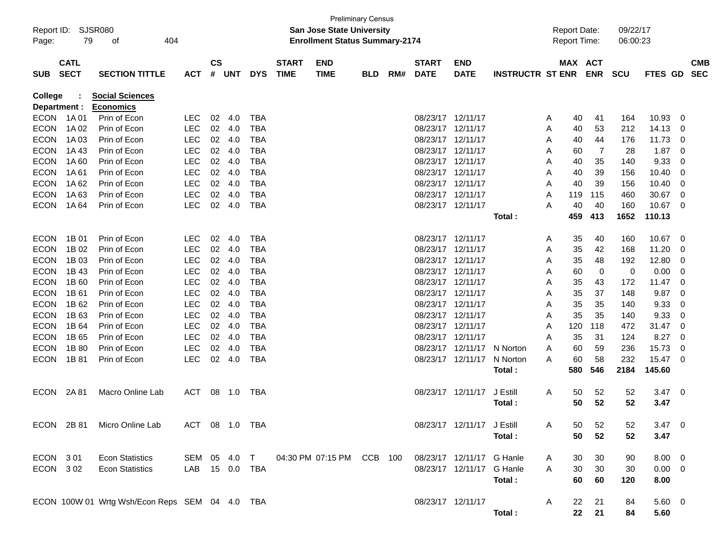| Page:       | Report ID: SJSR080<br>79   | 404<br>οf                                      |                |                    |              |            |                             | <b>Preliminary Census</b><br><b>San Jose State University</b><br><b>Enrollment Status Summary-2174</b> |            |     |                             |                            |                         | <b>Report Date:</b><br><b>Report Time:</b> |                       | 09/22/17<br>06:00:23 |             |                          |                          |
|-------------|----------------------------|------------------------------------------------|----------------|--------------------|--------------|------------|-----------------------------|--------------------------------------------------------------------------------------------------------|------------|-----|-----------------------------|----------------------------|-------------------------|--------------------------------------------|-----------------------|----------------------|-------------|--------------------------|--------------------------|
| <b>SUB</b>  | <b>CATL</b><br><b>SECT</b> | <b>SECTION TITTLE</b>                          | <b>ACT</b>     | $\mathsf{cs}$<br># | <b>UNT</b>   | <b>DYS</b> | <b>START</b><br><b>TIME</b> | <b>END</b><br><b>TIME</b>                                                                              | <b>BLD</b> | RM# | <b>START</b><br><b>DATE</b> | <b>END</b><br><b>DATE</b>  | <b>INSTRUCTR ST ENR</b> |                                            | MAX ACT<br><b>ENR</b> | <b>SCU</b>           | FTES GD     |                          | <b>CMB</b><br><b>SEC</b> |
| College     |                            | <b>Social Sciences</b>                         |                |                    |              |            |                             |                                                                                                        |            |     |                             |                            |                         |                                            |                       |                      |             |                          |                          |
|             | Department :               | <b>Economics</b>                               |                |                    |              |            |                             |                                                                                                        |            |     |                             |                            |                         |                                            |                       |                      |             |                          |                          |
| <b>ECON</b> | 1A 01                      | Prin of Econ                                   | <b>LEC</b>     | 02                 | 4.0          | <b>TBA</b> |                             |                                                                                                        |            |     |                             | 08/23/17 12/11/17          |                         | 40<br>A                                    | 41                    | 164                  | 10.93       | $\overline{\mathbf{0}}$  |                          |
| <b>ECON</b> | 1A 02                      | Prin of Econ                                   | <b>LEC</b>     |                    | 02 4.0       | <b>TBA</b> |                             |                                                                                                        |            |     |                             | 08/23/17 12/11/17          |                         | Α<br>40                                    | 53                    | 212                  | 14.13       | - 0                      |                          |
| <b>ECON</b> | 1A 03                      | Prin of Econ                                   | <b>LEC</b>     | 02 <sub>o</sub>    | 4.0          | <b>TBA</b> |                             |                                                                                                        |            |     |                             | 08/23/17 12/11/17          |                         | 40<br>Α                                    | 44                    | 176                  | 11.73       | - 0                      |                          |
| <b>ECON</b> | 1A43                       | Prin of Econ                                   | <b>LEC</b>     | 02 <sub>o</sub>    | 4.0          | <b>TBA</b> |                             |                                                                                                        |            |     |                             | 08/23/17 12/11/17          |                         | 60<br>Α                                    | 7                     | 28                   | 1.87        | 0                        |                          |
| <b>ECON</b> | 1A60                       | Prin of Econ                                   | <b>LEC</b>     |                    | 02 4.0       | <b>TBA</b> |                             |                                                                                                        |            |     |                             | 08/23/17 12/11/17          |                         | 40<br>A                                    | 35                    | 140                  | 9.33        | 0                        |                          |
| <b>ECON</b> | 1A 61                      | Prin of Econ                                   | <b>LEC</b>     | 02                 | 4.0          | <b>TBA</b> |                             |                                                                                                        |            |     |                             | 08/23/17 12/11/17          |                         | A<br>40                                    | 39                    | 156                  | 10.40       | 0                        |                          |
| <b>ECON</b> | 1A 62                      | Prin of Econ                                   | <b>LEC</b>     | 02 <sub>o</sub>    | 4.0          | <b>TBA</b> |                             |                                                                                                        |            |     |                             | 08/23/17 12/11/17          |                         | 40<br>A                                    | 39                    | 156                  | 10.40       | 0                        |                          |
| <b>ECON</b> | 1A63                       | Prin of Econ                                   | <b>LEC</b>     | 02 <sub>o</sub>    | 4.0          | <b>TBA</b> |                             |                                                                                                        |            |     |                             | 08/23/17 12/11/17          |                         | 119<br>A                                   | 115                   | 460                  | 30.67       | 0                        |                          |
| <b>ECON</b> | 1A 64                      | Prin of Econ                                   | <b>LEC</b>     | 02 <sub>o</sub>    | 4.0          | <b>TBA</b> |                             |                                                                                                        |            |     |                             | 08/23/17 12/11/17          |                         | 40<br>A                                    | 40                    | 160                  | 10.67       | - 0                      |                          |
|             |                            |                                                |                |                    |              |            |                             |                                                                                                        |            |     |                             |                            | Total :                 | 459                                        | 413                   | 1652                 | 110.13      |                          |                          |
| <b>ECON</b> | 1B 01                      | Prin of Econ                                   | <b>LEC</b>     | 02                 | 4.0          | <b>TBA</b> |                             |                                                                                                        |            |     |                             | 08/23/17 12/11/17          |                         | 35<br>A                                    | 40                    | 160                  | 10.67       | $\overline{\mathbf{0}}$  |                          |
| <b>ECON</b> | 1B 02                      | Prin of Econ                                   | <b>LEC</b>     | 02 <sub>o</sub>    | 4.0          | <b>TBA</b> |                             |                                                                                                        |            |     |                             | 08/23/17 12/11/17          |                         | 35<br>Α                                    | 42                    | 168                  | 11.20       | - 0                      |                          |
| <b>ECON</b> | 1B 03                      | Prin of Econ                                   | <b>LEC</b>     | 02 <sub>o</sub>    | 4.0          | <b>TBA</b> |                             |                                                                                                        |            |     |                             | 08/23/17 12/11/17          |                         | 35<br>Α                                    | 48                    | 192                  | 12.80       | - 0                      |                          |
| <b>ECON</b> | 1B 43                      | Prin of Econ                                   | <b>LEC</b>     |                    | 02 4.0       | <b>TBA</b> |                             |                                                                                                        |            |     |                             | 08/23/17 12/11/17          |                         | Α<br>60                                    | 0                     | 0                    | 0.00        | - 0                      |                          |
| <b>ECON</b> | 1B 60                      | Prin of Econ                                   | <b>LEC</b>     | 02 <sub>o</sub>    | 4.0          | <b>TBA</b> |                             |                                                                                                        |            |     |                             | 08/23/17 12/11/17          |                         | Α<br>35                                    | 43                    | 172                  | 11.47       | 0                        |                          |
| <b>ECON</b> | 1B 61                      | Prin of Econ                                   | <b>LEC</b>     | 02 <sub>o</sub>    | 4.0          | <b>TBA</b> |                             |                                                                                                        |            |     |                             | 08/23/17 12/11/17          |                         | 35<br>Α                                    | 37                    | 148                  | 9.87        | 0                        |                          |
| <b>ECON</b> | 1B 62                      | Prin of Econ                                   | <b>LEC</b>     |                    | 02 4.0       | <b>TBA</b> |                             |                                                                                                        |            |     |                             | 08/23/17 12/11/17          |                         | 35<br>Α                                    | 35                    | 140                  | 9.33        | 0                        |                          |
| <b>ECON</b> | 1B 63                      | Prin of Econ                                   | <b>LEC</b>     | 02 <sub>o</sub>    | 4.0          | <b>TBA</b> |                             |                                                                                                        |            |     |                             | 08/23/17 12/11/17          |                         | 35<br>A                                    | 35                    | 140                  | 9.33        | - 0                      |                          |
| <b>ECON</b> | 1B 64                      | Prin of Econ                                   | <b>LEC</b>     | 02 <sub>o</sub>    | 4.0          | <b>TBA</b> |                             |                                                                                                        |            |     |                             | 08/23/17 12/11/17          |                         | 120<br>A                                   | 118                   | 472                  | 31.47       | 0                        |                          |
| <b>ECON</b> | 1B 65                      | Prin of Econ                                   | <b>LEC</b>     |                    | 02 4.0       | <b>TBA</b> |                             |                                                                                                        |            |     |                             | 08/23/17 12/11/17          |                         | 35<br>A                                    | 31                    | 124                  | 8.27        | 0                        |                          |
| <b>ECON</b> | 1B 80                      | Prin of Econ                                   | <b>LEC</b>     | 02 <sub>o</sub>    | -4.0         | <b>TBA</b> |                             |                                                                                                        |            |     |                             | 08/23/17 12/11/17 N Norton |                         | A<br>60                                    | 59                    | 236                  | 15.73       | 0                        |                          |
| <b>ECON</b> | 1B 81                      | Prin of Econ                                   | <b>LEC</b>     | 02                 | 4.0          | <b>TBA</b> |                             |                                                                                                        |            |     |                             | 08/23/17 12/11/17          | N Norton                | 60<br>A                                    | 58                    | 232                  | 15.47       | - 0                      |                          |
|             |                            |                                                |                |                    |              |            |                             |                                                                                                        |            |     |                             |                            | Total :                 | 580                                        | 546                   | 2184                 | 145.60      |                          |                          |
| <b>ECON</b> | 2A 81                      | Macro Online Lab                               | <b>ACT</b>     | 08                 | 1.0          | TBA        |                             |                                                                                                        |            |     |                             | 08/23/17 12/11/17          | J Estill                | 50<br>A                                    | 52                    | 52                   | 3.47        | $\overline{\phantom{0}}$ |                          |
|             |                            |                                                |                |                    |              |            |                             |                                                                                                        |            |     |                             |                            | Total :                 |                                            | 50<br>52              | 52                   | 3.47        |                          |                          |
| <b>ECON</b> | 2B 81                      | Micro Online Lab                               | ACT            |                    | 08  1.0  TBA |            |                             |                                                                                                        |            |     |                             | 08/23/17 12/11/17 J Estill |                         | A                                          | 52<br>50              | 52                   | 3.47        | - 0                      |                          |
|             |                            |                                                |                |                    |              |            |                             |                                                                                                        |            |     |                             |                            | Total:                  |                                            | 50<br>52              | 52                   | 3.47        |                          |                          |
| ECON 301    |                            | <b>Econ Statistics</b>                         | SEM 05 4.0 T   |                    |              |            |                             | 04:30 PM 07:15 PM CCB 100                                                                              |            |     |                             | 08/23/17 12/11/17 G Hanle  |                         | A                                          | 30<br>30              | 90                   | $8.00 \t 0$ |                          |                          |
|             | ECON 302                   | <b>Econ Statistics</b>                         | LAB 15 0.0 TBA |                    |              |            |                             |                                                                                                        |            |     |                             | 08/23/17 12/11/17 G Hanle  |                         | A                                          | 30<br>30              | 30                   | $0.00 \t 0$ |                          |                          |
|             |                            |                                                |                |                    |              |            |                             |                                                                                                        |            |     |                             |                            | Total:                  |                                            | 60<br>60              | 120                  | 8.00        |                          |                          |
|             |                            | ECON 100W 01 Wrtg Wsh/Econ Reps SEM 04 4.0 TBA |                |                    |              |            |                             |                                                                                                        |            |     |                             | 08/23/17 12/11/17          |                         | A                                          | 22<br>21              | 84                   | 5.60 0      |                          |                          |
|             |                            |                                                |                |                    |              |            |                             |                                                                                                        |            |     |                             |                            | Total:                  |                                            | 22<br>21              | 84                   | 5.60        |                          |                          |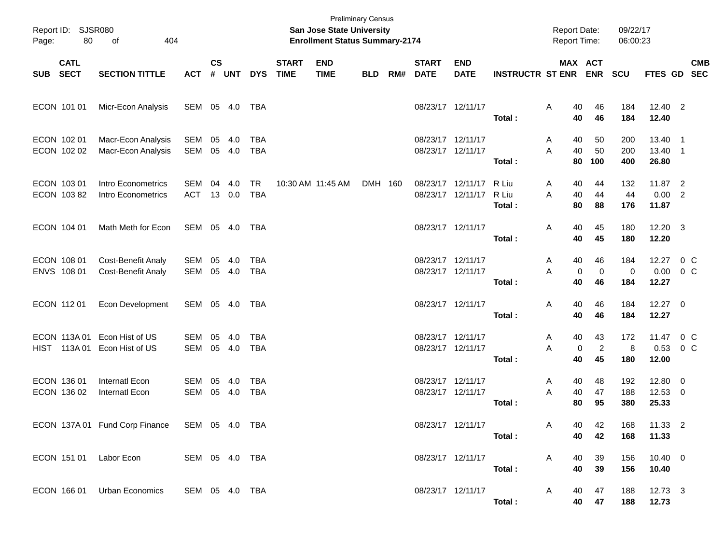| Page:      | Report ID: SJSR080<br>80    | 404                                             |                          |                    |                |                          | <b>Preliminary Census</b><br>San Jose State University<br><b>Enrollment Status Summary-2174</b> |                           |            |     |                                        |                           | <b>Report Date:</b><br>Report Time: |                          | 09/22/17<br>06:00:23       |                   |                              |                           |            |
|------------|-----------------------------|-------------------------------------------------|--------------------------|--------------------|----------------|--------------------------|-------------------------------------------------------------------------------------------------|---------------------------|------------|-----|----------------------------------------|---------------------------|-------------------------------------|--------------------------|----------------------------|-------------------|------------------------------|---------------------------|------------|
| <b>SUB</b> | <b>CATL</b><br><b>SECT</b>  | <b>SECTION TITTLE</b>                           | <b>ACT</b>               | $\mathsf{cs}$<br># | UNT            | <b>DYS</b>               | <b>START</b><br><b>TIME</b>                                                                     | <b>END</b><br><b>TIME</b> | <b>BLD</b> | RM# | <b>START</b><br><b>DATE</b>            | <b>END</b><br><b>DATE</b> | <b>INSTRUCTR ST ENR</b>             | MAX ACT                  | <b>ENR</b>                 | <b>SCU</b>        | FTES GD SEC                  |                           | <b>CMB</b> |
|            | ECON 101 01                 | Micr-Econ Analysis                              | SEM 05 4.0               |                    |                | TBA                      |                                                                                                 |                           |            |     | 08/23/17 12/11/17                      |                           | Total:                              | Α<br>40<br>40            | 46<br>46                   | 184<br>184        | 12.40 2<br>12.40             |                           |            |
|            | ECON 102 01<br>ECON 102 02  | Macr-Econ Analysis<br>Macr-Econ Analysis        | SEM<br><b>SEM</b>        | 05                 | -4.0<br>05 4.0 | <b>TBA</b><br><b>TBA</b> |                                                                                                 |                           |            |     | 08/23/17 12/11/17<br>08/23/17 12/11/17 |                           | Total:                              | 40<br>A<br>40<br>A<br>80 | 50<br>50<br>100            | 200<br>200<br>400 | 13.40<br>13.40 1<br>26.80    | - 1                       |            |
|            | ECON 103 01<br>ECON 103 82  | Intro Econometrics<br>Intro Econometrics        | SEM<br><b>ACT</b>        | 04                 | 4.0<br>13 0.0  | <b>TR</b><br><b>TBA</b>  |                                                                                                 | 10:30 AM 11:45 AM         | DMH 160    |     | 08/23/17 12/11/17<br>08/23/17 12/11/17 |                           | R Liu<br>R Liu<br>Total:            | 40<br>A<br>A<br>40<br>80 | 44<br>44<br>88             | 132<br>44<br>176  | 11.87 2<br>$0.00$ 2<br>11.87 |                           |            |
|            | ECON 104 01                 | Math Meth for Econ                              | SEM 05 4.0               |                    |                | TBA                      |                                                                                                 |                           |            |     | 08/23/17 12/11/17                      |                           | Total:                              | Α<br>40<br>40            | 45<br>45                   | 180<br>180        | 12.20 3<br>12.20             |                           |            |
|            | ECON 108 01<br>ENVS 108 01  | Cost-Benefit Analy<br><b>Cost-Benefit Analy</b> | SEM<br><b>SEM</b>        | 05                 | -4.0<br>05 4.0 | <b>TBA</b><br><b>TBA</b> |                                                                                                 |                           |            |     | 08/23/17 12/11/17<br>08/23/17 12/11/17 |                           | Total:                              | 40<br>A<br>A<br>0<br>40  | 46<br>$\mathbf 0$<br>46    | 184<br>0<br>184   | 12.27<br>0.00<br>12.27       | $0\,C$<br>$0\,C$          |            |
|            | ECON 112 01                 | Econ Development                                | SEM 05 4.0               |                    |                | TBA                      |                                                                                                 |                           |            |     | 08/23/17 12/11/17                      |                           | Total:                              | Α<br>40<br>40            | 46<br>46                   | 184<br>184        | $12.27$ 0<br>12.27           |                           |            |
|            | ECON 113A 01<br>HIST 113A01 | Econ Hist of US<br>Econ Hist of US              | SEM<br><b>SEM</b>        | 05<br>05           | 4.0<br>4.0     | <b>TBA</b><br><b>TBA</b> |                                                                                                 |                           |            |     | 08/23/17 12/11/17<br>08/23/17 12/11/17 |                           | Total:                              | 40<br>A<br>A<br>0<br>40  | 43<br>$\overline{2}$<br>45 | 172<br>8<br>180   | 11.47<br>0.53<br>12.00       | $0\,$ C<br>0 <sup>o</sup> |            |
|            | ECON 136 01<br>ECON 136 02  | Internatl Econ<br>Internatl Econ                | <b>SEM</b><br><b>SEM</b> | 05<br>05           | -4.0<br>4.0    | <b>TBA</b><br><b>TBA</b> |                                                                                                 |                           |            |     | 08/23/17 12/11/17<br>08/23/17 12/11/17 |                           | Total:                              | 40<br>Α<br>40<br>A<br>80 | 48<br>47<br>95             | 192<br>188<br>380 | 12.80<br>$12.53$ 0<br>25.33  | $\overline{\phantom{0}}$  |            |
|            |                             | ECON 137A 01 Fund Corp Finance SEM 05 4.0 TBA   |                          |                    |                |                          |                                                                                                 |                           |            |     |                                        | 08/23/17 12/11/17         | Total:                              | A<br>40<br>40            | 42<br>42                   | 168<br>168        | 11.33 2<br>11.33             |                           |            |
|            |                             | ECON 151 01 Labor Econ                          | SEM 05 4.0 TBA           |                    |                |                          |                                                                                                 |                           |            |     |                                        | 08/23/17 12/11/17         | Total:                              | 40<br>A<br>40            | 39<br>39                   | 156<br>156        | $10.40 \t 0$<br>10.40        |                           |            |
|            |                             | ECON 166 01 Urban Economics                     | SEM 05 4.0 TBA           |                    |                |                          |                                                                                                 |                           |            |     |                                        | 08/23/17 12/11/17         | Total:                              | 40<br>A                  | 47<br>40 47                | 188<br>188        | 12.73 3<br>12.73             |                           |            |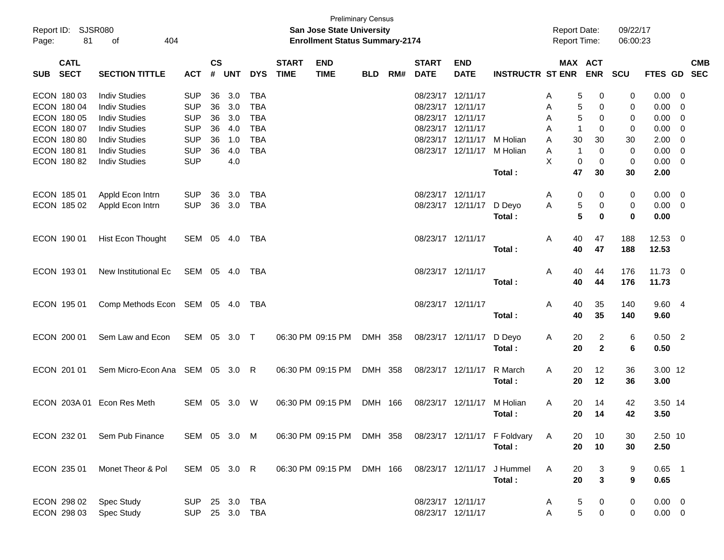| Report ID: SJSR080<br>81<br>Page: | of<br>404                                     |                          |          |            |                          |                             | <b>Preliminary Census</b><br>San Jose State University<br><b>Enrollment Status Summary-2174</b> |            |     |                                        |                           |                                                          | <b>Report Date:</b><br><b>Report Time:</b> |                          | 09/22/17<br>06:00:23 |                     |                                 |            |
|-----------------------------------|-----------------------------------------------|--------------------------|----------|------------|--------------------------|-----------------------------|-------------------------------------------------------------------------------------------------|------------|-----|----------------------------------------|---------------------------|----------------------------------------------------------|--------------------------------------------|--------------------------|----------------------|---------------------|---------------------------------|------------|
| <b>CATL</b><br><b>SECT</b><br>SUB | <b>SECTION TITTLE</b><br><b>Indiv Studies</b> |                          |          |            | <b>DYS</b>               | <b>START</b><br><b>TIME</b> | <b>END</b><br><b>TIME</b>                                                                       | <b>BLD</b> | RM# | <b>START</b><br><b>DATE</b>            | <b>END</b><br><b>DATE</b> | <b>INSTRUCTR ST ENR</b>                                  |                                            | MAX ACT<br><b>ENR</b>    | <b>SCU</b>           | FTES GD SEC         |                                 | <b>CMB</b> |
| ECON 180 03<br>ECON 180 04        | <b>Indiv Studies</b>                          | <b>SUP</b><br><b>SUP</b> | 36<br>36 | 3.0<br>3.0 | <b>TBA</b><br><b>TBA</b> |                             |                                                                                                 |            |     | 08/23/17 12/11/17<br>08/23/17 12/11/17 |                           |                                                          | Α<br>A                                     | 0<br>5<br>$\pmb{0}$<br>5 | 0<br>0               | 0.00<br>0.00        | - 0<br>$\overline{\phantom{0}}$ |            |
| ECON 180 05                       | <b>Indiv Studies</b>                          | <b>SUP</b>               | 36       | 3.0        | <b>TBA</b>               |                             |                                                                                                 |            |     | 08/23/17 12/11/17                      |                           |                                                          | A                                          | 5<br>0                   | 0                    | 0.00                | $\overline{\phantom{0}}$        |            |
| ECON 180 07                       | <b>Indiv Studies</b>                          | <b>SUP</b>               | 36       | 4.0        | <b>TBA</b>               |                             |                                                                                                 |            |     | 08/23/17 12/11/17                      |                           |                                                          | A<br>-1                                    | 0                        | 0                    | 0.00                | $\overline{\mathbf{0}}$         |            |
| ECON 180 80                       | <b>Indiv Studies</b>                          | <b>SUP</b>               | 36       | 1.0        | <b>TBA</b>               |                             |                                                                                                 |            |     |                                        | 08/23/17 12/11/17         | M Holian                                                 | 30<br>A                                    | 30                       | 30                   | 2.00                | $\overline{\mathbf{0}}$         |            |
| ECON 180 81                       | <b>Indiv Studies</b>                          | <b>SUP</b><br><b>SUP</b> | 36       | 4.0        | <b>TBA</b>               |                             |                                                                                                 |            |     |                                        | 08/23/17 12/11/17         | M Holian                                                 | Α<br>-1<br>X                               | $\mathbf 0$              | $\mathbf 0$          | 0.00                | $\overline{\phantom{0}}$        |            |
| ECON 180 82                       | <b>Indiv Studies</b>                          |                          |          | 4.0        |                          |                             |                                                                                                 |            |     |                                        |                           | Total:                                                   | 0<br>47                                    | 0<br>30                  | 0<br>30              | $0.00 \t 0$<br>2.00 |                                 |            |
| ECON 185 01                       | Appld Econ Intrn                              | SUP                      | 36       | 3.0        | TBA                      |                             |                                                                                                 |            |     | 08/23/17 12/11/17                      |                           |                                                          | Α                                          | 0<br>0                   | 0                    | $0.00 \t 0$         |                                 |            |
| ECON 185 02                       | Appld Econ Intrn                              | <b>SUP</b>               |          | 36 3.0     | TBA                      |                             |                                                                                                 |            |     |                                        | 08/23/17 12/11/17         | D Deyo                                                   | A                                          | 5<br>0                   | 0                    | $0.00 \t 0$         |                                 |            |
|                                   |                                               |                          |          |            |                          |                             |                                                                                                 |            |     |                                        |                           | Total:                                                   |                                            | 5<br>$\bf{0}$            | $\bf{0}$             | 0.00                |                                 |            |
| ECON 190 01                       | Hist Econ Thought                             | SEM 05 4.0               |          |            | TBA                      |                             |                                                                                                 |            |     | 08/23/17 12/11/17                      |                           |                                                          | 40<br>A                                    | 47                       | 188                  | $12.53$ 0           |                                 |            |
|                                   |                                               |                          |          |            |                          |                             |                                                                                                 |            |     |                                        |                           | Total:                                                   | 40                                         | 47                       | 188                  | 12.53               |                                 |            |
| ECON 193 01                       | New Institutional Ec                          | SEM 05 4.0               |          |            | TBA                      |                             |                                                                                                 |            |     | 08/23/17 12/11/17                      |                           |                                                          | A<br>40                                    | 44                       | 176                  | $11.73$ 0           |                                 |            |
|                                   |                                               |                          |          |            |                          |                             |                                                                                                 |            |     |                                        |                           | Total:                                                   | 40                                         | 44                       | 176                  | 11.73               |                                 |            |
| ECON 195 01                       | Comp Methods Econ SEM 05 4.0                  |                          |          |            | TBA                      |                             |                                                                                                 |            |     | 08/23/17 12/11/17                      |                           |                                                          | A<br>40                                    | 35                       | 140                  | 9.60 4              |                                 |            |
|                                   |                                               |                          |          |            |                          |                             |                                                                                                 |            |     |                                        |                           | Total:                                                   | 40                                         | 35                       | 140                  | 9.60                |                                 |            |
| ECON 200 01                       | Sem Law and Econ                              | SEM 05 3.0 T             |          |            |                          |                             | 06:30 PM 09:15 PM                                                                               | DMH 358    |     |                                        | 08/23/17 12/11/17         | D Deyo                                                   | A<br>20                                    | 2                        | 6                    | $0.50$ 2            |                                 |            |
|                                   |                                               |                          |          |            |                          |                             |                                                                                                 |            |     |                                        |                           | Total:                                                   | 20                                         | $\mathbf{2}$             | 6                    | 0.50                |                                 |            |
| ECON 201 01                       | Sem Micro-Econ Ana SEM 05 3.0 R               |                          |          |            |                          |                             | 06:30 PM 09:15 PM                                                                               | DMH 358    |     | 08/23/17 12/11/17                      |                           | R March                                                  | A<br>20                                    | 12                       | 36                   | 3.00 12             |                                 |            |
|                                   |                                               |                          |          |            |                          |                             |                                                                                                 |            |     |                                        |                           | Total:                                                   | 20                                         | 12                       | 36                   | 3.00                |                                 |            |
| ECON 203A 01 Econ Res Meth        |                                               | SEM                      | 05       | 3.0        | W                        |                             | 06:30 PM 09:15 PM                                                                               | DMH 166    |     | 08/23/17 12/11/17                      |                           | M Holian                                                 | 20<br>A                                    | 14                       | 42                   | 3.50 14             |                                 |            |
|                                   |                                               |                          |          |            |                          |                             |                                                                                                 |            |     |                                        |                           | Total:                                                   | 20                                         | 14                       | 42                   | 3.50                |                                 |            |
|                                   | ECON 232 01 Sem Pub Finance                   | SEM 05 3.0 M             |          |            |                          |                             |                                                                                                 |            |     |                                        |                           | 06:30 PM 09:15 PM DMH 358 08/23/17 12/11/17 F Foldvary A | 20                                         | 10                       | 30                   | 2.50 10             |                                 |            |
|                                   |                                               |                          |          |            |                          |                             |                                                                                                 |            |     |                                        |                           | Total:                                                   | 20                                         | 10                       | 30                   | 2.50                |                                 |            |
| ECON 235 01                       | Monet Theor & Pol                             | SEM 05 3.0 R             |          |            |                          |                             | 06:30 PM 09:15 PM DMH 166                                                                       |            |     | 08/23/17 12/11/17                      |                           | J Hummel                                                 | A<br>20                                    | 3                        | 9                    | $0.65$ 1            |                                 |            |
|                                   |                                               |                          |          |            |                          |                             |                                                                                                 |            |     |                                        |                           | Total:                                                   | 20                                         | $\mathbf{3}$             | 9                    | 0.65                |                                 |            |
| ECON 298 02                       | <b>Spec Study</b>                             | SUP 25 3.0               |          |            | TBA                      |                             |                                                                                                 |            |     | 08/23/17 12/11/17                      |                           |                                                          | A                                          | 5<br>0                   | 0                    | $0.00 \t 0$         |                                 |            |
| ECON 298 03                       | <b>Spec Study</b>                             | SUP 25 3.0 TBA           |          |            |                          |                             |                                                                                                 |            |     | 08/23/17 12/11/17                      |                           |                                                          | Α                                          | $\sqrt{5}$<br>$\pmb{0}$  | 0                    | $0.00 \t 0$         |                                 |            |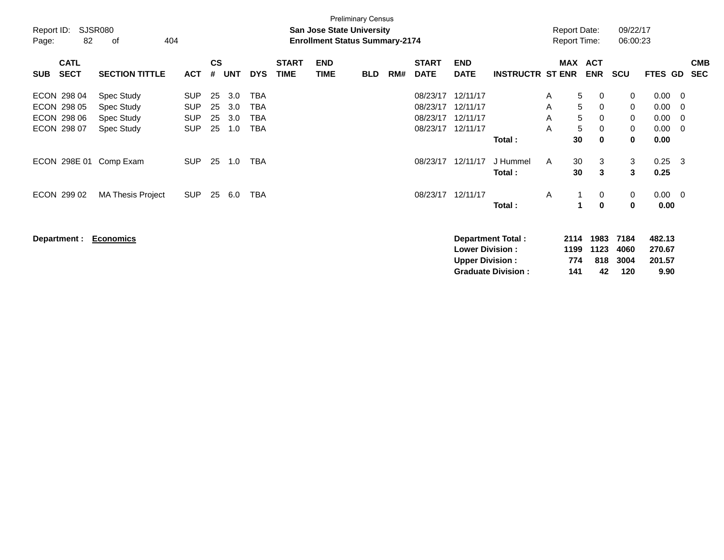|                           |                          |            |               |            |            |              |            | <b>Preliminary Census</b>             |     |              |                        |                           |   |                     |            |          |             |                |            |
|---------------------------|--------------------------|------------|---------------|------------|------------|--------------|------------|---------------------------------------|-----|--------------|------------------------|---------------------------|---|---------------------|------------|----------|-------------|----------------|------------|
| Report ID:                | SJSR080                  |            |               |            |            |              |            | <b>San Jose State University</b>      |     |              |                        |                           |   | <b>Report Date:</b> |            | 09/22/17 |             |                |            |
| Page:                     | 82<br>404<br>οf          |            |               |            |            |              |            | <b>Enrollment Status Summary-2174</b> |     |              |                        |                           |   | <b>Report Time:</b> |            | 06:00:23 |             |                |            |
| <b>CATL</b>               |                          |            | $\mathsf{cs}$ |            |            | <b>START</b> | <b>END</b> |                                       |     | <b>START</b> | <b>END</b>             |                           |   | <b>MAX</b>          | <b>ACT</b> |          |             |                | <b>CMB</b> |
| <b>SECT</b><br><b>SUB</b> | <b>SECTION TITTLE</b>    | <b>ACT</b> | #             | <b>UNT</b> | <b>DYS</b> | <b>TIME</b>  | TIME       | <b>BLD</b>                            | RM# | <b>DATE</b>  | <b>DATE</b>            | <b>INSTRUCTR ST ENR</b>   |   |                     | <b>ENR</b> | SCU      | FTES GD     |                | <b>SEC</b> |
| ECON 298 04               | Spec Study               | <b>SUP</b> | 25            | 3.0        | TBA        |              |            |                                       |     | 08/23/17     | 12/11/17               |                           | A | 5                   | 0          | 0        | 0.00        | $\overline{0}$ |            |
| ECON 298 05               | Spec Study               | <b>SUP</b> | 25            | 3.0        | TBA        |              |            |                                       |     | 08/23/17     | 12/11/17               |                           | A | 5                   | 0          | 0        | 0.00        | 0              |            |
| ECON 298 06               | Spec Study               | <b>SUP</b> | 25            | 3.0        | TBA        |              |            |                                       |     | 08/23/17     | 12/11/17               |                           | A | 5                   | 0          | 0        | 0.00        | 0              |            |
| ECON 298 07               | Spec Study               | <b>SUP</b> | 25            | 1.0        | TBA        |              |            |                                       |     | 08/23/17     | 12/11/17               |                           | A | $\sqrt{5}$          | 0          | 0        | 0.00        | 0              |            |
|                           |                          |            |               |            |            |              |            |                                       |     |              |                        | Total:                    |   | 30                  | 0          | 0        | 0.00        |                |            |
| ECON 298E 01              | Comp Exam                | <b>SUP</b> | 25            | 1.0        | <b>TBA</b> |              |            |                                       |     | 08/23/17     | 12/11/17               | J Hummel                  | A | 30                  | 3          | 3        | 0.25        | $\mathbf{3}$   |            |
|                           |                          |            |               |            |            |              |            |                                       |     |              |                        | Total:                    |   | 30                  | 3          | 3        | 0.25        |                |            |
| ECON 299 02               | <b>MA Thesis Project</b> | <b>SUP</b> | 25            | 6.0        | TBA        |              |            |                                       |     | 08/23/17     | 12/11/17               |                           | A |                     | 0          | 0        | $0.00 \t 0$ |                |            |
|                           |                          |            |               |            |            |              |            |                                       |     |              |                        | Total:                    |   | 1                   | $\bf{0}$   | 0        | 0.00        |                |            |
|                           |                          |            |               |            |            |              |            |                                       |     |              |                        |                           |   |                     |            |          |             |                |            |
| Department :              | <b>Economics</b>         |            |               |            |            |              |            |                                       |     |              |                        | <b>Department Total:</b>  |   | 2114                | 1983       | 7184     | 482.13      |                |            |
|                           |                          |            |               |            |            |              |            |                                       |     |              | <b>Lower Division:</b> |                           |   | 1199                | 1123       | 4060     | 270.67      |                |            |
|                           |                          |            |               |            |            |              |            |                                       |     |              | <b>Upper Division:</b> |                           |   | 774                 | 818        | 3004     | 201.57      |                |            |
|                           |                          |            |               |            |            |              |            |                                       |     |              |                        | <b>Graduate Division:</b> |   | 141                 | 42         | 120      | 9.90        |                |            |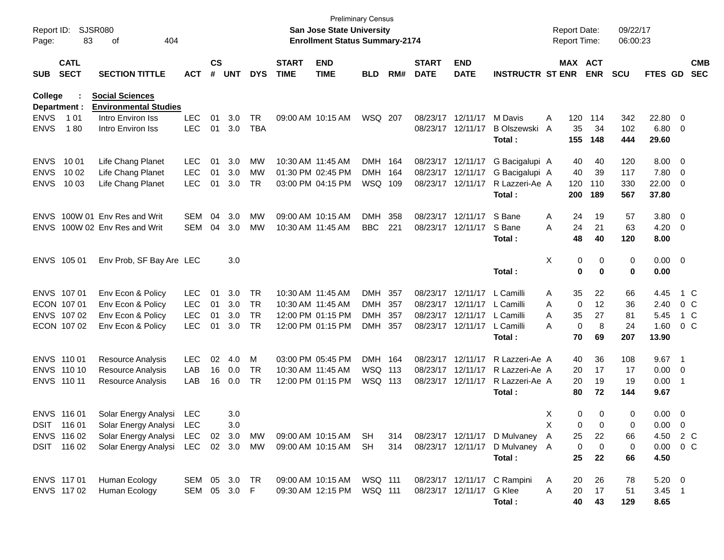| Report ID:<br>Page:        | 83                         | SJSR080<br>404<br>οf                                   |                          |                    |            |                  |                             | <b>Preliminary Census</b><br>San Jose State University<br><b>Enrollment Status Summary-2174</b> |            |       |                             |                           |                                         |        |                  | <b>Report Date:</b><br>Report Time: | 09/22/17<br>06:00:23 |                        |                                |                          |
|----------------------------|----------------------------|--------------------------------------------------------|--------------------------|--------------------|------------|------------------|-----------------------------|-------------------------------------------------------------------------------------------------|------------|-------|-----------------------------|---------------------------|-----------------------------------------|--------|------------------|-------------------------------------|----------------------|------------------------|--------------------------------|--------------------------|
| <b>SUB</b>                 | <b>CATL</b><br><b>SECT</b> | <b>SECTION TITTLE</b>                                  | <b>ACT</b>               | $\mathsf{cs}$<br># | <b>UNT</b> | <b>DYS</b>       | <b>START</b><br><b>TIME</b> | <b>END</b><br><b>TIME</b>                                                                       | <b>BLD</b> | RM#   | <b>START</b><br><b>DATE</b> | <b>END</b><br><b>DATE</b> | <b>INSTRUCTR ST ENR</b>                 |        |                  | MAX ACT<br><b>ENR</b>               | <b>SCU</b>           | <b>FTES GD</b>         |                                | <b>CMB</b><br><b>SEC</b> |
| College<br>Department :    |                            | <b>Social Sciences</b><br><b>Environmental Studies</b> |                          |                    |            |                  |                             |                                                                                                 |            |       |                             |                           |                                         |        |                  |                                     |                      |                        |                                |                          |
| <b>ENVS</b><br><b>ENVS</b> | 1 0 1<br>180               | Intro Environ Iss<br>Intro Environ Iss                 | <b>LEC</b><br><b>LEC</b> | 01<br>01           | 3.0<br>3.0 | TR<br><b>TBA</b> |                             | 09:00 AM 10:15 AM                                                                               | WSQ 207    |       | 08/23/17 12/11/17           | 08/23/17 12/11/17         | M Davis<br><b>B Olszewski</b><br>Total: | Α<br>A | 120<br>35<br>155 | 114<br>34<br>148                    | 342<br>102<br>444    | 22.80<br>6.80<br>29.60 | - 0<br>$\overline{\mathbf{0}}$ |                          |
| <b>ENVS</b>                | 10 01                      | Life Chang Planet                                      | <b>LEC</b>               | 01                 | 3.0        | MW               | 10:30 AM 11:45 AM           |                                                                                                 | <b>DMH</b> | - 164 | 08/23/17 12/11/17           |                           | G Bacigalupi A                          |        | 40               | 40                                  | 120                  | 8.00                   | - 0                            |                          |
| <b>ENVS</b>                | 10 02                      | Life Chang Planet                                      | <b>LEC</b>               | 01                 | 3.0        | MW               |                             | 01:30 PM 02:45 PM                                                                               | <b>DMH</b> | 164   | 08/23/17 12/11/17           |                           | G Bacigalupi A                          |        | 40               | 39                                  | 117                  | 7.80                   | $\overline{0}$                 |                          |
| <b>ENVS</b>                | 10 03                      | Life Chang Planet                                      | <b>LEC</b>               | 01                 | 3.0        | TR               |                             | 03:00 PM 04:15 PM                                                                               | WSQ 109    |       | 08/23/17 12/11/17           |                           | R Lazzeri-Ae A<br>Total:                |        | 120<br>200       | 110<br>189                          | 330<br>567           | 22.00<br>37.80         | 0                              |                          |
| <b>ENVS</b>                |                            | 100W 01 Env Res and Writ                               | <b>SEM</b>               | 04                 | 3.0        | MW               | 09:00 AM 10:15 AM           |                                                                                                 | <b>DMH</b> | 358   |                             | 08/23/17 12/11/17         | S Bane                                  | A      | 24               | 19                                  | 57                   | 3.80                   | $\overline{\phantom{0}}$       |                          |
| <b>ENVS</b>                |                            | 100W 02 Env Res and Writ                               | <b>SEM</b>               | 04                 | 3.0        | MW               | 10:30 AM 11:45 AM           |                                                                                                 | <b>BBC</b> | 221   |                             | 08/23/17 12/11/17         | S Bane                                  | A      | 24               | 21                                  | 63                   | 4.20                   | $\overline{\mathbf{0}}$        |                          |
|                            |                            |                                                        |                          |                    |            |                  |                             |                                                                                                 |            |       |                             |                           | Total:                                  |        | 48               | 40                                  | 120                  | 8.00                   |                                |                          |
|                            | ENVS 105 01                | Env Prob, SF Bay Are LEC                               |                          |                    | 3.0        |                  |                             |                                                                                                 |            |       |                             |                           |                                         | X      | 0                | 0                                   | 0                    | $0.00 \t 0$            |                                |                          |
|                            |                            |                                                        |                          |                    |            |                  |                             |                                                                                                 |            |       |                             |                           | Total:                                  |        | 0                | $\bf{0}$                            | 0                    | 0.00                   |                                |                          |
|                            | ENVS 107 01                | Env Econ & Policy                                      | <b>LEC</b>               | 01                 | 3.0        | <b>TR</b>        | 10:30 AM 11:45 AM           |                                                                                                 | DMH        | 357   |                             | 08/23/17 12/11/17         | L Camilli                               | Α      | 35               | 22                                  | 66                   | 4.45                   |                                | 1 C                      |
|                            | ECON 107 01                | Env Econ & Policy                                      | <b>LEC</b>               | 01                 | 3.0        | <b>TR</b>        | 10:30 AM 11:45 AM           |                                                                                                 | DMH        | 357   |                             | 08/23/17 12/11/17         | L Camilli                               | A      | 0                | 12                                  | 36                   | 2.40                   |                                | $0\,$ C                  |
|                            | ENVS 107 02                | Env Econ & Policy                                      | <b>LEC</b>               | 01                 | 3.0        | <b>TR</b>        |                             | 12:00 PM 01:15 PM                                                                               | <b>DMH</b> | 357   |                             | 08/23/17 12/11/17         | L Camilli                               | A      | 35               | 27                                  | 81                   | 5.45                   |                                | 1 C                      |
|                            | ECON 107 02                | Env Econ & Policy                                      | <b>LEC</b>               | 01                 | 3.0        | <b>TR</b>        |                             | 12:00 PM 01:15 PM                                                                               | DMH 357    |       |                             | 08/23/17 12/11/17         | L Camilli                               | А      | 0                | 8                                   | 24                   | 1.60                   |                                | $0\,$ C                  |
|                            |                            |                                                        |                          |                    |            |                  |                             |                                                                                                 |            |       |                             |                           | Total:                                  |        | 70               | 69                                  | 207                  | 13.90                  |                                |                          |
|                            | ENVS 110 01                | Resource Analysis                                      | LEC                      | 02                 | 4.0        | M                |                             | 03:00 PM 05:45 PM                                                                               | DMH 164    |       |                             | 08/23/17 12/11/17         | R Lazzeri-Ae A                          |        | 40               | 36                                  | 108                  | 9.67                   | - 1                            |                          |
|                            | ENVS 110 10                | Resource Analysis                                      | LAB                      | 16                 | 0.0        | TR               | 10:30 AM 11:45 AM           |                                                                                                 | WSQ 113    |       | 08/23/17 12/11/17           |                           | R Lazzeri-Ae A                          |        | 20               | 17                                  | 17                   | 0.00                   | $\overline{\mathbf{0}}$        |                          |
|                            | ENVS 110 11                | Resource Analysis                                      | LAB                      | 16                 | 0.0        | TR.              |                             | 12:00 PM 01:15 PM                                                                               | WSQ 113    |       | 08/23/17 12/11/17           |                           | R Lazzeri-Ae A                          |        | 20               | 19                                  | 19                   | 0.00                   | - 1                            |                          |
|                            |                            |                                                        |                          |                    |            |                  |                             |                                                                                                 |            |       |                             |                           | Total:                                  |        | 80               | 72                                  | 144                  | 9.67                   |                                |                          |
|                            | ENVS 116 01                | Solar Energy Analysi                                   | <b>LEC</b>               |                    | 3.0        |                  |                             |                                                                                                 |            |       |                             |                           |                                         | X      | 0                | 0                                   | 0                    | 0.00                   | $\overline{\mathbf{0}}$        |                          |
|                            | DSIT 116 01                | Solar Energy Analysi LEC                               |                          |                    | 3.0        |                  |                             |                                                                                                 |            |       |                             |                           |                                         | X      | $\Omega$         | $\Omega$                            | 0                    | $0.00 \t 0$            |                                |                          |
|                            | ENVS 116 02                | Solar Energy Analysi LEC 02 3.0 MW                     |                          |                    |            |                  |                             | 09:00 AM 10:15 AM SH                                                                            |            | 314   |                             |                           | 08/23/17 12/11/17 D Mulvaney A          |        | 25               | 22                                  | 66                   | 4.50 2 C               |                                |                          |
|                            | DSIT 116 02                | Solar Energy Analysi LEC 02 3.0 MW                     |                          |                    |            |                  |                             | 09:00 AM 10:15 AM                                                                               | SH         | 314   |                             | 08/23/17 12/11/17         | D Mulvaney A                            |        | 0                | $\mathbf 0$                         | 0                    | $0.00 \t 0 C$          |                                |                          |
|                            |                            |                                                        |                          |                    |            |                  |                             |                                                                                                 |            |       |                             |                           | Total:                                  |        | 25               | 22                                  | 66                   | 4.50                   |                                |                          |
|                            | ENVS 117 01                | Human Ecology                                          | SEM 05 3.0 TR            |                    |            |                  |                             | 09:00 AM 10:15 AM                                                                               | WSQ 111    |       |                             |                           | 08/23/17 12/11/17 C Rampini             | A      | 20               | 26                                  | 78                   | $5.20 \ 0$             |                                |                          |
|                            | ENVS 117 02                | Human Ecology                                          | SEM 05 3.0 F             |                    |            |                  |                             | 09:30 AM 12:15 PM                                                                               | WSQ 111    |       |                             | 08/23/17 12/11/17 G Klee  |                                         | A      | 20               | 17                                  | 51                   | $3.45$ 1               |                                |                          |
|                            |                            |                                                        |                          |                    |            |                  |                             |                                                                                                 |            |       |                             |                           | Total:                                  |        | 40               | 43                                  | 129                  | 8.65                   |                                |                          |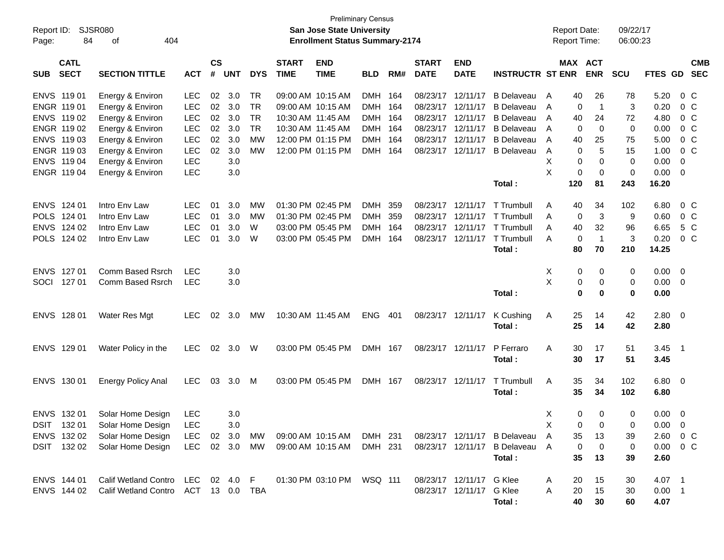| Report ID:<br>Page: | 84                         | <b>SJSR080</b><br>404<br>of         |               |                |            |            |                             | San Jose State University<br><b>Enrollment Status Summary-2174</b> | <b>Preliminary Census</b> |     |                             |                           |                                | <b>Report Date:</b><br><b>Report Time:</b> |                                | 09/22/17<br>06:00:23 |                   |                            |
|---------------------|----------------------------|-------------------------------------|---------------|----------------|------------|------------|-----------------------------|--------------------------------------------------------------------|---------------------------|-----|-----------------------------|---------------------------|--------------------------------|--------------------------------------------|--------------------------------|----------------------|-------------------|----------------------------|
| <b>SUB</b>          | <b>CATL</b><br><b>SECT</b> | <b>SECTION TITTLE</b>               | <b>ACT</b>    | <b>CS</b><br># | <b>UNT</b> | <b>DYS</b> | <b>START</b><br><b>TIME</b> | <b>END</b><br><b>TIME</b>                                          | <b>BLD</b>                | RM# | <b>START</b><br><b>DATE</b> | <b>END</b><br><b>DATE</b> | <b>INSTRUCTR ST ENR</b>        |                                            | <b>MAX ACT</b><br><b>ENR</b>   | <b>SCU</b>           |                   | <b>CMB</b><br>FTES GD SEC  |
| ENVS 11901          |                            | Energy & Environ                    | LEC           | 02             | 3.0        | TR         |                             | 09:00 AM 10:15 AM                                                  | DMH 164                   |     |                             | 08/23/17 12/11/17         | <b>B</b> Delaveau              | 40<br>A                                    | 26                             | 78                   | 5.20              | $0\,C$                     |
|                     | ENGR 119 01                | Energy & Environ                    | <b>LEC</b>    | 02             | 3.0        | TR         |                             | 09:00 AM 10:15 AM                                                  | DMH 164                   |     | 08/23/17                    | 12/11/17                  | <b>B</b> Delaveau              | A                                          | $\overline{1}$<br>0            | 3                    | 0.20              | 0 <sup>o</sup>             |
|                     | ENVS 11902                 | Energy & Environ                    | LEC           | 02             | 3.0        | <b>TR</b>  |                             | 10:30 AM 11:45 AM                                                  | DMH 164                   |     | 08/23/17 12/11/17           |                           | <b>B</b> Delaveau              | 40<br>$\mathsf{A}$                         | 24                             | 72                   | 4.80              | 0 <sup>o</sup>             |
|                     | ENGR 119 02                | Energy & Environ                    | <b>LEC</b>    | 02             | 3.0        | <b>TR</b>  |                             | 10:30 AM 11:45 AM                                                  | DMH 164                   |     | 08/23/17 12/11/17           |                           | <b>B</b> Delaveau              | $\mathsf{A}$                               | $\mathbf 0$<br>0               | $\mathbf 0$          | 0.00              | 0 <sup>o</sup>             |
|                     | ENVS 119 03                | Energy & Environ                    | LEC           | 02             | 3.0        | MW         |                             | 12:00 PM 01:15 PM                                                  | DMH 164                   |     | 08/23/17 12/11/17           |                           | <b>B</b> Delaveau              | 40<br>A                                    | 25                             | 75                   | 5.00              | 0 <sup>o</sup>             |
|                     | ENGR 119 03                | Energy & Environ                    | LEC           | 02             | 3.0        | MW         |                             | 12:00 PM 01:15 PM                                                  | DMH 164                   |     |                             | 08/23/17 12/11/17         | <b>B</b> Delaveau              | A                                          | 5<br>0                         | 15                   | 1.00              | $0\,C$                     |
|                     | ENVS 119 04                | Energy & Environ                    | <b>LEC</b>    |                | 3.0        |            |                             |                                                                    |                           |     |                             |                           |                                | х                                          | 0<br>0                         | $\mathbf 0$          | 0.00              | $\mathbf 0$                |
|                     | ENGR 119 04                | Energy & Environ                    | <b>LEC</b>    |                | 3.0        |            |                             |                                                                    |                           |     |                             |                           | Total:                         | X<br>120                                   | 0<br>0<br>81                   | 0<br>243             | 0.00<br>16.20     | $\overline{\mathbf{0}}$    |
| ENVS 124 01         |                            | Intro Env Law                       | <b>LEC</b>    | 01             | 3.0        | MW         |                             | 01:30 PM 02:45 PM                                                  | DMH 359                   |     | 08/23/17 12/11/17           |                           | T Trumbull                     | 40<br>A                                    | 34                             | 102                  | 6.80              | $0\,$ C                    |
| POLS 124 01         |                            | Intro Env Law                       | <b>LEC</b>    | 01             | 3.0        | MW         |                             | 01:30 PM 02:45 PM                                                  | DMH 359                   |     | 08/23/17 12/11/17           |                           | T Trumbull                     | A                                          | 3<br>0                         | 9                    | 0.60              | 0 <sup>o</sup>             |
|                     | ENVS 124 02                | Intro Env Law                       | <b>LEC</b>    | 01             | 3.0        | W          |                             | 03:00 PM 05:45 PM                                                  | DMH 164                   |     | 08/23/17 12/11/17           |                           | T Trumbull                     | 40<br>A                                    | 32                             | 96                   | 6.65              | 5 C                        |
|                     | POLS 124 02                | Intro Env Law                       | <b>LEC</b>    | 01             | 3.0        | W          |                             | 03:00 PM 05:45 PM                                                  | DMH 164                   |     | 08/23/17 12/11/17           |                           | T Trumbull                     | A                                          | $\overline{1}$<br>0            | 3                    | 0.20              | 0 <sup>o</sup>             |
|                     |                            |                                     |               |                |            |            |                             |                                                                    |                           |     |                             |                           | Total:                         | 80                                         | 70                             | 210                  | 14.25             |                            |
| ENVS 127 01         |                            | Comm Based Rsrch                    | <b>LEC</b>    |                | 3.0        |            |                             |                                                                    |                           |     |                             |                           |                                | X                                          | 0<br>0                         | 0                    | 0.00              | $\overline{0}$             |
| SOCI 127 01         |                            | Comm Based Rsrch                    | LEC           |                | 3.0        |            |                             |                                                                    |                           |     |                             |                           |                                | X                                          | 0<br>0                         | 0                    | 0.00              | $\overline{\mathbf{0}}$    |
|                     |                            |                                     |               |                |            |            |                             |                                                                    |                           |     |                             |                           | Total:                         |                                            | $\bf{0}$<br>0                  | 0                    | 0.00              |                            |
| ENVS 128 01         |                            | <b>Water Res Mgt</b>                | <b>LEC</b>    | 02             | 3.0        | MW         |                             | 10:30 AM 11:45 AM                                                  | ENG 401                   |     | 08/23/17 12/11/17           |                           | K Cushing<br>Total:            | 25<br>A<br>25                              | 14<br>14                       | 42<br>42             | 2.80<br>2.80      | $\overline{\phantom{0}}$   |
|                     | ENVS 129 01                | Water Policy in the                 | <b>LEC</b>    | 02             | 3.0        | W          |                             | 03:00 PM 05:45 PM                                                  | DMH 167                   |     | 08/23/17 12/11/17           |                           | P Ferraro<br>Total:            | A<br>30<br>30                              | 17<br>17                       | 51<br>51             | 3.45<br>3.45      | $\overline{\phantom{0}}$ 1 |
|                     | ENVS 130 01                | <b>Energy Policy Anal</b>           | <b>LEC</b>    | 03             | 3.0        | M          |                             | 03:00 PM 05:45 PM                                                  | DMH 167                   |     | 08/23/17 12/11/17           |                           | T Trumbull<br>Total:           | 35<br>A<br>35                              | 34<br>34                       | 102<br>102           | $6.80\ 0$<br>6.80 |                            |
|                     | ENVS 132 01                | Solar Home Design                   | LEC           |                | 3.0        |            |                             |                                                                    |                           |     |                             |                           |                                | X                                          | 0<br>0                         | 0                    | 0.00              | $\overline{\mathbf{0}}$    |
|                     |                            | DSIT 132 01 Solar Home Design LEC   |               |                | 3.0        |            |                             |                                                                    |                           |     |                             |                           |                                | $\mathsf{X}$                               | $\mathbf{0}$<br>$\overline{0}$ | 0                    | $0.00 \t 0$       |                            |
|                     |                            | ENVS 132 02 Solar Home Design       | LEC 02 3.0 MW |                |            |            |                             | 09:00 AM 10:15 AM DMH 231                                          |                           |     |                             |                           | 08/23/17 12/11/17 B Delaveau A | 35                                         | 13                             | 39                   | $2.60 \t 0 \t C$  |                            |
|                     |                            | DSIT 132 02 Solar Home Design       | LEC 02 3.0 MW |                |            |            |                             | 09:00 AM 10:15 AM                                                  | DMH 231                   |     |                             |                           | 08/23/17 12/11/17 B Delaveau A |                                            | 0<br>0                         | 0                    | $0.00 \t 0 C$     |                            |
|                     |                            |                                     |               |                |            |            |                             |                                                                    |                           |     |                             |                           | Total:                         | 35                                         | 13                             | 39                   | 2.60              |                            |
|                     | ENVS 144 01                | Calif Wetland Contro LEC 02 4.0 F   |               |                |            |            |                             | 01:30 PM 03:10 PM WSQ 111                                          |                           |     |                             | 08/23/17 12/11/17 G Klee  |                                | 20<br>A                                    | 15                             | 30                   | 4.07 1            |                            |
|                     | ENVS 144 02                | Calif Wetland Contro ACT 13 0.0 TBA |               |                |            |            |                             |                                                                    |                           |     |                             | 08/23/17 12/11/17 G Klee  |                                | Α<br>20                                    | 15                             | 30                   | $0.00$ 1          |                            |
|                     |                            |                                     |               |                |            |            |                             |                                                                    |                           |     |                             |                           | Total:                         | 40                                         | 30                             | 60                   | 4.07              |                            |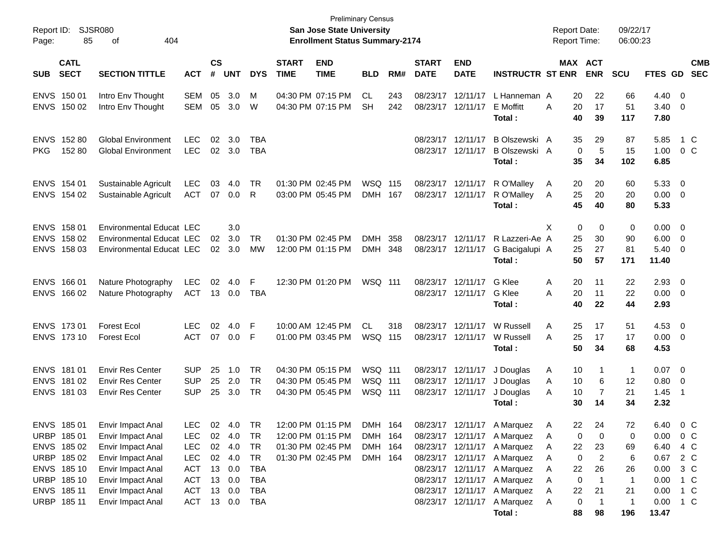| Report ID:<br>Page:                                                                                   | <b>SJSR080</b><br>85 | 404<br>οf                                                                                                                                       |                                                                                  |                    |                                                                           |                                     |                             | <b>Preliminary Census</b><br>San Jose State University<br><b>Enrollment Status Summary-2174</b> |                                          |            |                             |                                                                                  |                                                                                                                                               | <b>Report Date:</b><br><b>Report Time:</b>               |                                                | 09/22/17<br>06:00:23                  |                                                      |                                                                |                          |
|-------------------------------------------------------------------------------------------------------|----------------------|-------------------------------------------------------------------------------------------------------------------------------------------------|----------------------------------------------------------------------------------|--------------------|---------------------------------------------------------------------------|-------------------------------------|-----------------------------|-------------------------------------------------------------------------------------------------|------------------------------------------|------------|-----------------------------|----------------------------------------------------------------------------------|-----------------------------------------------------------------------------------------------------------------------------------------------|----------------------------------------------------------|------------------------------------------------|---------------------------------------|------------------------------------------------------|----------------------------------------------------------------|--------------------------|
| <b>CATL</b><br><b>SECT</b><br><b>SUB</b>                                                              |                      | <b>SECTION TITTLE</b>                                                                                                                           | <b>ACT</b>                                                                       | $\mathsf{cs}$<br># | <b>UNT</b>                                                                | <b>DYS</b>                          | <b>START</b><br><b>TIME</b> | <b>END</b><br><b>TIME</b>                                                                       | <b>BLD</b>                               | RM#        | <b>START</b><br><b>DATE</b> | <b>END</b><br><b>DATE</b>                                                        | <b>INSTRUCTR ST ENR</b>                                                                                                                       |                                                          | MAX ACT<br><b>ENR</b>                          | <b>SCU</b>                            | <b>FTES GD</b>                                       |                                                                | <b>CMB</b><br><b>SEC</b> |
| ENVS 150 01<br>ENVS 150 02                                                                            |                      | Intro Env Thought<br>Intro Env Thought                                                                                                          | SEM<br>SEM                                                                       | 05<br>05           | 3.0<br>3.0                                                                | M<br>W                              |                             | 04:30 PM 07:15 PM<br>04:30 PM 07:15 PM                                                          | CL<br><b>SH</b>                          | 243<br>242 |                             | 08/23/17 12/11/17<br>08/23/17 12/11/17                                           | L Hanneman A<br>E Moffitt<br>Total :                                                                                                          | 20<br>Α<br>20<br>40                                      | 22<br>17<br>39                                 | 66<br>51<br>117                       | 4.40<br>3.40<br>7.80                                 | $\overline{\mathbf{0}}$<br>- 0                                 |                          |
| ENVS 152 80<br><b>PKG</b>                                                                             | 152 80               | <b>Global Environment</b><br><b>Global Environment</b>                                                                                          | <b>LEC</b><br>LEC                                                                | 02                 | 3.0<br>02 3.0                                                             | TBA<br>TBA                          |                             |                                                                                                 |                                          |            |                             | 08/23/17 12/11/17<br>08/23/17 12/11/17                                           | B Olszewski A<br>B Olszewski A<br>Total:                                                                                                      | 35<br>35                                                 | 29<br>$\mathbf 0$<br>5<br>34                   | 87<br>15<br>102                       | 5.85<br>1.00<br>6.85                                 | 1 C<br>$0\,C$                                                  |                          |
| ENVS 154 01<br>ENVS 154 02                                                                            |                      | Sustainable Agricult<br>Sustainable Agricult                                                                                                    | <b>LEC</b><br>ACT                                                                | 03                 | 4.0<br>07 0.0                                                             | TR<br>R                             |                             | 01:30 PM 02:45 PM<br>03:00 PM 05:45 PM                                                          | WSQ 115<br>DMH 167                       |            |                             | 08/23/17 12/11/17<br>08/23/17 12/11/17                                           | R O'Malley<br>R O'Malley<br>Total:                                                                                                            | A<br>20<br>25<br>A<br>45                                 | 20<br>20<br>40                                 | 60<br>20<br>80                        | 5.33<br>0.00<br>5.33                                 | $\overline{\mathbf{0}}$<br>$\overline{\mathbf{0}}$             |                          |
| ENVS 158 01<br>ENVS 158 02<br>ENVS 158 03                                                             |                      | <b>Environmental Educat LEC</b><br><b>Environmental Educat LEC</b><br>Environmental Educat LEC                                                  |                                                                                  | 02                 | 3.0<br>3.0<br>$02 \quad 3.0$                                              | TR<br>MW                            |                             | 01:30 PM 02:45 PM<br>12:00 PM 01:15 PM                                                          | <b>DMH</b><br>DMH 348                    | 358        |                             | 08/23/17 12/11/17<br>08/23/17 12/11/17                                           | R Lazzeri-Ae A<br>G Bacigalupi A<br>Total:                                                                                                    | X<br>25<br>25<br>50                                      | 0<br>0<br>30<br>27<br>57                       | 0<br>90<br>81<br>171                  | 0.00<br>6.00<br>5.40<br>11.40                        | $\overline{\mathbf{0}}$<br>$\overline{\phantom{0}}$<br>- 0     |                          |
| ENVS 166 01<br>ENVS 166 02                                                                            |                      | Nature Photography<br>Nature Photography                                                                                                        | LEC<br>ACT                                                                       | 02                 | 4.0<br>13 0.0                                                             | F<br>TBA                            |                             | 12:30 PM 01:20 PM                                                                               | <b>WSQ 111</b>                           |            |                             | 08/23/17 12/11/17<br>08/23/17 12/11/17                                           | G Klee<br>G Klee<br>Total :                                                                                                                   | A<br>20<br>Α<br>20<br>40                                 | 11<br>11<br>22                                 | 22<br>22<br>44                        | 2.93<br>0.00<br>2.93                                 | $\overline{\mathbf{0}}$<br>$\overline{\phantom{0}}$            |                          |
| ENVS 173 01<br>ENVS 173 10                                                                            |                      | <b>Forest Ecol</b><br><b>Forest Ecol</b>                                                                                                        | <b>LEC</b><br>ACT                                                                | 02                 | 4.0<br>07 0.0                                                             | F<br>F                              |                             | 10:00 AM 12:45 PM<br>01:00 PM 03:45 PM                                                          | CL.<br>WSQ 115                           | 318        |                             | 08/23/17 12/11/17<br>08/23/17 12/11/17                                           | W Russell<br>W Russell<br>Total:                                                                                                              | A<br>25<br>25<br>A<br>50                                 | 17<br>17<br>34                                 | 51<br>17<br>68                        | 4.53<br>$0.00 \t 0$<br>4.53                          | $\overline{\mathbf{0}}$                                        |                          |
| ENVS 181 01<br>ENVS 181 02<br>ENVS 181 03                                                             |                      | <b>Envir Res Center</b><br><b>Envir Res Center</b><br><b>Envir Res Center</b>                                                                   | <b>SUP</b><br><b>SUP</b><br><b>SUP</b>                                           | 25<br>25<br>25     | 1.0<br>2.0<br>3.0                                                         | TR<br>TR<br>TR                      |                             | 04:30 PM 05:15 PM<br>04:30 PM 05:45 PM<br>04:30 PM 05:45 PM                                     | WSQ 111<br>WSQ 111<br>WSQ 111            |            |                             | 08/23/17 12/11/17<br>08/23/17 12/11/17<br>08/23/17 12/11/17                      | J Douglas<br>J Douglas<br>J Douglas<br>Total:                                                                                                 | 10<br>A<br>10<br>A<br>10<br>A<br>30                      | 1<br>6<br>7<br>14                              | $\overline{1}$<br>$12 \,$<br>21<br>34 | $0.07$ 0<br>0.80<br>1.45<br>2.32                     | $\overline{\mathbf{0}}$<br>- 1                                 |                          |
| ENVS 185 01<br>URBP 185 01<br>ENVS 185 02<br>URBP 185 02<br>ENVS 185 10<br>URBP 185 10<br>ENVS 185 11 |                      | Envir Impact Anal<br>Envir Impact Anal<br>Envir Impact Anal<br>Envir Impact Anal<br>Envir Impact Anal<br>Envir Impact Anal<br>Envir Impact Anal | <b>LEC</b><br><b>LEC</b><br><b>LEC</b><br><b>ACT</b><br><b>ACT</b><br><b>ACT</b> |                    | LEC 02 4.0 TR<br>02 4.0<br>02 4.0<br>02 4.0<br>13 0.0<br>13 0.0<br>13 0.0 | TR<br>TR<br>TR<br>TBA<br>TBA<br>TBA |                             | 12:00 PM 01:15 PM<br>12:00 PM 01:15 PM<br>01:30 PM 02:45 PM<br>01:30 PM 02:45 PM                | DMH 164<br>DMH 164<br>DMH 164<br>DMH 164 |            |                             | 08/23/17 12/11/17<br>08/23/17 12/11/17<br>08/23/17 12/11/17<br>08/23/17 12/11/17 | A Marquez<br>08/23/17 12/11/17 A Marquez<br>08/23/17 12/11/17 A Marquez<br>08/23/17 12/11/17 A Marquez<br>A Marquez<br>A Marquez<br>A Marquez | 22.<br>A<br>A<br>22<br>Α<br>Α<br>22<br>Α<br>Α<br>22<br>A | -24<br>0<br>0<br>23<br>0<br>2<br>26<br>0<br>21 | 72<br>0<br>69<br>6<br>26<br>-1<br>21  | 6.40<br>0.00<br>6.40<br>0.67<br>0.00<br>0.00<br>0.00 | $0\,C$<br>0 <sup>o</sup><br>4 C<br>2 C<br>$3\,C$<br>1 C<br>1 C |                          |
| URBP 185 11                                                                                           |                      | Envir Impact Anal                                                                                                                               | ACT 13 0.0                                                                       |                    |                                                                           | TBA                                 |                             |                                                                                                 |                                          |            |                             |                                                                                  | 08/23/17 12/11/17 A Marquez<br>Total:                                                                                                         | A<br>88                                                  | 0<br>-1<br>98                                  | $\overline{1}$<br>196                 | 0.00<br>13.47                                        | 1 C                                                            |                          |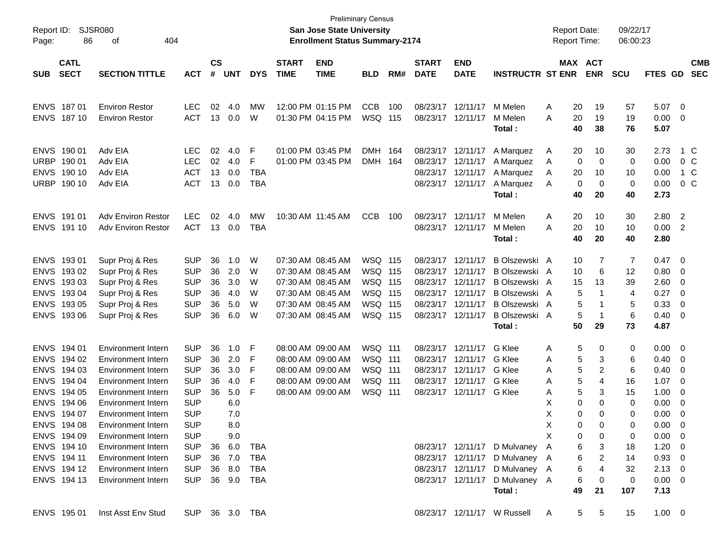| Page:       | Report ID: SJSR080<br>86   | 404<br>of                                       |                          |           |            |            |                   | San Jose State University<br><b>Enrollment Status Summary-2174</b> | <b>Preliminary Census</b> |     |              |                          |                                                                  | <b>Report Date:</b><br><b>Report Time:</b> |              |                     | 09/22/17<br>06:00:23 |                              |                          |                |
|-------------|----------------------------|-------------------------------------------------|--------------------------|-----------|------------|------------|-------------------|--------------------------------------------------------------------|---------------------------|-----|--------------|--------------------------|------------------------------------------------------------------|--------------------------------------------|--------------|---------------------|----------------------|------------------------------|--------------------------|----------------|
|             | <b>CATL</b>                |                                                 |                          | <b>CS</b> |            |            | <b>START</b>      | <b>END</b>                                                         |                           |     | <b>START</b> | <b>END</b>               |                                                                  | MAX ACT                                    |              |                     |                      |                              |                          | <b>CMB</b>     |
| <b>SUB</b>  | <b>SECT</b>                | <b>SECTION TITTLE</b>                           | <b>ACT</b>               | #         | <b>UNT</b> | <b>DYS</b> | <b>TIME</b>       | <b>TIME</b>                                                        | <b>BLD</b>                | RM# | <b>DATE</b>  | <b>DATE</b>              | <b>INSTRUCTR ST ENR</b>                                          |                                            |              | <b>ENR</b>          | <b>SCU</b>           | FTES GD                      |                          | <b>SEC</b>     |
|             | ENVS 187 01                | <b>Environ Restor</b>                           | <b>LEC</b>               | 02        | 4.0        | MW         |                   | 12:00 PM 01:15 PM                                                  | <b>CCB</b>                | 100 |              | 08/23/17 12/11/17        | M Melen                                                          | Α                                          | 20           | 19                  | 57                   | $5.07$ 0                     |                          |                |
|             | ENVS 187 10                | <b>Environ Restor</b>                           | <b>ACT</b>               | 13        | 0.0        | W          |                   | 01:30 PM 04:15 PM                                                  | <b>WSQ 115</b>            |     |              | 08/23/17 12/11/17        | M Melen<br>Total:                                                | Α                                          | 20<br>40     | 19<br>38            | 19<br>76             | 0.00<br>5.07                 | $\overline{\mathbf{0}}$  |                |
|             | ENVS 190 01                | Adv EIA                                         | <b>LEC</b>               | 02        | 4.0        | F          |                   | 01:00 PM 03:45 PM                                                  | DMH 164                   |     |              | 08/23/17 12/11/17        | A Marquez                                                        | A                                          | 20           | 10                  | 30                   | 2.73                         |                          | 1 C            |
|             | URBP 190 01                | Adv EIA                                         | <b>LEC</b>               | 02        | 4.0        | F          |                   | 01:00 PM 03:45 PM                                                  | DMH 164                   |     |              | 08/23/17 12/11/17        | A Marquez                                                        | A                                          | 0            | 0                   | 0                    | 0.00                         |                          | 0 <sup>o</sup> |
|             | ENVS 190 10                | Adv EIA                                         | <b>ACT</b>               | 13        | 0.0        | <b>TBA</b> |                   |                                                                    |                           |     |              | 08/23/17 12/11/17        | A Marquez                                                        | A                                          | 20           | 10                  | 10                   | 0.00                         |                          | 1 C            |
| <b>URBP</b> | 190 10                     | Adv EIA                                         | <b>ACT</b>               | 13        | 0.0        | <b>TBA</b> |                   |                                                                    |                           |     |              | 08/23/17 12/11/17        | A Marquez                                                        | A                                          | 0            | 0                   | 0                    | 0.00                         |                          | $0\,C$         |
|             |                            |                                                 |                          |           |            |            |                   |                                                                    |                           |     |              |                          | Total:                                                           |                                            | 40           | 20                  | 40                   | 2.73                         |                          |                |
|             | ENVS 191 01                | <b>Adv Environ Restor</b>                       | LEC                      | 02        | 4.0        | MW         | 10:30 AM 11:45 AM |                                                                    | <b>CCB</b>                | 100 |              | 08/23/17 12/11/17        | M Melen                                                          | A                                          | 20           | 10                  | 30                   | 2.80                         | $\overline{2}$           |                |
|             | ENVS 191 10                | <b>Adv Environ Restor</b>                       | <b>ACT</b>               | 13        | 0.0        | TBA        |                   |                                                                    |                           |     |              | 08/23/17 12/11/17        | M Melen                                                          | Α                                          | 20           | 10                  | 10                   | 0.00                         | $\overline{2}$           |                |
|             |                            |                                                 |                          |           |            |            |                   |                                                                    |                           |     |              |                          | Total:                                                           |                                            | 40           | 20                  | 40                   | 2.80                         |                          |                |
|             | ENVS 193 01                | Supr Proj & Res                                 | <b>SUP</b>               | 36        | 1.0        | W          |                   | 07:30 AM 08:45 AM                                                  | <b>WSQ 115</b>            |     |              | 08/23/17 12/11/17        | B Olszewski A                                                    |                                            | 10           | 7                   | 7                    | 0.47                         | $\overline{\phantom{0}}$ |                |
|             | ENVS 19302                 | Supr Proj & Res                                 | <b>SUP</b>               | 36        | 2.0        | W          |                   | 07:30 AM 08:45 AM                                                  | <b>WSQ 115</b>            |     |              | 08/23/17 12/11/17        | B Olszewski A                                                    |                                            | 10           | 6                   | 12                   | 0.80                         | - 0                      |                |
|             | ENVS 193 03                | Supr Proj & Res                                 | <b>SUP</b>               | 36        | 3.0        | W          |                   | 07:30 AM 08:45 AM                                                  | WSQ 115                   |     |              | 08/23/17 12/11/17        | B Olszewski A                                                    |                                            | 15           | 13                  | 39                   | 2.60                         | $\overline{0}$           |                |
|             | ENVS 193 04                | Supr Proj & Res                                 | <b>SUP</b>               | 36        | 4.0        | W          |                   | 07:30 AM 08:45 AM                                                  | WSQ 115                   |     |              | 08/23/17 12/11/17        | B Olszewski A                                                    |                                            | 5            | -1                  | $\overline{4}$       | 0.27                         | 0                        |                |
|             | ENVS 193 05                | Supr Proj & Res                                 | <b>SUP</b>               | 36        | 5.0        | W          |                   | 07:30 AM 08:45 AM                                                  | <b>WSQ 115</b>            |     |              | 08/23/17 12/11/17        | B Olszewski A                                                    |                                            | 5            | -1                  | 5                    | 0.33                         | 0                        |                |
|             | ENVS 193 06                | Supr Proj & Res                                 | <b>SUP</b>               | 36        | 6.0        | W          |                   | 07:30 AM 08:45 AM                                                  | <b>WSQ 115</b>            |     |              | 08/23/17 12/11/17        | B Olszewski A                                                    |                                            | 5            | -1                  | 6                    | 0.40                         | $\overline{\mathbf{0}}$  |                |
|             |                            |                                                 |                          |           |            |            |                   |                                                                    |                           |     |              |                          | Total:                                                           |                                            | 50           | 29                  | 73                   | 4.87                         |                          |                |
|             | ENVS 194 01                | <b>Environment Intern</b>                       | <b>SUP</b>               | 36        | 1.0        | F          |                   | 08:00 AM 09:00 AM                                                  | <b>WSQ 111</b>            |     |              | 08/23/17 12/11/17        | G Klee                                                           | Α                                          | 5            | 0                   | 0                    | 0.00                         | $\overline{\mathbf{0}}$  |                |
|             | ENVS 194 02                | <b>Environment Intern</b>                       | <b>SUP</b>               | 36        | 2.0        | F          |                   | 08:00 AM 09:00 AM                                                  | <b>WSQ 111</b>            |     |              | 08/23/17 12/11/17        | G Klee                                                           | Α                                          | 5            | 3                   | 6                    | 0.40                         | $\overline{\mathbf{0}}$  |                |
|             | ENVS 194 03                | <b>Environment Intern</b>                       | <b>SUP</b>               | 36        | 3.0        | F          |                   | 08:00 AM 09:00 AM                                                  | <b>WSQ 111</b>            |     |              | 08/23/17 12/11/17        | G Klee                                                           | Α                                          | 5            | 2                   | 6                    | 0.40                         | $\overline{0}$           |                |
|             | ENVS 194 04                | <b>Environment Intern</b>                       | <b>SUP</b>               | 36        | 4.0        | F          |                   | 08:00 AM 09:00 AM                                                  | <b>WSQ 111</b>            |     |              | 08/23/17 12/11/17        | G Klee                                                           | A                                          | 5            | 4                   | 16                   | 1.07                         | - 0                      |                |
|             | ENVS 194 05                | <b>Environment Intern</b>                       | <b>SUP</b>               | 36        | 5.0        | F          |                   | 08:00 AM 09:00 AM                                                  | WSQ 111                   |     |              | 08/23/17 12/11/17 G Klee |                                                                  | Α                                          | 5            | 3                   | 15                   | 1.00                         | 0                        |                |
|             | ENVS 194 06                | <b>Environment Intern</b>                       | <b>SUP</b>               |           | 6.0        |            |                   |                                                                    |                           |     |              |                          |                                                                  | х                                          | 0            | $\Omega$            | 0                    | 0.00                         | 0                        |                |
|             | ENVS 194 07                | <b>Environment Intern</b>                       | <b>SUP</b>               |           | 7.0        |            |                   |                                                                    |                           |     |              |                          |                                                                  | X                                          | 0            | $\Omega$            | 0                    | 0.00                         | 0                        |                |
|             | ENVS 194 08                | Environment Intern                              | <b>SUP</b>               |           | 8.0        |            |                   |                                                                    |                           |     |              |                          |                                                                  | X                                          | $\mathbf{0}$ | 0                   | 0                    | 0.00                         | $\Omega$                 |                |
|             | ENVS 194 09                | Environment Intern                              | <b>SUP</b>               |           | 9.0        |            |                   |                                                                    |                           |     |              |                          |                                                                  | X                                          | 0            | 0                   | 0                    | $0.00 \t 0$                  |                          |                |
|             | ENVS 194 10                | Environment Intern                              | <b>SUP</b>               |           | 36 6.0     | TBA        |                   |                                                                    |                           |     |              |                          | 08/23/17 12/11/17 D Mulvaney                                     | A                                          | 6            | 3                   | 18                   | $1.20 \t 0$                  |                          |                |
|             | ENVS 194 11<br>ENVS 194 12 | Environment Intern<br><b>Environment Intern</b> | <b>SUP</b><br><b>SUP</b> |           | 36 7.0     | TBA        |                   |                                                                    |                           |     |              |                          | 08/23/17 12/11/17 D Mulvaney A<br>08/23/17 12/11/17 D Mulvaney A |                                            | 6<br>6       | $\overline{2}$<br>4 | 14                   | $0.93 \ 0$<br>$2.13 \quad 0$ |                          |                |
|             | ENVS 194 13                | <b>Environment Intern</b>                       | SUP 36 9.0 TBA           |           | 36 8.0     | TBA        |                   |                                                                    |                           |     |              |                          | 08/23/17 12/11/17 D Mulvaney A                                   |                                            | 6            | 0                   | 32<br>0              | $0.00 \t 0$                  |                          |                |
|             |                            |                                                 |                          |           |            |            |                   |                                                                    |                           |     |              |                          | Total:                                                           |                                            | 49           | 21                  | 107                  | 7.13                         |                          |                |
|             | ENVS 195 01                | Inst Asst Env Stud                              | SUP 36 3.0 TBA           |           |            |            |                   |                                                                    |                           |     |              |                          | 08/23/17 12/11/17 W Russell                                      | A                                          | 5            | 5                   | 15                   | $1.00 \t 0$                  |                          |                |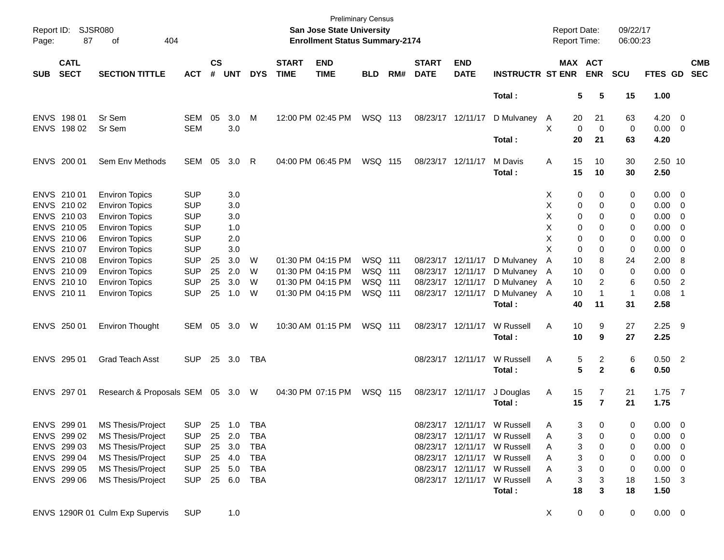| Report ID:<br>Page: | <b>SJSR080</b><br>87       | 404<br>of                       |            |                             |              |            |                             | <b>San Jose State University</b><br><b>Enrollment Status Summary-2174</b> | <b>Preliminary Census</b> |     |                             |                           |                             | Report Date:<br>Report Time: |                |                       | 09/22/17<br>06:00:23 |                     |                            |                          |
|---------------------|----------------------------|---------------------------------|------------|-----------------------------|--------------|------------|-----------------------------|---------------------------------------------------------------------------|---------------------------|-----|-----------------------------|---------------------------|-----------------------------|------------------------------|----------------|-----------------------|----------------------|---------------------|----------------------------|--------------------------|
| <b>SUB</b>          | <b>CATL</b><br><b>SECT</b> | <b>SECTION TITTLE</b>           | <b>ACT</b> | $\mathsf{cs}$<br>$\pmb{\#}$ | <b>UNT</b>   | <b>DYS</b> | <b>START</b><br><b>TIME</b> | <b>END</b><br><b>TIME</b>                                                 | <b>BLD</b>                | RM# | <b>START</b><br><b>DATE</b> | <b>END</b><br><b>DATE</b> | <b>INSTRUCTR ST ENR</b>     |                              |                | MAX ACT<br><b>ENR</b> | <b>SCU</b>           | FTES GD             |                            | <b>CMB</b><br><b>SEC</b> |
|                     |                            |                                 |            |                             |              |            |                             |                                                                           |                           |     |                             |                           | Total:                      |                              | 5              | 5                     | 15                   | 1.00                |                            |                          |
|                     | ENVS 198 01                | Sr Sem                          | SEM        | 05                          | 3.0          | M          | 12:00 PM 02:45 PM           |                                                                           | WSQ 113                   |     | 08/23/17 12/11/17           |                           | D Mulvaney                  | $\mathsf{A}$                 | 20             | 21                    | 63                   | $4.20 \ 0$          |                            |                          |
|                     | ENVS 198 02                | Sr Sem                          | <b>SEM</b> |                             | 3.0          |            |                             |                                                                           |                           |     |                             |                           | Total:                      | X                            | 0<br>20        | 0<br>21               | 0<br>63              | $0.00 \t 0$<br>4.20 |                            |                          |
|                     |                            |                                 |            |                             |              |            |                             |                                                                           |                           |     |                             |                           |                             |                              |                |                       |                      |                     |                            |                          |
|                     | ENVS 200 01                | Sem Env Methods                 | SEM        | 05                          | 3.0          | R          | 04:00 PM 06:45 PM           |                                                                           | WSQ 115                   |     |                             | 08/23/17 12/11/17         | M Davis                     | Α                            | 15             | 10                    | 30                   | 2.50 10             |                            |                          |
|                     |                            |                                 |            |                             |              |            |                             |                                                                           |                           |     |                             |                           | Total:                      |                              | 15             | 10                    | 30                   | 2.50                |                            |                          |
|                     | ENVS 210 01                | <b>Environ Topics</b>           | <b>SUP</b> |                             | 3.0          |            |                             |                                                                           |                           |     |                             |                           |                             | X                            | 0              | 0                     | 0                    | $0.00 \t 0$         |                            |                          |
|                     | ENVS 210 02                | <b>Environ Topics</b>           | <b>SUP</b> |                             | 3.0          |            |                             |                                                                           |                           |     |                             |                           |                             | х                            | 0              | 0                     | 0                    | $0.00 \t 0$         |                            |                          |
|                     | ENVS 210 03                | <b>Environ Topics</b>           | <b>SUP</b> |                             | 3.0          |            |                             |                                                                           |                           |     |                             |                           |                             | х                            | 0              | 0                     | 0                    | $0.00 \t 0$         |                            |                          |
|                     | ENVS 210 05                | <b>Environ Topics</b>           | <b>SUP</b> |                             | 1.0          |            |                             |                                                                           |                           |     |                             |                           |                             | х                            | 0              | 0                     | 0                    | $0.00 \t 0$         |                            |                          |
|                     | ENVS 210 06                | <b>Environ Topics</b>           | <b>SUP</b> |                             | 2.0          |            |                             |                                                                           |                           |     |                             |                           |                             | х                            | 0              | 0                     | 0                    | 0.00                | $\overline{\phantom{0}}$   |                          |
|                     | ENVS 210 07                | <b>Environ Topics</b>           | <b>SUP</b> |                             | 3.0          |            |                             |                                                                           |                           |     |                             |                           |                             | X                            | 0              | 0                     | 0                    | 0.00                | $\overline{\phantom{0}}$   |                          |
|                     | ENVS 210 08                | <b>Environ Topics</b>           | <b>SUP</b> | 25                          | 3.0          | W          | 01:30 PM 04:15 PM           |                                                                           | WSQ 111                   |     |                             | 08/23/17 12/11/17         | D Mulvaney                  | A                            | 10             | 8                     | 24                   | 2.00                | $_{\rm 8}$                 |                          |
|                     | ENVS 210 09                | <b>Environ Topics</b>           | <b>SUP</b> | 25                          | 2.0          | W          | 01:30 PM 04:15 PM           |                                                                           | <b>WSQ 111</b>            |     |                             | 08/23/17 12/11/17         | D Mulvaney                  | A                            | 10             | 0                     | 0                    | 0.00                | $\overline{\phantom{0}}$   |                          |
|                     | ENVS 210 10                | <b>Environ Topics</b>           | <b>SUP</b> | 25                          | 3.0          | W          | 01:30 PM 04:15 PM           |                                                                           | <b>WSQ 111</b>            |     |                             | 08/23/17 12/11/17         | D Mulvaney                  | A                            | 10             | 2                     | 6                    | 0.50                | $\overline{\phantom{0}}^2$ |                          |
|                     | ENVS 210 11                | <b>Environ Topics</b>           | <b>SUP</b> | 25                          | 1.0          | W          | 01:30 PM 04:15 PM           |                                                                           | WSQ 111                   |     |                             | 08/23/17 12/11/17         | D Mulvaney                  | A                            | 10             | 1                     | -1                   | 0.08                | -1                         |                          |
|                     |                            |                                 |            |                             |              |            |                             |                                                                           |                           |     |                             |                           | Total:                      |                              | 40             | 11                    | 31                   | 2.58                |                            |                          |
|                     | ENVS 250 01                | <b>Environ Thought</b>          | SEM        | 05                          | 3.0          | W          | 10:30 AM 01:15 PM           |                                                                           | <b>WSQ 111</b>            |     |                             | 08/23/17 12/11/17         | W Russell                   | Α                            | 10             | 9                     | 27                   | $2.25$ 9            |                            |                          |
|                     |                            |                                 |            |                             |              |            |                             |                                                                           |                           |     |                             |                           | Total:                      |                              | 10             | 9                     | 27                   | 2.25                |                            |                          |
|                     | ENVS 295 01                | <b>Grad Teach Asst</b>          | <b>SUP</b> |                             | 25 3.0       | TBA        |                             |                                                                           |                           |     |                             | 08/23/17 12/11/17         | W Russell                   | Α                            | 5              | $\mathbf{2}$          | 6                    | $0.50$ 2            |                            |                          |
|                     |                            |                                 |            |                             |              |            |                             |                                                                           |                           |     |                             |                           | Total :                     |                              | 5              | $\mathbf{2}$          | 6                    | 0.50                |                            |                          |
|                     | ENVS 297 01                | Research & Proposals SEM 05 3.0 |            |                             |              | - W        | 04:30 PM 07:15 PM           |                                                                           | WSQ 115                   |     |                             | 08/23/17 12/11/17         | J Douglas                   | A                            | 15             | 7                     | 21                   | $1.75$ 7            |                            |                          |
|                     |                            |                                 |            |                             |              |            |                             |                                                                           |                           |     |                             |                           | Total:                      |                              | 15             | $\overline{7}$        | 21                   | 1.75                |                            |                          |
|                     |                            |                                 |            |                             |              |            |                             |                                                                           |                           |     |                             | 08/23/17 12/11/17         | W Russell                   |                              |                |                       |                      |                     |                            |                          |
|                     | ENVS 299 01                | MS Thesis/Project               | <b>SUP</b> |                             | 25  1.0  TBA |            |                             |                                                                           |                           |     |                             |                           | 08/23/17 12/11/17 W Russell | A                            | 3              | 0                     | 0                    | $0.00 \quad 0$      |                            |                          |
|                     | ENVS 299 02                | MS Thesis/Project               | <b>SUP</b> |                             | 25 2.0       | TBA        |                             |                                                                           |                           |     |                             |                           |                             | Α                            | 3              | 0                     | 0                    | $0.00 \t 0$         |                            |                          |
|                     | ENVS 299 03                | MS Thesis/Project               | <b>SUP</b> |                             | 25 3.0       | TBA        |                             |                                                                           |                           |     |                             |                           | 08/23/17 12/11/17 W Russell | Α                            | 3              | 0                     | 0                    | $0.00 \t 0$         |                            |                          |
|                     | ENVS 299 04                | MS Thesis/Project               | <b>SUP</b> |                             | 25 4.0       | TBA        |                             |                                                                           |                           |     |                             |                           | 08/23/17 12/11/17 W Russell | A                            | 3              | 0                     | 0                    | $0.00 \t 0$         |                            |                          |
|                     | ENVS 299 05                | MS Thesis/Project               | <b>SUP</b> |                             | 25 5.0       | TBA        |                             |                                                                           |                           |     |                             |                           | 08/23/17 12/11/17 W Russell | Α                            | 3              | 0                     | 0                    | $0.00 \t 0$         |                            |                          |
|                     | ENVS 299 06                | MS Thesis/Project               | <b>SUP</b> |                             | 25 6.0 TBA   |            |                             |                                                                           |                           |     |                             |                           | 08/23/17 12/11/17 W Russell | Α                            | 3              | 3                     | 18                   | $1.50 \t3$          |                            |                          |
|                     |                            |                                 |            |                             |              |            |                             |                                                                           |                           |     |                             |                           | Total:                      |                              | 18             | 3                     | 18                   | 1.50                |                            |                          |
|                     |                            | ENVS 1290R 01 Culm Exp Supervis | <b>SUP</b> |                             | 1.0          |            |                             |                                                                           |                           |     |                             |                           |                             | X                            | $\overline{0}$ | $\mathbf 0$           | $\mathbf 0$          | $0.00 \t 0$         |                            |                          |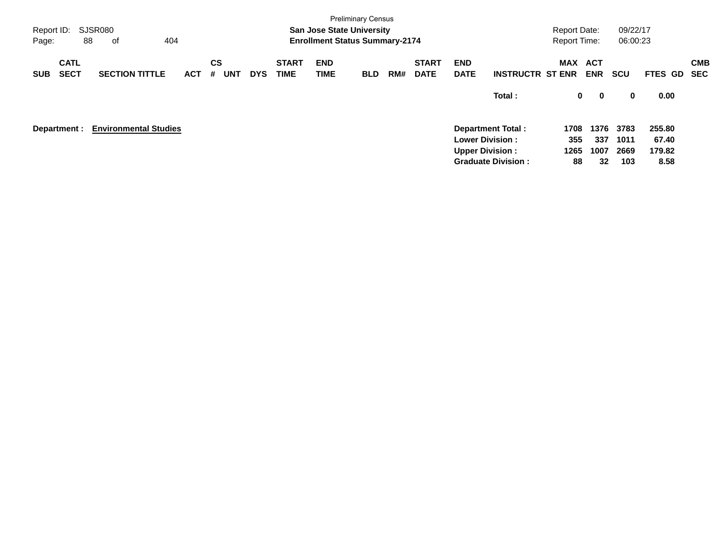| Report ID:<br>Page: |                            | SJSR080<br>88<br>404<br>оf   |            |                              |            |                             | <b>San Jose State University</b><br><b>Enrollment Status Summary-2174</b> | <b>Preliminary Census</b> |     |                             |                           |                           | <b>Report Date:</b><br><b>Report Time:</b> |             | 09/22/17<br>06:00:23 |                |                          |
|---------------------|----------------------------|------------------------------|------------|------------------------------|------------|-----------------------------|---------------------------------------------------------------------------|---------------------------|-----|-----------------------------|---------------------------|---------------------------|--------------------------------------------|-------------|----------------------|----------------|--------------------------|
| <b>SUB</b>          | <b>CATL</b><br><b>SECT</b> | <b>SECTION TITTLE</b>        | <b>ACT</b> | <b>CS</b><br><b>UNT</b><br># | <b>DYS</b> | <b>START</b><br><b>TIME</b> | <b>END</b><br>TIME                                                        | <b>BLD</b>                | RM# | <b>START</b><br><b>DATE</b> | <b>END</b><br><b>DATE</b> | <b>INSTRUCTR ST ENR</b>   | MAX ACT                                    | <b>ENR</b>  | <b>SCU</b>           | <b>FTES GD</b> | <b>CMB</b><br><b>SEC</b> |
|                     |                            |                              |            |                              |            |                             |                                                                           |                           |     |                             |                           | Total:                    | 0                                          | $\mathbf 0$ | 0                    | 0.00           |                          |
|                     | Department :               | <b>Environmental Studies</b> |            |                              |            |                             |                                                                           |                           |     |                             |                           | <b>Department Total:</b>  | 1708                                       | 1376        | 3783                 | 255.80         |                          |
|                     |                            |                              |            |                              |            |                             |                                                                           |                           |     |                             | <b>Lower Division:</b>    |                           | 355                                        | 337         | 1011                 | 67.40          |                          |
|                     |                            |                              |            |                              |            |                             |                                                                           |                           |     |                             | <b>Upper Division:</b>    | <b>Graduate Division:</b> | 1265<br>88                                 | 1007<br>32  | 2669<br>103          | 179.82<br>8.58 |                          |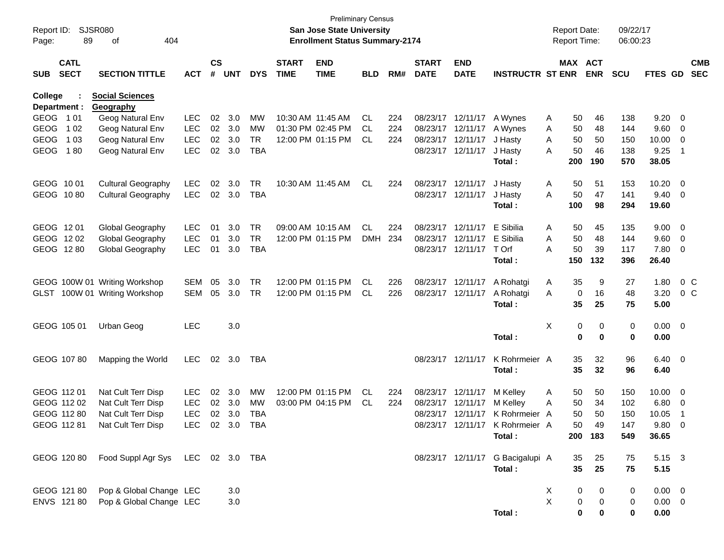| Report ID:<br>Page:     | 89                         | SJSR080<br>404<br>οf                |            |                    |            |            |                             | <b>Preliminary Census</b><br><b>San Jose State University</b><br><b>Enrollment Status Summary-2174</b> |            |     |                             |                           |                                  | <b>Report Date:</b><br><b>Report Time:</b> |     |                              | 09/22/17<br>06:00:23 |             |                         |                          |
|-------------------------|----------------------------|-------------------------------------|------------|--------------------|------------|------------|-----------------------------|--------------------------------------------------------------------------------------------------------|------------|-----|-----------------------------|---------------------------|----------------------------------|--------------------------------------------|-----|------------------------------|----------------------|-------------|-------------------------|--------------------------|
| <b>SUB</b>              | <b>CATL</b><br><b>SECT</b> | <b>SECTION TITTLE</b>               | <b>ACT</b> | $\mathsf{cs}$<br># | <b>UNT</b> | <b>DYS</b> | <b>START</b><br><b>TIME</b> | <b>END</b><br><b>TIME</b>                                                                              | <b>BLD</b> | RM# | <b>START</b><br><b>DATE</b> | <b>END</b><br><b>DATE</b> | <b>INSTRUCTR ST ENR</b>          |                                            |     | <b>MAX ACT</b><br><b>ENR</b> | <b>SCU</b>           | FTES GD     |                         | <b>CMB</b><br><b>SEC</b> |
| College<br>Department : |                            | <b>Social Sciences</b><br>Geography |            |                    |            |            |                             |                                                                                                        |            |     |                             |                           |                                  |                                            |     |                              |                      |             |                         |                          |
| GEOG 101                |                            | Geog Natural Env                    | <b>LEC</b> | 02                 | 3.0        | MW         | 10:30 AM 11:45 AM           |                                                                                                        | CL.        | 224 | 08/23/17                    | 12/11/17                  | A Wynes                          | A                                          | 50  | 46                           | 138                  | 9.20        | 0                       |                          |
| <b>GEOG</b>             | 1 0 2                      | Geog Natural Env                    | <b>LEC</b> |                    | 02 3.0     | MW         | 01:30 PM 02:45 PM           |                                                                                                        | CL.        | 224 | 08/23/17                    | 12/11/17                  | A Wynes                          | Α                                          | 50  | 48                           | 144                  | 9.60        | 0                       |                          |
| <b>GEOG</b>             | 1 0 3                      | Geog Natural Env                    | <b>LEC</b> | 02                 | 3.0        | <b>TR</b>  |                             | 12:00 PM 01:15 PM                                                                                      | CL.        | 224 | 08/23/17                    | 12/11/17                  | J Hasty                          | Α                                          | 50  | 50                           | 150                  | 10.00       | 0                       |                          |
| <b>GEOG</b>             | 180                        | Geog Natural Env                    | <b>LEC</b> | 02                 | 3.0        | <b>TBA</b> |                             |                                                                                                        |            |     | 08/23/17 12/11/17           |                           | J Hasty                          | A                                          | 50  | 46                           | 138                  | 9.25        | $\overline{1}$          |                          |
|                         |                            |                                     |            |                    |            |            |                             |                                                                                                        |            |     |                             |                           | Total:                           |                                            | 200 | 190                          | 570                  | 38.05       |                         |                          |
| GEOG 1001               |                            | <b>Cultural Geography</b>           | LEC        | 02                 | 3.0        | TR         |                             | 10:30 AM 11:45 AM                                                                                      | CL         | 224 | 08/23/17                    | 12/11/17                  | J Hasty                          | A                                          | 50  | 51                           | 153                  | 10.20       | 0                       |                          |
| GEOG 1080               |                            | <b>Cultural Geography</b>           | <b>LEC</b> |                    | 02 3.0     | <b>TBA</b> |                             |                                                                                                        |            |     | 08/23/17 12/11/17           |                           | J Hasty                          | A                                          | 50  | 47                           | 141                  | 9.40        | - 0                     |                          |
|                         |                            |                                     |            |                    |            |            |                             |                                                                                                        |            |     |                             |                           | Total:                           |                                            | 100 | 98                           | 294                  | 19.60       |                         |                          |
| GEOG 1201               |                            | Global Geography                    | LEC        | 01                 | 3.0        | TR         | 09:00 AM 10:15 AM           |                                                                                                        | CL         | 224 | 08/23/17                    | 12/11/17                  | E Sibilia                        | A                                          | 50  | 45                           | 135                  | 9.00        | 0                       |                          |
| GEOG 1202               |                            | Global Geography                    | <b>LEC</b> | 01                 | 3.0        | <b>TR</b>  |                             | 12:00 PM 01:15 PM                                                                                      | DMH        | 234 | 08/23/17                    | 12/11/17                  | E Sibilia                        | A                                          | 50  | 48                           | 144                  | 9.60        | 0                       |                          |
| GEOG 1280               |                            | Global Geography                    | <b>LEC</b> | 01                 | 3.0        | <b>TBA</b> |                             |                                                                                                        |            |     | 08/23/17 12/11/17           |                           | T Orf                            | A                                          | 50  | 39                           | 117                  | 7.80        | 0                       |                          |
|                         |                            |                                     |            |                    |            |            |                             |                                                                                                        |            |     |                             |                           | Total:                           |                                            | 150 | 132                          | 396                  | 26.40       |                         |                          |
|                         |                            | GEOG 100W 01 Writing Workshop       | <b>SEM</b> | 05                 | 3.0        | TR         |                             | 12:00 PM 01:15 PM                                                                                      | CL.        | 226 | 08/23/17                    | 12/11/17                  | A Rohatgi                        | A                                          | 35  | 9                            | 27                   | 1.80        | 0 <sup>C</sup>          |                          |
|                         |                            | GLST 100W 01 Writing Workshop       | <b>SEM</b> | 05                 | 3.0        | <b>TR</b>  |                             | 12:00 PM 01:15 PM                                                                                      | CL.        | 226 | 08/23/17                    | 12/11/17                  | A Rohatgi                        | Α                                          | 0   | 16                           | 48                   | 3.20        | 0 <sup>o</sup>          |                          |
|                         |                            |                                     |            |                    |            |            |                             |                                                                                                        |            |     |                             |                           | Total:                           |                                            | 35  | 25                           | 75                   | 5.00        |                         |                          |
| GEOG 105 01             |                            | Urban Geog                          | <b>LEC</b> |                    | 3.0        |            |                             |                                                                                                        |            |     |                             |                           |                                  | Χ                                          | 0   | 0                            | 0                    | 0.00        | $\overline{\mathbf{0}}$ |                          |
|                         |                            |                                     |            |                    |            |            |                             |                                                                                                        |            |     |                             |                           | Total:                           |                                            | 0   | $\mathbf 0$                  | 0                    | 0.00        |                         |                          |
|                         | GEOG 107 80                | Mapping the World                   | <b>LEC</b> | 02                 | 3.0        | TBA        |                             |                                                                                                        |            |     | 08/23/17 12/11/17           |                           | K Rohrmeier A                    |                                            | 35  | 32                           | 96                   | 6.40        | $\overline{\mathbf{0}}$ |                          |
|                         |                            |                                     |            |                    |            |            |                             |                                                                                                        |            |     |                             |                           | Total:                           |                                            | 35  | 32                           | 96                   | 6.40        |                         |                          |
| GEOG 112 01             |                            | Nat Cult Terr Disp                  | LEC        | 02                 | 3.0        | <b>MW</b>  |                             | 12:00 PM 01:15 PM                                                                                      | CL.        | 224 | 08/23/17                    | 12/11/17                  | M Kelley                         | A                                          | 50  | 50                           | 150                  | 10.00       | 0                       |                          |
|                         | GEOG 112 02                | Nat Cult Terr Disp                  | <b>LEC</b> | 02                 | 3.0        | MW         |                             | 03:00 PM 04:15 PM                                                                                      | CL.        | 224 | 08/23/17                    | 12/11/17                  | M Kelley                         | Α                                          | 50  | 34                           | 102                  | 6.80        | 0                       |                          |
| GEOG 112 80             |                            | Nat Cult Terr Disp                  | <b>LEC</b> | 02                 | 3.0        | TBA        |                             |                                                                                                        |            |     | 08/23/17                    | 12/11/17                  | K Rohrmeier A                    |                                            | 50  | 50                           | 150                  | 10.05       | $\overline{1}$          |                          |
|                         |                            | GEOG 112 81 Nat Cult Terr Disp      | <b>LEC</b> |                    | 02 3.0     | <b>TBA</b> |                             |                                                                                                        |            |     |                             |                           | 08/23/17 12/11/17 K Rohrmeier A  |                                            | 50  | 49                           | 147                  | 9.80        | $\Omega$                |                          |
|                         |                            |                                     |            |                    |            |            |                             |                                                                                                        |            |     |                             |                           | Total:                           |                                            |     | 200 183                      | 549                  | 36.65       |                         |                          |
|                         | GEOG 120 80                | Food Suppl Agr Sys LEC 02 3.0 TBA   |            |                    |            |            |                             |                                                                                                        |            |     |                             |                           | 08/23/17 12/11/17 G Bacigalupi A |                                            | 35  | 25                           | 75                   | 5.15 3      |                         |                          |
|                         |                            |                                     |            |                    |            |            |                             |                                                                                                        |            |     |                             |                           | Total:                           |                                            | 35  | 25                           | 75                   | 5.15        |                         |                          |
|                         | GEOG 121 80                | Pop & Global Change LEC             |            |                    | 3.0        |            |                             |                                                                                                        |            |     |                             |                           |                                  | X                                          | 0   | 0                            | 0                    | $0.00 \t 0$ |                         |                          |
|                         | ENVS 121 80                | Pop & Global Change LEC             |            |                    | 3.0        |            |                             |                                                                                                        |            |     |                             |                           |                                  | $\mathsf X$                                | 0   | 0                            | 0                    | $0.00 \t 0$ |                         |                          |
|                         |                            |                                     |            |                    |            |            |                             |                                                                                                        |            |     |                             |                           | Total:                           |                                            | 0   | 0                            | 0                    | 0.00        |                         |                          |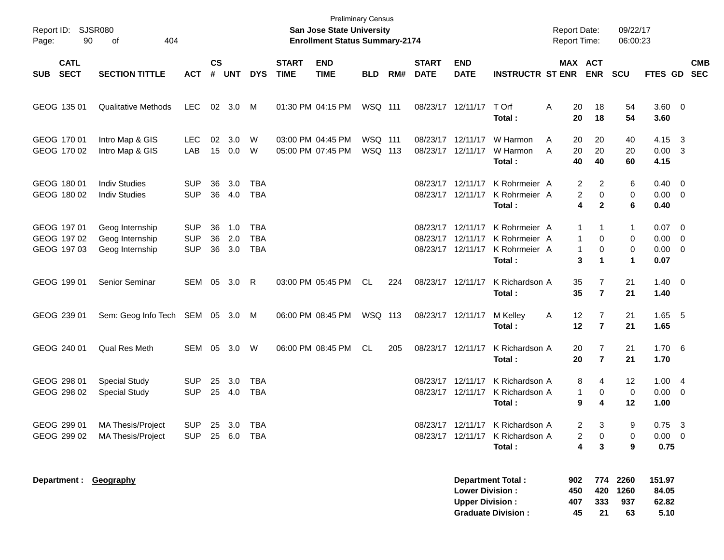| Report ID:<br>90<br>Page:                 | SJSR080<br>404<br>οf                                      |                                        |                             |                   |                                 |                             | <b>Preliminary Census</b><br>San Jose State University<br><b>Enrollment Status Summary-2174</b> |                    |     |                             |                                                             |                                                                                | <b>Report Date:</b><br><b>Report Time:</b> |                                       | 09/22/17<br>06:00:23                   |                                         |                         |            |
|-------------------------------------------|-----------------------------------------------------------|----------------------------------------|-----------------------------|-------------------|---------------------------------|-----------------------------|-------------------------------------------------------------------------------------------------|--------------------|-----|-----------------------------|-------------------------------------------------------------|--------------------------------------------------------------------------------|--------------------------------------------|---------------------------------------|----------------------------------------|-----------------------------------------|-------------------------|------------|
| <b>CATL</b><br><b>SECT</b><br><b>SUB</b>  | <b>SECTION TITTLE</b>                                     | <b>ACT</b>                             | $\mathsf{cs}$<br>$\pmb{\#}$ | <b>UNT</b>        | <b>DYS</b>                      | <b>START</b><br><b>TIME</b> | <b>END</b><br><b>TIME</b>                                                                       | <b>BLD</b>         | RM# | <b>START</b><br><b>DATE</b> | <b>END</b><br><b>DATE</b>                                   | <b>INSTRUCTR ST ENR</b>                                                        |                                            | MAX ACT<br><b>ENR</b>                 | <b>SCU</b>                             | FTES GD SEC                             |                         | <b>CMB</b> |
| GEOG 135 01                               | <b>Qualitative Methods</b>                                | LEC.                                   |                             | 02 3.0            | M                               |                             | 01:30 PM 04:15 PM                                                                               | WSQ 111            |     |                             | 08/23/17 12/11/17                                           | T Orf<br>Total:                                                                | Α<br>20<br>20                              | 18<br>18                              | 54<br>54                               | $3.60 \ 0$<br>3.60                      |                         |            |
| GEOG 170 01<br>GEOG 170 02                | Intro Map & GIS<br>Intro Map & GIS                        | LEC.<br>LAB                            | 02<br>15                    | 3.0<br>0.0        | W<br>W                          |                             | 03:00 PM 04:45 PM<br>05:00 PM 07:45 PM                                                          | WSQ 111<br>WSQ 113 |     |                             | 08/23/17 12/11/17<br>08/23/17 12/11/17                      | W Harmon<br>W Harmon<br>Total:                                                 | A<br>20<br>20<br>A<br>40                   | 20<br>20<br>40                        | 40<br>20<br>60                         | 4.15 3<br>$0.00 \quad 3$<br>4.15        |                         |            |
| GEOG 180 01<br>GEOG 180 02                | <b>Indiv Studies</b><br><b>Indiv Studies</b>              | <b>SUP</b><br><b>SUP</b>               | 36<br>36                    | 3.0<br>4.0        | TBA<br><b>TBA</b>               |                             |                                                                                                 |                    |     |                             | 08/23/17 12/11/17<br>08/23/17 12/11/17                      | K Rohrmeier A<br>K Rohrmeier A<br>Total:                                       |                                            | 2<br>2<br>0<br>2<br>4<br>$\mathbf{2}$ | 6<br>0<br>6                            | $0.40 \quad 0$<br>$0.00 \t 0$<br>0.40   |                         |            |
| GEOG 197 01<br>GEOG 197 02<br>GEOG 197 03 | Geog Internship<br>Geog Internship<br>Geog Internship     | <b>SUP</b><br><b>SUP</b><br><b>SUP</b> | 36<br>36<br>36              | 1.0<br>2.0<br>3.0 | TBA<br><b>TBA</b><br><b>TBA</b> |                             |                                                                                                 |                    |     |                             | 08/23/17 12/11/17<br>08/23/17 12/11/17<br>08/23/17 12/11/17 | K Rohrmeier A<br>K Rohrmeier A<br>K Rohrmeier A<br>Total:                      |                                            | -1<br>1<br>0<br>1<br>0<br>1<br>3<br>1 | $\mathbf{1}$<br>0<br>0<br>$\mathbf{1}$ | $0.07$ 0<br>0.00<br>$0.00 \t 0$<br>0.07 | $\overline{\mathbf{0}}$ |            |
| GEOG 199 01                               | Senior Seminar                                            | SEM 05                                 |                             | 3.0               | R                               |                             | 03:00 PM 05:45 PM                                                                               | CL                 | 224 |                             | 08/23/17 12/11/17                                           | K Richardson A<br>Total:                                                       | 35<br>35                                   | 7<br>$\overline{7}$                   | 21<br>21                               | $1.40 \quad 0$<br>1.40                  |                         |            |
| GEOG 239 01                               | Sem: Geog Info Tech SEM 05 3.0 M                          |                                        |                             |                   |                                 |                             | 06:00 PM 08:45 PM                                                                               | WSQ 113            |     |                             | 08/23/17 12/11/17                                           | M Kelley<br>Total:                                                             | 12<br>A<br>12                              | 7<br>$\overline{7}$                   | 21<br>21                               | $1.65$ 5<br>1.65                        |                         |            |
| GEOG 240 01                               | Qual Res Meth                                             | SEM 05 3.0                             |                             |                   | W                               |                             | 06:00 PM 08:45 PM                                                                               | <b>CL</b>          | 205 |                             | 08/23/17 12/11/17                                           | K Richardson A<br>Total:                                                       | 20<br>20                                   | 7<br>$\overline{7}$                   | 21<br>21                               | 1.706<br>1.70                           |                         |            |
| GEOG 298 01<br>GEOG 298 02                | <b>Special Study</b><br><b>Special Study</b>              | <b>SUP</b><br><b>SUP</b>               | 25                          | 3.0<br>25 4.0     | <b>TBA</b><br><b>TBA</b>        |                             |                                                                                                 |                    |     |                             | 08/23/17 12/11/17<br>08/23/17 12/11/17                      | K Richardson A<br>K Richardson A<br>Total:                                     |                                            | 8<br>4<br>1<br>0<br>9<br>4            | 12<br>0<br>12                          | 1.004<br>$0.00 \t 0$<br>1.00            |                         |            |
| GEOG 299 01                               | <b>MA Thesis/Project</b><br>GEOG 299 02 MA Thesis/Project | SUP 25 3.0 TBA<br>SUP 25 6.0 TBA       |                             |                   |                                 |                             |                                                                                                 |                    |     |                             |                                                             | 08/23/17 12/11/17 K Richardson A<br>08/23/17 12/11/17 K Richardson A<br>Total: |                                            | 2<br>3<br>0<br>2<br>4<br>3            | 9<br>0<br>9                            | 0.75<br>$0.00 \quad 0$<br>0.75          | - 3                     |            |
| Department : Geography                    |                                                           |                                        |                             |                   |                                 |                             |                                                                                                 |                    |     |                             | <b>Lower Division:</b><br><b>Upper Division:</b>            | <b>Department Total:</b><br><b>Graduate Division:</b>                          | 902<br>450<br>407<br>45                    | 774<br>420<br>333<br>21               | 2260<br>1260<br>937<br>63              | 151.97<br>84.05<br>62.82<br>5.10        |                         |            |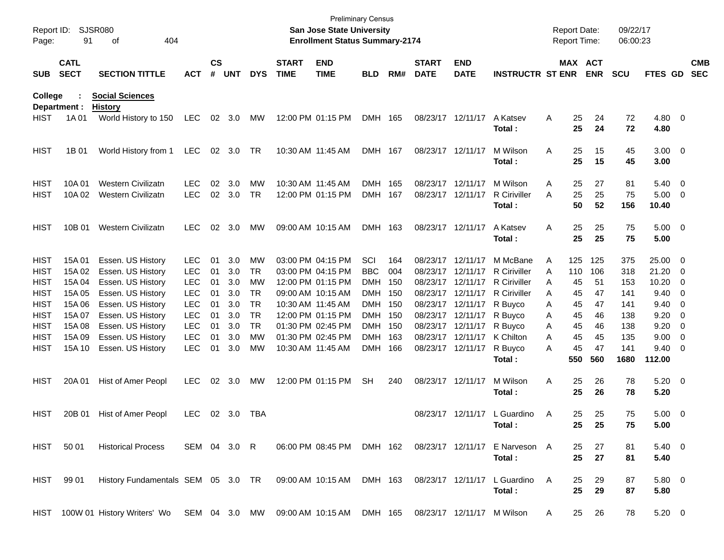| Page:                                     | Report ID: SJSR080<br>91   | 404<br>οf                                                                                           |                                        |                    |                   |                              |                             | San Jose State University<br><b>Enrollment Status Summary-2174</b> | <b>Preliminary Census</b>              |                   |                             |                                                             |                                                                    |             | <b>Report Date:</b><br><b>Report Time:</b> |                 | 09/22/17<br>06:00:23 |                                           |                                                     |                          |
|-------------------------------------------|----------------------------|-----------------------------------------------------------------------------------------------------|----------------------------------------|--------------------|-------------------|------------------------------|-----------------------------|--------------------------------------------------------------------|----------------------------------------|-------------------|-----------------------------|-------------------------------------------------------------|--------------------------------------------------------------------|-------------|--------------------------------------------|-----------------|----------------------|-------------------------------------------|-----------------------------------------------------|--------------------------|
| <b>SUB</b>                                | <b>CATL</b><br><b>SECT</b> | <b>SECTION TITTLE</b>                                                                               | <b>ACT</b>                             | $\mathsf{cs}$<br># | <b>UNT</b>        | <b>DYS</b>                   | <b>START</b><br><b>TIME</b> | <b>END</b><br><b>TIME</b>                                          | <b>BLD</b>                             | RM#               | <b>START</b><br><b>DATE</b> | <b>END</b><br><b>DATE</b>                                   | <b>INSTRUCTR ST ENR</b>                                            |             | MAX ACT                                    | <b>ENR</b>      | <b>SCU</b>           | FTES GD                                   |                                                     | <b>CMB</b><br><b>SEC</b> |
| College                                   | Department :               | <b>Social Sciences</b><br><b>History</b>                                                            |                                        |                    |                   |                              |                             |                                                                    |                                        |                   |                             |                                                             |                                                                    |             |                                            |                 |                      |                                           |                                                     |                          |
| <b>HIST</b>                               | 1A 01                      | World History to 150                                                                                | LEC                                    |                    | 02 3.0            | МW                           |                             | 12:00 PM 01:15 PM                                                  | DMH 165                                |                   |                             | 08/23/17 12/11/17                                           | A Katsev<br>Total :                                                | A           | 25<br>25                                   | 24<br>24        | 72<br>72             | $4.80\ 0$<br>4.80                         |                                                     |                          |
| <b>HIST</b>                               | 1B 01                      | World History from 1                                                                                | <b>LEC</b>                             |                    | 02 3.0            | TR                           |                             | 10:30 AM 11:45 AM                                                  | DMH 167                                |                   |                             | 08/23/17 12/11/17                                           | M Wilson<br>Total:                                                 | A           | 25<br>25                                   | 15<br>15        | 45<br>45             | $3.00 \ 0$<br>3.00                        |                                                     |                          |
| <b>HIST</b><br><b>HIST</b>                | 10A01<br>10A 02            | Western Civilizatn<br><b>Western Civilizatn</b>                                                     | <b>LEC</b><br><b>LEC</b>               | 02<br>02           | 3.0<br>3.0        | MW<br><b>TR</b>              |                             | 10:30 AM 11:45 AM<br>12:00 PM 01:15 PM                             | <b>DMH</b><br><b>DMH</b>               | 165<br>167        |                             | 08/23/17 12/11/17<br>08/23/17 12/11/17                      | M Wilson<br>R Ciriviller<br>Total:                                 | A<br>A      | 25<br>25<br>50                             | 27<br>25<br>52  | 81<br>75<br>156      | $5.40\ 0$<br>$5.00 \t 0$<br>10.40         |                                                     |                          |
| <b>HIST</b>                               | 10B 01                     | <b>Western Civilizatn</b>                                                                           | <b>LEC</b>                             | 02                 | 3.0               | МW                           |                             | 09:00 AM 10:15 AM                                                  | DMH 163                                |                   |                             | 08/23/17 12/11/17                                           | A Katsev<br>Total :                                                | Α           | 25<br>25                                   | 25<br>25        | 75<br>75             | $5.00 \t 0$<br>5.00                       |                                                     |                          |
| <b>HIST</b><br><b>HIST</b>                | 15A 01<br>15A 02           | Essen. US History<br>Essen. US History                                                              | <b>LEC</b><br><b>LEC</b>               | 01<br>01           | 3.0<br>3.0        | MW<br>TR                     |                             | 03:00 PM 04:15 PM<br>03:00 PM 04:15 PM                             | SCI<br><b>BBC</b>                      | 164<br>004        |                             | 08/23/17 12/11/17<br>08/23/17 12/11/17                      | M McBane<br><b>R</b> Ciriviller                                    | A<br>A      | 125<br>110                                 | 125<br>106      | 375<br>318           | 25.00 0<br>21.20 0                        |                                                     |                          |
| <b>HIST</b><br><b>HIST</b><br><b>HIST</b> | 15A 04<br>15A 05<br>15A 06 | Essen. US History<br>Essen. US History<br>Essen. US History                                         | <b>LEC</b><br><b>LEC</b><br><b>LEC</b> | 01<br>01<br>01     | 3.0<br>3.0<br>3.0 | MW<br><b>TR</b><br><b>TR</b> |                             | 12:00 PM 01:15 PM<br>09:00 AM 10:15 AM<br>10:30 AM 11:45 AM        | <b>DMH</b><br><b>DMH</b><br><b>DMH</b> | 150<br>150<br>150 |                             | 08/23/17 12/11/17<br>08/23/17 12/11/17<br>08/23/17 12/11/17 | <b>R</b> Ciriviller<br><b>R</b> Ciriviller<br>R Buyco              | A<br>A<br>A | 45<br>45<br>45                             | 51<br>47<br>47  | 153<br>141<br>141    | 10.20<br>$9.40 \quad 0$<br>$9.40 \quad 0$ | $\overline{\phantom{0}}$                            |                          |
| <b>HIST</b><br><b>HIST</b>                | 15A 07<br>15A 08           | Essen. US History<br>Essen. US History                                                              | <b>LEC</b><br><b>LEC</b>               | 01<br>01           | 3.0<br>3.0        | <b>TR</b><br><b>TR</b>       |                             | 12:00 PM 01:15 PM<br>01:30 PM 02:45 PM                             | <b>DMH</b><br><b>DMH</b>               | 150<br>150        |                             | 08/23/17 12/11/17<br>08/23/17 12/11/17                      | R Buyco<br>R Buyco                                                 | Α<br>A      | 45<br>45                                   | 46<br>46        | 138<br>138           | 9.20<br>9.20                              | $\overline{\mathbf{0}}$<br>$\overline{\phantom{0}}$ |                          |
| <b>HIST</b><br><b>HIST</b>                | 15A 09<br>15A 10           | Essen. US History<br>Essen. US History                                                              | <b>LEC</b><br><b>LEC</b>               | 01<br>01           | 3.0<br>3.0        | МW<br>MW                     |                             | 01:30 PM 02:45 PM<br>10:30 AM 11:45 AM                             | <b>DMH</b><br><b>DMH</b>               | 163<br>166        |                             | 08/23/17 12/11/17<br>08/23/17 12/11/17                      | K Chilton<br>R Buyco<br>Total:                                     | A<br>A      | 45<br>45<br>550                            | 45<br>47<br>560 | 135<br>141<br>1680   | 9.00<br>$9.40 \quad 0$<br>112.00          | $\overline{\phantom{0}}$                            |                          |
| <b>HIST</b>                               | 20A 01                     | Hist of Amer Peopl                                                                                  | <b>LEC</b>                             |                    | 02 3.0            | МW                           |                             | 12:00 PM 01:15 PM                                                  | <b>SH</b>                              | 240               |                             | 08/23/17 12/11/17                                           | M Wilson<br>Total:                                                 | Α           | 25<br>25                                   | 26<br>26        | 78<br>78             | $5.20 \ 0$<br>5.20                        |                                                     |                          |
| <b>HIST</b>                               | 20B 01                     | <b>Hist of Amer Peopl</b>                                                                           | LEC.                                   |                    | 02 3.0            | TBA                          |                             |                                                                    |                                        |                   |                             | 08/23/17 12/11/17                                           | L Guardino<br>Total :                                              | A           | 25<br>25                                   | 25<br>25        | 75<br>75             | $5.00 \t 0$<br>5.00                       |                                                     |                          |
|                                           | HIST 50 01                 | <b>Historical Process</b>                                                                           | SEM 04 3.0 R                           |                    |                   |                              |                             |                                                                    |                                        |                   |                             |                                                             | 06:00 PM 08:45 PM DMH 162 08/23/17 12/11/17 E Narveson A<br>Total: |             | 25<br>25                                   | 27<br>27        | 81<br>81             | $5.40 \quad 0$<br>5.40                    |                                                     |                          |
|                                           | HIST 99 01                 | History Fundamentals SEM 05 3.0 TR 09:00 AM 10:15 AM DMH 163                                        |                                        |                    |                   |                              |                             |                                                                    |                                        |                   |                             |                                                             | 08/23/17 12/11/17 L Guardino A<br>Total:                           |             | 25<br>25                                   | 29<br>29        | 87<br>87             | $5.80\ 0$<br>5.80                         |                                                     |                          |
|                                           |                            | HIST 100W 01 History Writers' Wo SEM 04 3.0 MW 09:00 AM 10:15 AM DMH 165 08/23/17 12/11/17 M Wilson |                                        |                    |                   |                              |                             |                                                                    |                                        |                   |                             |                                                             |                                                                    | A           | 25                                         | 26              | 78                   | $5.20 \t 0$                               |                                                     |                          |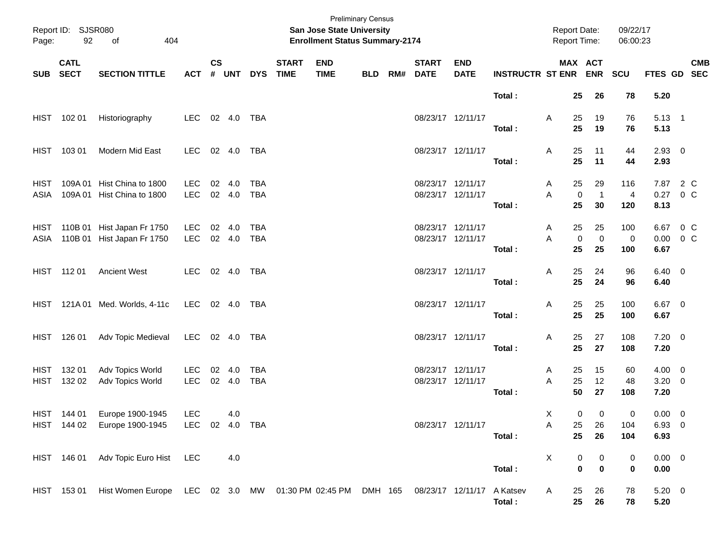| Page:        | Report ID: SJSR080<br>92 | 404<br>of                                                          |                              |                  |              |                          |                             | <b>Preliminary Census</b><br><b>San Jose State University</b><br><b>Enrollment Status Summary-2174</b> |            |                                        |                           |                             | Report Date:<br>Report Time: |                         |                         | 09/22/17<br>06:00:23  |                                  |         |            |
|--------------|--------------------------|--------------------------------------------------------------------|------------------------------|------------------|--------------|--------------------------|-----------------------------|--------------------------------------------------------------------------------------------------------|------------|----------------------------------------|---------------------------|-----------------------------|------------------------------|-------------------------|-------------------------|-----------------------|----------------------------------|---------|------------|
| SUB SECT     | <b>CATL</b>              | <b>SECTION TITTLE</b>                                              | <b>ACT</b>                   | $\mathsf{cs}$    | # UNT        | <b>DYS</b>               | <b>START</b><br><b>TIME</b> | <b>END</b><br><b>TIME</b>                                                                              | <b>BLD</b> | <b>START</b><br>RM# DATE               | <b>END</b><br><b>DATE</b> | <b>INSTRUCTR ST ENR ENR</b> | MAX ACT                      |                         |                         | SCU                   | FTES GD SEC                      |         | <b>CMB</b> |
|              |                          |                                                                    |                              |                  |              |                          |                             |                                                                                                        |            |                                        |                           | Total:                      |                              | 25                      | 26                      | 78                    | 5.20                             |         |            |
|              | HIST 102 01              | Historiography                                                     | LEC                          |                  | 02 4.0       | TBA                      |                             |                                                                                                        |            | 08/23/17 12/11/17                      |                           | Total:                      | A                            | 25<br>25                | 19<br>19                | 76<br>76              | $5.13 \quad 1$<br>5.13           |         |            |
|              | HIST 103 01              | Modern Mid East                                                    | LEC                          | 02 4.0           |              | TBA                      |                             |                                                                                                        |            | 08/23/17 12/11/17                      |                           | Total:                      | A                            | 25<br>25                | 11<br>11                | 44<br>44              | $2.93$ 0<br>2.93                 |         |            |
| HIST<br>ASIA | 109A 01                  | Hist China to 1800<br>109A 01 Hist China to 1800                   | LEC.<br><b>LEC</b>           | 02 4.0           | 02 4.0       | <b>TBA</b><br><b>TBA</b> |                             |                                                                                                        |            | 08/23/17 12/11/17<br>08/23/17 12/11/17 |                           |                             | A<br>A                       | 25<br>$\boldsymbol{0}$  | 29<br>$\overline{1}$    | 116<br>$\overline{a}$ | 7.87 2 C<br>0.27                 | $0\,C$  |            |
|              |                          |                                                                    |                              |                  |              |                          |                             |                                                                                                        |            |                                        |                           | Total:                      |                              | 25                      | 30                      | 120                   | 8.13                             |         |            |
|              |                          | HIST 110B 01 Hist Japan Fr 1750<br>ASIA 110B 01 Hist Japan Fr 1750 | LEC<br><b>LEC</b>            | 02 4.0           | 02 4.0       | <b>TBA</b><br><b>TBA</b> |                             |                                                                                                        |            | 08/23/17 12/11/17<br>08/23/17 12/11/17 |                           | Total:                      | A<br>A                       | 25<br>$\mathbf 0$<br>25 | 25<br>$\mathbf 0$<br>25 | 100<br>0<br>100       | 6.67 0 C<br>0.00<br>6.67         | $0\,$ C |            |
|              | HIST 11201               | <b>Ancient West</b>                                                | <b>LEC</b>                   |                  | 02  4.0  TBA |                          |                             |                                                                                                        |            | 08/23/17 12/11/17                      |                           |                             | A                            | 25<br>25                | 24                      | 96                    | $6.40 \quad 0$                   |         |            |
|              |                          | HIST 121A 01 Med. Worlds, 4-11c                                    | LEC 02 4.0 TBA               |                  |              |                          |                             |                                                                                                        |            | 08/23/17 12/11/17                      |                           | Total:                      | A                            | 25                      | 24<br>25                | 96<br>100             | 6.40<br>$6.67$ 0                 |         |            |
|              |                          |                                                                    |                              |                  |              |                          |                             |                                                                                                        |            |                                        |                           | Total:                      |                              | 25                      | 25                      | 100                   | 6.67                             |         |            |
|              | HIST 126 01              | Adv Topic Medieval                                                 | LEC 02 4.0                   |                  |              | TBA                      |                             |                                                                                                        |            | 08/23/17 12/11/17                      |                           | Total:                      | Α                            | 25<br>25                | 27<br>27                | 108<br>108            | $7.20 \t 0$<br>7.20              |         |            |
| HIST         | 132 01<br>HIST 132 02    | Adv Topics World<br>Adv Topics World                               | LEC<br>LEC                   | 02 4.0<br>02 4.0 |              | <b>TBA</b><br><b>TBA</b> |                             |                                                                                                        |            | 08/23/17 12/11/17<br>08/23/17 12/11/17 |                           | Total:                      | A<br>A                       | 25<br>25<br>50          | 15<br>12<br>27          | 60<br>48<br>108       | $4.00 \ 0$<br>$3.20 \ 0$<br>7.20 |         |            |
|              | HIST 144 01              | Europe 1900-1945<br>HIST 144 02 Europe 1900-1945                   | <b>LEC</b><br>LEC 02 4.0 TBA |                  | 4.0          |                          |                             |                                                                                                        |            | 08/23/17 12/11/17                      |                           |                             | Χ<br>A                       | 0<br>25                 | 0<br>26                 | 0<br>104              | $0.00 \t 0$<br>$6.93\quad 0$     |         |            |
|              |                          |                                                                    |                              |                  |              |                          |                             |                                                                                                        |            |                                        |                           | Total:                      |                              | 25                      | 26                      | 104                   | 6.93                             |         |            |
|              | HIST 146 01              | Adv Topic Euro Hist LEC                                            |                              |                  | 4.0          |                          |                             |                                                                                                        |            |                                        |                           | Total:                      | Χ                            | 0<br>$\bf{0}$           | 0<br>$\mathbf 0$        | 0<br>0                | $0.00 \t 0$<br>0.00              |         |            |
|              | HIST 153 01              | Hist Women Europe LEC 02 3.0 MW 01:30 PM 02:45 PM DMH 165          |                              |                  |              |                          |                             |                                                                                                        |            | 08/23/17 12/11/17                      |                           | A Katsev<br>Total:          | A                            | 25<br>25                | 26<br>${\bf 26}$        | 78<br>78              | $5.20 \ 0$<br>5.20               |         |            |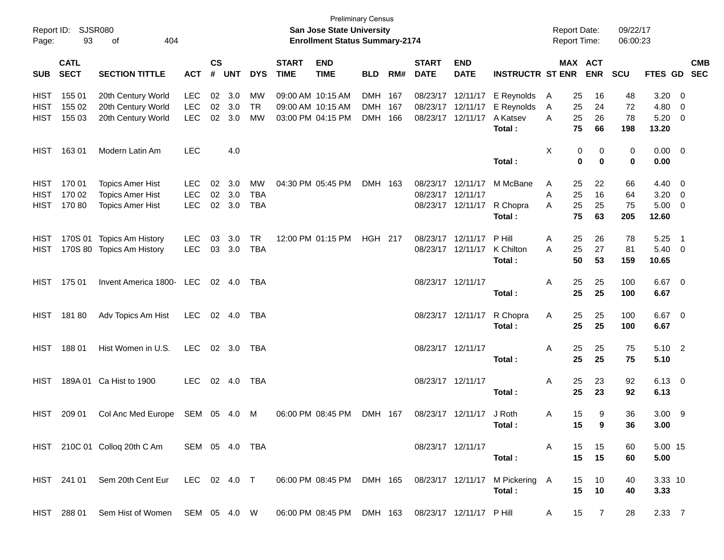| Report ID:<br>Page: | 93                         | <b>SJSR080</b><br>404<br>оf    |                |                    |            |              |                             | <b>Preliminary Census</b><br>San Jose State University<br><b>Enrollment Status Summary-2174</b> |                |     |                             |                           |                                 |              |          | <b>Report Date:</b><br><b>Report Time:</b> | 09/22/17<br>06:00:23 |                        |                            |                          |
|---------------------|----------------------------|--------------------------------|----------------|--------------------|------------|--------------|-----------------------------|-------------------------------------------------------------------------------------------------|----------------|-----|-----------------------------|---------------------------|---------------------------------|--------------|----------|--------------------------------------------|----------------------|------------------------|----------------------------|--------------------------|
| <b>SUB</b>          | <b>CATL</b><br><b>SECT</b> | <b>SECTION TITTLE</b>          | <b>ACT</b>     | $\mathsf{cs}$<br># | <b>UNT</b> | <b>DYS</b>   | <b>START</b><br><b>TIME</b> | <b>END</b><br><b>TIME</b>                                                                       | <b>BLD</b>     | RM# | <b>START</b><br><b>DATE</b> | <b>END</b><br><b>DATE</b> | <b>INSTRUCTR ST ENR</b>         |              |          | MAX ACT<br><b>ENR</b>                      | <b>SCU</b>           | <b>FTES GD</b>         |                            | <b>CMB</b><br><b>SEC</b> |
| <b>HIST</b>         | 155 01                     | 20th Century World             | <b>LEC</b>     | 02                 | 3.0        | MW           |                             | 09:00 AM 10:15 AM                                                                               | DMH 167        |     |                             | 08/23/17 12/11/17         | E Reynolds                      | $\mathsf{A}$ | 25       | 16                                         | 48                   | 3.20                   | $\overline{\mathbf{0}}$    |                          |
| <b>HIST</b>         | 155 02                     | 20th Century World             | <b>LEC</b>     | 02                 | 3.0        | <b>TR</b>    |                             | 09:00 AM 10:15 AM                                                                               | DMH 167        |     | 08/23/17                    | 12/11/17                  | E Reynolds                      | A            | 25       | 24                                         | 72                   | 4.80                   | 0                          |                          |
| <b>HIST</b>         | 155 03                     | 20th Century World             | <b>LEC</b>     | 02                 | 3.0        | <b>MW</b>    |                             | 03:00 PM 04:15 PM                                                                               | DMH 166        |     | 08/23/17                    | 12/11/17                  | A Katsev                        | A            | 25       | 26                                         | 78                   | 5.20                   | 0                          |                          |
|                     |                            |                                |                |                    |            |              |                             |                                                                                                 |                |     |                             |                           | Total:                          |              | 75       | 66                                         | 198                  | 13.20                  |                            |                          |
| <b>HIST</b>         | 16301                      | Modern Latin Am                | <b>LEC</b>     |                    | 4.0        |              |                             |                                                                                                 |                |     |                             |                           |                                 | Χ            | 0        | 0                                          | 0                    | $0.00 \t 0$            |                            |                          |
|                     |                            |                                |                |                    |            |              |                             |                                                                                                 |                |     |                             |                           | Total:                          |              | 0        | $\mathbf 0$                                | $\mathbf 0$          | 0.00                   |                            |                          |
| <b>HIST</b>         | 170 01                     | <b>Topics Amer Hist</b>        | LEC            | 02                 | 3.0        | MW           |                             | 04:30 PM 05:45 PM                                                                               | DMH 163        |     |                             | 08/23/17 12/11/17         | M McBane                        | A            | 25       | 22                                         | 66                   | 4.40                   | $\overline{0}$             |                          |
| <b>HIST</b>         | 170 02                     | <b>Topics Amer Hist</b>        | <b>LEC</b>     | 02                 | 3.0        | <b>TBA</b>   |                             |                                                                                                 |                |     | 08/23/17                    | 12/11/17                  |                                 | Α            | 25       | 16                                         | 64                   | 3.20                   | 0                          |                          |
| <b>HIST</b>         | 170 80                     | <b>Topics Amer Hist</b>        | <b>LEC</b>     | 02                 | 3.0        | <b>TBA</b>   |                             |                                                                                                 |                |     |                             | 08/23/17 12/11/17         | R Chopra                        | A            | 25       | 25                                         | 75                   | 5.00                   | $\overline{0}$             |                          |
|                     |                            |                                |                |                    |            |              |                             |                                                                                                 |                |     |                             |                           | Total:                          |              | 75       | 63                                         | 205                  | 12.60                  |                            |                          |
| HIST                |                            | 170S 01 Topics Am History      | <b>LEC</b>     | 03                 | 3.0        | <b>TR</b>    |                             | 12:00 PM 01:15 PM                                                                               | <b>HGH 217</b> |     | 08/23/17                    | 12/11/17                  | P Hill                          | Α            | 25       | 26                                         | 78                   | 5.25                   | $\overline{\phantom{0}}$ 1 |                          |
| <b>HIST</b>         |                            | 170S 80 Topics Am History      | <b>LEC</b>     | 03                 | 3.0        | <b>TBA</b>   |                             |                                                                                                 |                |     |                             | 08/23/17 12/11/17         | K Chilton                       | A            | 25       | 27                                         | 81                   | 5.40                   | $\overline{0}$             |                          |
|                     |                            |                                |                |                    |            |              |                             |                                                                                                 |                |     |                             |                           | Total:                          |              | 50       | 53                                         | 159                  | 10.65                  |                            |                          |
| <b>HIST</b>         | 175 01                     | Invent America 1800- LEC       |                |                    | 02 4.0     | TBA          |                             |                                                                                                 |                |     |                             | 08/23/17 12/11/17         |                                 | Α            | 25       | 25                                         | 100                  | 6.67 0                 |                            |                          |
|                     |                            |                                |                |                    |            |              |                             |                                                                                                 |                |     |                             |                           | Total:                          |              | 25       | 25                                         | 100                  | 6.67                   |                            |                          |
| <b>HIST</b>         | 18180                      | Adv Topics Am Hist             | <b>LEC</b>     |                    | 02 4.0     | TBA          |                             |                                                                                                 |                |     |                             | 08/23/17 12/11/17         | R Chopra                        | Α            | 25       | 25                                         | 100                  | 6.67 0                 |                            |                          |
|                     |                            |                                |                |                    |            |              |                             |                                                                                                 |                |     |                             |                           | Total:                          |              | 25       | 25                                         | 100                  | 6.67                   |                            |                          |
| <b>HIST</b>         | 18801                      | Hist Women in U.S.             | <b>LEC</b>     |                    | 02 3.0     | TBA          |                             |                                                                                                 |                |     | 08/23/17 12/11/17           |                           |                                 | Α            | 25       | 25                                         | 75                   | $5.10$ 2               |                            |                          |
|                     |                            |                                |                |                    |            |              |                             |                                                                                                 |                |     |                             |                           | Total:                          |              | 25       | 25                                         | 75                   | 5.10                   |                            |                          |
|                     |                            |                                |                |                    |            |              |                             |                                                                                                 |                |     |                             |                           |                                 |              |          |                                            |                      |                        |                            |                          |
| <b>HIST</b>         |                            | 189A 01 Ca Hist to 1900        | LEC.           |                    | 02 4.0     | TBA          |                             |                                                                                                 |                |     |                             | 08/23/17 12/11/17         | Total:                          | Α            | 25<br>25 | 23<br>23                                   | 92<br>92             | $6.13 \quad 0$<br>6.13 |                            |                          |
|                     |                            |                                |                |                    |            |              |                             |                                                                                                 |                |     |                             |                           |                                 |              |          |                                            |                      |                        |                            |                          |
| <b>HIST</b>         | 209 01                     | Col Anc Med Europe             | SEM 05 4.0     |                    |            | M            |                             | 06:00 PM 08:45 PM                                                                               | DMH 167        |     |                             | 08/23/17 12/11/17         | J Roth                          | Α            | 15       | 9                                          | 36                   | 3.00                   | - 9                        |                          |
|                     |                            |                                |                |                    |            |              |                             |                                                                                                 |                |     |                             |                           | Total:                          |              | 15       | 9                                          | 36                   | 3.00                   |                            |                          |
|                     |                            | HIST 210C 01 Colloq 20th C Am  | SEM 05 4.0 TBA |                    |            |              |                             |                                                                                                 |                |     |                             | 08/23/17 12/11/17         |                                 | A            | 15       | 15                                         | 60                   | 5.00 15                |                            |                          |
|                     |                            |                                |                |                    |            |              |                             |                                                                                                 |                |     |                             |                           | Total:                          |              | 15       | 15                                         | 60                   | 5.00                   |                            |                          |
|                     |                            | HIST 241 01 Sem 20th Cent Eur  |                |                    |            | LEC 02 4.0 T |                             | 06:00 PM 08:45 PM DMH 165                                                                       |                |     |                             |                           | 08/23/17 12/11/17 M Pickering A |              | 15       | 10                                         | 40                   | 3.33 10                |                            |                          |
|                     |                            |                                |                |                    |            |              |                             |                                                                                                 |                |     |                             |                           | Total:                          |              | 15       | 10                                         | 40                   | 3.33                   |                            |                          |
|                     | HIST 288 01                | Sem Hist of Women SEM 05 4.0 W |                |                    |            |              |                             | 06:00 PM 08:45 PM DMH 163                                                                       |                |     |                             | 08/23/17 12/11/17 PHill   |                                 | A            | 15       | $\overline{7}$                             | 28                   | $2.33 \quad 7$         |                            |                          |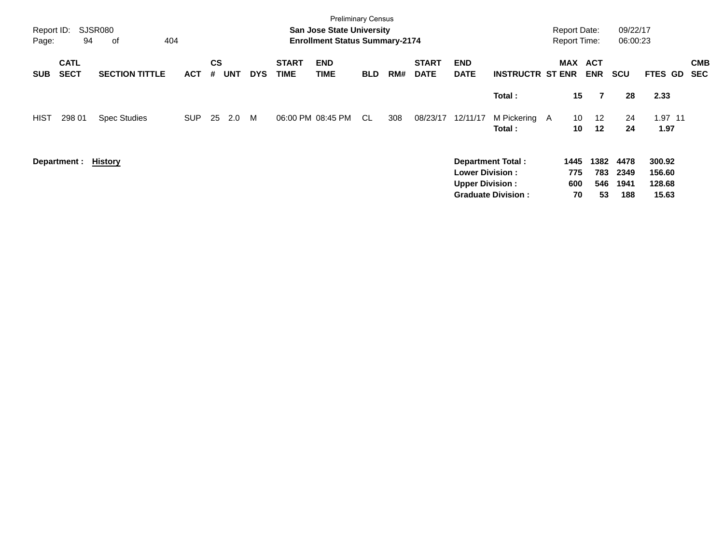| Report ID:<br>Page: | 94                         | SJSR080<br>404<br>of  |            |                |            |            |                             | <b>Preliminary Census</b><br><b>San Jose State University</b><br><b>Enrollment Status Summary-2174</b> |            |     |                             |                                                  |                                                       | <b>Report Date:</b><br><b>Report Time:</b> |                          | 09/22/17<br>06:00:23        |                                     |                          |
|---------------------|----------------------------|-----------------------|------------|----------------|------------|------------|-----------------------------|--------------------------------------------------------------------------------------------------------|------------|-----|-----------------------------|--------------------------------------------------|-------------------------------------------------------|--------------------------------------------|--------------------------|-----------------------------|-------------------------------------|--------------------------|
| <b>SUB</b>          | <b>CATL</b><br><b>SECT</b> | <b>SECTION TITTLE</b> | <b>ACT</b> | <b>CS</b><br># | <b>UNT</b> | <b>DYS</b> | <b>START</b><br><b>TIME</b> | <b>END</b><br><b>TIME</b>                                                                              | <b>BLD</b> | RM# | <b>START</b><br><b>DATE</b> | <b>END</b><br><b>DATE</b>                        | <b>INSTRUCTR ST ENR</b>                               | <b>MAX</b>                                 | <b>ACT</b><br><b>ENR</b> | <b>SCU</b>                  | FTES GD                             | <b>CMB</b><br><b>SEC</b> |
|                     |                            |                       |            |                |            |            |                             |                                                                                                        |            |     |                             |                                                  | Total:                                                | 15                                         | 7                        | 28                          | 2.33                                |                          |
| <b>HIST</b>         | 298 01                     | <b>Spec Studies</b>   | <b>SUP</b> | 25             | 2.0        | M          |                             | 06:00 PM 08:45 PM                                                                                      | -CL        | 308 | 08/23/17                    | 12/11/17                                         | M Pickering A<br>Total:                               | 10<br>10                                   | $12 \overline{ }$<br>12  | 24<br>24                    | 1.97 11<br>1.97                     |                          |
|                     | Department :               | <b>History</b>        |            |                |            |            |                             |                                                                                                        |            |     |                             | <b>Lower Division:</b><br><b>Upper Division:</b> | <b>Department Total:</b><br><b>Graduate Division:</b> | 1445<br>775<br>600<br>70                   | 1382<br>783<br>546<br>53 | 4478<br>2349<br>1941<br>188 | 300.92<br>156.60<br>128.68<br>15.63 |                          |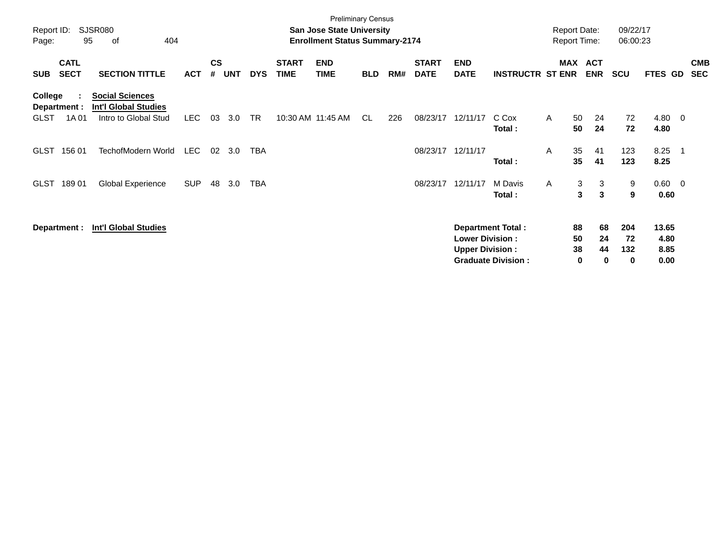| SJSR080<br>Report ID:<br>95<br>οf<br>404<br>Page:                                                                                |            |                    |            |            |                             | <b>Preliminary Census</b><br><b>San Jose State University</b><br><b>Enrollment Status Summary-2174</b> |            |     |                             |                                                  |                          |   | <b>Report Date:</b><br><b>Report Time:</b> | 09/22/17<br>06:00:23               |                       |     |                          |
|----------------------------------------------------------------------------------------------------------------------------------|------------|--------------------|------------|------------|-----------------------------|--------------------------------------------------------------------------------------------------------|------------|-----|-----------------------------|--------------------------------------------------|--------------------------|---|--------------------------------------------|------------------------------------|-----------------------|-----|--------------------------|
| <b>CATL</b><br><b>SECT</b><br><b>SECTION TITTLE</b><br><b>SUB</b>                                                                | <b>ACT</b> | $\mathsf{cs}$<br># | <b>UNT</b> | <b>DYS</b> | <b>START</b><br><b>TIME</b> | <b>END</b><br><b>TIME</b>                                                                              | <b>BLD</b> | RM# | <b>START</b><br><b>DATE</b> | <b>END</b><br><b>DATE</b>                        | <b>INSTRUCTR ST ENR</b>  |   | MAX ACT<br><b>ENR</b>                      | <b>SCU</b>                         | FTES GD               |     | <b>CMB</b><br><b>SEC</b> |
| <b>Social Sciences</b><br>College<br><b>Int'l Global Studies</b><br>Department :<br>1A 01<br>Intro to Global Stud<br><b>GLST</b> | LEC.       | 03                 | 3.0        | <b>TR</b>  |                             | 10:30 AM 11:45 AM                                                                                      | CL.        | 226 | 08/23/17                    | 12/11/17                                         | C Cox<br>Total:          | A | 24<br>50<br>24<br>50                       | 72<br>72                           | 4.80 0<br>4.80        |     |                          |
| TechofModern World<br><b>GLST</b><br>156 01                                                                                      | <b>LEC</b> | 02                 | 3.0        | <b>TBA</b> |                             |                                                                                                        |            |     | 08/23/17                    | 12/11/17                                         | Total:                   | A | 35<br>41<br>35<br>41                       | 123<br>123                         | 8.25<br>8.25          | - 1 |                          |
| <b>Global Experience</b><br><b>GLST</b><br>18901                                                                                 | <b>SUP</b> | 48                 | 3.0        | TBA        |                             |                                                                                                        |            |     | 08/23/17                    | 12/11/17                                         | M Davis<br>Total:        | A | 3<br>3<br>$\mathbf{3}$<br>3                | 9<br>9                             | $0.60 \t 0$<br>0.60   |     |                          |
| <b>Int'l Global Studies</b><br>Department :                                                                                      |            |                    |            |            |                             |                                                                                                        |            |     |                             | <b>Lower Division:</b><br><b>Upper Division:</b> | <b>Department Total:</b> |   | 88<br>50<br>38                             | 204<br>68<br>72<br>24<br>44<br>132 | 13.65<br>4.80<br>8.85 |     |                          |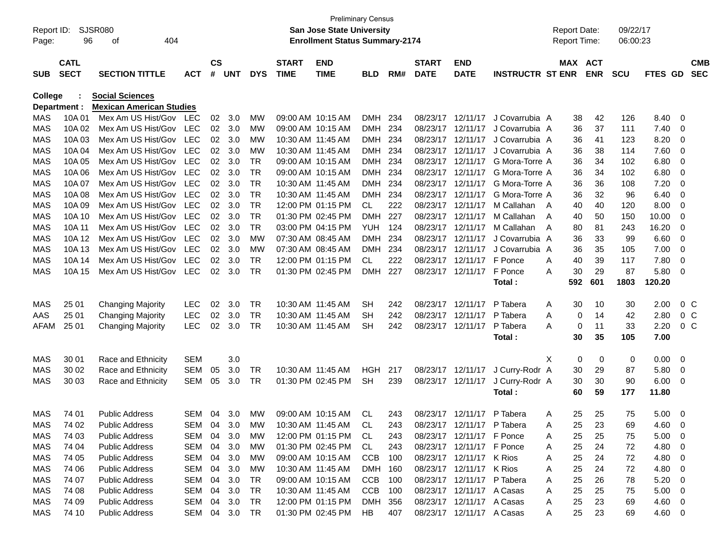|                     |             |                                                           |               |               |            |            |              | <b>Preliminary Census</b>             |            |       |              |                            |                         |   |                     |            |            |         |                |            |
|---------------------|-------------|-----------------------------------------------------------|---------------|---------------|------------|------------|--------------|---------------------------------------|------------|-------|--------------|----------------------------|-------------------------|---|---------------------|------------|------------|---------|----------------|------------|
| Report ID:          |             | SJSR080                                                   |               |               |            |            |              | <b>San Jose State University</b>      |            |       |              |                            |                         |   | <b>Report Date:</b> |            | 09/22/17   |         |                |            |
| Page:               | 96          | 404<br>оf                                                 |               |               |            |            |              | <b>Enrollment Status Summary-2174</b> |            |       |              |                            |                         |   | Report Time:        |            | 06:00:23   |         |                |            |
|                     |             |                                                           |               |               |            |            |              |                                       |            |       |              |                            |                         |   |                     |            |            |         |                |            |
|                     | <b>CATL</b> |                                                           |               | $\mathsf{cs}$ |            |            | <b>START</b> | <b>END</b>                            |            |       | <b>START</b> | <b>END</b>                 |                         |   | MAX ACT             |            |            |         |                | <b>CMB</b> |
| <b>SUB</b>          | <b>SECT</b> | <b>SECTION TITTLE</b>                                     | <b>ACT</b>    | #             | <b>UNT</b> | <b>DYS</b> | <b>TIME</b>  | <b>TIME</b>                           | <b>BLD</b> | RM#   | <b>DATE</b>  | <b>DATE</b>                | <b>INSTRUCTR ST ENR</b> |   |                     | <b>ENR</b> | <b>SCU</b> | FTES GD |                | <b>SEC</b> |
|                     |             |                                                           |               |               |            |            |              |                                       |            |       |              |                            |                         |   |                     |            |            |         |                |            |
| College             |             | <b>Social Sciences</b><br><b>Mexican American Studies</b> |               |               |            |            |              |                                       |            |       |              |                            |                         |   |                     |            |            |         |                |            |
| Department :<br>MAS | 10A 01      | Mex Am US Hist/Gov                                        | <b>LEC</b>    | 02            | 3.0        | <b>MW</b>  |              | 09:00 AM 10:15 AM                     | <b>DMH</b> | 234   | 08/23/17     | 12/11/17                   | J Covarrubia A          |   | 38                  | 42         | 126        | 8.40    | 0              |            |
| <b>MAS</b>          | 10A 02      | Mex Am US Hist/Gov                                        | <b>LEC</b>    | 02            | 3.0        | <b>MW</b>  |              | 09:00 AM 10:15 AM                     | DMH        | 234   | 08/23/17     | 12/11/17                   | J Covarrubia A          |   | 36                  | 37         | 111        | 7.40    | 0              |            |
| <b>MAS</b>          | 10A03       | Mex Am US Hist/Gov                                        | <b>LEC</b>    | 02            | 3.0        | <b>MW</b>  |              | 10:30 AM 11:45 AM                     | DMH        | 234   | 08/23/17     | 12/11/17                   | J Covarrubia A          |   | 36                  | 41         | 123        | 8.20    | 0              |            |
| <b>MAS</b>          | 10A 04      | Mex Am US Hist/Gov                                        | <b>LEC</b>    | 02            | 3.0        | <b>MW</b>  |              | 10:30 AM 11:45 AM                     | DMH        | 234   | 08/23/17     | 12/11/17                   | J Covarrubia A          |   | 36                  | 38         | 114        | 7.60    | 0              |            |
| <b>MAS</b>          | 10A 05      | Mex Am US Hist/Gov                                        | <b>LEC</b>    | 02            | 3.0        | <b>TR</b>  |              | 09:00 AM 10:15 AM                     | DMH        | 234   | 08/23/17     | 12/11/17                   | G Mora-Torre A          |   | 36                  | 34         | 102        | 6.80    | 0              |            |
| <b>MAS</b>          | 10A 06      | Mex Am US Hist/Gov                                        | <b>LEC</b>    | 02            | 3.0        | <b>TR</b>  |              | 09:00 AM 10:15 AM                     | DMH        | 234   | 08/23/17     | 12/11/17                   | G Mora-Torre A          |   | 36                  | 34         | 102        | 6.80    | 0              |            |
| <b>MAS</b>          | 10A 07      | Mex Am US Hist/Gov                                        | <b>LEC</b>    | 02            | 3.0        | <b>TR</b>  |              | 10:30 AM 11:45 AM                     | <b>DMH</b> | 234   | 08/23/17     | 12/11/17                   | G Mora-Torre A          |   | 36                  | 36         | 108        | 7.20    | 0              |            |
| <b>MAS</b>          | 10A 08      | Mex Am US Hist/Gov                                        | <b>LEC</b>    | 02            | 3.0        | <b>TR</b>  |              | 10:30 AM 11:45 AM                     | DMH        | 234   | 08/23/17     | 12/11/17                   | G Mora-Torre A          |   | 36                  | 32         | 96         | 6.40    | 0              |            |
| <b>MAS</b>          | 10A 09      | Mex Am US Hist/Gov                                        | <b>LEC</b>    | 02            | 3.0        | <b>TR</b>  |              | 12:00 PM 01:15 PM                     | CL         | 222   | 08/23/17     | 12/11/17                   | M Callahan              | A | 40                  | 40         | 120        | 8.00    | 0              |            |
| <b>MAS</b>          | 10A 10      | Mex Am US Hist/Gov                                        | <b>LEC</b>    | 02            | 3.0        | <b>TR</b>  |              | 01:30 PM 02:45 PM                     | <b>DMH</b> | 227   | 08/23/17     | 12/11/17                   | M Callahan              | A | 40                  | 50         | 150        | 10.00   | 0              |            |
| <b>MAS</b>          | 10A 11      | Mex Am US Hist/Gov                                        | <b>LEC</b>    | 02            | 3.0        | <b>TR</b>  |              | 03:00 PM 04:15 PM                     | YUH.       | 124   | 08/23/17     | 12/11/17                   | M Callahan              | A | 80                  | 81         | 243        | 16.20   | 0              |            |
| <b>MAS</b>          | 10A 12      | Mex Am US Hist/Gov                                        | <b>LEC</b>    | 02            | 3.0        | <b>MW</b>  |              | 07:30 AM 08:45 AM                     | <b>DMH</b> | 234   | 08/23/17     | 12/11/17                   | J Covarrubia A          |   | 36                  | 33         | 99         | 6.60    | 0              |            |
| <b>MAS</b>          | 10A 13      | Mex Am US Hist/Gov                                        | <b>LEC</b>    | 02            | 3.0        | <b>MW</b>  |              | 07:30 AM 08:45 AM                     | DMH        | 234   | 08/23/17     | 12/11/17                   | J Covarrubia A          |   | 36                  | 35         | 105        | 7.00    | 0              |            |
| <b>MAS</b>          | 10A 14      | Mex Am US Hist/Gov                                        | <b>LEC</b>    | 02            | 3.0        | <b>TR</b>  |              | 12:00 PM 01:15 PM                     | CL         | 222   | 08/23/17     | 12/11/17                   | F Ponce                 | A | 40                  | 39         | 117        | 7.80    | 0              |            |
| <b>MAS</b>          | 10A 15      | Mex Am US Hist/Gov                                        | <b>LEC</b>    | 02            | 3.0        | <b>TR</b>  |              | 01:30 PM 02:45 PM                     | DMH        | 227   | 08/23/17     | 12/11/17                   | F Ponce                 | A | 30                  | 29         | 87         | 5.80    | 0              |            |
|                     |             |                                                           |               |               |            |            |              |                                       |            |       |              |                            | Total:                  |   | 592                 | 601        | 1803       | 120.20  |                |            |
|                     |             |                                                           |               |               |            |            |              |                                       |            |       |              |                            |                         |   |                     |            |            |         |                |            |
| MAS                 | 25 01       | <b>Changing Majority</b>                                  | <b>LEC</b>    | 02            | 3.0        | <b>TR</b>  |              | 10:30 AM 11:45 AM                     | <b>SH</b>  | 242   | 08/23/17     | 12/11/17                   | P Tabera                | Α | 30                  | 10         | 30         | 2.00    | 0 <sup>C</sup> |            |
| AAS                 | 25 01       | <b>Changing Majority</b>                                  | <b>LEC</b>    | 02            | 3.0        | <b>TR</b>  |              | 10:30 AM 11:45 AM                     | SН         | 242   | 08/23/17     | 12/11/17                   | P Tabera                | A | 0                   | 14         | 42         | 2.80    | 0 <sup>C</sup> |            |
| AFAM                | 25 01       | <b>Changing Majority</b>                                  | <b>LEC</b>    | 02            | 3.0        | <b>TR</b>  |              | 10:30 AM 11:45 AM                     | <b>SH</b>  | 242   | 08/23/17     | 12/11/17                   | P Tabera                | A | 0                   | 11         | 33         | 2.20    | 0 <sup>o</sup> |            |
|                     |             |                                                           |               |               |            |            |              |                                       |            |       |              |                            | Total:                  |   | 30                  | 35         | 105        | 7.00    |                |            |
|                     |             |                                                           |               |               |            |            |              |                                       |            |       |              |                            |                         |   |                     |            |            |         |                |            |
| MAS                 | 30 01       | Race and Ethnicity                                        | <b>SEM</b>    |               | 3.0        |            |              |                                       |            |       |              |                            |                         | X | 0                   | 0          | 0          | 0.00    | 0              |            |
| MAS                 | 30 02       | Race and Ethnicity                                        | <b>SEM</b>    | 05            | 3.0        | <b>TR</b>  |              | 10:30 AM 11:45 AM                     | <b>HGH</b> | 217   | 08/23/17     | 12/11/17                   | J Curry-Rodr A          |   | 30                  | 29         | 87         | 5.80    | 0              |            |
| <b>MAS</b>          | 30 03       | Race and Ethnicity                                        | <b>SEM</b>    | 05            | 3.0        | <b>TR</b>  |              | 01:30 PM 02:45 PM                     | <b>SH</b>  | 239   |              | 08/23/17 12/11/17          | J Curry-Rodr A          |   | 30                  | 30         | 90         | 6.00    | 0              |            |
|                     |             |                                                           |               |               |            |            |              |                                       |            |       |              |                            | Total:                  |   | 60                  | 59         | 177        | 11.80   |                |            |
|                     |             |                                                           |               |               |            |            |              |                                       |            |       |              |                            |                         |   |                     |            |            |         |                |            |
| <b>MAS</b>          | 74 01       | <b>Public Address</b>                                     | <b>SEM</b>    | 04            | 3.0        | MW         |              | 09:00 AM 10:15 AM                     | CL         | 243   | 08/23/17     | 12/11/17                   | P Tabera                | Α | 25                  | 25         | 75         | 5.00    | 0              |            |
| MAS                 | 74 02       | <b>Public Address</b>                                     | SEM 04 3.0 MW |               |            |            |              | 10:30 AM 11:45 AM                     | <b>CL</b>  | 243   |              | 08/23/17 12/11/17 P Tabera |                         | A | 25                  | 23         | 69         | 4.60    | $\overline{0}$ |            |
| MAS                 | 74 03       | <b>Public Address</b>                                     | SEM 04        |               | 3.0        | МW         |              | 12:00 PM 01:15 PM                     | CL.        | 243   |              | 08/23/17 12/11/17 F Ponce  |                         | A | 25                  | 25         | 75         | 5.00    | 0              |            |
| MAS                 | 74 04       | <b>Public Address</b>                                     | SEM           | 04            | 3.0        | МW         |              | 01:30 PM 02:45 PM                     | CL         | 243   |              | 08/23/17 12/11/17 F Ponce  |                         | A | 25                  | 24         | 72         | 4.80    | 0              |            |
| MAS                 | 74 05       | Public Address                                            | SEM           | 04            | 3.0        | МW         |              | 09:00 AM 10:15 AM                     | <b>CCB</b> | 100   |              | 08/23/17 12/11/17 K Rios   |                         | A | 25                  | 24         | 72         | 4.80    | 0              |            |
| MAS                 | 74 06       | Public Address                                            | SEM           | 04            | 3.0        | МW         |              | 10:30 AM 11:45 AM                     | DMH 160    |       |              | 08/23/17 12/11/17 K Rios   |                         | A | 25                  | 24         | 72         | 4.80    | 0              |            |
| MAS                 | 74 07       | Public Address                                            | SEM           | 04            | 3.0        | TR         |              | 09:00 AM 10:15 AM                     | <b>CCB</b> | - 100 |              | 08/23/17 12/11/17 P Tabera |                         | A | 25                  | 26         | 78         | 5.20    | 0              |            |
| MAS                 | 74 08       | Public Address                                            | SEM           | 04            | 3.0        | TR         |              | 10:30 AM 11:45 AM                     | <b>CCB</b> | 100   |              | 08/23/17 12/11/17 A Casas  |                         | A | 25                  | 25         | 75         | 5.00    | 0              |            |
| MAS                 | 74 09       | Public Address                                            | SEM           | 04            | 3.0        | TR         |              | 12:00 PM 01:15 PM                     | DMH 356    |       |              | 08/23/17 12/11/17 A Casas  |                         | A | 25                  | 23         | 69         | 4.60    | 0              |            |
| MAS                 | 74 10       | <b>Public Address</b>                                     | SEM 04 3.0    |               |            | TR         |              | 01:30 PM 02:45 PM                     | HB         | 407   |              | 08/23/17 12/11/17 A Casas  |                         | A | 25                  | 23         | 69         | 4.60    | 0              |            |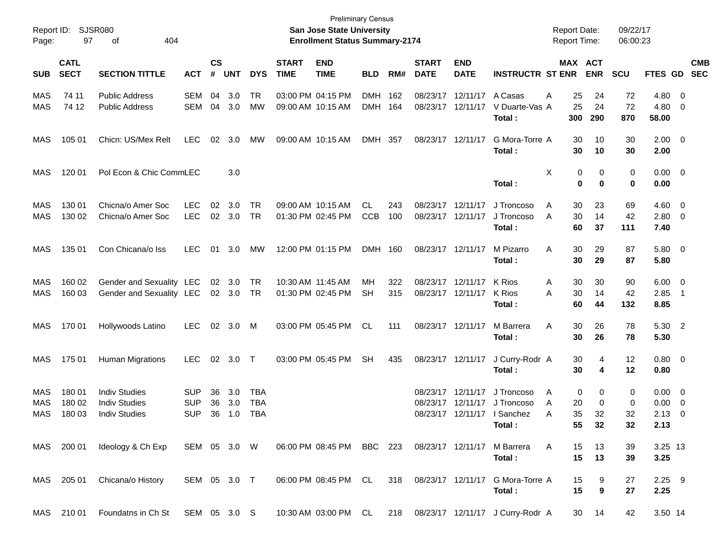| Report ID:<br>Page: | 97                         | SJSR080<br>404<br>оf                                                 |                                        |                    |                   |                          |                             | <b>Preliminary Census</b><br><b>San Jose State University</b><br><b>Enrollment Status Summary-2174</b> |                          |            |                                        |                                        |                                                 | <b>Report Date:</b><br><b>Report Time:</b> |                    | 09/22/17<br>06:00:23 |                                     |                                |                          |
|---------------------|----------------------------|----------------------------------------------------------------------|----------------------------------------|--------------------|-------------------|--------------------------|-----------------------------|--------------------------------------------------------------------------------------------------------|--------------------------|------------|----------------------------------------|----------------------------------------|-------------------------------------------------|--------------------------------------------|--------------------|----------------------|-------------------------------------|--------------------------------|--------------------------|
| <b>SUB</b>          | <b>CATL</b><br><b>SECT</b> | <b>SECTION TITTLE</b>                                                | <b>ACT</b>                             | $\mathsf{cs}$<br># | <b>UNT</b>        | <b>DYS</b>               | <b>START</b><br><b>TIME</b> | <b>END</b><br><b>TIME</b>                                                                              | <b>BLD</b>               | RM#        | <b>START</b><br><b>DATE</b>            | <b>END</b><br><b>DATE</b>              | <b>INSTRUCTR ST ENR</b>                         | MAX ACT                                    | <b>ENR</b>         | <b>SCU</b>           | FTES GD                             |                                | <b>CMB</b><br><b>SEC</b> |
| MAS<br><b>MAS</b>   | 74 11<br>74 12             | <b>Public Address</b><br><b>Public Address</b>                       | <b>SEM</b><br><b>SEM</b>               | 04<br>04           | 3.0<br>3.0        | <b>TR</b><br>MW          |                             | 03:00 PM 04:15 PM<br>09:00 AM 10:15 AM                                                                 | <b>DMH</b><br><b>DMH</b> | 162<br>164 |                                        | 08/23/17 12/11/17<br>08/23/17 12/11/17 | A Casas<br>V Duarte-Vas A<br>Total :            | 25<br>A<br>25<br>300                       | 24<br>24<br>290    | 72<br>72<br>870      | $4.80\ 0$<br>4.80<br>58.00          | $\overline{\mathbf{0}}$        |                          |
| MAS                 | 105 01                     | Chicn: US/Mex Relt                                                   | <b>LEC</b>                             | 02                 | 3.0               | MW                       |                             | 09:00 AM 10:15 AM                                                                                      | DMH 357                  |            | 08/23/17 12/11/17                      |                                        | G Mora-Torre A<br>Total :                       | 30<br>30                                   | 10<br>10           | 30<br>30             | $2.00 \ 0$<br>2.00                  |                                |                          |
| MAS                 | 120 01                     | Pol Econ & Chic CommLEC                                              |                                        |                    | 3.0               |                          |                             |                                                                                                        |                          |            |                                        |                                        | Total:                                          | Χ<br>0<br>0                                | 0<br>0             | 0<br>0               | $0.00 \quad 0$<br>0.00              |                                |                          |
| MAS<br><b>MAS</b>   | 130 01<br>130 02           | Chicna/o Amer Soc<br>Chicna/o Amer Soc                               | <b>LEC</b><br><b>LEC</b>               | 02                 | 3.0<br>02 3.0     | TR<br>TR                 |                             | 09:00 AM 10:15 AM<br>01:30 PM 02:45 PM                                                                 | CL<br><b>CCB</b>         | 243<br>100 | 08/23/17 12/11/17<br>08/23/17 12/11/17 |                                        | J Troncoso<br>J Troncoso<br>Total :             | 30<br>A<br>A<br>30<br>60                   | 23<br>14<br>37     | 69<br>42<br>111      | $4.60 \ 0$<br>$2.80 \t 0$<br>7.40   |                                |                          |
| MAS                 | 135 01                     | Con Chicana/o Iss                                                    | <b>LEC</b>                             | 01                 | 3.0               | MW                       |                             | 12:00 PM 01:15 PM                                                                                      | DMH 160                  |            | 08/23/17 12/11/17                      |                                        | M Pizarro<br>Total :                            | Α<br>30<br>30                              | 29<br>29           | 87<br>87             | $5.80 \ 0$<br>5.80                  |                                |                          |
| MAS<br>MAS          | 160 02<br>160 03           | Gender and Sexuality LEC<br>Gender and Sexuality LEC                 |                                        |                    | 02 3.0<br>02 3.0  | TR<br>TR                 |                             | 10:30 AM 11:45 AM<br>01:30 PM 02:45 PM                                                                 | MН<br>SН                 | 322<br>315 |                                        | 08/23/17 12/11/17<br>08/23/17 12/11/17 | K Rios<br>K Rios<br>Total :                     | 30<br>A<br>A<br>30<br>60                   | 30<br>14<br>44     | 90<br>42<br>132      | $6.00 \quad 0$<br>2.85<br>8.85      | $\overline{\phantom{1}}$       |                          |
| MAS                 | 170 01                     | Hollywoods Latino                                                    | <b>LEC</b>                             |                    | 02 3.0            | M                        |                             | 03:00 PM 05:45 PM                                                                                      | CL.                      | 111        | 08/23/17 12/11/17                      |                                        | M Barrera<br>Total :                            | 30<br>Α<br>30                              | 26<br>26           | 78<br>78             | 5.30 2<br>5.30                      |                                |                          |
| MAS                 | 175 01                     | <b>Human Migrations</b>                                              | <b>LEC</b>                             | 02                 | 3.0               | $\top$                   |                             | 03:00 PM 05:45 PM                                                                                      | <b>SH</b>                | 435        |                                        | 08/23/17 12/11/17                      | J Curry-Rodr A<br>Total:                        | 30<br>30                                   | 4<br>4             | 12<br>12             | $0.80 \ 0$<br>0.80                  |                                |                          |
| MAS<br>MAS<br>MAS   | 180 01<br>180 02<br>180 03 | <b>Indiv Studies</b><br><b>Indiv Studies</b><br><b>Indiv Studies</b> | <b>SUP</b><br><b>SUP</b><br><b>SUP</b> | 36<br>36<br>36     | 3.0<br>3.0<br>1.0 | TBA<br>TBA<br><b>TBA</b> |                             |                                                                                                        |                          |            | 08/23/17 12/11/17                      | 08/23/17 12/11/17<br>08/23/17 12/11/17 | J Troncoso<br>J Troncoso<br>I Sanchez<br>Total: | 0<br>A<br>20<br>A<br>A<br>35<br>55         | 0<br>0<br>32<br>32 | 0<br>0<br>32<br>32   | $0.00 \t 0$<br>0.00<br>2.13<br>2.13 | $\overline{\mathbf{0}}$<br>- 0 |                          |
|                     | MAS 200 01                 | Ideology & Ch Exp                                                    | SEM 05 3.0 W                           |                    |                   |                          |                             | 06:00 PM 08:45 PM BBC 223                                                                              |                          |            |                                        |                                        | 08/23/17 12/11/17 M Barrera<br>Total:           | A<br>15<br>15                              | 13<br>13           | 39<br>39             | 3.25 13<br>3.25                     |                                |                          |
|                     | MAS 205 01                 | Chicana/o History                                                    | SEM 05 3.0 T                           |                    |                   |                          |                             | 06:00 PM 08:45 PM CL                                                                                   |                          | 318        |                                        |                                        | 08/23/17 12/11/17 G Mora-Torre A<br>Total:      | 15<br>15                                   | 9<br>9             | 27<br>27             | $2.25$ 9<br>2.25                    |                                |                          |
|                     | MAS 210 01                 | Foundatns in Ch St SEM 05 3.0 S                                      |                                        |                    |                   |                          |                             | 10:30 AM 03:00 PM CL                                                                                   |                          |            |                                        |                                        | 218 08/23/17 12/11/17 J Curry-Rodr A            |                                            | 30 14              | 42                   | 3.50 14                             |                                |                          |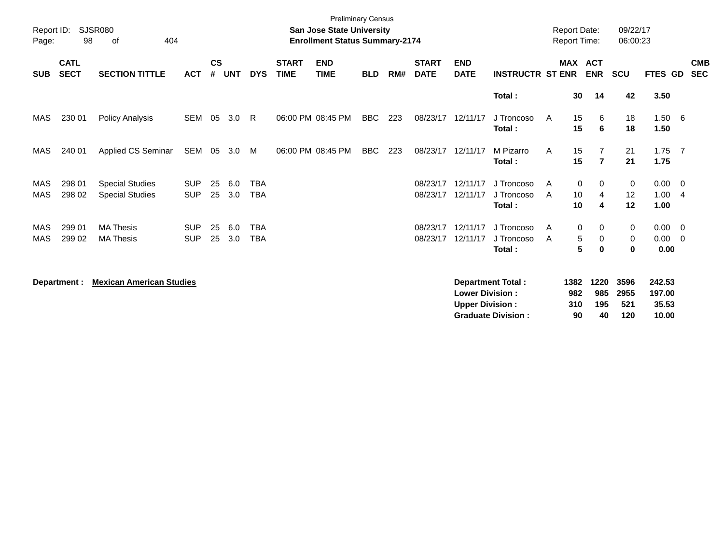| Page:                    | <b>SJSR080</b><br>Report ID:<br>98<br>404<br>οf |                                                  |                          |                |            |                          |                             | <b>Preliminary Census</b><br><b>San Jose State University</b><br><b>Enrollment Status Summary-2174</b> |            |     |                             |                                                  |                                                       | <b>Report Date:</b><br>Report Time: |                                          | 09/22/17<br>06:00:23       |                                    |                          |
|--------------------------|-------------------------------------------------|--------------------------------------------------|--------------------------|----------------|------------|--------------------------|-----------------------------|--------------------------------------------------------------------------------------------------------|------------|-----|-----------------------------|--------------------------------------------------|-------------------------------------------------------|-------------------------------------|------------------------------------------|----------------------------|------------------------------------|--------------------------|
| <b>SUB</b>               | <b>CATL</b><br><b>SECT</b>                      | <b>SECTION TITTLE</b>                            | <b>ACT</b>               | <b>CS</b><br># | <b>UNT</b> | <b>DYS</b>               | <b>START</b><br><b>TIME</b> | <b>END</b><br><b>TIME</b>                                                                              | <b>BLD</b> | RM# | <b>START</b><br><b>DATE</b> | <b>END</b><br><b>DATE</b>                        | <b>INSTRUCTR ST ENR</b>                               | <b>MAX</b>                          | <b>ACT</b><br><b>ENR</b>                 | <b>SCU</b>                 | FTES GD                            | <b>CMB</b><br><b>SEC</b> |
|                          |                                                 |                                                  |                          |                |            |                          |                             |                                                                                                        |            |     |                             |                                                  | Total:                                                | 30                                  | 14                                       | 42                         | 3.50                               |                          |
| MAS                      | 230 01                                          | <b>Policy Analysis</b>                           | <b>SEM</b>               | 05             | 3.0        | -R                       |                             | 06:00 PM 08:45 PM                                                                                      | BBC        | 223 | 08/23/17                    | 12/11/17                                         | J Troncoso<br>Total:                                  | 15<br>A<br>15                       | 6<br>6                                   | 18<br>18                   | $1.50\quad 6$<br>1.50              |                          |
| MAS                      | 240 01                                          | Applied CS Seminar                               | SEM                      | 05             | 3.0        | M                        |                             | 06:00 PM 08:45 PM                                                                                      | <b>BBC</b> | 223 | 08/23/17                    | 12/11/17                                         | M Pizarro<br>Total:                                   | 15<br>A<br>15                       | $\overline{7}$                           | 21<br>21                   | $1.75$ 7<br>1.75                   |                          |
| MAS<br><b>MAS</b>        | 298 01<br>298 02                                | <b>Special Studies</b><br><b>Special Studies</b> | <b>SUP</b><br><b>SUP</b> | 25<br>25       | 6.0<br>3.0 | <b>TBA</b><br><b>TBA</b> |                             |                                                                                                        |            |     | 08/23/17<br>08/23/17        | 12/11/17<br>12/11/17                             | J Troncoso<br>J Troncoso<br>Total:                    | A<br>10<br>A<br>10                  | 0<br>0<br>4<br>4                         | 0<br>12<br>12              | $0.00 \quad 0$<br>1.00<br>1.00     | -4                       |
| <b>MAS</b><br><b>MAS</b> | 299 01<br>299 02                                | <b>MA Thesis</b><br><b>MA Thesis</b>             | <b>SUP</b><br><b>SUP</b> | 25<br>25       | 6.0<br>3.0 | <b>TBA</b><br><b>TBA</b> |                             |                                                                                                        |            |     | 08/23/17<br>08/23/17        | 12/11/17<br>12/11/17                             | J Troncoso<br>J Troncoso<br>Total:                    | A<br>A                              | 0<br>0<br>5<br>0<br>$5\phantom{.0}$<br>0 | 0<br>0<br>$\mathbf 0$      | $0.00 \quad 0$<br>0.00<br>0.00     | $\overline{\mathbf{0}}$  |
|                          | Department :                                    | <b>Mexican American Studies</b>                  |                          |                |            |                          |                             |                                                                                                        |            |     |                             | <b>Lower Division:</b><br><b>Upper Division:</b> | <b>Department Total:</b><br><b>Graduate Division:</b> | 1382<br>982<br>310<br>90            | 1220<br>985<br>195<br>40                 | 3596<br>2955<br>521<br>120 | 242.53<br>197.00<br>35.53<br>10.00 |                          |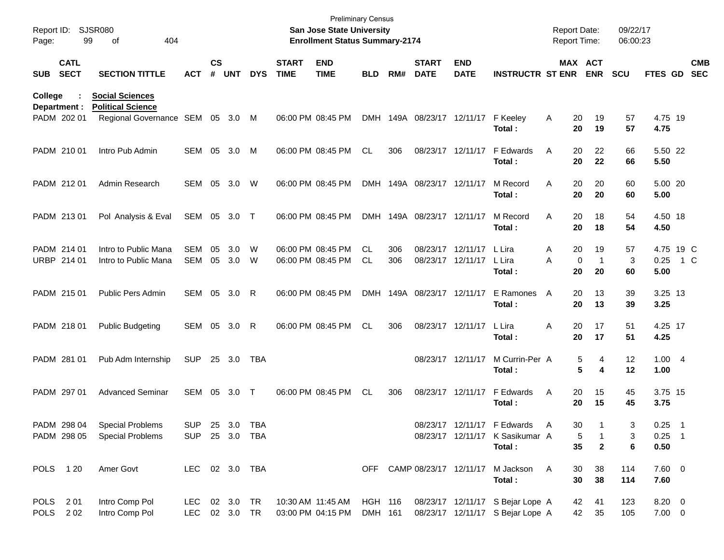| Report ID:<br>Page: |                            | <b>SJSR080</b><br>99<br>404<br>οf                  |                             |                    |            |            |                             | <b>Preliminary Census</b><br>San Jose State University<br><b>Enrollment Status Summary-2174</b> |                    |     |                             |                           |                                                                      | <b>Report Date:</b><br>Report Time: |                       | 09/22/17<br>06:00:23 |                       |                            |                          |
|---------------------|----------------------------|----------------------------------------------------|-----------------------------|--------------------|------------|------------|-----------------------------|-------------------------------------------------------------------------------------------------|--------------------|-----|-----------------------------|---------------------------|----------------------------------------------------------------------|-------------------------------------|-----------------------|----------------------|-----------------------|----------------------------|--------------------------|
| <b>SUB</b>          | <b>CATL</b><br><b>SECT</b> | <b>SECTION TITTLE</b>                              | <b>ACT</b>                  | $\mathsf{cs}$<br># | <b>UNT</b> | <b>DYS</b> | <b>START</b><br><b>TIME</b> | <b>END</b><br><b>TIME</b>                                                                       | <b>BLD</b>         | RM# | <b>START</b><br><b>DATE</b> | <b>END</b><br><b>DATE</b> | <b>INSTRUCTR ST ENR</b>                                              |                                     | MAX ACT<br><b>ENR</b> | <b>SCU</b>           | FTES GD               |                            | <b>CMB</b><br><b>SEC</b> |
| College             | Department :               | <b>Social Sciences</b><br><b>Political Science</b> |                             |                    |            |            |                             |                                                                                                 |                    |     |                             |                           |                                                                      |                                     |                       |                      |                       |                            |                          |
|                     | PADM 202 01                | Regional Governance SEM 05 3.0                     |                             |                    |            | M          |                             | 06:00 PM 08:45 PM                                                                               | <b>DMH</b>         |     |                             | 149A 08/23/17 12/11/17    | F Keelev<br>Total:                                                   | 20<br>A<br>20                       | 19<br>19              | 57<br>57             | 4.75 19<br>4.75       |                            |                          |
|                     | PADM 210 01                | Intro Pub Admin                                    | <b>SEM 05</b>               |                    | 3.0        | M          |                             | 06:00 PM 08:45 PM                                                                               | <b>CL</b>          | 306 |                             | 08/23/17 12/11/17         | F Edwards<br>Total:                                                  | 20<br>A<br>20                       | 22<br>22              | 66<br>66             | 5.50 22<br>5.50       |                            |                          |
|                     | PADM 212 01                | Admin Research                                     | <b>SEM 05</b>               |                    | 3.0        | W          |                             | 06:00 PM 08:45 PM                                                                               |                    |     | DMH 149A 08/23/17 12/11/17  |                           | M Record<br>Total:                                                   | 20<br>A<br>20                       | 20<br>20              | 60<br>60             | 5.00 20<br>5.00       |                            |                          |
|                     | PADM 213 01                | Pol Analysis & Eval                                | SEM 05 3.0                  |                    |            | $\top$     |                             | 06:00 PM 08:45 PM                                                                               | DMH                |     | 149A 08/23/17 12/11/17      |                           | M Record<br>Total:                                                   | 20<br>A<br>20                       | 18<br>18              | 54<br>54             | 4.50 18<br>4.50       |                            |                          |
|                     | PADM 214 01                | Intro to Public Mana                               | <b>SEM</b>                  | 05                 | 3.0        | W          |                             | 06:00 PM 08:45 PM                                                                               | CL                 | 306 |                             | 08/23/17 12/11/17         | L Lira                                                               | 20<br>A                             | 19                    | 57                   | 4.75 19 C             |                            |                          |
|                     | URBP 214 01                | Intro to Public Mana                               | <b>SEM</b>                  | 05                 | 3.0        | W          |                             | 06:00 PM 08:45 PM                                                                               | <b>CL</b>          | 306 |                             | 08/23/17 12/11/17         | L Lira<br>Total:                                                     | A<br>$\mathbf 0$<br>20              | $\mathbf{1}$<br>20    | 3<br>60              | 0.25<br>5.00          | 1 C                        |                          |
|                     | PADM 215 01                | Public Pers Admin                                  | <b>SEM 05</b>               |                    | 3.0        | R          |                             | 06:00 PM 08:45 PM                                                                               | <b>DMH</b>         |     | 149A 08/23/17 12/11/17      |                           | E Ramones<br>Total:                                                  | 20<br>A<br>20                       | 13<br>13              | 39<br>39             | 3.25 13<br>3.25       |                            |                          |
|                     | PADM 218 01                | <b>Public Budgeting</b>                            | SEM 05                      |                    | 3.0        | R          |                             | 06:00 PM 08:45 PM                                                                               | <b>CL</b>          | 306 |                             | 08/23/17 12/11/17         | L Lira<br>Total:                                                     | 20<br>Α<br>20                       | 17<br>17              | 51<br>51             | 4.25 17<br>4.25       |                            |                          |
|                     | PADM 281 01                | Pub Adm Internship                                 | <b>SUP</b>                  | 25                 | 3.0        | TBA        |                             |                                                                                                 |                    |     |                             | 08/23/17 12/11/17         | M Currin-Per A<br>Total:                                             |                                     | 5<br>4<br>5<br>4      | 12<br>12             | 1.004<br>1.00         |                            |                          |
|                     | PADM 297 01                | <b>Advanced Seminar</b>                            | SEM                         | 05                 | 3.0        | $\top$     |                             | 06:00 PM 08:45 PM                                                                               | CL                 | 306 |                             | 08/23/17 12/11/17         | F Edwards<br>Total:                                                  | A<br>20<br>20                       | 15<br>15              | 45<br>45             | 3.75 15<br>3.75       |                            |                          |
|                     | PADM 298 04                | <b>Special Problems</b>                            | <b>SUP</b>                  |                    | 25 3.0     | TBA        |                             |                                                                                                 |                    |     |                             |                           | 08/23/17 12/11/17 F Edwards                                          | 30<br>$\mathsf{A}$                  |                       | 3                    | 0.25                  | $\overline{\phantom{0}}$ 1 |                          |
|                     | PADM 298 05                | <b>Special Problems</b>                            | <b>SUP</b>                  |                    | 25 3.0     | TBA        |                             |                                                                                                 |                    |     |                             |                           | 08/23/17 12/11/17 K Sasikumar A<br>Total:                            | 5<br>35                             | $\mathbf{2}$          | 3<br>6               | $0.25$ 1<br>0.50      |                            |                          |
|                     |                            |                                                    |                             |                    |            |            |                             |                                                                                                 |                    |     |                             |                           |                                                                      |                                     |                       |                      |                       |                            |                          |
| POLS 120            |                            | Amer Govt                                          | LEC 02 3.0 TBA              |                    |            |            |                             |                                                                                                 | OFF                |     |                             | CAMP 08/23/17 12/11/17    | M Jackson<br>Total:                                                  | 30<br>A<br>30                       | 38<br>38              | 114<br>114           | $7.60$ 0<br>7.60      |                            |                          |
| <b>POLS</b><br>POLS | 2 01<br>202                | Intro Comp Pol<br>Intro Comp Pol                   | LEC 02 3.0<br>LEC 02 3.0 TR |                    |            | TR         |                             | 10:30 AM 11:45 AM<br>03:00 PM 04:15 PM                                                          | HGH 116<br>DMH 161 |     |                             |                           | 08/23/17 12/11/17 S Bejar Lope A<br>08/23/17 12/11/17 S Bejar Lope A | 42<br>42                            | 41<br>35              | 123<br>105           | 8.20 0<br>$7.00 \t 0$ |                            |                          |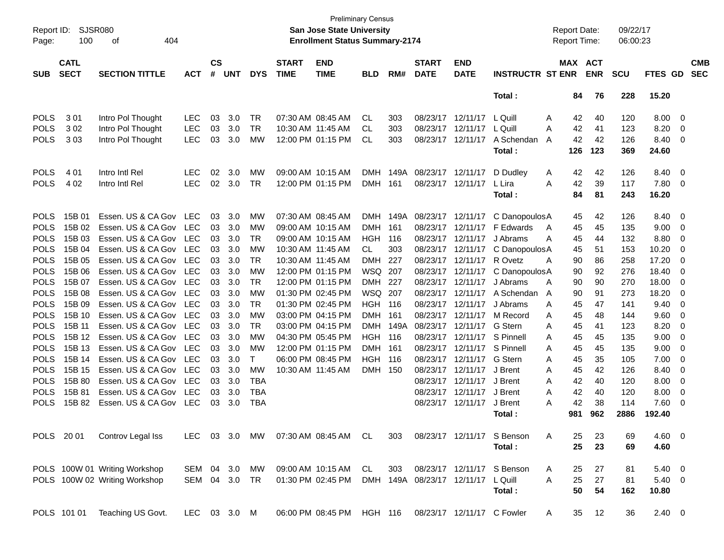| Report ID:<br>Page: | <b>SJSR080</b><br>100      | 404<br>оf                     |              |                    |            |            |                             | <b>Preliminary Census</b><br><b>San Jose State University</b><br><b>Enrollment Status Summary-2174</b> |                |      |                             |                            |                            | <b>Report Date:</b><br>Report Time: |            | 09/22/17<br>06:00:23 |                |                |                          |
|---------------------|----------------------------|-------------------------------|--------------|--------------------|------------|------------|-----------------------------|--------------------------------------------------------------------------------------------------------|----------------|------|-----------------------------|----------------------------|----------------------------|-------------------------------------|------------|----------------------|----------------|----------------|--------------------------|
| <b>SUB</b>          | <b>CATL</b><br><b>SECT</b> | <b>SECTION TITTLE</b>         | <b>ACT</b>   | $\mathsf{cs}$<br># | <b>UNT</b> | <b>DYS</b> | <b>START</b><br><b>TIME</b> | <b>END</b><br><b>TIME</b>                                                                              | <b>BLD</b>     | RM#  | <b>START</b><br><b>DATE</b> | <b>END</b><br><b>DATE</b>  | <b>INSTRUCTR ST ENR</b>    | MAX ACT                             | <b>ENR</b> | <b>SCU</b>           | <b>FTES GD</b> |                | <b>CMB</b><br><b>SEC</b> |
|                     |                            |                               |              |                    |            |            |                             |                                                                                                        |                |      |                             |                            | Total:                     | 84                                  | 76         | 228                  | 15.20          |                |                          |
| <b>POLS</b>         | 301                        | Intro Pol Thought             | <b>LEC</b>   | 03                 | 3.0        | <b>TR</b>  |                             | 07:30 AM 08:45 AM                                                                                      | CL             | 303  | 08/23/17                    | 12/11/17                   | L Quill                    | Α<br>42                             | 40         | 120                  | 8.00           | 0              |                          |
| <b>POLS</b>         | 302                        | Intro Pol Thought             | <b>LEC</b>   | 03                 | 3.0        | <b>TR</b>  | 10:30 AM 11:45 AM           |                                                                                                        | CL             | 303  | 08/23/17                    | 12/11/17                   | L Quill                    | 42<br>Α                             | 41         | 123                  | 8.20           | 0              |                          |
| <b>POLS</b>         | 303                        | Intro Pol Thought             | <b>LEC</b>   | 03                 | 3.0        | МW         |                             | 12:00 PM 01:15 PM                                                                                      | CL             | 303  |                             | 08/23/17 12/11/17          | A Schendan                 | 42<br>A                             | 42         | 126                  | 8.40           | 0              |                          |
|                     |                            |                               |              |                    |            |            |                             |                                                                                                        |                |      |                             |                            | Total:                     | 126                                 | 123        | 369                  | 24.60          |                |                          |
| <b>POLS</b>         | 4 0 1                      | Intro Intl Rel                | <b>LEC</b>   | 02                 | 3.0        | MW         |                             | 09:00 AM 10:15 AM                                                                                      | <b>DMH</b>     | 149A | 08/23/17                    | 12/11/17                   | D Dudley                   | 42<br>Α                             | 42         | 126                  | 8.40           | 0              |                          |
| <b>POLS</b>         | 4 0 2                      | Intro Intl Rel                | <b>LEC</b>   | 02                 | 3.0        | <b>TR</b>  |                             | 12:00 PM 01:15 PM                                                                                      | <b>DMH</b>     | 161  | 08/23/17                    | 12/11/17                   | L Lira                     | 42<br>Α                             | 39         | 117                  | 7.80           | $\overline{0}$ |                          |
|                     |                            |                               |              |                    |            |            |                             |                                                                                                        |                |      |                             |                            | Total:                     | 84                                  | 81         | 243                  | 16.20          |                |                          |
| <b>POLS</b>         | 15B 01                     | Essen. US & CA Gov            | LEC          | 03                 | 3.0        | МW         |                             | 07:30 AM 08:45 AM                                                                                      | <b>DMH</b>     | 149A | 08/23/17                    | 12/11/17                   | C Danopoulos A             | 45                                  | 42         | 126                  | 8.40           | 0              |                          |
| <b>POLS</b>         | 15B 02                     | Essen. US & CA Gov            | LEC          | 03                 | 3.0        | <b>MW</b>  |                             | 09:00 AM 10:15 AM                                                                                      | <b>DMH</b>     | 161  | 08/23/17                    | 12/11/17                   | F Edwards                  | 45<br>A                             | 45         | 135                  | 9.00           | 0              |                          |
| <b>POLS</b>         | 15B 03                     | Essen. US & CA Gov            | <b>LEC</b>   | 03                 | 3.0        | <b>TR</b>  |                             | 09:00 AM 10:15 AM                                                                                      | <b>HGH</b>     | 116  | 08/23/17                    | 12/11/17                   | J Abrams                   | Α<br>45                             | 44         | 132                  | 8.80           | 0              |                          |
| <b>POLS</b>         | 15B 04                     | Essen. US & CA Gov            | <b>LEC</b>   | 03                 | 3.0        | <b>MW</b>  | 10:30 AM 11:45 AM           |                                                                                                        | CL.            | 303  | 08/23/17                    | 12/11/17                   | C DanopoulosA              | 45                                  | 51         | 153                  | 10.20          | 0              |                          |
| <b>POLS</b>         | 15B 05                     | Essen. US & CA Gov            | <b>LEC</b>   | 03                 | 3.0        | <b>TR</b>  | 10:30 AM 11:45 AM           |                                                                                                        | <b>DMH</b>     | 227  | 08/23/17                    | 12/11/17                   | R Ovetz                    | A<br>90                             | 86         | 258                  | 17.20          | 0              |                          |
| <b>POLS</b>         | 15B 06                     | Essen. US & CA Gov            | <b>LEC</b>   | 03                 | 3.0        | <b>MW</b>  |                             | 12:00 PM 01:15 PM                                                                                      | WSQ 207        |      | 08/23/17                    | 12/11/17                   | C Danopoulos A             | 90                                  | 92         | 276                  | 18.40          | 0              |                          |
| <b>POLS</b>         | 15B 07                     | Essen. US & CA Gov            | <b>LEC</b>   | 03                 | 3.0        | <b>TR</b>  |                             | 12:00 PM 01:15 PM                                                                                      | <b>DMH</b>     | 227  | 08/23/17                    | 12/11/17                   | J Abrams                   | 90<br>A                             | 90         | 270                  | 18.00          | 0              |                          |
| <b>POLS</b>         | 15B 08                     | Essen. US & CA Gov            | <b>LEC</b>   | 03                 | 3.0        | <b>MW</b>  |                             | 01:30 PM 02:45 PM                                                                                      | <b>WSQ 207</b> |      | 08/23/17                    | 12/11/17                   | A Schendan                 | 90<br>A                             | 91         | 273                  | 18.20          | 0              |                          |
| <b>POLS</b>         | 15B 09                     | Essen. US & CA Gov            | <b>LEC</b>   | 03                 | 3.0        | <b>TR</b>  |                             | 01:30 PM 02:45 PM                                                                                      | <b>HGH 116</b> |      | 08/23/17                    | 12/11/17                   | J Abrams                   | 45<br>A                             | 47         | 141                  | 9.40           | 0              |                          |
| <b>POLS</b>         | 15B 10                     | Essen. US & CA Gov            | <b>LEC</b>   | 03                 | 3.0        | <b>MW</b>  |                             | 03:00 PM 04:15 PM                                                                                      | <b>DMH</b>     | 161  | 08/23/17                    | 12/11/17                   | M Record                   | 45<br>A                             | 48         | 144                  | 9.60           | 0              |                          |
| <b>POLS</b>         | 15B 11                     | Essen. US & CA Gov            | <b>LEC</b>   | 03                 | 3.0        | <b>TR</b>  |                             | 03:00 PM 04:15 PM                                                                                      | <b>DMH</b>     | 149A | 08/23/17                    | 12/11/17                   | G Stern                    | Α<br>45                             | 41         | 123                  | 8.20           | 0              |                          |
| <b>POLS</b>         | 15B 12                     | Essen. US & CA Gov            | <b>LEC</b>   | 03                 | 3.0        | <b>MW</b>  |                             | 04:30 PM 05:45 PM                                                                                      | HGH            | 116  | 08/23/17                    | 12/11/17                   | S Pinnell                  | 45<br>A                             | 45         | 135                  | 9.00           | 0              |                          |
| <b>POLS</b>         | 15B 13                     | Essen. US & CA Gov            | <b>LEC</b>   | 03                 | 3.0        | МW         |                             | 12:00 PM 01:15 PM                                                                                      | <b>DMH</b>     | 161  | 08/23/17                    | 12/11/17                   | S Pinnell                  | 45<br>A                             | 45         | 135                  | 9.00           | 0              |                          |
| <b>POLS</b>         | 15B 14                     | Essen. US & CA Gov            | <b>LEC</b>   | 03                 | 3.0        | Τ          |                             | 06:00 PM 08:45 PM                                                                                      | <b>HGH</b>     | 116  | 08/23/17                    | 12/11/17                   | G Stern                    | 45<br>A                             | 35         | 105                  | 7.00           | 0              |                          |
| <b>POLS</b>         | 15B 15                     | Essen. US & CA Gov            | <b>LEC</b>   | 03                 | 3.0        | <b>MW</b>  | 10:30 AM 11:45 AM           |                                                                                                        | <b>DMH</b>     | 150  | 08/23/17                    | 12/11/17                   | J Brent                    | 45<br>A                             | 42         | 126                  | 8.40           | 0              |                          |
| <b>POLS</b>         | 15B 80                     | Essen. US & CA Gov            | <b>LEC</b>   | 03                 | 3.0        | <b>TBA</b> |                             |                                                                                                        |                |      | 08/23/17                    | 12/11/17                   | J Brent                    | 42<br>A                             | 40         | 120                  | 8.00           | 0              |                          |
| <b>POLS</b>         | 15B 81                     | Essen. US & CA Gov            | <b>LEC</b>   | 03                 | 3.0        | <b>TBA</b> |                             |                                                                                                        |                |      | 08/23/17                    | 12/11/17                   | J Brent                    | 42<br>A                             | 40         | 120                  | 8.00           | 0              |                          |
| <b>POLS</b>         | 15B 82                     | Essen. US & CA Gov            | LEC          | 03                 | 3.0        | <b>TBA</b> |                             |                                                                                                        |                |      |                             | 08/23/17 12/11/17          | J Brent                    | 42<br>Α                             | 38         | 114                  | 7.60           | 0              |                          |
|                     |                            |                               |              |                    |            |            |                             |                                                                                                        |                |      |                             |                            | Total:                     | 981                                 | 962        | 2886                 | 192.40         |                |                          |
|                     | POLS 2001                  | Controv Legal Iss             | LEC          |                    |            | 03 3.0 MW  |                             | 07:30 AM 08:45 AM CL                                                                                   |                | 303  |                             |                            | 08/23/17 12/11/17 S Benson | 25<br>Α                             | 23         | 69                   | $4.60 \ 0$     |                |                          |
|                     |                            |                               |              |                    |            |            |                             |                                                                                                        |                |      |                             |                            | Total:                     | 25                                  | 23         | 69                   | 4.60           |                |                          |
|                     |                            | POLS 100W 01 Writing Workshop | SEM 04 3.0   |                    |            | MW         |                             | 09:00 AM 10:15 AM                                                                                      | CL             | 303  |                             | 08/23/17 12/11/17          | S Benson                   | 25<br>A                             | 27         | 81                   | $5.40 \ 0$     |                |                          |
|                     |                            | POLS 100W 02 Writing Workshop | SEM 04 3.0   |                    |            | TR         |                             | 01:30 PM 02:45 PM                                                                                      |                |      | DMH 149A 08/23/17 12/11/17  |                            | L Quill                    | 25<br>A                             | $27\,$     | 81                   | $5.40\ 0$      |                |                          |
|                     |                            |                               |              |                    |            |            |                             |                                                                                                        |                |      |                             |                            | Total:                     | 50                                  | 54         | 162                  | 10.80          |                |                          |
|                     | POLS 101 01                | Teaching US Govt.             | LEC 03 3.0 M |                    |            |            |                             | 06:00 PM 08:45 PM HGH 116                                                                              |                |      |                             | 08/23/17 12/11/17 C Fowler |                            | 35<br>A                             | 12         | 36                   | $2.40 \t 0$    |                |                          |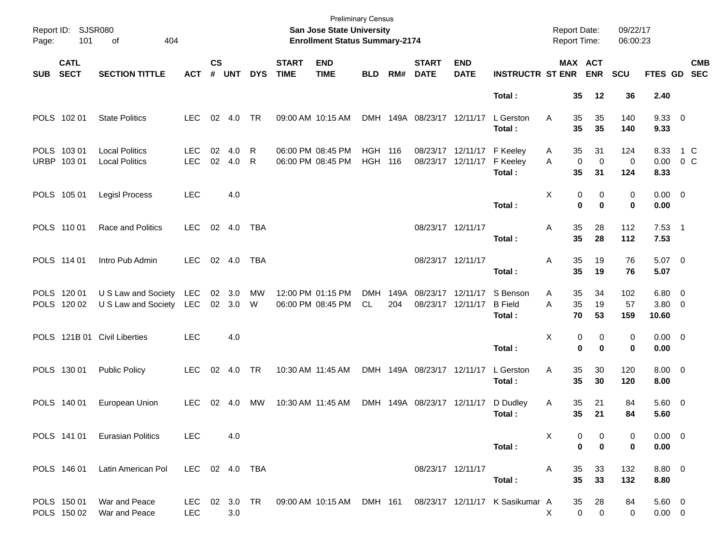| Page:      | Report ID: SJSR080<br>404<br>101<br>of |                                                    |                          |                    |                  |            |                             | <b>Preliminary Census</b><br>San Jose State University<br><b>Enrollment Status Summary-2174</b> |                              |             |                                        |                                        |                                      | <b>Report Date:</b><br><b>Report Time:</b> |                                  | 09/22/17<br>06:00:23 |                                |                           |
|------------|----------------------------------------|----------------------------------------------------|--------------------------|--------------------|------------------|------------|-----------------------------|-------------------------------------------------------------------------------------------------|------------------------------|-------------|----------------------------------------|----------------------------------------|--------------------------------------|--------------------------------------------|----------------------------------|----------------------|--------------------------------|---------------------------|
| <b>SUB</b> | <b>CATL</b><br><b>SECT</b>             | <b>SECTION TITTLE</b>                              | <b>ACT</b>               | $\mathsf{cs}$<br># | <b>UNT</b>       | <b>DYS</b> | <b>START</b><br><b>TIME</b> | <b>END</b><br><b>TIME</b>                                                                       | <b>BLD</b>                   | RM#         | <b>START</b><br><b>DATE</b>            | <b>END</b><br><b>DATE</b>              | <b>INSTRUCTR ST ENR</b>              | <b>MAX ACT</b>                             | <b>ENR</b>                       | <b>SCU</b>           |                                | <b>CMB</b><br>FTES GD SEC |
|            |                                        |                                                    |                          |                    |                  |            |                             |                                                                                                 |                              |             |                                        |                                        | Total:                               | 35                                         | 12                               | 36                   | 2.40                           |                           |
|            | POLS 102 01                            | <b>State Politics</b>                              | <b>LEC</b>               |                    | 02 4.0           | <b>TR</b>  |                             | 09:00 AM 10:15 AM                                                                               |                              |             | DMH 149A 08/23/17 12/11/17             |                                        | L Gerston<br>Total:                  | 35<br>A<br>35                              | 35<br>35                         | 140<br>140           | 9.3300<br>9.33                 |                           |
|            | POLS 103 01<br>URBP 103 01             | <b>Local Politics</b><br><b>Local Politics</b>     | <b>LEC</b><br><b>LEC</b> | 02<br>02           | 4.0<br>4.0       | R<br>R     |                             | 06:00 PM 08:45 PM<br>06:00 PM 08:45 PM                                                          | <b>HGH 116</b><br><b>HGH</b> | 116         |                                        | 08/23/17 12/11/17<br>08/23/17 12/11/17 | F Keeley<br>F Keeley<br>Total:       | 35<br>A<br>$\mathbf 0$<br>A<br>35          | 31<br>$\mathbf 0$<br>31          | 124<br>0<br>124      | 8.33<br>0.00<br>8.33           | 1 C<br>0 <sup>o</sup>     |
|            | POLS 105 01                            | Legisl Process                                     | <b>LEC</b>               |                    | 4.0              |            |                             |                                                                                                 |                              |             |                                        |                                        | Total:                               | X<br>0<br>$\bf{0}$                         | 0<br>$\bf{0}$                    | 0<br>0               | $0.00 \t 0$<br>0.00            |                           |
|            | POLS 110 01                            | Race and Politics                                  | <b>LEC</b>               |                    | 02 4.0           | TBA        |                             |                                                                                                 |                              |             | 08/23/17 12/11/17                      |                                        | Total:                               | 35<br>Α<br>35                              | 28<br>28                         | 112<br>112           | $7.53$ 1<br>7.53               |                           |
|            | POLS 114 01                            | Intro Pub Admin                                    | <b>LEC</b>               |                    | 02 4.0           | <b>TBA</b> |                             |                                                                                                 |                              |             | 08/23/17 12/11/17                      |                                        | Total:                               | 35<br>Α<br>35                              | 19<br>19                         | 76<br>76             | $5.07$ 0<br>5.07               |                           |
|            | POLS 120 01<br>POLS 120 02             | U S Law and Society LEC<br>U S Law and Society LEC |                          |                    | 02 3.0<br>02 3.0 | МW<br>W    |                             | 12:00 PM 01:15 PM<br>06:00 PM 08:45 PM                                                          | <b>DMH</b><br>CL             | 149A<br>204 | 08/23/17 12/11/17<br>08/23/17 12/11/17 |                                        | S Benson<br><b>B</b> Field<br>Total: | 35<br>Α<br>A<br>35<br>70                   | 34<br>19<br>53                   | 102<br>57<br>159     | $6.80$ 0<br>$3.80\ 0$<br>10.60 |                           |
|            |                                        | POLS 121B 01 Civil Liberties                       | <b>LEC</b>               |                    | 4.0              |            |                             |                                                                                                 |                              |             |                                        |                                        | Total:                               | X<br>0<br>0                                | 0<br>$\bf{0}$                    | 0<br>0               | $0.00 \t 0$<br>0.00            |                           |
|            | POLS 130 01                            | <b>Public Policy</b>                               | <b>LEC</b>               |                    | 02 4.0           | <b>TR</b>  |                             | 10:30 AM 11:45 AM                                                                               |                              |             | DMH 149A 08/23/17 12/11/17             |                                        | L Gerston<br>Total:                  | 35<br>Α<br>35                              | 30<br>30                         | 120<br>120           | $8.00 \t 0$<br>8.00            |                           |
|            | POLS 140 01                            | European Union                                     | <b>LEC</b>               | 02                 | -4.0             | MW         |                             | 10:30 AM 11:45 AM                                                                               |                              |             | DMH 149A 08/23/17 12/11/17             |                                        | D Dudley<br>Total:                   | 35<br>A<br>35                              | 21<br>21                         | 84<br>84             | 5.60 0<br>5.60                 |                           |
|            |                                        | POLS 141 01 Eurasian Politics                      | LEC                      |                    | 4.0              |            |                             |                                                                                                 |                              |             |                                        |                                        | Total:                               | X<br>0<br>$\mathbf 0$                      | 0<br>$\mathbf 0$                 | 0<br>0               | $0.00 \t 0$<br>0.00            |                           |
|            | POLS 146 01                            | Latin American Pol                                 | LEC 02 4.0 TBA           |                    |                  |            |                             |                                                                                                 |                              |             |                                        | 08/23/17 12/11/17                      | Total:                               | 35<br>A<br>35                              | 33<br>33                         | 132<br>132           | 8.80 0<br>8.80                 |                           |
|            | POLS 150 01<br>POLS 150 02             | War and Peace<br>War and Peace                     | LEC                      |                    | 3.0              |            |                             | LEC 02 3.0 TR 09:00 AM 10:15 AM DMH 161                                                         |                              |             |                                        |                                        | 08/23/17 12/11/17 K Sasikumar A      | 35<br>X                                    | 28<br>$\mathbf 0$<br>$\mathbf 0$ | 84<br>0              | $5.60$ 0<br>$0.00 \t 0$        |                           |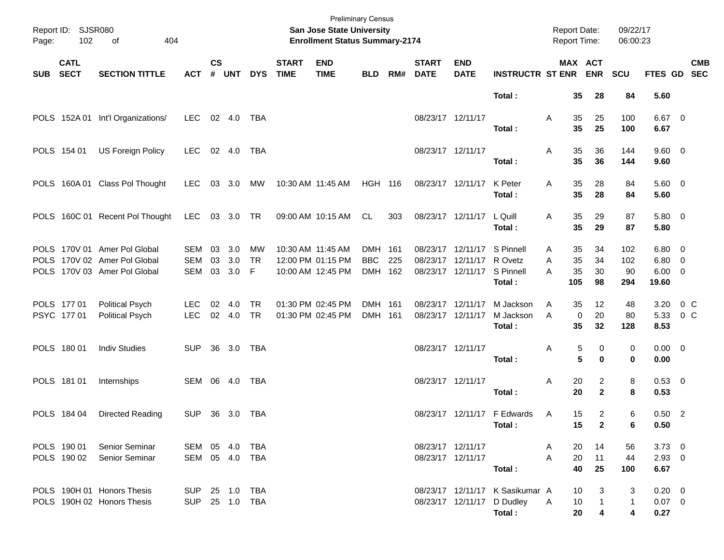| Page:      | Report ID: SJSR080<br>102<br>of<br>404<br><b>CATL</b> |                                                                                              |                                  |                    |                      |                       |                             | <b>Preliminary Census</b><br>San Jose State University<br><b>Enrollment Status Summary-2174</b> |                                  |     |                                        |                                                                       |                                                                         | <b>Report Date:</b><br><b>Report Time:</b> |                         |                                | 09/22/17<br>06:00:23    |                                              |                |            |
|------------|-------------------------------------------------------|----------------------------------------------------------------------------------------------|----------------------------------|--------------------|----------------------|-----------------------|-----------------------------|-------------------------------------------------------------------------------------------------|----------------------------------|-----|----------------------------------------|-----------------------------------------------------------------------|-------------------------------------------------------------------------|--------------------------------------------|-------------------------|--------------------------------|-------------------------|----------------------------------------------|----------------|------------|
| <b>SUB</b> | <b>SECT</b>                                           | <b>SECTION TITTLE</b>                                                                        | <b>ACT</b>                       | $\mathsf{cs}$<br># | <b>UNT</b>           | <b>DYS</b>            | <b>START</b><br><b>TIME</b> | <b>END</b><br><b>TIME</b>                                                                       | <b>BLD</b>                       | RM# | <b>START</b><br><b>DATE</b>            | <b>END</b><br><b>DATE</b>                                             | <b>INSTRUCTR ST ENR</b>                                                 |                                            |                         | <b>MAX ACT</b><br><b>ENR</b>   | <b>SCU</b>              | FTES GD SEC                                  |                | <b>CMB</b> |
|            |                                                       |                                                                                              |                                  |                    |                      |                       |                             |                                                                                                 |                                  |     |                                        |                                                                       | Total:                                                                  |                                            | 35                      | 28                             | 84                      | 5.60                                         |                |            |
|            |                                                       | POLS 152A 01 Int'l Organizations/                                                            | <b>LEC</b>                       |                    | 02 4.0               | TBA                   |                             |                                                                                                 |                                  |     | 08/23/17 12/11/17                      |                                                                       | Total:                                                                  | Α                                          | 35<br>35                | 25<br>25                       | 100<br>100              | $6.67$ 0<br>6.67                             |                |            |
|            | POLS 154 01                                           | <b>US Foreign Policy</b>                                                                     | <b>LEC</b>                       |                    | 02 4.0               | TBA                   |                             |                                                                                                 |                                  |     | 08/23/17 12/11/17                      |                                                                       | Total:                                                                  | Α                                          | 35<br>35                | 36<br>36                       | 144<br>144              | $9.60 \quad 0$<br>9.60                       |                |            |
|            |                                                       | POLS 160A 01 Class Pol Thought                                                               | <b>LEC</b>                       |                    | 03 3.0               | МW                    |                             | 10:30 AM 11:45 AM                                                                               | <b>HGH 116</b>                   |     |                                        | 08/23/17 12/11/17                                                     | K Peter<br>Total:                                                       | Α                                          | 35<br>35                | 28<br>28                       | 84<br>84                | 5.60 0<br>5.60                               |                |            |
|            |                                                       | POLS 160C 01 Recent Pol Thought                                                              | <b>LEC</b>                       |                    | 03 3.0 TR            |                       |                             | 09:00 AM 10:15 AM                                                                               | CL                               | 303 |                                        | 08/23/17 12/11/17                                                     | L Quill<br>Total:                                                       | Α                                          | 35<br>35                | 29<br>29                       | 87<br>87                | 5.80 0<br>5.80                               |                |            |
|            |                                                       | POLS 170V 01 Amer Pol Global<br>POLS 170V 02 Amer Pol Global<br>POLS 170V 03 Amer Pol Global | SEM<br><b>SEM</b><br><b>SEM</b>  | 03<br>03           | 3.0<br>3.0<br>03 3.0 | MW<br><b>TR</b><br>-F |                             | 10:30 AM 11:45 AM<br>12:00 PM 01:15 PM<br>10:00 AM 12:45 PM                                     | DMH 161<br><b>BBC</b><br>DMH 162 | 225 |                                        | 08/23/17 12/11/17<br>08/23/17 12/11/17<br>08/23/17 12/11/17 S Pinnell | S Pinnell<br>R Ovetz<br>Total:                                          | Α<br>A<br>А                                | 35<br>35<br>35<br>105   | 34<br>34<br>30<br>98           | 102<br>102<br>90<br>294 | $6.80$ 0<br>$6.80$ 0<br>$6.00 \t 0$<br>19.60 |                |            |
|            | POLS 177 01<br>PSYC 177 01                            | <b>Political Psych</b><br><b>Political Psych</b>                                             | LEC.<br><b>LEC</b>               | 02<br>02           | 4.0<br>4.0           | TR.<br><b>TR</b>      |                             | 01:30 PM 02:45 PM<br>01:30 PM 02:45 PM                                                          | DMH 161<br>DMH 161               |     | 08/23/17 12/11/17<br>08/23/17 12/11/17 |                                                                       | M Jackson<br>M Jackson<br>Total:                                        | Α<br>A                                     | 35<br>$\mathbf 0$<br>35 | 12<br>20<br>32                 | 48<br>80<br>128         | 3.20<br>5.33<br>8.53                         | 0 C<br>$0\,$ C |            |
|            | POLS 180 01                                           | <b>Indiv Studies</b>                                                                         | <b>SUP</b>                       |                    | 36 3.0               | TBA                   |                             |                                                                                                 |                                  |     | 08/23/17 12/11/17                      |                                                                       | Total:                                                                  | Α                                          | 5<br>5                  | 0<br>$\bf{0}$                  | 0<br>0                  | $0.00 \t 0$<br>0.00                          |                |            |
|            | POLS 181 01                                           | Internships                                                                                  | SEM                              |                    | 06 4.0               | TBA                   |                             |                                                                                                 |                                  |     | 08/23/17 12/11/17                      |                                                                       | Total:                                                                  | Α                                          | 20<br>20                | 2<br>$\mathbf{2}$              | 8<br>8                  | 0.53 0<br>0.53                               |                |            |
|            | POLS 184 04                                           | Directed Reading                                                                             | <b>SUP</b>                       |                    | 36 3.0               | TBA                   |                             |                                                                                                 |                                  |     |                                        |                                                                       | 08/23/17 12/11/17 F Edwards<br>Total:                                   | A                                          | 15<br>15                | $\overline{2}$<br>$\mathbf{2}$ | 6<br>6                  | $0.50$ 2<br>0.50                             |                |            |
|            | POLS 190 01<br>POLS 190 02                            | Senior Seminar<br>Senior Seminar                                                             | SEM 05 4.0 TBA<br>SEM 05 4.0 TBA |                    |                      |                       |                             |                                                                                                 |                                  |     |                                        | 08/23/17 12/11/17<br>08/23/17 12/11/17                                | Total:                                                                  | A<br>A                                     | 20<br>20<br>40          | 14<br>11<br>25                 | 56<br>44<br>100         | $3.73$ 0<br>$2.93$ 0<br>6.67                 |                |            |
|            |                                                       | POLS 190H 01 Honors Thesis<br>POLS 190H 02 Honors Thesis                                     | SUP 25 1.0 TBA<br>SUP 25 1.0 TBA |                    |                      |                       |                             |                                                                                                 |                                  |     |                                        |                                                                       | 08/23/17 12/11/17 K Sasikumar A<br>08/23/17 12/11/17 D Dudley<br>Total: | A                                          | 10<br>10<br>20          | 3<br>1<br>4                    | 3<br>$\mathbf{1}$<br>4  | $0.20 \ 0$<br>$0.07 \ 0$<br>0.27             |                |            |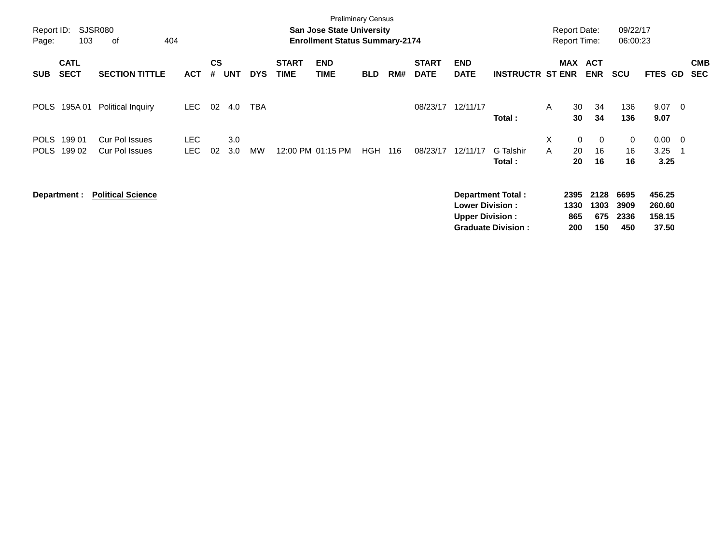| Report ID:<br>Page:        | 103                        | SJSR080<br>404<br>0f                           |                          |                    |            |            |                             | <b>Preliminary Census</b><br><b>San Jose State University</b><br><b>Enrollment Status Summary-2174</b> |            |     |                             |                                                  |                                                |        | <b>Report Date:</b><br><b>Report Time:</b> |                            | 09/22/17<br>06:00:23        |                                     |                          |                          |
|----------------------------|----------------------------|------------------------------------------------|--------------------------|--------------------|------------|------------|-----------------------------|--------------------------------------------------------------------------------------------------------|------------|-----|-----------------------------|--------------------------------------------------|------------------------------------------------|--------|--------------------------------------------|----------------------------|-----------------------------|-------------------------------------|--------------------------|--------------------------|
| <b>SUB</b>                 | <b>CATL</b><br><b>SECT</b> | <b>SECTION TITTLE</b>                          | <b>ACT</b>               | $\mathsf{cs}$<br># | <b>UNT</b> | <b>DYS</b> | <b>START</b><br><b>TIME</b> | <b>END</b><br><b>TIME</b>                                                                              | <b>BLD</b> | RM# | <b>START</b><br><b>DATE</b> | <b>END</b><br><b>DATE</b>                        | <b>INSTRUCTR ST ENR</b>                        |        |                                            | MAX ACT<br><b>ENR</b>      | <b>SCU</b>                  | <b>FTES GD</b>                      |                          | <b>CMB</b><br><b>SEC</b> |
| <b>POLS</b>                | 195A 01                    | Political Inquiry                              | <b>LEC</b>               | 02                 | 4.0        | <b>TBA</b> |                             |                                                                                                        |            |     | 08/23/17                    | 12/11/17                                         | Total:                                         | A      | 30<br>30                                   | 34<br>34                   | 136<br>136                  | 9.07<br>9.07                        | $\overline{\phantom{0}}$ |                          |
| <b>POLS</b><br><b>POLS</b> | 199 01<br>199 02           | <b>Cur Pol Issues</b><br><b>Cur Pol Issues</b> | <b>LEC</b><br><b>LEC</b> | 02                 | 3.0<br>3.0 | <b>MW</b>  |                             | 12:00 PM 01:15 PM                                                                                      | <b>HGH</b> | 116 | 08/23/17                    | 12/11/17                                         | G Talshir<br>Total:                            | X<br>A | $\mathbf 0$<br>20<br>20                    | $\mathbf{0}$<br>16<br>16   | 0<br>16<br>16               | $0.00 \quad 0$<br>3.25<br>3.25      |                          |                          |
|                            | Department :               | <b>Political Science</b>                       |                          |                    |            |            |                             |                                                                                                        |            |     |                             | <b>Lower Division:</b><br><b>Upper Division:</b> | Department Total:<br><b>Graduate Division:</b> |        | 2395<br>1330<br>865<br>200                 | 2128<br>1303<br>675<br>150 | 6695<br>3909<br>2336<br>450 | 456.25<br>260.60<br>158.15<br>37.50 |                          |                          |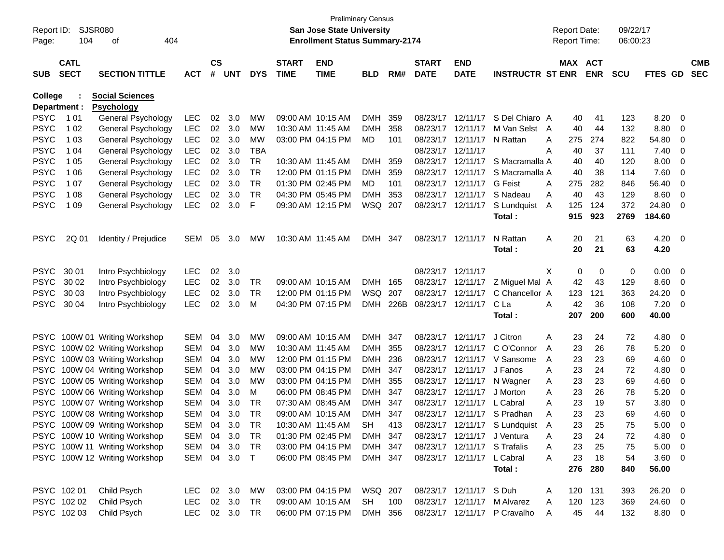| Page:                      | Report ID: SJSR080<br>104 | 404<br>of                                |                          |           |                |                  |                   | San Jose State University<br><b>Enrollment Status Summary-2174</b> | Preliminary Census    |            |              |                                        |                               | <b>Report Date:</b><br><b>Report Time:</b> |            | 09/22/17<br>06:00:23 |               |                         |            |
|----------------------------|---------------------------|------------------------------------------|--------------------------|-----------|----------------|------------------|-------------------|--------------------------------------------------------------------|-----------------------|------------|--------------|----------------------------------------|-------------------------------|--------------------------------------------|------------|----------------------|---------------|-------------------------|------------|
|                            | <b>CATL</b>               |                                          |                          | <b>CS</b> |                |                  | <b>START</b>      | <b>END</b>                                                         |                       |            | <b>START</b> | <b>END</b>                             |                               |                                            | MAX ACT    |                      |               |                         | <b>CMB</b> |
| <b>SUB</b>                 | <b>SECT</b>               | <b>SECTION TITTLE</b>                    | <b>ACT</b>               | #         | <b>UNT</b>     | <b>DYS</b>       | <b>TIME</b>       | <b>TIME</b>                                                        | <b>BLD</b>            | RM#        | <b>DATE</b>  | <b>DATE</b>                            | <b>INSTRUCTR ST ENR</b>       |                                            | <b>ENR</b> | SCU                  | FTES GD       |                         | <b>SEC</b> |
| <b>College</b>             |                           | <b>Social Sciences</b>                   |                          |           |                |                  |                   |                                                                    |                       |            |              |                                        |                               |                                            |            |                      |               |                         |            |
|                            | Department :              | <b>Psychology</b>                        |                          |           |                |                  |                   |                                                                    |                       |            |              |                                        |                               |                                            |            |                      |               |                         |            |
| <b>PSYC</b>                | 1 0 1                     | General Psychology                       | <b>LEC</b>               | 02        | 3.0            | МW               |                   | 09:00 AM 10:15 AM                                                  | <b>DMH</b>            | 359        |              | 08/23/17 12/11/17                      | S Del Chiaro A                | 40                                         | 41         | 123                  | 8.20          | $\overline{\mathbf{0}}$ |            |
| <b>PSYC</b>                | 1 0 2                     | General Psychology                       | <b>LEC</b>               | 02        | 3.0            | MW               | 10:30 AM 11:45 AM |                                                                    | DMH.                  | 358        |              | 08/23/17 12/11/17                      | M Van Selst A                 | 40                                         | 44         | 132                  | 8.80          | 0                       |            |
| <b>PSYC</b>                | 1 0 3                     | General Psychology                       | LEC                      | 02        | 3.0            | MW<br><b>TBA</b> |                   | 03:00 PM 04:15 PM                                                  | MD                    | 101        |              | 08/23/17 12/11/17                      | N Rattan                      | 275<br>A                                   | 274        | 822                  | 54.80         | 0                       |            |
| <b>PSYC</b>                | 1 04                      | General Psychology                       | <b>LEC</b>               | 02        | 3.0            |                  |                   |                                                                    |                       |            |              | 08/23/17 12/11/17<br>08/23/17 12/11/17 |                               | 40<br>A                                    | 37         | 111                  | 7.40          | 0                       |            |
| <b>PSYC</b>                | 1 0 5                     | General Psychology                       | <b>LEC</b>               | 02        | 3.0            | <b>TR</b>        | 10:30 AM 11:45 AM | 12:00 PM 01:15 PM                                                  | <b>DMH</b>            | 359        |              |                                        | S Macramalla A                | 40                                         | 40         | 120                  | 8.00          | 0                       |            |
| <b>PSYC</b><br><b>PSYC</b> | 1 0 6<br>1 0 7            | General Psychology                       | <b>LEC</b><br><b>LEC</b> | 02<br>02  | 3.0<br>3.0     | TR<br><b>TR</b>  |                   | 01:30 PM 02:45 PM                                                  | <b>DMH</b><br>MD      | 359<br>101 |              | 08/23/17 12/11/17<br>08/23/17 12/11/17 | S Macramalla A<br>G Feist     | 40<br>275                                  | 38<br>282  | 114<br>846           | 7.60<br>56.40 | 0                       |            |
|                            |                           | General Psychology                       |                          |           |                |                  |                   |                                                                    |                       |            |              |                                        |                               | Α                                          |            |                      |               | 0                       |            |
| <b>PSYC</b><br><b>PSYC</b> | 1 0 8<br>1 0 9            | General Psychology<br>General Psychology | <b>LEC</b><br>LEC        | 02<br>02  | 3.0<br>3.0     | TR<br>F          |                   | 04:30 PM 05:45 PM                                                  | <b>DMH</b><br>WSQ 207 | 353        |              | 08/23/17 12/11/17                      | S Nadeau                      | 40<br>A<br>125                             | 43<br>124  | 129<br>372           | 8.60<br>24.80 | 0                       |            |
|                            |                           |                                          |                          |           |                |                  |                   | 09:30 AM 12:15 PM                                                  |                       |            |              | 08/23/17 12/11/17                      | S Lundquist                   | A<br>915                                   | 923        | 2769                 | 184.60        | 0                       |            |
|                            |                           |                                          |                          |           |                |                  |                   |                                                                    |                       |            |              |                                        | Total :                       |                                            |            |                      |               |                         |            |
| <b>PSYC</b>                | 2Q 01                     | Identity / Prejudice                     | SEM                      | 05        | 3.0            | <b>MW</b>        | 10:30 AM 11:45 AM |                                                                    | <b>DMH</b>            | 347        |              | 08/23/17 12/11/17                      | N Rattan                      | 20<br>Α                                    | 21         | 63                   | 4.20          | $\overline{\mathbf{0}}$ |            |
|                            |                           |                                          |                          |           |                |                  |                   |                                                                    |                       |            |              |                                        | Total :                       | 20                                         | 21         | 63                   | 4.20          |                         |            |
|                            |                           |                                          |                          |           |                |                  |                   |                                                                    |                       |            |              |                                        |                               |                                            |            |                      |               |                         |            |
| <b>PSYC</b>                | 30 01                     | Intro Psychbiology                       | <b>LEC</b>               | 02        | 3.0            |                  |                   |                                                                    |                       |            |              | 08/23/17 12/11/17                      |                               | X                                          | 0<br>0     | 0                    | 0.00          | $\overline{\mathbf{0}}$ |            |
| <b>PSYC</b>                | 30 02                     | Intro Psychbiology                       | <b>LEC</b>               | 02        | 3.0            | TR               |                   | 09:00 AM 10:15 AM                                                  | <b>DMH</b>            | 165        |              | 08/23/17 12/11/17                      | Z Miguel Mal A                | 42                                         | 43         | 129                  | 8.60          | 0                       |            |
| <b>PSYC</b>                | 30 03                     | Intro Psychbiology                       | <b>LEC</b>               | 02        | 3.0            | TR               |                   | 12:00 PM 01:15 PM                                                  | WSQ                   | 207        |              | 08/23/17 12/11/17                      | C Chancellor A                | 123                                        | 121        | 363                  | 24.20         | 0                       |            |
| <b>PSYC</b>                | 30 04                     | Intro Psychbiology                       | <b>LEC</b>               | 02        | 3.0            | M                |                   | 04:30 PM 07:15 PM                                                  | <b>DMH</b>            | 226B       |              | 08/23/17 12/11/17                      | C La                          | 42<br>Α                                    | 36         | 108                  | 7.20          | 0                       |            |
|                            |                           |                                          |                          |           |                |                  |                   |                                                                    |                       |            |              |                                        | Total :                       | 207                                        | 200        | 600                  | 40.00         |                         |            |
|                            |                           | PSYC 100W 01 Writing Workshop            | <b>SEM</b>               | 04        | 3.0            | MW               |                   | 09:00 AM 10:15 AM                                                  | <b>DMH</b>            | 347        |              | 08/23/17 12/11/17                      | J Citron                      | 23<br>Α                                    | 24         | 72                   | 4.80          | - 0                     |            |
| <b>PSYC</b>                |                           | 100W 02 Writing Workshop                 | <b>SEM</b>               | 04        | 3.0            | <b>MW</b>        | 10:30 AM 11:45 AM |                                                                    | <b>DMH</b>            | 355        |              | 08/23/17 12/11/17                      | C O'Connor                    | A<br>23                                    | 26         | 78                   | 5.20          | 0                       |            |
| <b>PSYC</b>                |                           | 100W 03 Writing Workshop                 | <b>SEM</b>               | 04        | 3.0            | МW               |                   | 12:00 PM 01:15 PM                                                  | <b>DMH</b>            | 236        |              | 08/23/17 12/11/17                      | V Sansome                     | 23<br>A                                    | 23         | 69                   | 4.60          | 0                       |            |
| <b>PSYC</b>                |                           | 100W 04 Writing Workshop                 | <b>SEM</b>               | 04        | 3.0            | МW               |                   | 03:00 PM 04:15 PM                                                  | <b>DMH</b>            | 347        |              | 08/23/17 12/11/17                      | J Fanos                       | 23<br>A                                    | 24         | 72                   | 4.80          | 0                       |            |
| <b>PSYC</b>                |                           | 100W 05 Writing Workshop                 | <b>SEM</b>               | 04        | 3.0            | МW               |                   | 03:00 PM 04:15 PM                                                  | <b>DMH</b>            | 355        |              | 08/23/17 12/11/17                      | N Wagner                      | 23<br>Α                                    | 23         | 69                   | 4.60          | 0                       |            |
| <b>PSYC</b>                |                           | 100W 06 Writing Workshop                 | <b>SEM</b>               | 04        | 3.0            | м                |                   | 06:00 PM 08:45 PM                                                  | <b>DMH</b>            | 347        |              | 08/23/17 12/11/17                      | J Morton                      | 23<br>A                                    | 26         | 78                   | 5.20          | 0                       |            |
| <b>PSYC</b>                |                           | 100W 07 Writing Workshop                 | <b>SEM</b>               | 04        | 3.0            | TR               |                   | 07:30 AM 08:45 AM                                                  | <b>DMH</b>            | 347        |              | 08/23/17 12/11/17                      | L Cabral                      | 23<br>A                                    | 19         | 57                   | 3.80          | 0                       |            |
| <b>PSYC</b>                |                           | 100W 08 Writing Workshop                 | <b>SEM</b>               | 04        | 3.0            | TR               |                   | 09:00 AM 10:15 AM                                                  | <b>DMH</b>            | 347        |              |                                        | 08/23/17 12/11/17 S Pradhan   | 23<br>Α                                    | 23         | 69                   | 4.60          | 0                       |            |
|                            |                           | PSYC 100W 09 Writing Workshop            | SEM                      | 04        | 3.0            | TR               |                   | $10:30$ AM $11:45$ AM                                              | SН                    | 413        |              |                                        | 08/23/17 12/11/17 S Lundquist | 23<br>A                                    | 25         | 75                   | 5.00          | 0                       |            |
|                            |                           | PSYC 100W 10 Writing Workshop            | SEM 04 3.0               |           |                | TR               |                   | 01:30 PM 02:45 PM                                                  | DMH 347               |            |              |                                        | 08/23/17 12/11/17 J Ventura   | A<br>23                                    | 24         | 72                   | 4.80 0        |                         |            |
|                            |                           | PSYC 100W 11 Writing Workshop            | SEM                      | 04        | 3.0            | TR               |                   | 03:00 PM 04:15 PM                                                  | DMH 347               |            |              |                                        | 08/23/17 12/11/17 S Trafalis  | 23<br>A                                    | 25         | 75                   | $5.00 \t 0$   |                         |            |
|                            |                           | PSYC 100W 12 Writing Workshop            | SEM 04 3.0 T             |           |                |                  |                   | 06:00 PM 08:45 PM                                                  | DMH 347               |            |              | 08/23/17 12/11/17 L Cabral             |                               | 23<br>A                                    | 18         | 54                   | $3.60 \ 0$    |                         |            |
|                            |                           |                                          |                          |           |                |                  |                   |                                                                    |                       |            |              |                                        | Total:                        |                                            | 276 280    | 840                  | 56.00         |                         |            |
|                            |                           |                                          |                          |           |                |                  |                   |                                                                    |                       |            |              |                                        |                               |                                            |            |                      |               |                         |            |
|                            | PSYC 102 01               | Child Psych                              | LEC                      |           | $02 \quad 3.0$ | MW               |                   | 03:00 PM 04:15 PM                                                  | WSQ 207               |            |              | 08/23/17 12/11/17 S Duh                |                               | A                                          | 120 131    | 393                  | 26.20 0       |                         |            |
|                            | PSYC 102 02               | Child Psych                              | LEC.                     |           | 02 3.0         | TR               |                   | 09:00 AM 10:15 AM                                                  | SH                    | 100        |              |                                        | 08/23/17 12/11/17 M Alvarez   | 120<br>A                                   | 123        | 369                  | 24.60 0       |                         |            |
|                            | PSYC 102 03               | Child Psych                              | LEC 02 3.0 TR            |           |                |                  |                   | 06:00 PM 07:15 PM                                                  | DMH 356               |            |              |                                        | 08/23/17 12/11/17 P Cravalho  | 45<br>A                                    | 44         | 132                  | 8.80 0        |                         |            |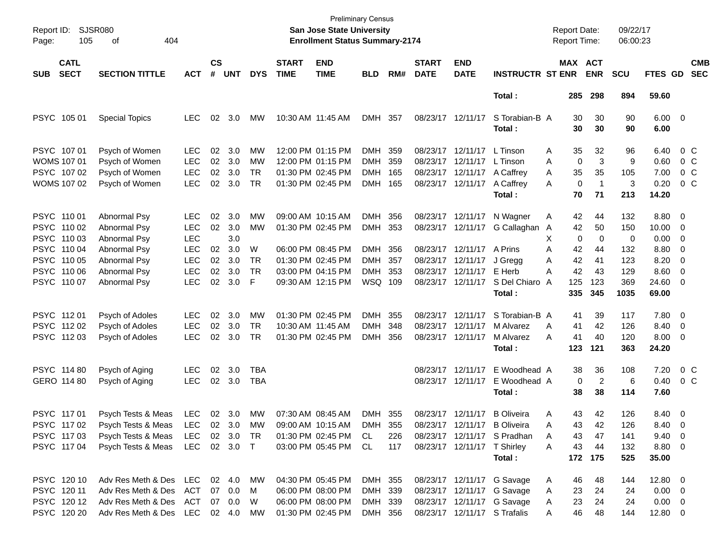| Report ID:<br>Page: | 105                        | <b>SJSR080</b><br>of<br>404 |               |                    |            |            |                             | <b>Preliminary Census</b><br><b>San Jose State University</b><br><b>Enrollment Status Summary-2174</b> |            |     |                             |                             |                              |   | <b>Report Date:</b><br><b>Report Time:</b> |                       | 09/22/17<br>06:00:23 |                        |                          |                          |
|---------------------|----------------------------|-----------------------------|---------------|--------------------|------------|------------|-----------------------------|--------------------------------------------------------------------------------------------------------|------------|-----|-----------------------------|-----------------------------|------------------------------|---|--------------------------------------------|-----------------------|----------------------|------------------------|--------------------------|--------------------------|
| <b>SUB</b>          | <b>CATL</b><br><b>SECT</b> | <b>SECTION TITTLE</b>       | <b>ACT</b>    | $\mathsf{cs}$<br># | <b>UNT</b> | <b>DYS</b> | <b>START</b><br><b>TIME</b> | <b>END</b><br><b>TIME</b>                                                                              | <b>BLD</b> | RM# | <b>START</b><br><b>DATE</b> | <b>END</b><br><b>DATE</b>   | <b>INSTRUCTR ST ENR</b>      |   |                                            | MAX ACT<br><b>ENR</b> | <b>SCU</b>           | <b>FTES GD</b>         |                          | <b>CMB</b><br><b>SEC</b> |
|                     |                            |                             |               |                    |            |            |                             |                                                                                                        |            |     |                             |                             | Total:                       |   | 285                                        | 298                   | 894                  | 59.60                  |                          |                          |
|                     | PSYC 105 01                | <b>Special Topics</b>       | <b>LEC</b>    | 02                 | 3.0        | MW         | 10:30 AM 11:45 AM           |                                                                                                        | DMH        | 357 |                             | 08/23/17 12/11/17           | S Torabian-B A<br>Total:     |   | 30<br>30                                   | 30<br>30              | 90<br>90             | $6.00 \quad 0$<br>6.00 |                          |                          |
|                     | PSYC 107 01                | Psych of Women              | <b>LEC</b>    | 02                 | 3.0        | МW         |                             | 12:00 PM 01:15 PM                                                                                      | DMH        | 359 |                             | 08/23/17 12/11/17           | L Tinson                     | A | 35                                         | 32                    | 96                   | 6.40                   | $0\,$ C                  |                          |
|                     | <b>WOMS 107 01</b>         | Psych of Women              | <b>LEC</b>    | 02                 | 3.0        | МW         |                             | 12:00 PM 01:15 PM                                                                                      | <b>DMH</b> | 359 |                             | 08/23/17 12/11/17           | L Tinson                     | A | $\mathbf 0$                                | 3                     | 9                    | 0.60                   | 0 <sup>o</sup>           |                          |
|                     | PSYC 107 02                | Psych of Women              | <b>LEC</b>    | 02                 | 3.0        | <b>TR</b>  |                             | 01:30 PM 02:45 PM                                                                                      | <b>DMH</b> | 165 |                             | 08/23/17 12/11/17           | A Caffrey                    | A | 35                                         | 35                    | 105                  | 7.00                   | 0 <sup>o</sup>           |                          |
|                     | WOMS 107 02                | Psych of Women              | <b>LEC</b>    | 02                 | 3.0        | <b>TR</b>  |                             | 01:30 PM 02:45 PM                                                                                      | <b>DMH</b> | 165 |                             | 08/23/17 12/11/17           | A Caffrey                    | Α | 0                                          | $\overline{1}$        | 3                    | 0.20                   | 0 <sup>o</sup>           |                          |
|                     |                            |                             |               |                    |            |            |                             |                                                                                                        |            |     |                             |                             | Total:                       |   | 70                                         | 71                    | 213                  | 14.20                  |                          |                          |
|                     | PSYC 110 01                | <b>Abnormal Psy</b>         | <b>LEC</b>    | 02                 | 3.0        | МW         |                             | 09:00 AM 10:15 AM                                                                                      | DMH        | 356 |                             | 08/23/17 12/11/17           | N Wagner                     | Α | 42                                         | 44                    | 132                  | 8.80                   | 0                        |                          |
|                     | PSYC 110 02                | Abnormal Psy                | <b>LEC</b>    | 02                 | 3.0        | МW         |                             | 01:30 PM 02:45 PM                                                                                      | <b>DMH</b> | 353 |                             | 08/23/17 12/11/17           | G Callaghan                  | A | 42                                         | 50                    | 150                  | 10.00                  | 0                        |                          |
|                     | PSYC 110 03                | Abnormal Psy                | <b>LEC</b>    |                    | 3.0        |            |                             |                                                                                                        |            |     |                             |                             |                              | X | 0                                          | $\mathbf 0$           | 0                    | 0.00                   | 0                        |                          |
|                     | PSYC 110 04                | Abnormal Psy                | <b>LEC</b>    | 02                 | 3.0        | W          |                             | 06:00 PM 08:45 PM                                                                                      | DMH        | 356 |                             | 08/23/17 12/11/17 A Prins   |                              | Α | 42                                         | 44                    | 132                  | 8.80                   | 0                        |                          |
|                     | PSYC 110 05                | Abnormal Psy                | <b>LEC</b>    | 02                 | 3.0        | <b>TR</b>  |                             | 01:30 PM 02:45 PM                                                                                      | <b>DMH</b> | 357 |                             | 08/23/17 12/11/17           | J Gregg                      | Α | 42                                         | 41                    | 123                  | 8.20                   | 0                        |                          |
|                     | PSYC 110 06                | <b>Abnormal Psy</b>         | <b>LEC</b>    | 02                 | 3.0        | <b>TR</b>  |                             | 03:00 PM 04:15 PM                                                                                      | <b>DMH</b> | 353 |                             | 08/23/17 12/11/17           | E Herb                       | А | 42                                         | 43                    | 129                  | 8.60                   | $\overline{0}$           |                          |
|                     | PSYC 110 07                | <b>Abnormal Psy</b>         | <b>LEC</b>    | 02                 | 3.0        | F          |                             | 09:30 AM 12:15 PM                                                                                      | WSQ 109    |     |                             | 08/23/17 12/11/17           | S Del Chiaro                 | A | 125                                        | 123                   | 369                  | 24.60                  | $\overline{0}$           |                          |
|                     |                            |                             |               |                    |            |            |                             |                                                                                                        |            |     |                             |                             | Total:                       |   | 335                                        | 345                   | 1035                 | 69.00                  |                          |                          |
|                     | PSYC 11201                 | Psych of Adoles             | <b>LEC</b>    | 02                 | 3.0        | МW         |                             | 01:30 PM 02:45 PM                                                                                      | DMH        | 355 |                             | 08/23/17 12/11/17           | S Torabian-B A               |   | 41                                         | 39                    | 117                  | 7.80                   | 0                        |                          |
|                     | PSYC 112 02                | Psych of Adoles             | <b>LEC</b>    | 02                 | 3.0        | <b>TR</b>  | 10:30 AM 11:45 AM           |                                                                                                        | <b>DMH</b> | 348 | 08/23/17 12/11/17           |                             | M Alvarez                    | Α | 41                                         | 42                    | 126                  | 8.40                   | 0                        |                          |
|                     | PSYC 11203                 | Psych of Adoles             | <b>LEC</b>    | 02                 | 3.0        | <b>TR</b>  |                             | 01:30 PM 02:45 PM                                                                                      | <b>DMH</b> | 356 |                             | 08/23/17 12/11/17           | M Alvarez                    | А | 41                                         | 40                    | 120                  | 8.00                   | 0                        |                          |
|                     |                            |                             |               |                    |            |            |                             |                                                                                                        |            |     |                             |                             | Total:                       |   | 123                                        | 121                   | 363                  | 24.20                  |                          |                          |
|                     | PSYC 114 80                | Psych of Aging              | <b>LEC</b>    | 02                 | 3.0        | TBA        |                             |                                                                                                        |            |     |                             | 08/23/17 12/11/17           | E Woodhead A                 |   | 38                                         | 36                    | 108                  | 7.20                   | 0 <sup>o</sup>           |                          |
|                     | GERO 114 80                | Psych of Aging              | <b>LEC</b>    | 02                 | 3.0        | <b>TBA</b> |                             |                                                                                                        |            |     |                             | 08/23/17 12/11/17           | E Woodhead A                 |   | 0                                          | $\overline{2}$        | 6                    | 0.40                   | 0 <sup>o</sup>           |                          |
|                     |                            |                             |               |                    |            |            |                             |                                                                                                        |            |     |                             |                             | Total:                       |   | 38                                         | 38                    | 114                  | 7.60                   |                          |                          |
|                     | PSYC 11701                 | Psych Tests & Meas          | LEC           |                    | 02 3.0     | MW         |                             | 07:30 AM 08:45 AM                                                                                      | DMH 355    |     |                             | 08/23/17 12/11/17           | <b>B</b> Oliveira            | Α | 43                                         | 42                    | 126                  | 8.40                   | $\overline{\mathbf{0}}$  |                          |
|                     | PSYC 11702                 | Psych Tests & Meas          | LEC           |                    | 02 3.0     | MW         |                             | 09:00 AM 10:15 AM                                                                                      | DMH 355    |     |                             |                             | 08/23/17 12/11/17 B Oliveira | A | 43                                         | 42                    | 126                  | 8.40                   | $\overline{\phantom{0}}$ |                          |
|                     | PSYC 117 03                | Psych Tests & Meas          | <b>LEC</b>    |                    | 02 3.0     | TR         |                             | 01:30 PM 02:45 PM                                                                                      | CL         | 226 |                             |                             | 08/23/17 12/11/17 S Pradhan  | Α | 43                                         | 47                    | 141                  | $9.40 \quad 0$         |                          |                          |
|                     | PSYC 117 04                | Psych Tests & Meas          | LEC           |                    | 02 3.0 T   |            |                             | 03:00 PM 05:45 PM                                                                                      | CL         | 117 |                             | 08/23/17 12/11/17 T Shirley |                              | A | 43                                         | 44                    | 132                  | 8.80 0                 |                          |                          |
|                     |                            |                             |               |                    |            |            |                             |                                                                                                        |            |     |                             |                             | Total:                       |   |                                            | 172 175               | 525                  | 35.00                  |                          |                          |
|                     | PSYC 120 10                | Adv Res Meth & Des LEC      |               |                    | 02 4.0     | МW         |                             | 04:30 PM 05:45 PM                                                                                      | DMH 355    |     |                             |                             | 08/23/17 12/11/17 G Savage   | A | 46                                         | 48                    | 144                  | 12.80 0                |                          |                          |
|                     | PSYC 120 11                | Adv Res Meth & Des          | ACT           |                    | 07 0.0     | M          |                             | 06:00 PM 08:00 PM                                                                                      | DMH 339    |     |                             |                             | 08/23/17 12/11/17 G Savage   | Α | 23                                         | 24                    | 24                   | $0.00 \t 0$            |                          |                          |
|                     | PSYC 12012                 | Adv Res Meth & Des          | ACT           |                    | 07 0.0     | W          |                             | 06:00 PM 08:00 PM                                                                                      | DMH 339    |     |                             |                             | 08/23/17 12/11/17 G Savage   | A | 23                                         | 24                    | 24                   | $0.00 \t 0$            |                          |                          |
|                     | PSYC 120 20                | Adv Res Meth & Des          | LEC 02 4.0 MW |                    |            |            |                             | 01:30 PM 02:45 PM                                                                                      | DMH 356    |     |                             |                             | 08/23/17 12/11/17 S Trafalis | A | 46                                         | 48                    | 144                  | 12.80 0                |                          |                          |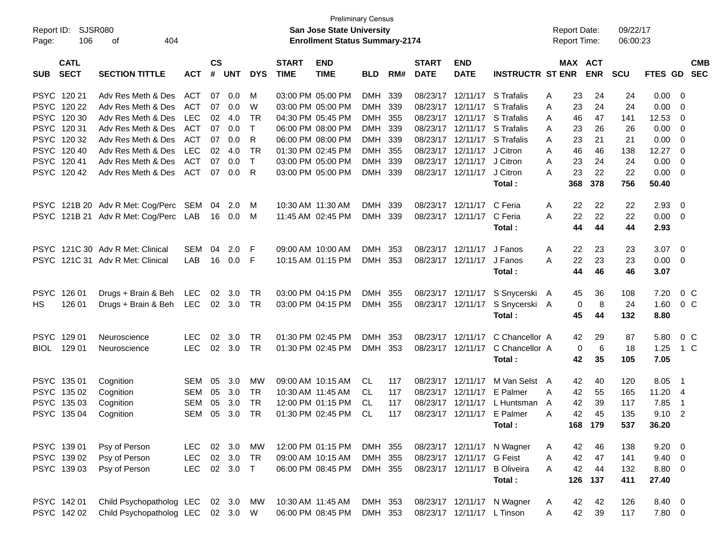| Report ID:  | SJSR080     |                                      |            |               |            |              |                   | <b>San Jose State University</b>      | <b>Preliminary Census</b> |     |              |                            |                         | <b>Report Date:</b> |     |            | 09/22/17   |         |                          |            |
|-------------|-------------|--------------------------------------|------------|---------------|------------|--------------|-------------------|---------------------------------------|---------------------------|-----|--------------|----------------------------|-------------------------|---------------------|-----|------------|------------|---------|--------------------------|------------|
| Page:       | 106         | 404<br>оf                            |            |               |            |              |                   | <b>Enrollment Status Summary-2174</b> |                           |     |              |                            |                         | <b>Report Time:</b> |     |            | 06:00:23   |         |                          |            |
|             | <b>CATL</b> |                                      |            | $\mathsf{cs}$ |            |              | <b>START</b>      | <b>END</b>                            |                           |     | <b>START</b> | <b>END</b>                 |                         |                     |     | MAX ACT    |            |         |                          | <b>CMB</b> |
| <b>SUB</b>  | <b>SECT</b> | <b>SECTION TITTLE</b>                | <b>ACT</b> | #             | <b>UNT</b> | <b>DYS</b>   | <b>TIME</b>       | <b>TIME</b>                           | <b>BLD</b>                | RM# | <b>DATE</b>  | <b>DATE</b>                | <b>INSTRUCTR ST ENR</b> |                     |     | <b>ENR</b> | <b>SCU</b> | FTES GD |                          | <b>SEC</b> |
|             | PSYC 120 21 | Adv Res Meth & Des                   | ACT        | 07            | 0.0        | м            |                   | 03:00 PM 05:00 PM                     | DMH                       | 339 | 08/23/17     | 12/11/17                   | S Trafalis              | Α                   | 23  | 24         | 24         | 0.00    | - 0                      |            |
|             | PSYC 120 22 | Adv Res Meth & Des                   | <b>ACT</b> | 07            | 0.0        | W            |                   | 03:00 PM 05:00 PM                     | DMH 339                   |     | 08/23/17     | 12/11/17                   | S Trafalis              | Α                   | 23  | 24         | 24         | 0.00    | - 0                      |            |
|             | PSYC 120 30 | Adv Res Meth & Des                   | LEC        | 02            | 4.0        | TR           |                   | 04:30 PM 05:45 PM                     | DMH 355                   |     | 08/23/17     | 12/11/17                   | S Trafalis              | A                   | 46  | 47         | 141        | 12.53   | 0                        |            |
|             | PSYC 12031  | Adv Res Meth & Des                   | <b>ACT</b> | 07            | 0.0        | т            |                   | 06:00 PM 08:00 PM                     | DMH 339                   |     | 08/23/17     | 12/11/17                   | S Trafalis              | A                   | 23  | 26         | 26         | 0.00    | 0                        |            |
|             | PSYC 120 32 | Adv Res Meth & Des                   | <b>ACT</b> | 07            | 0.0        | R            |                   | 06:00 PM 08:00 PM                     | DMH 339                   |     | 08/23/17     | 12/11/17                   | S Trafalis              | Α                   | 23  | 21         | 21         | 0.00    | - 0                      |            |
|             | PSYC 120 40 | Adv Res Meth & Des                   | LEC        | 02            | 4.0        | TR           |                   | 01:30 PM 02:45 PM                     | DMH 355                   |     | 08/23/17     | 12/11/17                   | J Citron                | Α                   | 46  | 46         | 138        | 12.27   | 0                        |            |
|             | PSYC 12041  | Adv Res Meth & Des                   | <b>ACT</b> | 07            | 0.0        | $\mathsf{T}$ |                   | 03:00 PM 05:00 PM                     | <b>DMH</b>                | 339 | 08/23/17     | 12/11/17                   | J Citron                | A                   | 23  | 24         | 24         | 0.00    | - 0                      |            |
|             | PSYC 12042  | Adv Res Meth & Des                   | <b>ACT</b> | 07            | 0.0        | R            |                   | 03:00 PM 05:00 PM                     | DMH 339                   |     | 08/23/17     | 12/11/17                   | J Citron                | A                   | 23  | 22         | 22         | 0.00    | - 0                      |            |
|             |             |                                      |            |               |            |              |                   |                                       |                           |     |              |                            | Total:                  |                     | 368 | 378        | 756        | 50.40   |                          |            |
|             |             | PSYC 121B 20 Adv R Met: Cog/Perc     | SEM        | 04            | 2.0        | M            | 10:30 AM 11:30 AM |                                       | <b>DMH</b>                | 339 | 08/23/17     | 12/11/17                   | C Feria                 | A                   | 22  | 22         | 22         | 2.93    | - 0                      |            |
|             |             | PSYC 121B 21 Adv R Met: Cog/Perc LAB |            |               | 16 0.0     | M            |                   | 11:45 AM 02:45 PM                     | DMH 339                   |     | 08/23/17     | 12/11/17                   | C Feria                 | A                   | 22  | 22         | 22         | 0.00    | - 0                      |            |
|             |             |                                      |            |               |            |              |                   |                                       |                           |     |              |                            | Total:                  |                     | 44  | 44         | 44         | 2.93    |                          |            |
| <b>PSYC</b> |             | 121C 30 Adv R Met: Clinical          | <b>SEM</b> | 04            | 2.0        | F            |                   | 09:00 AM 10:00 AM                     | DMH                       | 353 | 08/23/17     | 12/11/17                   | J Fanos                 | A                   | 22  | 23         | 23         | 3.07    | - 0                      |            |
|             |             | PSYC 121C 31 Adv R Met: Clinical     | LAB        | 16            | 0.0        | F            |                   | 10:15 AM 01:15 PM                     | DMH 353                   |     | 08/23/17     | 12/11/17                   | J Fanos                 | A                   | 22  | 23         | 23         | 0.00    | - 0                      |            |
|             |             |                                      |            |               |            |              |                   |                                       |                           |     |              |                            | Total:                  |                     | 44  | 46         | 46         | 3.07    |                          |            |
| <b>PSYC</b> | 126 01      | Drugs + Brain & Beh                  | LEC        | 02            | 3.0        | TR           |                   | 03:00 PM 04:15 PM                     | DMH 355                   |     | 08/23/17     | 12/11/17                   | S Snycerski A           |                     | 45  | 36         | 108        | 7.20    | 0 <sup>C</sup>           |            |
| HS.         | 126 01      | Drugs + Brain & Beh                  | LEC        |               | 02 3.0     | TR           |                   | 03:00 PM 04:15 PM                     | DMH 355                   |     | 08/23/17     | 12/11/17                   | S Snycerski A           |                     | 0   | 8          | 24         | 1.60    | 0 <sup>C</sup>           |            |
|             |             |                                      |            |               |            |              |                   |                                       |                           |     |              |                            | Total:                  |                     | 45  | 44         | 132        | 8.80    |                          |            |
| <b>PSYC</b> | 129 01      | Neuroscience                         | <b>LEC</b> | 02            | 3.0        | TR           |                   | 01:30 PM 02:45 PM                     | DMH                       | 353 | 08/23/17     | 12/11/17                   | C Chancellor A          |                     | 42  | 29         | 87         | 5.80    | 0 <sup>C</sup>           |            |
| <b>BIOL</b> | 129 01      | Neuroscience                         | <b>LEC</b> | 02            | 3.0        | TR           |                   | 01:30 PM 02:45 PM                     | DMH 353                   |     | 08/23/17     | 12/11/17                   | C Chancellor A          |                     | 0   | 6          | 18         | 1.25    | 1 C                      |            |
|             |             |                                      |            |               |            |              |                   |                                       |                           |     |              |                            | Total:                  |                     | 42  | 35         | 105        | 7.05    |                          |            |
|             | PSYC 135 01 | Cognition                            | <b>SEM</b> | 05            | 3.0        | MW           |                   | 09:00 AM 10:15 AM                     | CL.                       | 117 | 08/23/17     | 12/11/17                   | M Van Selst A           |                     | 42  | 40         | 120        | 8.05    | - 1                      |            |
|             | PSYC 135 02 | Cognition                            | <b>SEM</b> | 05            | 3.0        | TR           | 10:30 AM 11:45 AM |                                       | CL                        | 117 | 08/23/17     | 12/11/17                   | E Palmer                | A                   | 42  | 55         | 165        | 11.20   | 4                        |            |
| <b>PSYC</b> | 135 03      | Cognition                            | <b>SEM</b> | 05            | 3.0        | TR           |                   | 12:00 PM 01:15 PM                     | CL                        | 117 | 08/23/17     | 12/11/17                   | L Huntsman              | A                   | 42  | 39         | 117        | 7.85    | $\overline{\phantom{1}}$ |            |
|             | PSYC 135 04 | Cognition                            | <b>SEM</b> | 05            | 3.0        | TR           |                   | 01:30 PM 02:45 PM                     | CL                        | 117 | 08/23/17     | 12/11/17                   | E Palmer                | A                   | 42  | 45         | 135        | 9.10    | $\overline{2}$           |            |
|             |             |                                      |            |               |            |              |                   |                                       |                           |     |              |                            | Total:                  |                     |     | 168 179    | 537        | 36.20   |                          |            |
|             | PSYC 139 01 | Psy of Person                        | LEC        |               | 02 3.0     | MW           |                   | 12:00 PM 01:15 PM                     | DMH 355                   |     |              | 08/23/17 12/11/17          | N Wagner                | A                   | 42  | 46         | 138        | 9.20    | $\overline{\phantom{0}}$ |            |
|             | PSYC 139 02 | Psy of Person                        | LEC        |               | 02 3.0     | TR           |                   | 09:00 AM 10:15 AM                     | DMH 355                   |     |              | 08/23/17 12/11/17          | G Feist                 | Α                   | 42  | 47         | 141        | 9.40    | $\overline{\mathbf{0}}$  |            |
|             | PSYC 139 03 | Psy of Person                        | <b>LEC</b> |               | 02 3.0     | $\top$       |                   | 06:00 PM 08:45 PM                     | DMH 355                   |     |              | 08/23/17 12/11/17          | <b>B</b> Oliveira       | A                   | 42  | 44         | 132        | 8.80 0  |                          |            |
|             |             |                                      |            |               |            |              |                   |                                       |                           |     |              |                            | Total:                  |                     | 126 | 137        | 411        | 27.40   |                          |            |
|             | PSYC 142 01 | Child Psychopatholog LEC 02 3.0      |            |               |            | MW           | 10:30 AM 11:45 AM |                                       | DMH 353                   |     |              | 08/23/17 12/11/17          | N Wagner                | A                   | 42  | 42         | 126        | 8.40 0  |                          |            |
|             | PSYC 142 02 | Child Psychopatholog LEC             |            |               | 02 3.0 W   |              |                   | 06:00 PM 08:45 PM                     | DMH 353                   |     |              | 08/23/17 12/11/17 L Tinson |                         | A                   | 42  | 39         | 117        | 7.80 0  |                          |            |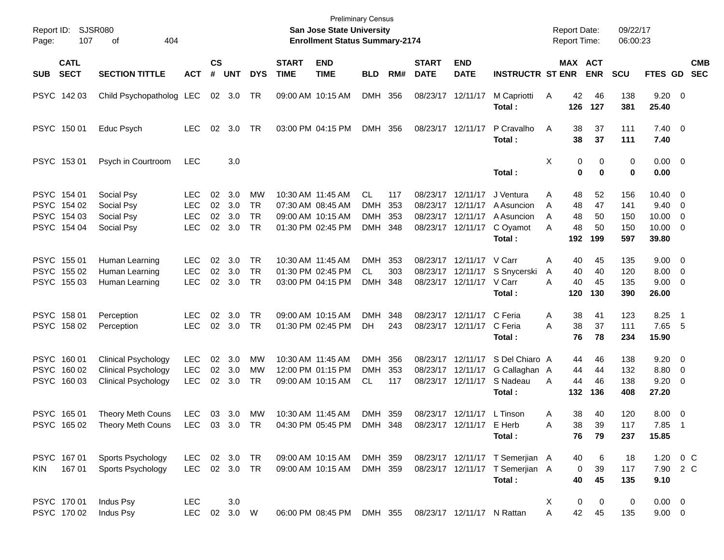| Report ID:<br>Page: | <b>SJSR080</b><br>107                                    | 404<br>οf                                                                                         |                                        |                      |                          |                                           |                             | <b>Preliminary Census</b><br><b>San Jose State University</b><br><b>Enrollment Status Summary-2174</b> |                                       |                          |                             |                                                                                  |                                                                              | <b>Report Date:</b><br><b>Report Time:</b>      |                             | 09/22/17<br>06:00:23            |                                                           |                                                      |                          |
|---------------------|----------------------------------------------------------|---------------------------------------------------------------------------------------------------|----------------------------------------|----------------------|--------------------------|-------------------------------------------|-----------------------------|--------------------------------------------------------------------------------------------------------|---------------------------------------|--------------------------|-----------------------------|----------------------------------------------------------------------------------|------------------------------------------------------------------------------|-------------------------------------------------|-----------------------------|---------------------------------|-----------------------------------------------------------|------------------------------------------------------|--------------------------|
| <b>SUB</b>          | <b>CATL</b><br><b>SECT</b>                               | <b>SECTION TITTLE</b>                                                                             | <b>ACT</b>                             | $\mathsf{cs}$<br>#   | <b>UNT</b>               | <b>DYS</b>                                | <b>START</b><br><b>TIME</b> | <b>END</b><br><b>TIME</b>                                                                              | <b>BLD</b>                            | RM#                      | <b>START</b><br><b>DATE</b> | <b>END</b><br><b>DATE</b>                                                        | <b>INSTRUCTR ST ENR</b>                                                      | <b>MAX ACT</b>                                  | <b>ENR</b>                  | <b>SCU</b>                      | <b>FTES GD</b>                                            |                                                      | <b>CMB</b><br><b>SEC</b> |
|                     | PSYC 142 03                                              | Child Psychopatholog LEC                                                                          |                                        |                      | 02 3.0                   | TR                                        |                             | 09:00 AM 10:15 AM                                                                                      | DMH 356                               |                          |                             | 08/23/17 12/11/17                                                                | M Capriotti<br>Total:                                                        | 42<br>A<br>126                                  | 46<br>127                   | 138<br>381                      | $9.20 \ 0$<br>25.40                                       |                                                      |                          |
|                     | PSYC 150 01                                              | Educ Psych                                                                                        | <b>LEC</b>                             | 02                   | 3.0                      | TR                                        |                             | 03:00 PM 04:15 PM                                                                                      | DMH 356                               |                          |                             | 08/23/17 12/11/17                                                                | P Cravalho<br>Total:                                                         | 38<br>A<br>38                                   | 37<br>37                    | 111<br>111                      | $7.40 \quad 0$<br>7.40                                    |                                                      |                          |
|                     | PSYC 153 01                                              | Psych in Courtroom                                                                                | <b>LEC</b>                             |                      | 3.0                      |                                           |                             |                                                                                                        |                                       |                          |                             |                                                                                  | Total:                                                                       | Χ<br>0<br>$\bf{0}$                              | 0<br>$\bf{0}$               | 0<br>0                          | $0.00 \t 0$<br>0.00                                       |                                                      |                          |
|                     | PSYC 154 01<br>PSYC 154 02<br>PSYC 154 03<br>PSYC 154 04 | Social Psy<br>Social Psy<br>Social Psy<br>Social Psy                                              | LEC<br>LEC<br><b>LEC</b><br><b>LEC</b> | 02<br>02<br>02<br>02 | 3.0<br>3.0<br>3.0<br>3.0 | MW<br><b>TR</b><br><b>TR</b><br><b>TR</b> |                             | 10:30 AM 11:45 AM<br>07:30 AM 08:45 AM<br>09:00 AM 10:15 AM<br>01:30 PM 02:45 PM                       | CL<br><b>DMH</b><br><b>DMH</b><br>DMH | 117<br>353<br>353<br>348 |                             | 08/23/17 12/11/17<br>08/23/17 12/11/17<br>08/23/17 12/11/17<br>08/23/17 12/11/17 | J Ventura<br>A Asuncion<br>A Asuncion<br>C Oyamot<br>Total:                  | Α<br>48<br>48<br>A<br>48<br>A<br>48<br>Α<br>192 | 52<br>47<br>50<br>50<br>199 | 156<br>141<br>150<br>150<br>597 | $10.40 \quad 0$<br>9.40<br>10.00<br>$10.00 \t 0$<br>39.80 | $\overline{\phantom{0}}$<br>$\overline{\mathbf{0}}$  |                          |
|                     | PSYC 155 01<br>PSYC 155 02<br>PSYC 155 03                | Human Learning<br>Human Learning<br>Human Learning                                                | LEC.<br><b>LEC</b><br><b>LEC</b>       | 02<br>02<br>02       | 3.0<br>3.0<br>3.0        | TR.<br><b>TR</b><br><b>TR</b>             |                             | 10:30 AM 11:45 AM<br>01:30 PM 02:45 PM<br>03:00 PM 04:15 PM                                            | DMH<br><b>CL</b><br><b>DMH</b>        | 353<br>303<br>348        |                             | 08/23/17 12/11/17 V Carr<br>08/23/17 12/11/17<br>08/23/17 12/11/17 V Carr        | S Snycerski<br>Total:                                                        | 40<br>Α<br>40<br>A<br>40<br>А<br>120            | 45<br>40<br>45<br>130       | 135<br>120<br>135<br>390        | $9.00 \t 0$<br>8.00<br>$9.00 \t 0$<br>26.00               | $\overline{\phantom{0}}$                             |                          |
|                     | PSYC 158 01<br>PSYC 158 02                               | Perception<br>Perception                                                                          | LEC<br><b>LEC</b>                      | 02<br>02             | 3.0<br>3.0               | TR.<br><b>TR</b>                          |                             | 09:00 AM 10:15 AM<br>01:30 PM 02:45 PM                                                                 | <b>DMH</b><br>DH                      | 348<br>243               |                             | 08/23/17 12/11/17<br>08/23/17 12/11/17                                           | C Feria<br>C Feria<br>Total:                                                 | 38<br>Α<br>38<br>A<br>76                        | 41<br>37<br>78              | 123<br>111<br>234               | 8.25<br>7.65<br>15.90                                     | - 1<br>- 5                                           |                          |
|                     | PSYC 160 01<br>PSYC 160 02<br>PSYC 160 03                | <b>Clinical Psychology</b><br><b>Clinical Psychology</b><br><b>Clinical Psychology</b>            | <b>LEC</b><br><b>LEC</b><br><b>LEC</b> | 02<br>02<br>02       | 3.0<br>3.0<br>3.0        | MW<br>MW<br>TR                            |                             | 10:30 AM 11:45 AM<br>12:00 PM 01:15 PM<br>09:00 AM 10:15 AM                                            | DMH<br><b>DMH</b><br>CL.              | 356<br>353<br>117        |                             | 08/23/17 12/11/17<br>08/23/17 12/11/17<br>08/23/17 12/11/17                      | S Del Chiaro A<br>G Callaghan A<br>S Nadeau<br>Total:                        | 44<br>44<br>44<br>A<br>132                      | 46<br>44<br>46<br>136       | 138<br>132<br>138<br>408        | $9.20 \ 0$<br>8.80<br>9.20<br>27.20                       | $\overline{\phantom{0}}$<br>$\overline{\phantom{0}}$ |                          |
|                     | PSYC 165 01                                              | <b>Theory Meth Couns</b><br>PSYC 165 02 Theory Meth Couns LEC 03 3.0 TR 04:30 PM 05:45 PM DMH 348 | <b>LEC</b>                             |                      | 03 3.0                   | МW                                        |                             | 10:30 AM 11:45 AM                                                                                      | DMH 359                               |                          |                             | 08/23/17 12/11/17 L Tinson<br>08/23/17 12/11/17 E Herb                           | Total:                                                                       | 38<br>Α<br>Α<br>38<br>76                        | 40<br>39<br>79              | 120<br>117<br>237               | $8.00 \t 0$<br>7.85 1<br>15.85                            |                                                      |                          |
| <b>KIN</b>          | PSYC 167 01<br>167 01                                    | Sports Psychology<br>Sports Psychology                                                            | LEC<br>LEC 02 3.0 TR                   |                      | 02 3.0 TR                |                                           |                             | 09:00 AM 10:15 AM<br>09:00 AM 10:15 AM                                                                 | DMH 359<br>DMH 359                    |                          |                             |                                                                                  | 08/23/17 12/11/17 T Semerjian A<br>08/23/17 12/11/17 T Semerjian A<br>Total: | 40<br>0<br>40                                   | 6<br>39<br>45               | 18<br>117<br>135                | 1.20 0 C<br>7.90 2 C<br>9.10                              |                                                      |                          |
|                     | PSYC 170 01<br>PSYC 170 02                               | Indus Psy<br>Indus Psy                                                                            | <b>LEC</b><br><b>LEC</b>               |                      | 3.0<br>02 3.0 W          |                                           |                             | 06:00 PM 08:45 PM DMH 355                                                                              |                                       |                          |                             | 08/23/17 12/11/17 N Rattan                                                       |                                                                              | 0<br>X<br>A<br>42                               | 0<br>45                     | $\pmb{0}$<br>135                | $0.00 \t 0$<br>$9.00 \t 0$                                |                                                      |                          |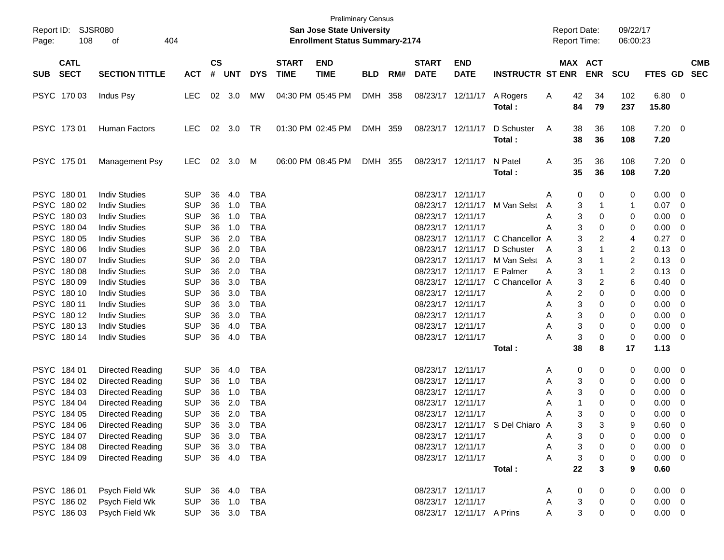| Report ID:<br>108<br>Page:                | SJSR080<br>404<br>οf                                     |                                            |                             |               |                          |                             | <b>Preliminary Census</b><br><b>San Jose State University</b><br><b>Enrollment Status Summary-2174</b> |            |       |                                        |                                        |                                                | <b>Report Date:</b><br><b>Report Time:</b> |                       | 09/22/17<br>06:00:23             |                                  |                          |                          |
|-------------------------------------------|----------------------------------------------------------|--------------------------------------------|-----------------------------|---------------|--------------------------|-----------------------------|--------------------------------------------------------------------------------------------------------|------------|-------|----------------------------------------|----------------------------------------|------------------------------------------------|--------------------------------------------|-----------------------|----------------------------------|----------------------------------|--------------------------|--------------------------|
| <b>CATL</b><br><b>SECT</b><br><b>SUB</b>  | <b>SECTION TITTLE</b>                                    | <b>ACT</b>                                 | $\mathsf{cs}$<br>$\pmb{\#}$ | <b>UNT</b>    | <b>DYS</b>               | <b>START</b><br><b>TIME</b> | <b>END</b><br><b>TIME</b>                                                                              | <b>BLD</b> | RM#   | <b>START</b><br><b>DATE</b>            | <b>END</b><br><b>DATE</b>              | <b>INSTRUCTR ST ENR</b>                        |                                            | MAX ACT<br><b>ENR</b> | <b>SCU</b>                       | FTES GD                          |                          | <b>CMB</b><br><b>SEC</b> |
| PSYC 170 03                               | Indus Psy                                                | <b>LEC</b>                                 | 02                          | 3.0           | МW                       |                             | 04:30 PM 05:45 PM                                                                                      | DMH 358    |       |                                        | 08/23/17 12/11/17                      | A Rogers<br>Total:                             | 42<br>A<br>84                              | 34<br>79              | 102<br>237                       | 6.80<br>15.80                    | $\overline{\phantom{0}}$ |                          |
| PSYC 17301                                | Human Factors                                            | LEC.                                       | 02                          | 3.0           | TR                       |                             | 01:30 PM 02:45 PM                                                                                      | DMH 359    |       |                                        | 08/23/17 12/11/17                      | D Schuster<br>Total :                          | A<br>38<br>38                              | 36<br>36              | 108<br>108                       | $7.20 \ 0$<br>7.20               |                          |                          |
| PSYC 175 01                               | Management Psy                                           | LEC.                                       | 02                          | 3.0           | M                        |                             | 06:00 PM 08:45 PM                                                                                      | <b>DMH</b> | - 355 |                                        | 08/23/17 12/11/17                      | N Patel<br>Total :                             | 35<br>A<br>35                              | 36<br>36              | 108<br>108                       | $7.20 \t 0$<br>7.20              |                          |                          |
| PSYC 180 01<br>PSYC 180 02                | <b>Indiv Studies</b><br><b>Indiv Studies</b>             | <b>SUP</b><br><b>SUP</b>                   | 36<br>36                    | 4.0<br>1.0    | TBA<br>TBA               |                             |                                                                                                        |            |       | 08/23/17 12/11/17                      |                                        | 08/23/17 12/11/17 M Van Selst                  | A<br>A                                     | 0<br>0<br>3<br>-1     | 0<br>1                           | 0.00<br>0.07                     | - 0<br>- 0               |                          |
| PSYC 180 03<br>PSYC 180 04                | <b>Indiv Studies</b><br><b>Indiv Studies</b>             | <b>SUP</b><br><b>SUP</b>                   | 36<br>36                    | 1.0<br>1.0    | TBA<br>TBA               |                             |                                                                                                        |            |       | 08/23/17 12/11/17<br>08/23/17 12/11/17 |                                        |                                                | A<br>A                                     | 3<br>0<br>3<br>0      | 0<br>0                           | 0.00<br>0.00                     | 0<br>- 0                 |                          |
| PSYC 180 05<br>PSYC 180 06                | <b>Indiv Studies</b><br><b>Indiv Studies</b>             | <b>SUP</b><br><b>SUP</b>                   | 36<br>36                    | 2.0<br>2.0    | <b>TBA</b><br><b>TBA</b> |                             |                                                                                                        |            |       |                                        | 08/23/17 12/11/17                      | 08/23/17 12/11/17 C Chancellor A<br>D Schuster | A                                          | 3<br>2<br>3           | 4<br>$\overline{2}$              | 0.27<br>0.13                     | 0<br>0                   |                          |
| PSYC 180 07<br>PSYC 180 08                | <b>Indiv Studies</b><br><b>Indiv Studies</b>             | <b>SUP</b><br><b>SUP</b>                   | 36<br>36                    | 2.0<br>2.0    | <b>TBA</b><br>TBA        |                             |                                                                                                        |            |       |                                        | 08/23/17 12/11/17 E Palmer             | 08/23/17 12/11/17 M Van Selst                  | A<br>A                                     | 3<br>3<br>-1          | $\overline{c}$<br>$\overline{c}$ | 0.13<br>0.13                     | 0<br>0                   |                          |
| PSYC 180 09<br>PSYC 180 10                | <b>Indiv Studies</b><br><b>Indiv Studies</b>             | <b>SUP</b><br><b>SUP</b>                   | 36<br>36                    | 3.0<br>3.0    | <b>TBA</b><br>TBA        |                             |                                                                                                        |            |       | 08/23/17 12/11/17                      |                                        | 08/23/17 12/11/17 C Chancellor A               | A                                          | 3<br>2<br>2<br>0      | 6<br>0                           | 0.40<br>0.00                     | 0<br>0                   |                          |
| PSYC 180 11<br>PSYC 180 12                | <b>Indiv Studies</b><br><b>Indiv Studies</b>             | <b>SUP</b><br><b>SUP</b>                   | 36<br>36                    | 3.0<br>3.0    | TBA<br>TBA               |                             |                                                                                                        |            |       | 08/23/17 12/11/17<br>08/23/17 12/11/17 |                                        |                                                | A<br>A                                     | 3<br>0<br>3<br>0      | 0<br>0                           | 0.00<br>0.00                     | 0<br>0                   |                          |
| PSYC 180 13<br>PSYC 18014                 | <b>Indiv Studies</b><br><b>Indiv Studies</b>             | <b>SUP</b><br><b>SUP</b>                   | 36<br>36                    | 4.0<br>4.0    | TBA<br>TBA               |                             |                                                                                                        |            |       | 08/23/17 12/11/17<br>08/23/17 12/11/17 |                                        |                                                | A<br>A                                     | 3<br>0<br>3<br>0      | 0<br>0                           | 0.00<br>0.00                     | 0<br>- 0                 |                          |
|                                           |                                                          |                                            |                             |               |                          |                             |                                                                                                        |            |       |                                        |                                        | Total :                                        | 38                                         | 8                     | 17                               | 1.13                             |                          |                          |
| PSYC 184 01<br>PSYC 184 02                | Directed Reading<br>Directed Reading                     | <b>SUP</b><br><b>SUP</b>                   | 36<br>36                    | 4.0<br>1.0    | TBA<br>TBA               |                             |                                                                                                        |            |       | 08/23/17 12/11/17<br>08/23/17 12/11/17 |                                        |                                                | A<br>A                                     | 0<br>0<br>3<br>0      | 0<br>0                           | 0.00<br>0.00                     | - 0<br>- 0               |                          |
| PSYC 184 03<br>PSYC 184 04                | Directed Reading<br>Directed Reading                     | <b>SUP</b><br><b>SUP</b>                   | 36<br>36                    | 1.0<br>2.0    | TBA<br>TBA               |                             |                                                                                                        |            |       | 08/23/17 12/11/17<br>08/23/17 12/11/17 |                                        |                                                | A<br>A                                     | 3<br>0<br>1<br>0      | 0<br>0                           | 0.00<br>0.00                     | 0<br>0                   |                          |
| PSYC 184 05<br>PSYC 184 06<br>PSYC 184 07 | Directed Reading<br>Directed Reading<br>Directed Reading | <b>SUP</b><br><b>SUP</b><br>SUP 36 3.0 TBA | 36                          | 2.0<br>36 3.0 | <b>TBA</b><br>TBA        |                             |                                                                                                        |            |       | 08/23/17 12/11/17                      | 08/23/17 12/11/17                      | 08/23/17 12/11/17 S Del Chiaro A               | A                                          | 3<br>0<br>3<br>3<br>0 | 0<br>g<br>0                      | 0.00<br>0.60<br>$0.00 \t 0$      | 0<br>$\Omega$            |                          |
| PSYC 184 08<br>PSYC 184 09                | Directed Reading<br>Directed Reading                     | <b>SUP</b><br>SUP 36 4.0 TBA               |                             | 36 3.0        | TBA                      |                             |                                                                                                        |            |       |                                        | 08/23/17 12/11/17<br>08/23/17 12/11/17 |                                                | A<br>A<br>A                                | 3<br>0<br>3<br>0      | 0<br>0                           | $0.00 \t 0$<br>$0.00 \quad 0$    |                          |                          |
|                                           |                                                          |                                            |                             |               |                          |                             |                                                                                                        |            |       |                                        |                                        | Total:                                         | 22                                         | 3                     | 9                                | 0.60                             |                          |                          |
| PSYC 186 01<br>PSYC 186 02                | Psych Field Wk<br>Psych Field Wk                         | SUP 36 4.0 TBA<br><b>SUP</b>               |                             | 36 1.0        | TBA                      |                             |                                                                                                        |            |       | 08/23/17 12/11/17                      | 08/23/17 12/11/17                      |                                                | A<br>A                                     | 0<br>0<br>3<br>0      | 0<br>0                           | $0.00 \quad 0$<br>$0.00 \quad 0$ |                          |                          |
| PSYC 186 03                               | Psych Field Wk                                           | SUP 36 3.0 TBA                             |                             |               |                          |                             |                                                                                                        |            |       |                                        | 08/23/17 12/11/17 A Prins              |                                                | A                                          | 3<br>0                | 0                                | $0.00 \t 0$                      |                          |                          |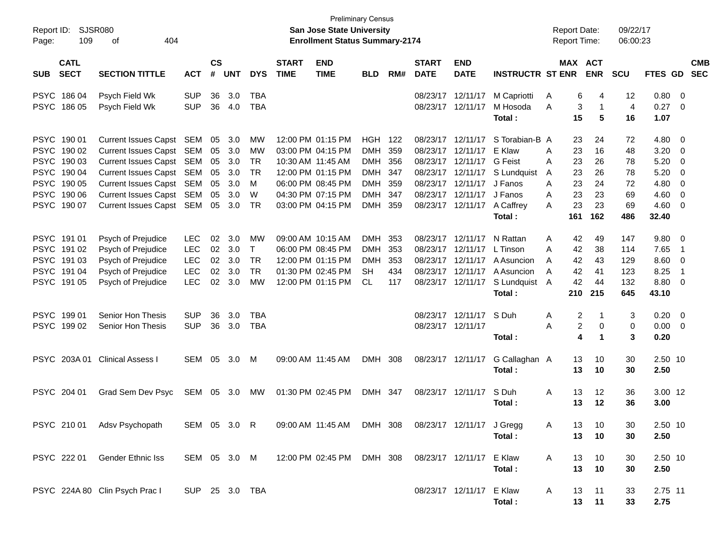| Report ID:<br>Page:                                                                                                                           | SJSR080<br>109<br>404<br>оf                                                                                                                                                                      |                                        |                                        |                                               |                                                           |                             | San Jose State University<br><b>Enrollment Status Summary-2174</b>                                                                              | <b>Preliminary Census</b>                                           |                                 |                             |                                                                                                                                                 |                                                                                                        | <b>Report Date:</b><br>Report Time:                                         |                                                  | 09/22/17<br>06:00:23                          |                                                                   |                                                                                                                                                                   |                          |
|-----------------------------------------------------------------------------------------------------------------------------------------------|--------------------------------------------------------------------------------------------------------------------------------------------------------------------------------------------------|----------------------------------------|----------------------------------------|-----------------------------------------------|-----------------------------------------------------------|-----------------------------|-------------------------------------------------------------------------------------------------------------------------------------------------|---------------------------------------------------------------------|---------------------------------|-----------------------------|-------------------------------------------------------------------------------------------------------------------------------------------------|--------------------------------------------------------------------------------------------------------|-----------------------------------------------------------------------------|--------------------------------------------------|-----------------------------------------------|-------------------------------------------------------------------|-------------------------------------------------------------------------------------------------------------------------------------------------------------------|--------------------------|
| <b>CATL</b><br><b>SECT</b><br><b>SUB</b>                                                                                                      | <b>SECTION TITTLE</b>                                                                                                                                                                            | <b>ACT</b>                             | $\mathsf{cs}$<br>#                     | <b>UNT</b>                                    | <b>DYS</b>                                                | <b>START</b><br><b>TIME</b> | <b>END</b><br><b>TIME</b>                                                                                                                       | <b>BLD</b>                                                          | RM#                             | <b>START</b><br><b>DATE</b> | <b>END</b><br><b>DATE</b>                                                                                                                       | <b>INSTRUCTR ST ENR</b>                                                                                |                                                                             | MAX ACT<br><b>ENR</b>                            | <b>SCU</b>                                    | FTES GD                                                           |                                                                                                                                                                   | <b>CMB</b><br><b>SEC</b> |
| PSYC 186 04<br>PSYC 186 05                                                                                                                    | Psych Field Wk<br>Psych Field Wk                                                                                                                                                                 | <b>SUP</b><br><b>SUP</b>               | 36<br>36                               | 3.0<br>4.0                                    | TBA<br><b>TBA</b>                                         |                             |                                                                                                                                                 |                                                                     |                                 |                             | 08/23/17 12/11/17<br>08/23/17 12/11/17                                                                                                          | M Capriotti<br>M Hosoda<br>Total :                                                                     | A<br>A<br>15                                                                | 6<br>4<br>3<br>1<br>5                            | 12<br>$\overline{4}$<br>16                    | $0.80 \ 0$<br>$0.27 \t 0$<br>1.07                                 |                                                                                                                                                                   |                          |
| PSYC 190 01<br><b>PSYC</b><br>190 02<br><b>PSYC</b><br>190 03<br><b>PSYC</b><br>190 04<br>PSYC 190 05<br><b>PSYC</b><br>190 06<br>PSYC 190 07 | Current Issues Capst SEM<br>Current Issues Capst SEM<br>Current Issues Capst SEM<br>Current Issues Capst SEM<br>Current Issues Capst SEM<br>Current Issues Capst SEM<br>Current Issues Capst SEM |                                        | 05<br>05<br>05<br>05<br>05<br>05<br>05 | 3.0<br>3.0<br>3.0<br>3.0<br>3.0<br>3.0<br>3.0 | MW<br>MW<br><b>TR</b><br><b>TR</b><br>M<br>W<br><b>TR</b> |                             | 12:00 PM 01:15 PM<br>03:00 PM 04:15 PM<br>10:30 AM 11:45 AM<br>12:00 PM 01:15 PM<br>06:00 PM 08:45 PM<br>04:30 PM 07:15 PM<br>03:00 PM 04:15 PM | <b>HGH 122</b><br><b>DMH</b><br>DMH<br>DMH<br>DMH<br>DMH<br>DMH 359 | 359<br>356<br>347<br>359<br>347 |                             | 08/23/17 12/11/17<br>08/23/17 12/11/17<br>08/23/17 12/11/17<br>08/23/17 12/11/17<br>08/23/17 12/11/17<br>08/23/17 12/11/17<br>08/23/17 12/11/17 | S Torabian-B A<br>E Klaw<br><b>G</b> Feist<br>S Lundquist<br>J Fanos<br>J Fanos<br>A Caffrey<br>Total: | 23<br>Α<br>23<br>23<br>Α<br>23<br>A<br>23<br>A<br>23<br>Α<br>23<br>A<br>161 | 24<br>16<br>26<br>26<br>24<br>23<br>23<br>162    | 72<br>48<br>78<br>78<br>72<br>69<br>69<br>486 | 4.80<br>3.20<br>5.20<br>5.20<br>4.80<br>4.60<br>$4.60$ 0<br>32.40 | $\overline{\phantom{0}}$<br>$\overline{\phantom{0}}$<br>$\overline{\mathbf{0}}$<br>$\overline{\mathbf{0}}$<br>$\overline{\phantom{0}}$<br>$\overline{\mathbf{0}}$ |                          |
| PSYC 191 01<br><b>PSYC</b><br>191 02<br><b>PSYC</b><br>191 03<br><b>PSYC</b><br>191 04<br>PSYC 191 05                                         | Psych of Prejudice<br>Psych of Prejudice<br>Psych of Prejudice<br>Psych of Prejudice<br>Psych of Prejudice                                                                                       | <b>LEC</b><br>LEC<br>LEC<br>LEC<br>LEC | 02<br>02<br>02<br>02<br>02             | 3.0<br>3.0<br>3.0<br>3.0<br>3.0               | МW<br>$\mathsf{T}$<br><b>TR</b><br><b>TR</b><br><b>MW</b> |                             | 09:00 AM 10:15 AM<br>06:00 PM 08:45 PM<br>12:00 PM 01:15 PM<br>01:30 PM 02:45 PM<br>12:00 PM 01:15 PM                                           | <b>DMH</b><br><b>DMH</b><br><b>DMH</b><br>SН<br>CL.                 | 353<br>353<br>353<br>434<br>117 |                             | 08/23/17 12/11/17<br>08/23/17 12/11/17<br>08/23/17 12/11/17<br>08/23/17 12/11/17<br>08/23/17 12/11/17                                           | N Rattan<br>L Tinson<br>A Asuncion<br>A Asuncion<br>S Lundquist<br>Total:                              | 42<br>A<br>42<br>Α<br>42<br>A<br>42<br>A<br>42<br>A<br>210                  | 49<br>38<br>43<br>41<br>44<br>215                | 147<br>114<br>129<br>123<br>132<br>645        | 9.80 0<br>7.65<br>$8.60 \quad 0$<br>8.25<br>8.80 0<br>43.10       | $\overline{1}$<br>$\overline{1}$                                                                                                                                  |                          |
| PSYC 19901<br>PSYC 199 02                                                                                                                     | Senior Hon Thesis<br>Senior Hon Thesis                                                                                                                                                           | <b>SUP</b><br><b>SUP</b>               | 36<br>36                               | 3.0<br>3.0                                    | TBA<br><b>TBA</b>                                         |                             |                                                                                                                                                 |                                                                     |                                 | 08/23/17 12/11/17           | 08/23/17 12/11/17                                                                                                                               | S Duh<br>Total:                                                                                        | Α<br>A                                                                      | 2<br>1<br>$\overline{\mathbf{c}}$<br>0<br>4<br>1 | 3<br>$\mathbf 0$<br>3                         | 0.20<br>$0.00 \t 0$<br>0.20                                       | $\overline{\phantom{0}}$                                                                                                                                          |                          |
|                                                                                                                                               | PSYC 203A 01 Clinical Assess I                                                                                                                                                                   | SEM                                    | 05                                     | 3.0                                           | M                                                         |                             | 09:00 AM 11:45 AM                                                                                                                               | DMH 308                                                             |                                 |                             | 08/23/17 12/11/17                                                                                                                               | G Callaghan A<br>Total:                                                                                | 13<br>13                                                                    | 10<br>10                                         | 30<br>30                                      | 2.50 10<br>2.50                                                   |                                                                                                                                                                   |                          |
| PSYC 204 01                                                                                                                                   | Grad Sem Dev Psyc                                                                                                                                                                                | SEM                                    | 05                                     | 3.0                                           | МW                                                        |                             | 01:30 PM 02:45 PM                                                                                                                               | DMH 347                                                             |                                 |                             | 08/23/17 12/11/17                                                                                                                               | S Duh<br>Total:                                                                                        | A<br>13<br>13                                                               | 12<br>12                                         | 36<br>36                                      | 3.00 12<br>3.00                                                   |                                                                                                                                                                   |                          |
|                                                                                                                                               | PSYC 210 01 Adsv Psychopath                                                                                                                                                                      |                                        |                                        |                                               |                                                           |                             | SEM 05 3.0 R  09:00 AM 11:45 AM  DMH 308  08/23/17  12/11/17  J Gregg                                                                           |                                                                     |                                 |                             |                                                                                                                                                 | Total :                                                                                                | A                                                                           | 13<br>10<br>10<br>13                             | 30<br>30                                      | 2.50 10<br>2.50                                                   |                                                                                                                                                                   |                          |
|                                                                                                                                               | PSYC 222 01 Gender Ethnic Iss                                                                                                                                                                    |                                        |                                        |                                               |                                                           |                             | SEM 05 3.0 M 12:00 PM 02:45 PM DMH 308 08/23/17 12/11/17 E Klaw                                                                                 |                                                                     |                                 |                             |                                                                                                                                                 | Total:                                                                                                 | A<br>13                                                                     | 10<br>13<br>10                                   | 30<br>30                                      | 2.50 10<br>2.50                                                   |                                                                                                                                                                   |                          |
|                                                                                                                                               | PSYC 224A 80 Clin Psych Prac I                                                                                                                                                                   | SUP 25 3.0 TBA                         |                                        |                                               |                                                           |                             |                                                                                                                                                 |                                                                     |                                 |                             | 08/23/17 12/11/17 E Klaw                                                                                                                        | Total:                                                                                                 | 13<br>A                                                                     | 11<br>13<br>11                                   | 33<br>33                                      | 2.75 11<br>2.75                                                   |                                                                                                                                                                   |                          |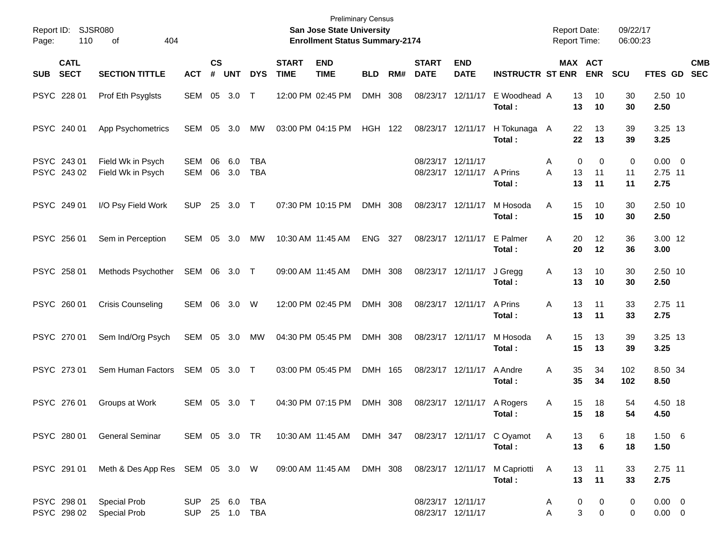| Report ID: SJSR080<br>110<br>Page:       | 404<br>οf                              |              |                |            |                          |                             | <b>Preliminary Census</b><br>San Jose State University<br><b>Enrollment Status Summary-2174</b> |                |     |                             |                                        |                                                                                     | <b>Report Date:</b><br><b>Report Time:</b> |                            | 09/22/17<br>06:00:23    |                                |                           |
|------------------------------------------|----------------------------------------|--------------|----------------|------------|--------------------------|-----------------------------|-------------------------------------------------------------------------------------------------|----------------|-----|-----------------------------|----------------------------------------|-------------------------------------------------------------------------------------|--------------------------------------------|----------------------------|-------------------------|--------------------------------|---------------------------|
| <b>CATL</b><br><b>SECT</b><br><b>SUB</b> | <b>SECTION TITTLE</b>                  | <b>ACT</b>   | <b>CS</b><br># | <b>UNT</b> | <b>DYS</b>               | <b>START</b><br><b>TIME</b> | <b>END</b><br><b>TIME</b>                                                                       | <b>BLD</b>     | RM# | <b>START</b><br><b>DATE</b> | <b>END</b><br><b>DATE</b>              | <b>INSTRUCTR ST ENR</b>                                                             |                                            | MAX ACT<br><b>ENR</b>      | <b>SCU</b>              |                                | <b>CMB</b><br>FTES GD SEC |
| PSYC 228 01                              | Prof Eth Psyglsts                      | SEM 05 3.0   |                |            | $\top$                   |                             | 12:00 PM 02:45 PM                                                                               | DMH 308        |     |                             | 08/23/17 12/11/17                      | E Woodhead A<br>Total:                                                              | 13<br>13                                   | 10<br>10                   | 30<br>30                | 2.50 10<br>2.50                |                           |
| PSYC 240 01                              | App Psychometrics                      | SEM 05       |                | - 3.0      | MW                       |                             | 03:00 PM 04:15 PM                                                                               | <b>HGH 122</b> |     |                             | 08/23/17 12/11/17                      | H Tokunaga A<br>Total:                                                              | 22<br>22                                   | 13<br>13                   | 39<br>39                | 3.25 13<br>3.25                |                           |
| PSYC 243 01<br>PSYC 243 02               | Field Wk in Psych<br>Field Wk in Psych | SEM<br>SEM   | 06<br>06       | 6.0<br>3.0 | <b>TBA</b><br><b>TBA</b> |                             |                                                                                                 |                |     | 08/23/17 12/11/17           | 08/23/17 12/11/17 A Prins              | Total:                                                                              | 0<br>A<br>A<br>13<br>13                    | 0<br>11<br>11              | $\mathbf 0$<br>11<br>11 | $0.00 \t 0$<br>2.75 11<br>2.75 |                           |
| PSYC 249 01                              | I/O Psy Field Work                     | <b>SUP</b>   | 25             | 3.0 T      |                          |                             | 07:30 PM 10:15 PM                                                                               | DMH 308        |     | 08/23/17 12/11/17           |                                        | M Hosoda<br>Total:                                                                  | 15<br>A<br>15                              | 10<br>10                   | 30<br>30                | 2.50 10<br>2.50                |                           |
| PSYC 256 01                              | Sem in Perception                      | SEM 05       |                | 3.0        | MW                       |                             | 10:30 AM 11:45 AM                                                                               | <b>ENG</b>     | 327 |                             | 08/23/17 12/11/17                      | E Palmer<br>Total:                                                                  | 20<br>A<br>20                              | 12<br>12                   | 36<br>36                | 3.00 12<br>3.00                |                           |
| PSYC 258 01                              | Methods Psychother                     | SEM 06 3.0 T |                |            |                          |                             | 09:00 AM 11:45 AM                                                                               | DMH 308        |     |                             | 08/23/17 12/11/17                      | J Gregg<br>Total:                                                                   | 13<br>Α<br>13                              | 10<br>10                   | 30<br>30                | 2.50 10<br>2.50                |                           |
| PSYC 260 01                              | <b>Crisis Counseling</b>               | SEM 06       |                | 3.0        | W                        |                             | 12:00 PM 02:45 PM                                                                               | DMH 308        |     |                             | 08/23/17 12/11/17                      | A Prins<br>Total:                                                                   | 13<br>A<br>13                              | 11<br>11                   | 33<br>33                | 2.75 11<br>2.75                |                           |
| PSYC 270 01                              | Sem Ind/Org Psych                      | SEM 05 3.0   |                |            | MW                       |                             | 04:30 PM 05:45 PM                                                                               | DMH 308        |     | 08/23/17 12/11/17           |                                        | M Hosoda<br>Total:                                                                  | 15<br>A<br>15                              | 13<br>13                   | 39<br>39                | 3.25 13<br>3.25                |                           |
| PSYC 273 01                              | Sem Human Factors                      | SEM 05 3.0 T |                |            |                          |                             | 03:00 PM 05:45 PM                                                                               | DMH 165        |     |                             | 08/23/17 12/11/17                      | A Andre<br>Total:                                                                   | 35<br>A<br>35                              | 34<br>34                   | 102<br>102              | 8.50 34<br>8.50                |                           |
| PSYC 276 01                              | Groups at Work                         | SEM 05       |                | 3.0        | $\top$                   |                             | 04:30 PM 07:15 PM                                                                               | DMH 308        |     |                             | 08/23/17 12/11/17                      | A Rogers<br>Total:                                                                  | 15<br>A<br>15                              | 18<br>18                   | 54<br>54                | 4.50 18<br>4.50                |                           |
|                                          | PSYC 280 01 General Seminar            |              |                |            |                          |                             |                                                                                                 |                |     |                             |                                        | SEM 05 3.0 TR  10:30 AM 11:45 AM  DMH  347  08/23/17  12/11/17  C  Oyamot<br>Total: | A<br>13<br>13                              | 6<br>6                     | 18<br>18                | 1.50 6<br>1.50                 |                           |
| PSYC 291 01                              | Meth & Des App Res SEM 05 3.0 W        |              |                |            |                          |                             | 09:00 AM 11:45 AM DMH 308                                                                       |                |     |                             |                                        | 08/23/17 12/11/17 M Capriotti<br>Total:                                             | $\mathsf{A}$<br>13<br>13                   | 11<br>11                   | 33<br>33                | 2.75 11<br>2.75                |                           |
| PSYC 298 01<br>PSYC 298 02               | Special Prob<br>Special Prob           | SUP<br>SUP   |                |            | 25 6.0 TBA               |                             |                                                                                                 |                |     |                             | 08/23/17 12/11/17<br>08/23/17 12/11/17 |                                                                                     | A<br>Α                                     | 0<br>0<br>3<br>$\mathbf 0$ | 0<br>0                  | $0.00 \t 0$<br>$0.00 \t 0$     |                           |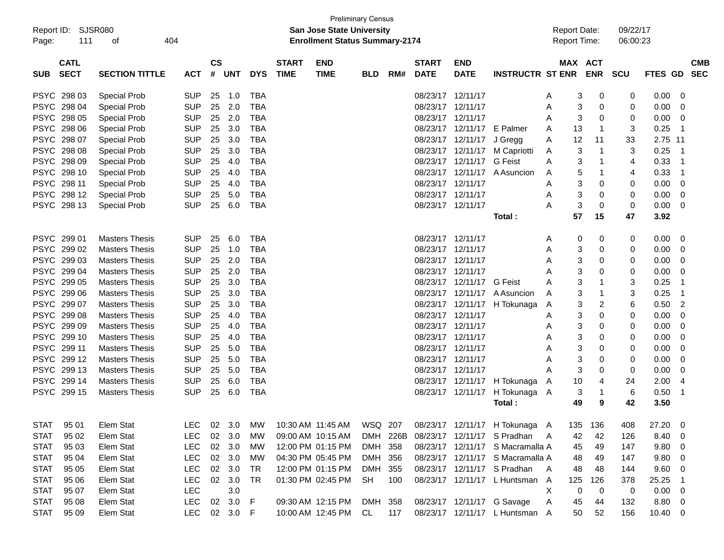| Page:       | Report ID: SJSR080<br>111  | 404<br>οf             |            |                    |            |            |                             | <b>San Jose State University</b><br><b>Enrollment Status Summary-2174</b> | <b>Preliminary Census</b> |          |                             |                            |                                  | <b>Report Date:</b><br>Report Time: |                              | 09/22/17<br>06:00:23 |                |                |                          |
|-------------|----------------------------|-----------------------|------------|--------------------|------------|------------|-----------------------------|---------------------------------------------------------------------------|---------------------------|----------|-----------------------------|----------------------------|----------------------------------|-------------------------------------|------------------------------|----------------------|----------------|----------------|--------------------------|
| <b>SUB</b>  | <b>CATL</b><br><b>SECT</b> | <b>SECTION TITTLE</b> | <b>ACT</b> | $\mathsf{cs}$<br># | <b>UNT</b> | <b>DYS</b> | <b>START</b><br><b>TIME</b> | <b>END</b><br><b>TIME</b>                                                 | <b>BLD</b>                | RM#      | <b>START</b><br><b>DATE</b> | <b>END</b><br><b>DATE</b>  | <b>INSTRUCTR ST ENR</b>          |                                     | <b>MAX ACT</b><br><b>ENR</b> | SCU                  | <b>FTES GD</b> |                | <b>CMB</b><br><b>SEC</b> |
|             | PSYC 298 03                | <b>Special Prob</b>   | <b>SUP</b> | 25                 | 1.0        | <b>TBA</b> |                             |                                                                           |                           |          | 08/23/17 12/11/17           |                            |                                  | A                                   | 3<br>0                       | 0                    | 0.00           | 0              |                          |
|             | PSYC 298 04                | <b>Special Prob</b>   | <b>SUP</b> | 25                 | 2.0        | <b>TBA</b> |                             |                                                                           |                           |          | 08/23/17 12/11/17           |                            |                                  | A                                   | 3<br>0                       | 0                    | 0.00           | 0              |                          |
|             | PSYC 298 05                | <b>Special Prob</b>   | <b>SUP</b> | 25                 | 2.0        | <b>TBA</b> |                             |                                                                           |                           |          | 08/23/17 12/11/17           |                            |                                  | A                                   | 3<br>0                       | 0                    | 0.00           | 0              |                          |
|             | PSYC 298 06                | <b>Special Prob</b>   | <b>SUP</b> | 25                 | 3.0        | <b>TBA</b> |                             |                                                                           |                           |          |                             | 08/23/17 12/11/17 E Palmer |                                  | 13<br>A                             | 1                            | 3                    | 0.25           | -1             |                          |
|             | PSYC 298 07                | <b>Special Prob</b>   | <b>SUP</b> | 25                 | 3.0        | <b>TBA</b> |                             |                                                                           |                           |          |                             | 08/23/17 12/11/17          | J Gregg                          | 12<br>A                             | 11                           | 33                   | 2.75 11        |                |                          |
|             | PSYC 298 08                | <b>Special Prob</b>   | <b>SUP</b> | 25                 | 3.0        | <b>TBA</b> |                             |                                                                           |                           |          |                             | 08/23/17 12/11/17          | M Capriotti                      | A                                   | 3<br>1                       | 3                    | 0.25           | -1             |                          |
|             | PSYC 298 09                | <b>Special Prob</b>   | <b>SUP</b> | 25                 | 4.0        | <b>TBA</b> |                             |                                                                           |                           |          |                             | 08/23/17 12/11/17          | G Feist                          | A                                   | 3<br>1                       | 4                    | 0.33           | -1             |                          |
|             | PSYC 298 10                | <b>Special Prob</b>   | <b>SUP</b> | 25                 | 4.0        | <b>TBA</b> |                             |                                                                           |                           |          |                             | 08/23/17 12/11/17          | A Asuncion                       | A                                   | 5<br>1                       | 4                    | 0.33           | -1             |                          |
|             | PSYC 298 11                | <b>Special Prob</b>   | <b>SUP</b> | 25                 | 4.0        | <b>TBA</b> |                             |                                                                           |                           |          | 08/23/17 12/11/17           |                            |                                  | A                                   | 3<br>0                       | 0                    | 0.00           | 0              |                          |
|             | PSYC 298 12                | <b>Special Prob</b>   | <b>SUP</b> | 25                 | 5.0        | <b>TBA</b> |                             |                                                                           |                           |          | 08/23/17 12/11/17           |                            |                                  | A                                   | 3<br>0                       | 0                    | 0.00           | 0              |                          |
|             | PSYC 298 13                | <b>Special Prob</b>   | <b>SUP</b> | 25                 | 6.0        | <b>TBA</b> |                             |                                                                           |                           |          | 08/23/17 12/11/17           |                            |                                  | А                                   | 3<br>0                       | 0                    | 0.00           | 0              |                          |
|             |                            |                       |            |                    |            |            |                             |                                                                           |                           |          |                             |                            | Total:                           | 57                                  | 15                           | 47                   | 3.92           |                |                          |
|             | PSYC 299 01                | <b>Masters Thesis</b> | <b>SUP</b> | 25                 | 6.0        | <b>TBA</b> |                             |                                                                           |                           |          | 08/23/17 12/11/17           |                            |                                  | A                                   | 0<br>0                       | 0                    | 0.00           | 0              |                          |
|             | PSYC 299 02                | <b>Masters Thesis</b> | SUP        | 25                 | 1.0        | <b>TBA</b> |                             |                                                                           |                           |          | 08/23/17 12/11/17           |                            |                                  | A                                   | 3<br>0                       | 0                    | 0.00           | 0              |                          |
|             | PSYC 299 03                | <b>Masters Thesis</b> | <b>SUP</b> | 25                 | 2.0        | <b>TBA</b> |                             |                                                                           |                           |          | 08/23/17 12/11/17           |                            |                                  | A                                   | 3<br>0                       | 0                    | 0.00           | 0              |                          |
|             | PSYC 299 04                | <b>Masters Thesis</b> | <b>SUP</b> | 25                 | 2.0        | <b>TBA</b> |                             |                                                                           |                           |          | 08/23/17 12/11/17           |                            |                                  | Α                                   | 3<br>0                       | 0                    | 0.00           | 0              |                          |
|             | PSYC 299 05                | <b>Masters Thesis</b> | <b>SUP</b> | 25                 | 3.0        | <b>TBA</b> |                             |                                                                           |                           |          |                             | 08/23/17 12/11/17 G Feist  |                                  | А                                   | 3<br>1                       | 3                    | 0.25           | -1             |                          |
|             | PSYC 299 06                | <b>Masters Thesis</b> | <b>SUP</b> | 25                 | 3.0        | <b>TBA</b> |                             |                                                                           |                           |          |                             | 08/23/17 12/11/17          | A Asuncion                       | A                                   | 3<br>1                       | 3                    | 0.25           | -1             |                          |
|             | PSYC 299 07                | <b>Masters Thesis</b> | <b>SUP</b> | 25                 | 3.0        | <b>TBA</b> |                             |                                                                           |                           |          |                             | 08/23/17 12/11/17          | H Tokunaga                       | A                                   | 3<br>2                       | 6                    | 0.50           | $\overline{2}$ |                          |
|             | PSYC 299 08                | <b>Masters Thesis</b> | <b>SUP</b> | 25                 | 4.0        | <b>TBA</b> |                             |                                                                           |                           |          | 08/23/17 12/11/17           |                            |                                  | A                                   | 3<br>0                       | 0                    | 0.00           | 0              |                          |
|             | PSYC 299 09                | <b>Masters Thesis</b> | <b>SUP</b> | 25                 | 4.0        | <b>TBA</b> |                             |                                                                           |                           |          | 08/23/17 12/11/17           |                            |                                  | Α                                   | 3<br>0                       | 0                    | 0.00           | 0              |                          |
|             | PSYC 299 10                | <b>Masters Thesis</b> | <b>SUP</b> | 25                 | 4.0        | <b>TBA</b> |                             |                                                                           |                           |          | 08/23/17 12/11/17           |                            |                                  | Α                                   | 3<br>0                       | 0                    | 0.00           | 0              |                          |
|             | PSYC 299 11                | <b>Masters Thesis</b> | <b>SUP</b> | 25                 | 5.0        | <b>TBA</b> |                             |                                                                           |                           |          | 08/23/17 12/11/17           |                            |                                  | Α                                   | 3<br>0                       | 0                    | 0.00           | 0              |                          |
|             | PSYC 299 12                | <b>Masters Thesis</b> | <b>SUP</b> | 25                 | 5.0        | <b>TBA</b> |                             |                                                                           |                           |          | 08/23/17 12/11/17           |                            |                                  | A                                   | 3<br>0                       | 0                    | 0.00           | 0              |                          |
|             | PSYC 299 13                | <b>Masters Thesis</b> | <b>SUP</b> | 25                 | 5.0        | <b>TBA</b> |                             |                                                                           |                           |          | 08/23/17 12/11/17           |                            |                                  | А                                   | 3<br>0                       | 0                    | 0.00           | 0              |                          |
|             | PSYC 299 14                | <b>Masters Thesis</b> | <b>SUP</b> | 25                 | 6.0        | <b>TBA</b> |                             |                                                                           |                           |          |                             |                            | 08/23/17 12/11/17 H Tokunaga     | 10<br>A                             | 4                            | 24                   | 2.00           | 4              |                          |
|             | PSYC 299 15                | <b>Masters Thesis</b> | <b>SUP</b> | 25                 | 6.0        | <b>TBA</b> |                             |                                                                           |                           |          |                             | 08/23/17 12/11/17          | H Tokunaga A                     |                                     | 3<br>1                       | 6                    | 0.50           | -1             |                          |
|             |                            |                       |            |                    |            |            |                             |                                                                           |                           |          |                             |                            | Total:                           | 49                                  | 9                            | 42                   | 3.50           |                |                          |
| <b>STAT</b> | 95 01                      | Elem Stat             | <b>LEC</b> |                    | 02 3.0     | <b>MW</b>  |                             | 10:30 AM 11:45 AM                                                         | WSQ 207                   |          |                             |                            | 08/23/17 12/11/17 H Tokunaga A   | 135                                 | 136                          | 408                  | 27.20          | 0              |                          |
| <b>STAT</b> | 95 02                      | Elem Stat             | <b>LEC</b> |                    | 02 3.0     | МW         |                             | 09:00 AM 10:15 AM                                                         |                           | DMH 226B |                             |                            | 08/23/17 12/11/17 S Pradhan      | A<br>42                             | 42                           | 126                  | 8.40           | 0              |                          |
| <b>STAT</b> | 95 03                      | Elem Stat             | <b>LEC</b> |                    | 02 3.0     | МW         |                             | 12:00 PM 01:15 PM                                                         | DMH 358                   |          |                             |                            | 08/23/17 12/11/17 S Macramalla A | 45                                  | 49                           | 147                  | 9.80           | 0              |                          |
| <b>STAT</b> | 95 04                      | Elem Stat             | <b>LEC</b> |                    | 02 3.0     | МW         |                             | 04:30 PM 05:45 PM                                                         | DMH 356                   |          |                             |                            | 08/23/17 12/11/17 S Macramalla A | 48                                  | 49                           | 147                  | 9.80           | 0              |                          |
| <b>STAT</b> | 95 05                      | Elem Stat             | <b>LEC</b> |                    | 02 3.0     | TR         |                             | 12:00 PM 01:15 PM                                                         | DMH 355                   |          |                             |                            | 08/23/17 12/11/17 S Pradhan      | 48<br>A                             | 48                           | 144                  | 9.60           | 0              |                          |
| <b>STAT</b> | 95 06                      | Elem Stat             | <b>LEC</b> |                    | 02 3.0     | TR         |                             | 01:30 PM 02:45 PM                                                         | SH                        | 100      |                             |                            | 08/23/17 12/11/17 L Huntsman A   | 125                                 | 126                          | 378                  | 25.25          | $\overline{1}$ |                          |
| <b>STAT</b> | 95 07                      | Elem Stat             | <b>LEC</b> |                    | 3.0        |            |                             |                                                                           |                           |          |                             |                            |                                  | X                                   | 0<br>0                       | 0                    | 0.00           | 0              |                          |
| <b>STAT</b> | 95 08                      | Elem Stat             | <b>LEC</b> |                    | 02 3.0     | F          |                             | 09:30 AM 12:15 PM                                                         | DMH 358                   |          |                             |                            | 08/23/17 12/11/17 G Savage       | 45<br>A                             | 44                           | 132                  | 8.80           | $\mathbf 0$    |                          |
| <b>STAT</b> | 95 09                      | Elem Stat             | <b>LEC</b> |                    | 02 3.0 F   |            |                             | 10:00 AM 12:45 PM CL                                                      |                           | 117      |                             |                            | 08/23/17 12/11/17 L Huntsman A   | 50                                  | 52                           | 156                  | 10.40          | $\overline{0}$ |                          |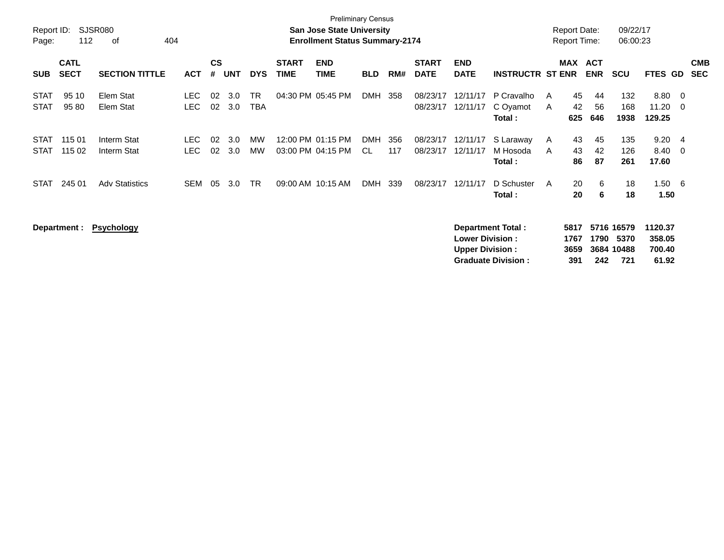| Report ID:                 |                            | SJSR080                    |                          |                |            |                         |                             | <b>Preliminary Census</b><br><b>San Jose State University</b> |            |            |                             |                                                  |                                                       | <b>Report Date:</b>  |                 |                          | 09/22/17                                |                                      |          |                          |
|----------------------------|----------------------------|----------------------------|--------------------------|----------------|------------|-------------------------|-----------------------------|---------------------------------------------------------------|------------|------------|-----------------------------|--------------------------------------------------|-------------------------------------------------------|----------------------|-----------------|--------------------------|-----------------------------------------|--------------------------------------|----------|--------------------------|
| Page:                      | 112                        | 404<br>0f                  |                          |                |            |                         |                             | <b>Enrollment Status Summary-2174</b>                         |            |            |                             |                                                  |                                                       | <b>Report Time:</b>  |                 |                          | 06:00:23                                |                                      |          |                          |
| <b>SUB</b>                 | <b>CATL</b><br><b>SECT</b> | <b>SECTION TITTLE</b>      | <b>ACT</b>               | <b>CS</b><br># | UNT        | <b>DYS</b>              | <b>START</b><br><b>TIME</b> | <b>END</b><br><b>TIME</b>                                     | <b>BLD</b> | RM#        | <b>START</b><br><b>DATE</b> | <b>END</b><br><b>DATE</b>                        | <b>INSTRUCTR ST ENR</b>                               | <b>MAX</b>           |                 | <b>ACT</b><br><b>ENR</b> | <b>SCU</b>                              | <b>FTES GD</b>                       |          | <b>CMB</b><br><b>SEC</b> |
| <b>STAT</b><br><b>STAT</b> | 95 10<br>95 80             | Elem Stat<br>Elem Stat     | <b>LEC</b><br><b>LEC</b> | 02<br>02       | 3.0<br>3.0 | <b>TR</b><br><b>TBA</b> | 04:30 PM 05:45 PM           |                                                               | DMH 358    |            | 08/23/17<br>08/23/17        | 12/11/17<br>12/11/17                             | P Cravalho<br>C Oyamot<br>Total:                      | A<br>A               | 45<br>42<br>625 | -44<br>56<br>646         | 132<br>168<br>1938                      | 8.80<br>11.20<br>129.25              | - 0<br>0 |                          |
| <b>STAT</b><br><b>STAT</b> | 115 01<br>115 02           | Interm Stat<br>Interm Stat | LEC.<br>LEC.             | 02<br>02       | 3.0<br>3.0 | MW<br><b>MW</b>         |                             | 12:00 PM 01:15 PM<br>03:00 PM 04:15 PM                        | DMH<br>CL. | 356<br>117 | 08/23/17<br>08/23/17        | 12/11/17<br>12/11/17                             | S Laraway<br>M Hosoda<br>Total:                       | A<br>A               | 43<br>43<br>86  | 45<br>42<br>87           | 135<br>126<br>261                       | 9.20<br>8.40<br>17.60                | - 4<br>0 |                          |
| STAT                       | 245 01                     | <b>Adv Statistics</b>      | SEM                      | 05             | 3.0        | <b>TR</b>               | 09:00 AM 10:15 AM           |                                                               | DMH        | 339        | 08/23/17                    | 12/11/17                                         | D Schuster<br>Total:                                  | A                    | 20<br>20        | 6<br>6                   | 18<br>18                                | 1.50<br>1.50                         | -6       |                          |
|                            | Department :               | <b>Psychology</b>          |                          |                |            |                         |                             |                                                               |            |            |                             | <b>Lower Division:</b><br><b>Upper Division:</b> | <b>Department Total:</b><br><b>Graduate Division:</b> | 5817<br>1767<br>3659 | 391             | 1790<br>242              | 5716 16579<br>5370<br>3684 10488<br>721 | 1120.37<br>358.05<br>700.40<br>61.92 |          |                          |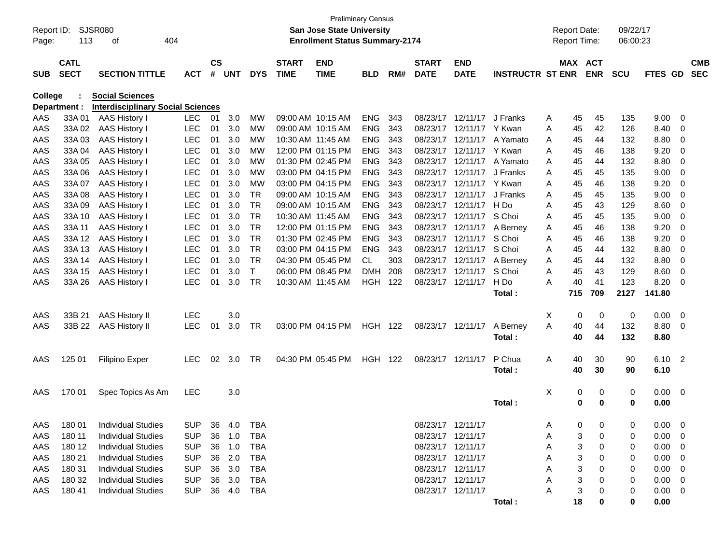|            |                            |                                          |            |               |            |              |                             |                                       | <b>Preliminary Census</b> |     |                             |                           |                         |   |          |                       |            |             |                            |                          |
|------------|----------------------------|------------------------------------------|------------|---------------|------------|--------------|-----------------------------|---------------------------------------|---------------------------|-----|-----------------------------|---------------------------|-------------------------|---|----------|-----------------------|------------|-------------|----------------------------|--------------------------|
| Report ID: |                            | <b>SJSR080</b>                           |            |               |            |              |                             | <b>San Jose State University</b>      |                           |     |                             |                           |                         |   |          | <b>Report Date:</b>   | 09/22/17   |             |                            |                          |
| Page:      | 113                        | οf                                       | 404        |               |            |              |                             | <b>Enrollment Status Summary-2174</b> |                           |     |                             |                           |                         |   |          | <b>Report Time:</b>   | 06:00:23   |             |                            |                          |
|            |                            |                                          |            |               |            |              |                             |                                       |                           |     |                             |                           |                         |   |          |                       |            |             |                            |                          |
|            | <b>CATL</b><br><b>SECT</b> | <b>SECTION TITTLE</b>                    |            | $\mathsf{cs}$ | <b>UNT</b> | <b>DYS</b>   | <b>START</b><br><b>TIME</b> | <b>END</b><br><b>TIME</b>             |                           | RM# | <b>START</b><br><b>DATE</b> | <b>END</b><br><b>DATE</b> | <b>INSTRUCTR ST ENR</b> |   |          | MAX ACT<br><b>ENR</b> | <b>SCU</b> | FTES GD     |                            | <b>CMB</b><br><b>SEC</b> |
| <b>SUB</b> |                            |                                          | <b>ACT</b> | #             |            |              |                             |                                       | <b>BLD</b>                |     |                             |                           |                         |   |          |                       |            |             |                            |                          |
| College    |                            | <b>Social Sciences</b>                   |            |               |            |              |                             |                                       |                           |     |                             |                           |                         |   |          |                       |            |             |                            |                          |
|            | Department :               | <b>Interdisciplinary Social Sciences</b> |            |               |            |              |                             |                                       |                           |     |                             |                           |                         |   |          |                       |            |             |                            |                          |
| AAS        | 33A 01                     | AAS History I                            | <b>LEC</b> | 01            | 3.0        | МW           |                             | 09:00 AM 10:15 AM                     | <b>ENG</b>                | 343 | 08/23/17                    | 12/11/17                  | J Franks                | Α | 45       | 45                    | 135        | 9.00        | - 0                        |                          |
| AAS        | 33A 02                     | <b>AAS History I</b>                     | <b>LEC</b> | 01            | 3.0        | MW           |                             | 09:00 AM 10:15 AM                     | <b>ENG</b>                | 343 | 08/23/17                    | 12/11/17                  | Y Kwan                  | A | 45       | 42                    | 126        | 8.40        | - 0                        |                          |
| AAS        | 33A03                      | AAS History I                            | <b>LEC</b> | 01            | 3.0        | MW           |                             | 10:30 AM 11:45 AM                     | <b>ENG</b>                | 343 | 08/23/17                    | 12/11/17                  | A Yamato                | A | 45       | 44                    | 132        | 8.80        | - 0                        |                          |
| AAS        | 33A 04                     | AAS History I                            | <b>LEC</b> | 01            | 3.0        | MW           |                             | 12:00 PM 01:15 PM                     | <b>ENG</b>                | 343 | 08/23/17                    | 12/11/17                  | Y Kwan                  | A | 45       | 46                    | 138        | 9.20        | - 0                        |                          |
| AAS        | 33A 05                     | AAS History I                            | <b>LEC</b> | 01            | 3.0        | MW           |                             | 01:30 PM 02:45 PM                     | <b>ENG</b>                | 343 | 08/23/17                    | 12/11/17                  | A Yamato                | A | 45       | 44                    | 132        | 8.80        | - 0                        |                          |
| AAS        | 33A 06                     | AAS History I                            | <b>LEC</b> | 01            | 3.0        | MW           |                             | 03:00 PM 04:15 PM                     | <b>ENG</b>                | 343 | 08/23/17                    | 12/11/17                  | J Franks                | A | 45       | 45                    | 135        | 9.00        | - 0                        |                          |
| AAS        | 33A 07                     | AAS History I                            | <b>LEC</b> | 01            | 3.0        | MW           |                             | 03:00 PM 04:15 PM                     | <b>ENG</b>                | 343 | 08/23/17                    | 12/11/17                  | Y Kwan                  | A | 45       | 46                    | 138        | 9.20        | - 0                        |                          |
| AAS        | 33A 08                     | AAS History I                            | <b>LEC</b> | 01            | 3.0        | <b>TR</b>    |                             | 09:00 AM 10:15 AM                     | <b>ENG</b>                | 343 | 08/23/17                    | 12/11/17                  | J Franks                | A | 45       | 45                    | 135        | 9.00        | 0                          |                          |
| AAS        | 33A 09                     | AAS History I                            | <b>LEC</b> | 01            | 3.0        | <b>TR</b>    |                             | 09:00 AM 10:15 AM                     | <b>ENG</b>                | 343 | 08/23/17                    | 12/11/17                  | H Do                    | Α | 45       | 43                    | 129        | 8.60        | - 0                        |                          |
| AAS        | 33A 10                     | AAS History I                            | <b>LEC</b> | 01            | 3.0        | <b>TR</b>    |                             | 10:30 AM 11:45 AM                     | <b>ENG</b>                | 343 | 08/23/17                    | 12/11/17                  | S Choi                  | A | 45       | 45                    | 135        | 9.00        | - 0                        |                          |
| AAS        | 33A 11                     | AAS History I                            | <b>LEC</b> | 01            | 3.0        | <b>TR</b>    |                             | 12:00 PM 01:15 PM                     | <b>ENG</b>                | 343 | 08/23/17                    | 12/11/17                  | A Berney                | Α | 45       | 46                    | 138        | 9.20        | 0                          |                          |
| AAS        | 33A 12                     | <b>AAS History I</b>                     | <b>LEC</b> | 01            | 3.0        | <b>TR</b>    |                             | 01:30 PM 02:45 PM                     | <b>ENG</b>                | 343 | 08/23/17                    | 12/11/17                  | S Choi                  | A | 45       | 46                    | 138        | 9.20        | 0                          |                          |
| AAS        | 33A 13                     | AAS History I                            | <b>LEC</b> | 01            | 3.0        | <b>TR</b>    |                             | 03:00 PM 04:15 PM                     | <b>ENG</b>                | 343 | 08/23/17                    | 12/11/17                  | S Choi                  | A | 45       | 44                    | 132        | 8.80        | 0                          |                          |
| AAS        | 33A 14                     | AAS History I                            | <b>LEC</b> | 01            | 3.0        | <b>TR</b>    |                             | 04:30 PM 05:45 PM                     | CL.                       | 303 | 08/23/17                    | 12/11/17                  | A Berney                | A | 45       | 44                    | 132        | 8.80        | - 0                        |                          |
| AAS        | 33A 15                     | <b>AAS History I</b>                     | <b>LEC</b> | 01            | 3.0        | $\mathsf{T}$ |                             | 06:00 PM 08:45 PM                     | DMH                       | 208 | 08/23/17                    | 12/11/17                  | S Choi                  | Α | 45       | 43                    | 129        | 8.60        | 0                          |                          |
| AAS        | 33A 26                     | <b>AAS History I</b>                     | <b>LEC</b> | 01            | 3.0        | <b>TR</b>    |                             | 10:30 AM 11:45 AM                     | <b>HGH 122</b>            |     |                             | 08/23/17 12/11/17         | H Do                    | A | 40       | 41                    | 123        | 8.20        | - 0                        |                          |
|            |                            |                                          |            |               |            |              |                             |                                       |                           |     |                             |                           | Total:                  |   | 715      | 709                   | 2127       | 141.80      |                            |                          |
| AAS        | 33B 21                     | <b>AAS History II</b>                    | <b>LEC</b> |               | 3.0        |              |                             |                                       |                           |     |                             |                           |                         | X | 0        | 0                     | 0          | 0.00        | - 0                        |                          |
| AAS        | 33B 22                     | <b>AAS History II</b>                    | <b>LEC</b> | 01            | 3.0        | <b>TR</b>    |                             | 03:00 PM 04:15 PM                     | <b>HGH 122</b>            |     |                             | 08/23/17 12/11/17         | A Berney                | A | 40       | 44                    | 132        | 8.80        | - 0                        |                          |
|            |                            |                                          |            |               |            |              |                             |                                       |                           |     |                             |                           | Total:                  |   | 40       | 44                    | 132        | 8.80        |                            |                          |
|            |                            |                                          |            |               |            |              |                             |                                       |                           |     |                             |                           |                         |   |          |                       |            |             |                            |                          |
| AAS        | 125 01                     | <b>Filipino Exper</b>                    | <b>LEC</b> | 02            | 3.0        | <b>TR</b>    |                             | 04:30 PM 05:45 PM                     | <b>HGH 122</b>            |     |                             | 08/23/17 12/11/17         | P Chua                  | A | 40       | 30                    | 90         | 6.10        | $\overline{\phantom{0}}^2$ |                          |
|            |                            |                                          |            |               |            |              |                             |                                       |                           |     |                             |                           | Total:                  |   | 40       | 30                    | 90         | 6.10        |                            |                          |
| AAS        | 170 01                     | Spec Topics As Am                        | <b>LEC</b> |               | 3.0        |              |                             |                                       |                           |     |                             |                           |                         | X | 0        | 0                     | 0          | $0.00 \ 0$  |                            |                          |
|            |                            |                                          |            |               |            |              |                             |                                       |                           |     |                             |                           | Total:                  |   | 0        | 0                     | 0          | 0.00        |                            |                          |
|            |                            |                                          |            |               |            |              |                             |                                       |                           |     |                             |                           |                         |   |          |                       |            |             |                            |                          |
| AAS        | 180 01                     | <b>Individual Studies</b>                | <b>SUP</b> |               | 36 4.0     | <b>TBA</b>   |                             |                                       |                           |     |                             | 08/23/17 12/11/17         |                         | A | $\Omega$ | 0                     | 0          | $0.00 \t 0$ |                            |                          |
| AAS        | 180 11                     | <b>Individual Studies</b>                | <b>SUP</b> | 36            | 1.0        | TBA          |                             |                                       |                           |     |                             | 08/23/17 12/11/17         |                         | Α |          | 0                     | 0          | 0.00        | $\overline{\phantom{0}}$   |                          |
| AAS        | 180 12                     | <b>Individual Studies</b>                | <b>SUP</b> | 36            | 1.0        | <b>TBA</b>   |                             |                                       |                           |     |                             | 08/23/17 12/11/17         |                         | Α |          | 0                     | 0          | 0.00        | $\overline{\phantom{0}}$   |                          |
| AAS        | 180 21                     | <b>Individual Studies</b>                | <b>SUP</b> | 36            | 2.0        | TBA          |                             |                                       |                           |     |                             | 08/23/17 12/11/17         |                         |   |          | 0                     | 0          | 0.00        | $\overline{\phantom{0}}$   |                          |
| AAS        | 180 31                     | <b>Individual Studies</b>                | <b>SUP</b> | 36            | 3.0        | TBA          |                             |                                       |                           |     |                             | 08/23/17 12/11/17         |                         |   |          | 0                     | 0          | 0.00        | - 0                        |                          |
| AAS        | 180 32                     | <b>Individual Studies</b>                | <b>SUP</b> | 36            | 3.0        | TBA          |                             |                                       |                           |     |                             | 08/23/17 12/11/17         |                         |   |          | 0                     | 0          | 0.00        | $\overline{\phantom{0}}$   |                          |
| AAS        | 180 41                     | <b>Individual Studies</b>                | <b>SUP</b> |               | 36 4.0     | TBA          |                             |                                       |                           |     |                             | 08/23/17 12/11/17         |                         |   |          |                       | 0          | $0.00 \ 0$  |                            |                          |
|            |                            |                                          |            |               |            |              |                             |                                       |                           |     |                             |                           | Total:                  |   | 18       | 0                     | 0          | 0.00        |                            |                          |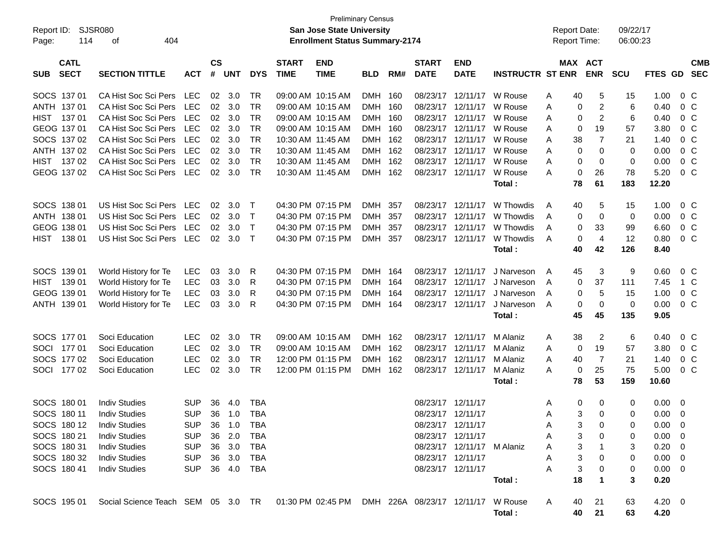| Report ID:                               | SJSR080                                                                                 |            |                    |                |            |                             | <b>San Jose State University</b>      | <b>Preliminary Census</b> |     |                             |                            |                         | <b>Report Date:</b> |                               | 09/22/17   |                    |                          |
|------------------------------------------|-----------------------------------------------------------------------------------------|------------|--------------------|----------------|------------|-----------------------------|---------------------------------------|---------------------------|-----|-----------------------------|----------------------------|-------------------------|---------------------|-------------------------------|------------|--------------------|--------------------------|
| 114<br>Page:                             | 404<br>οf                                                                               |            |                    |                |            |                             | <b>Enrollment Status Summary-2174</b> |                           |     |                             |                            |                         | Report Time:        |                               | 06:00:23   |                    |                          |
| <b>CATL</b><br><b>SECT</b><br><b>SUB</b> | <b>SECTION TITTLE</b>                                                                   | <b>ACT</b> | $\mathsf{cs}$<br># | <b>UNT</b>     | <b>DYS</b> | <b>START</b><br><b>TIME</b> | <b>END</b><br><b>TIME</b>             | <b>BLD</b>                | RM# | <b>START</b><br><b>DATE</b> | <b>END</b><br><b>DATE</b>  | <b>INSTRUCTR ST ENR</b> |                     | MAX ACT<br><b>ENR</b>         | <b>SCU</b> | <b>FTES GD</b>     | <b>CMB</b><br><b>SEC</b> |
| SOCS 137 01                              | CA Hist Soc Sci Pers LEC                                                                |            | 02                 | 3.0            | TR         | 09:00 AM 10:15 AM           |                                       | DMH 160                   |     | 08/23/17                    | 12/11/17                   | W Rouse                 | 40                  | 5                             | 15         | 1.00               | $0\,$ C                  |
| ANTH 137 01                              | CA Hist Soc Sci Pers                                                                    | LEC        | 02                 | 3.0            | TR         | 09:00 AM 10:15 AM           |                                       | DMH 160                   |     | 08/23/17                    | 12/11/17                   | W Rouse                 | Α<br>Α              | $\overline{c}$<br>0           | 6          | 0.40               | 0 <sup>C</sup>           |
| HIST<br>13701                            | CA Hist Soc Sci Pers                                                                    | LEC        | 02                 | 3.0            | TR         |                             | 09:00 AM 10:15 AM                     | DMH 160                   |     | 08/23/17                    | 12/11/17                   | W Rouse                 | A                   | $\overline{2}$<br>0           | 6          | 0.40               | 0 <sup>C</sup>           |
| GEOG 137 01                              | CA Hist Soc Sci Pers                                                                    | LEC        | 02                 | 3.0            | TR         |                             | 09:00 AM 10:15 AM                     | DMH 160                   |     | 08/23/17                    | 12/11/17                   | W Rouse                 | A                   | 19<br>0                       | 57         | 3.80               | 0 <sup>C</sup>           |
| SOCS 137 02                              | CA Hist Soc Sci Pers                                                                    | LEC        | 02                 | 3.0            | TR         | 10:30 AM 11:45 AM           |                                       | DMH 162                   |     | 08/23/17                    | 12/11/17                   | W Rouse                 | 38<br>Α             | $\overline{7}$                | 21         | 1.40               | 0 <sup>C</sup>           |
| ANTH 137 02                              | CA Hist Soc Sci Pers                                                                    | LEC        | 02                 | 3.0            | <b>TR</b>  | 10:30 AM 11:45 AM           |                                       | DMH 162                   |     | 08/23/17                    | 12/11/17                   | W Rouse                 | Α                   | $\mathbf 0$<br>0              | 0          | 0.00               | 0 <sup>C</sup>           |
| HIST<br>13702                            | CA Hist Soc Sci Pers                                                                    | LEC        | 02                 | 3.0            | <b>TR</b>  | 10:30 AM 11:45 AM           |                                       | DMH 162                   |     | 08/23/17                    | 12/11/17                   | W Rouse                 | Α                   | $\mathbf 0$<br>0              | 0          | 0.00               | 0 <sup>C</sup>           |
| GEOG 137 02                              | CA Hist Soc Sci Pers                                                                    | LEC        |                    | $02 \quad 3.0$ | <b>TR</b>  | 10:30 AM 11:45 AM           |                                       | DMH 162                   |     | 08/23/17                    | 12/11/17                   | W Rouse                 | А                   | 26<br>0                       | 78         | 5.20               | 0 <sup>C</sup>           |
|                                          |                                                                                         |            |                    |                |            |                             |                                       |                           |     |                             |                            | Total:                  | 78                  | 61                            | 183        | 12.20              |                          |
| SOCS 138 01                              | US Hist Soc Sci Pers LEC                                                                |            | 02                 | 3.0            | $\top$     |                             | 04:30 PM 07:15 PM                     | DMH 357                   |     | 08/23/17                    | 12/11/17                   | W Thowdis               | 40<br>A             | 5                             | 15         | 1.00               | $0\,C$                   |
| ANTH 138 01                              | US Hist Soc Sci Pers                                                                    | LEC        | 02                 | 3.0            | T          |                             | 04:30 PM 07:15 PM                     | DMH 357                   |     | 08/23/17                    | 12/11/17                   | W Thowdis               | A                   | 0<br>0                        | 0          | 0.00               | 0 <sup>o</sup>           |
| GEOG 138 01                              | US Hist Soc Sci Pers                                                                    | LEC        | 02                 | 3.0            | $\top$     |                             | 04:30 PM 07:15 PM                     | DMH 357                   |     | 08/23/17                    | 12/11/17                   | W Thowdis               | A                   | 33<br>0                       | 99         | 6.60               | 0 <sup>C</sup>           |
| HIST<br>138 01                           | US Hist Soc Sci Pers LEC                                                                |            |                    | 02 3.0         | $\top$     |                             | 04:30 PM 07:15 PM                     | DMH 357                   |     |                             | 08/23/17 12/11/17          | W Thowdis               | A                   | $\overline{4}$<br>0           | 12         | 0.80               | 0 <sup>C</sup>           |
|                                          |                                                                                         |            |                    |                |            |                             |                                       |                           |     |                             |                            | Total:                  | 40                  | 42                            | 126        | 8.40               |                          |
| SOCS 139 01                              | World History for Te                                                                    | <b>LEC</b> | 03                 | 3.0            | R          |                             | 04:30 PM 07:15 PM                     | DMH 164                   |     | 08/23/17                    | 12/11/17                   | J Narveson              | 45<br>A             | 3                             | 9          | 0.60               | $0\,C$                   |
| HIST 139 01                              | World History for Te                                                                    | LEC        | 03                 | 3.0            | R          |                             | 04:30 PM 07:15 PM                     | DMH 164                   |     | 08/23/17                    | 12/11/17                   | J Narveson              | A                   | 37<br>0                       | 111        | 7.45               | 1 C                      |
| GEOG 139 01                              | World History for Te                                                                    | <b>LEC</b> | 03                 | 3.0            | R          |                             | 04:30 PM 07:15 PM                     | DMH 164                   |     | 08/23/17                    | 12/11/17                   | J Narveson              | A                   | 5<br>0                        | 15         | 1.00               | 0 <sup>C</sup>           |
| ANTH 139 01                              | World History for Te                                                                    | <b>LEC</b> | 03                 | 3.0            | R          |                             | 04:30 PM 07:15 PM                     | DMH 164                   |     |                             | 08/23/17 12/11/17          | J Narveson              | A                   | $\mathbf 0$<br>0              | 0          | 0.00               | 0 <sup>o</sup>           |
|                                          |                                                                                         |            |                    |                |            |                             |                                       |                           |     |                             |                            | Total:                  | 45                  | 45                            | 135        | 9.05               |                          |
| SOCS 177 01                              | Soci Education                                                                          | <b>LEC</b> | 02                 | 3.0            | TR         | 09:00 AM 10:15 AM           |                                       | DMH 162                   |     | 08/23/17                    | 12/11/17                   | M Alaniz                | 38<br>A             | 2                             | 6          | 0.40               | $0\,$ C                  |
| SOCI 177 01                              | Soci Education                                                                          | <b>LEC</b> | 02                 | 3.0            | TR         |                             | 09:00 AM 10:15 AM                     | DMH 162                   |     | 08/23/17                    | 12/11/17                   | M Alaniz                | Α                   | 19<br>0                       | 57         | 3.80               | 0 <sup>C</sup>           |
| SOCS 177 02                              | Soci Education                                                                          | <b>LEC</b> | 02                 | 3.0            | <b>TR</b>  |                             | 12:00 PM 01:15 PM                     | DMH 162                   |     | 08/23/17                    | 12/11/17                   | M Alaniz                | A<br>40             | $\overline{7}$                | 21         | 1.40               | 0 <sup>C</sup>           |
| SOCI 177 02                              | Soci Education                                                                          | <b>LEC</b> | 02                 | 3.0            | TR         |                             | 12:00 PM 01:15 PM                     | DMH 162                   |     |                             | 08/23/17 12/11/17          | M Alaniz                | A                   | 25<br>0                       | 75         | 5.00               | 0 <sup>C</sup>           |
|                                          |                                                                                         |            |                    |                |            |                             |                                       |                           |     |                             |                            | Total:                  | 78                  | 53                            | 159        | 10.60              |                          |
| SOCS 180 01                              | <b>Indiv Studies</b>                                                                    | <b>SUP</b> | 36                 | 4.0            | <b>TBA</b> |                             |                                       |                           |     | 08/23/17 12/11/17           |                            |                         | A                   | 0<br>0                        | 0          | 0.00               | - 0                      |
| SOCS 180 11                              | <b>Indiv Studies</b>                                                                    | <b>SUP</b> |                    | 36 1.0         | <b>TBA</b> |                             |                                       |                           |     | 08/23/17 12/11/17           |                            |                         | Α                   | 3<br>0                        | 0          | 0.00               | 0                        |
| SOCS 180 12                              | <b>Indiv Studies</b>                                                                    | SUP 36 1.0 |                    |                | <b>TBA</b> |                             |                                       |                           |     | 08/23/17 12/11/17           |                            |                         |                     | 3 <sup>7</sup><br>$\mathbf 0$ | 0          | $0.00 \t 0$        |                          |
| SOCS 180 21                              | <b>Indiv Studies</b>                                                                    | <b>SUP</b> |                    | 36 2.0         | TBA        |                             |                                       |                           |     | 08/23/17 12/11/17           |                            |                         | A                   | 3<br>0                        | 0          | $0.00 \quad 0$     |                          |
| SOCS 180 31                              | <b>Indiv Studies</b>                                                                    | <b>SUP</b> |                    | 36 3.0         | TBA        |                             |                                       |                           |     |                             | 08/23/17 12/11/17 M Alaniz |                         | A                   | 3<br>$\mathbf{1}$             | 3          | $0.20 \ 0$         |                          |
| SOCS 180 32                              | <b>Indiv Studies</b>                                                                    | <b>SUP</b> |                    | 36 3.0         | TBA        |                             |                                       |                           |     |                             | 08/23/17 12/11/17          |                         | Α                   | 3<br>0                        | 0          | $0.00 \t 0$        |                          |
| SOCS 180 41                              | <b>Indiv Studies</b>                                                                    | <b>SUP</b> |                    | 36 4.0         | TBA        |                             |                                       |                           |     |                             | 08/23/17 12/11/17          |                         | A                   | 3<br>0                        | 0          | $0.00 \ 0$         |                          |
|                                          |                                                                                         |            |                    |                |            |                             |                                       |                           |     |                             |                            | Total:                  | 18                  | 1                             | 3          | 0.20               |                          |
| SOCS 195 01                              | Social Science Teach SEM 05 3.0 TR 01:30 PM 02:45 PM DMH 226A 08/23/17 12/11/17 W Rouse |            |                    |                |            |                             |                                       |                           |     |                             |                            | Total:                  | 40<br>A             | 21<br>40<br>21                | 63<br>63   | $4.20 \ 0$<br>4.20 |                          |
|                                          |                                                                                         |            |                    |                |            |                             |                                       |                           |     |                             |                            |                         |                     |                               |            |                    |                          |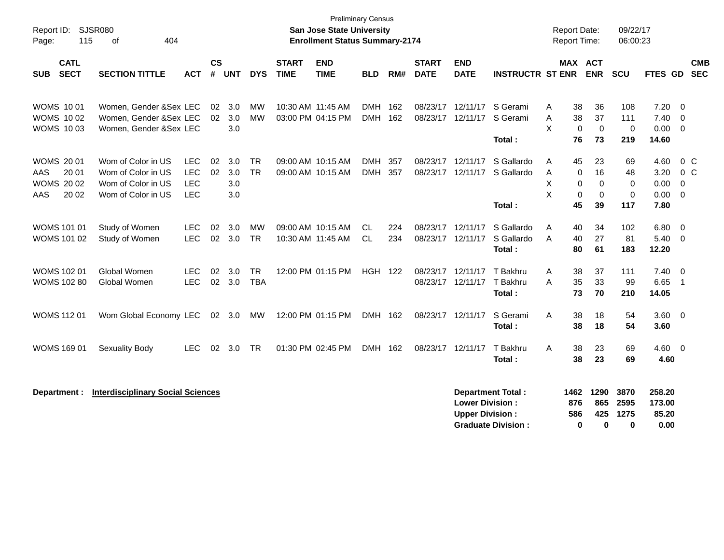| Report ID:<br>115<br>Page:                                           | <b>SJSR080</b><br>404<br>of                                                          |                                                      |                    |                          |                         |                             | <b>Preliminary Census</b><br><b>San Jose State University</b><br><b>Enrollment Status Summary-2174</b> |                       |            |                             |                                                  |                                                       | <b>Report Date:</b><br><b>Report Time:</b> |                                                                    | 09/22/17<br>06:00:23                |                                      |                                                                 |                          |
|----------------------------------------------------------------------|--------------------------------------------------------------------------------------|------------------------------------------------------|--------------------|--------------------------|-------------------------|-----------------------------|--------------------------------------------------------------------------------------------------------|-----------------------|------------|-----------------------------|--------------------------------------------------|-------------------------------------------------------|--------------------------------------------|--------------------------------------------------------------------|-------------------------------------|--------------------------------------|-----------------------------------------------------------------|--------------------------|
| <b>CATL</b><br><b>SECT</b><br><b>SUB</b>                             | <b>SECTION TITTLE</b>                                                                | ACT                                                  | $\mathsf{cs}$<br># | <b>UNT</b>               | <b>DYS</b>              | <b>START</b><br><b>TIME</b> | <b>END</b><br><b>TIME</b>                                                                              | <b>BLD</b>            | RM#        | <b>START</b><br><b>DATE</b> | <b>END</b><br><b>DATE</b>                        | <b>INSTRUCTR ST ENR</b>                               |                                            | MAX ACT<br><b>ENR</b>                                              | <b>SCU</b>                          | FTES GD                              |                                                                 | <b>CMB</b><br><b>SEC</b> |
| <b>WOMS 1001</b><br><b>WOMS 1002</b><br><b>WOMS 1003</b>             | Women, Gender &Sex LEC<br>Women, Gender & Sex LEC<br>Women, Gender & Sex LEC         |                                                      | 02<br>02           | 3.0<br>3.0<br>3.0        | МW<br>MW                |                             | 10:30 AM 11:45 AM<br>03:00 PM 04:15 PM                                                                 | <b>DMH</b><br>DMH 162 | 162        | 08/23/17                    | 12/11/17<br>08/23/17 12/11/17                    | S Gerami<br>S Gerami<br>Total:                        | 38<br>A<br>38<br>A<br>X<br>76              | 36<br>37<br>$\Omega$<br>$\Omega$<br>73                             | 108<br>111<br>$\mathbf 0$<br>219    | 7.20<br>7.40<br>0.00<br>14.60        | $\overline{0}$<br>$\overline{0}$<br>$\overline{0}$              |                          |
| <b>WOMS 2001</b><br>20 01<br>AAS<br><b>WOMS 2002</b><br>20 02<br>AAS | Wom of Color in US<br>Wom of Color in US<br>Wom of Color in US<br>Wom of Color in US | <b>LEC</b><br><b>LEC</b><br><b>LEC</b><br><b>LEC</b> | 02<br>02           | 3.0<br>3.0<br>3.0<br>3.0 | <b>TR</b><br><b>TR</b>  |                             | 09:00 AM 10:15 AM<br>09:00 AM 10:15 AM                                                                 | <b>DMH</b><br>DMH 357 | 357        | 08/23/17                    | 12/11/17<br>08/23/17 12/11/17                    | S Gallardo<br>S Gallardo<br>Total:                    | 45<br>Α<br>A<br>X<br>X<br>45               | 23<br>16<br>0<br>$\mathbf 0$<br>0<br>$\Omega$<br>$\mathbf 0$<br>39 | 69<br>48<br>0<br>$\mathbf 0$<br>117 | 4.60<br>3.20<br>0.00<br>0.00<br>7.80 | 0 <sup>C</sup><br>0 <sup>C</sup><br>$\mathbf 0$<br>$\mathbf{0}$ |                          |
| <b>WOMS 101 01</b><br>WOMS 101 02                                    | Study of Women<br>Study of Women                                                     | <b>LEC</b><br><b>LEC</b>                             | 02<br>02           | 3.0<br>3.0               | <b>MW</b><br><b>TR</b>  |                             | 09:00 AM 10:15 AM<br>10:30 AM 11:45 AM                                                                 | <b>CL</b><br>CL.      | 224<br>234 |                             | 08/23/17 12/11/17<br>08/23/17 12/11/17           | S Gallardo<br>S Gallardo<br>Total :                   | 40<br>Α<br>40<br>A<br>80                   | 34<br>27<br>61                                                     | 102<br>81<br>183                    | 6.80<br>5.40<br>12.20                | $\overline{0}$<br>$\overline{0}$                                |                          |
| <b>WOMS 102 01</b><br>WOMS 102 80                                    | Global Women<br>Global Women                                                         | <b>LEC</b><br><b>LEC</b>                             | 02<br>02           | 3.0<br>3.0               | <b>TR</b><br><b>TBA</b> |                             | 12:00 PM 01:15 PM                                                                                      | <b>HGH 122</b>        |            |                             | 08/23/17 12/11/17<br>08/23/17 12/11/17 T Bakhru  | T Bakhru<br>Total:                                    | 38<br>Α<br>A<br>35<br>73                   | 37<br>33<br>70                                                     | 111<br>99<br>210                    | 7.40<br>6.65<br>14.05                | $\overline{0}$<br>$\overline{1}$                                |                          |
| <b>WOMS 112 01</b>                                                   | Wom Global Economy LEC                                                               |                                                      |                    | 02 3.0                   | MW                      |                             | 12:00 PM 01:15 PM                                                                                      | DMH 162               |            |                             | 08/23/17 12/11/17                                | S Gerami<br>Total:                                    | A<br>38                                    | 38<br>18<br>18                                                     | 54<br>54                            | $3.60 \ 0$<br>3.60                   |                                                                 |                          |
| <b>WOMS 169 01</b>                                                   | <b>Sexuality Body</b>                                                                | LEC                                                  | 02                 | 3.0                      | <b>TR</b>               |                             | 01:30 PM 02:45 PM                                                                                      | DMH 162               |            |                             | 08/23/17 12/11/17                                | T Bakhru<br>Total:                                    | A<br>38                                    | 23<br>38<br>23                                                     | 69<br>69                            | 4.60 0<br>4.60                       |                                                                 |                          |
| Department :                                                         | <b>Interdisciplinary Social Sciences</b>                                             |                                                      |                    |                          |                         |                             |                                                                                                        |                       |            |                             | <b>Lower Division:</b><br><b>Upper Division:</b> | <b>Department Total:</b><br><b>Graduate Division:</b> | 1462<br>876<br>586                         | 1290<br>865<br>425<br>$\bf{0}$<br>$\bf{0}$                         | 3870<br>2595<br>1275<br>$\bf{0}$    | 258.20<br>173.00<br>85.20<br>0.00    |                                                                 |                          |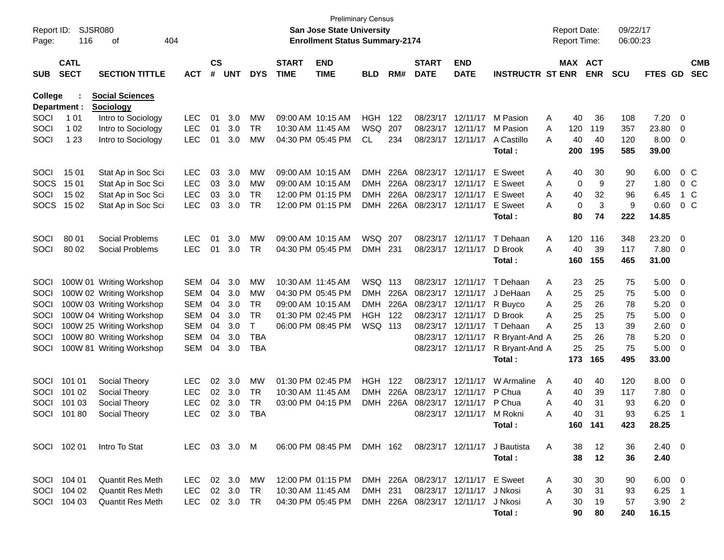|                     |              |                          |              |               |            |            |                   |                                                                    | <b>Preliminary Census</b> |      |                            |                   |                         |                                            |            |                      |                |    |            |
|---------------------|--------------|--------------------------|--------------|---------------|------------|------------|-------------------|--------------------------------------------------------------------|---------------------------|------|----------------------------|-------------------|-------------------------|--------------------------------------------|------------|----------------------|----------------|----|------------|
| Report ID:<br>Page: | 116          | SJSR080<br>оf            | 404          |               |            |            |                   | San Jose State University<br><b>Enrollment Status Summary-2174</b> |                           |      |                            |                   |                         | <b>Report Date:</b><br><b>Report Time:</b> |            | 09/22/17<br>06:00:23 |                |    |            |
|                     |              |                          |              |               |            |            |                   |                                                                    |                           |      |                            |                   |                         |                                            |            |                      |                |    |            |
|                     | <b>CATL</b>  |                          |              | $\mathsf{cs}$ |            |            | <b>START</b>      | <b>END</b>                                                         |                           |      | <b>START</b>               | <b>END</b>        |                         |                                            | MAX ACT    |                      |                |    | <b>CMB</b> |
| <b>SUB</b>          | <b>SECT</b>  | <b>SECTION TITTLE</b>    | <b>ACT</b>   | #             | <b>UNT</b> | <b>DYS</b> | <b>TIME</b>       | <b>TIME</b>                                                        | <b>BLD</b>                | RM#  | <b>DATE</b>                | <b>DATE</b>       | <b>INSTRUCTR ST ENR</b> |                                            | <b>ENR</b> | <b>SCU</b>           | FTES GD        |    | <b>SEC</b> |
| <b>College</b>      |              | <b>Social Sciences</b>   |              |               |            |            |                   |                                                                    |                           |      |                            |                   |                         |                                            |            |                      |                |    |            |
|                     | Department : | <b>Sociology</b>         |              |               |            |            |                   |                                                                    |                           |      |                            |                   |                         |                                            |            |                      |                |    |            |
| SOCI                | 1 0 1        | Intro to Sociology       | <b>LEC</b>   | 01            | 3.0        | MW         |                   | 09:00 AM 10:15 AM                                                  | <b>HGH</b>                | 122  | 08/23/17                   | 12/11/17          | M Pasion                | 40<br>Α                                    | 36         | 108                  | 7.20           | 0  |            |
| SOCI                | 1 0 2        | Intro to Sociology       | <b>LEC</b>   | 01            | 3.0        | <b>TR</b>  | 10:30 AM 11:45 AM |                                                                    | <b>WSQ</b>                | 207  | 08/23/17                   | 12/11/17          | M Pasion                | Α<br>120                                   | 119        | 357                  | 23.80          | 0  |            |
| SOCI                | 1 2 3        | Intro to Sociology       | <b>LEC</b>   | 01            | 3.0        | MW         |                   | 04:30 PM 05:45 PM                                                  | CL                        | 234  | 08/23/17                   | 12/11/17          | A Castillo              | Α<br>40                                    | 40         | 120                  | 8.00           | 0  |            |
|                     |              |                          |              |               |            |            |                   |                                                                    |                           |      |                            |                   | Total:                  | 200                                        | 195        | 585                  | 39.00          |    |            |
| SOCI                | 15 01        | Stat Ap in Soc Sci       | <b>LEC</b>   | 03            | 3.0        | MW         |                   | 09:00 AM 10:15 AM                                                  | DMH                       | 226A | 08/23/17                   | 12/11/17          | E Sweet                 | Α                                          | 30<br>40   | 90                   | 6.00           |    | $0\,$ C    |
| <b>SOCS</b>         | 15 01        | Stat Ap in Soc Sci       | <b>LEC</b>   | 03            | 3.0        | MW         |                   | 09:00 AM 10:15 AM                                                  | DMH                       | 226A | 08/23/17                   | 12/11/17          | E Sweet                 | Α                                          | 0<br>9     | 27                   | 1.80           |    | $0\,$ C    |
| SOCI                | 15 02        | Stat Ap in Soc Sci       | LEC          | 03            | 3.0        | <b>TR</b>  |                   | 12:00 PM 01:15 PM                                                  | DMH                       | 226A | 08/23/17                   | 12/11/17          | E Sweet                 | Α<br>40                                    | 32         | 96                   | 6.45           |    | 1 C        |
| <b>SOCS</b>         | 15 02        | Stat Ap in Soc Sci       | <b>LEC</b>   | 03            | 3.0        | <b>TR</b>  |                   | 12:00 PM 01:15 PM                                                  | <b>DMH</b>                | 226A |                            | 08/23/17 12/11/17 | <b>E</b> Sweet          | A                                          | 0<br>3     | 9                    | 0.60           |    | $0\,C$     |
|                     |              |                          |              |               |            |            |                   |                                                                    |                           |      |                            |                   | Total:                  | 80                                         | 74         | 222                  | 14.85          |    |            |
| SOCI                | 80 01        | Social Problems          | <b>LEC</b>   | 01            | 3.0        | MW         |                   | 09:00 AM 10:15 AM                                                  | WSQ                       | 207  | 08/23/17                   | 12/11/17          | T Dehaan                | Α<br>120                                   | 116        | 348                  | 23.20          | 0  |            |
| SOCI                | 80 02        | Social Problems          | <b>LEC</b>   | 01            | 3.0        | <b>TR</b>  |                   | 04:30 PM 05:45 PM                                                  | <b>DMH</b>                | 231  |                            | 08/23/17 12/11/17 | D Brook                 | Α<br>40                                    | 39         | 117                  | 7.80           | 0  |            |
|                     |              |                          |              |               |            |            |                   |                                                                    |                           |      |                            |                   | Total:                  | 160                                        | 155        | 465                  | 31.00          |    |            |
|                     |              |                          |              |               |            |            |                   |                                                                    |                           |      |                            |                   |                         |                                            |            |                      |                |    |            |
| SOCI                |              | 100W 01 Writing Workshop | <b>SEM</b>   | 04            | 3.0        | MW         | 10:30 AM 11:45 AM |                                                                    | WSQ 113                   |      | 08/23/17                   | 12/11/17          | T Dehaan                | 23<br>A                                    | 25         | 75                   | 5.00           | 0  |            |
| SOCI                |              | 100W 02 Writing Workshop | <b>SEM</b>   | 04            | 3.0        | MW         |                   | 04:30 PM 05:45 PM                                                  | DMH                       | 226A | 08/23/17                   | 12/11/17          | J DeHaan                | 25<br>Α                                    | 25         | 75                   | 5.00           | 0  |            |
| SOCI                |              | 100W 03 Writing Workshop | <b>SEM</b>   | 04            | 3.0        | <b>TR</b>  |                   | 09:00 AM 10:15 AM                                                  | <b>DMH</b>                | 226A | 08/23/17                   | 12/11/17          | R Buyco                 | Α<br>25                                    | 26         | 78                   | 5.20           | 0  |            |
| SOCI                |              | 100W 04 Writing Workshop | <b>SEM</b>   | 04            | 3.0        | <b>TR</b>  |                   | 01:30 PM 02:45 PM                                                  | <b>HGH</b>                | 122  | 08/23/17                   | 12/11/17          | D Brook                 | Α<br>25                                    | 25         | 75                   | 5.00           | 0  |            |
| SOCI                |              | 100W 25 Writing Workshop | <b>SEM</b>   | 04            | 3.0        | Τ          |                   | 06:00 PM 08:45 PM                                                  | WSQ 113                   |      | 08/23/17                   | 12/11/17          | T Dehaan                | Α<br>25                                    | 13         | 39                   | 2.60           | 0  |            |
| SOCI                |              | 100W 80 Writing Workshop | <b>SEM</b>   | 04            | 3.0        | <b>TBA</b> |                   |                                                                    |                           |      | 08/23/17                   | 12/11/17          | R Bryant-And A          | 25                                         | 26         | 78                   | 5.20           | 0  |            |
| SOCI                |              | 100W 81 Writing Workshop | <b>SEM</b>   | 04            | 3.0        | <b>TBA</b> |                   |                                                                    |                           |      |                            | 08/23/17 12/11/17 | R Bryant-And A          | 25                                         | 25         | 75                   | 5.00           | 0  |            |
|                     |              |                          |              |               |            |            |                   |                                                                    |                           |      |                            |                   | Total:                  | 173                                        | 165        | 495                  | 33.00          |    |            |
| SOCI                | 101 01       | Social Theory            | <b>LEC</b>   | 02            | 3.0        | MW         |                   | 01:30 PM 02:45 PM                                                  | HGH                       | 122  | 08/23/17                   | 12/11/17          | W Armaline              | A                                          | 40<br>40   | 120                  | 8.00           | 0  |            |
| SOCI                | 101 02       | Social Theory            | LEC          | 02            | 3.0        | <b>TR</b>  | 10:30 AM 11:45 AM |                                                                    | <b>DMH</b>                | 226A | 08/23/17                   | 12/11/17          | P Chua                  | Α<br>40                                    | 39         | 117                  | 7.80           | 0  |            |
| SOCI                | 101 03       | Social Theory            | <b>LEC</b>   | 02            | 3.0        | <b>TR</b>  |                   | 03:00 PM 04:15 PM                                                  | <b>DMH</b>                | 226A | 08/23/17                   | 12/11/17          | P Chua                  | 40<br>Α                                    | 31         | 93                   | 6.20           | 0  |            |
| SOCI                | 10180        | Social Theory            | <b>LEC</b>   | 02            | 3.0        | <b>TBA</b> |                   |                                                                    |                           |      |                            | 08/23/17 12/11/17 | M Rokni                 | Α<br>40                                    | 31         | 93                   | 6.25           | -1 |            |
|                     |              |                          |              |               |            |            |                   |                                                                    |                           |      |                            |                   | Total:                  |                                            | 160 141    | 423                  | 28.25          |    |            |
|                     | SOCI 102 01  | Intro To Stat            | LEC 03 3.0 M |               |            |            |                   | 06:00 PM 08:45 PM                                                  | DMH 162                   |      |                            | 08/23/17 12/11/17 | J Bautista              | A<br>38                                    | 12         | 36                   | $2.40 \quad 0$ |    |            |
|                     |              |                          |              |               |            |            |                   |                                                                    |                           |      |                            |                   | Total:                  | 38                                         | 12         | 36                   | 2.40           |    |            |
|                     | SOCI 104 01  | <b>Quantit Res Meth</b>  | LEC          |               | 02 3.0     | МW         |                   | 12:00 PM 01:15 PM                                                  |                           |      | DMH 226A 08/23/17 12/11/17 |                   | E Sweet                 | 30<br>A                                    | 30         | 90                   | $6.00 \quad 0$ |    |            |
| SOCI                | 104 02       | <b>Quantit Res Meth</b>  | LEC          | 02            | 3.0        | TR         | 10:30 AM 11:45 AM |                                                                    | <b>DMH</b>                | 231  |                            | 08/23/17 12/11/17 | J Nkosi                 | 30<br>Α                                    | 31         | 93                   | $6.25$ 1       |    |            |
|                     | SOCI 104 03  | Quantit Res Meth         | LEC          |               | 02 3.0     | TR         |                   | 04:30 PM 05:45 PM                                                  |                           |      | DMH 226A 08/23/17 12/11/17 |                   | J Nkosi                 | 30<br>A                                    | 19         | 57                   | $3.90$ 2       |    |            |
|                     |              |                          |              |               |            |            |                   |                                                                    |                           |      |                            |                   | Total:                  | 90                                         | 80         | 240                  | 16.15          |    |            |
|                     |              |                          |              |               |            |            |                   |                                                                    |                           |      |                            |                   |                         |                                            |            |                      |                |    |            |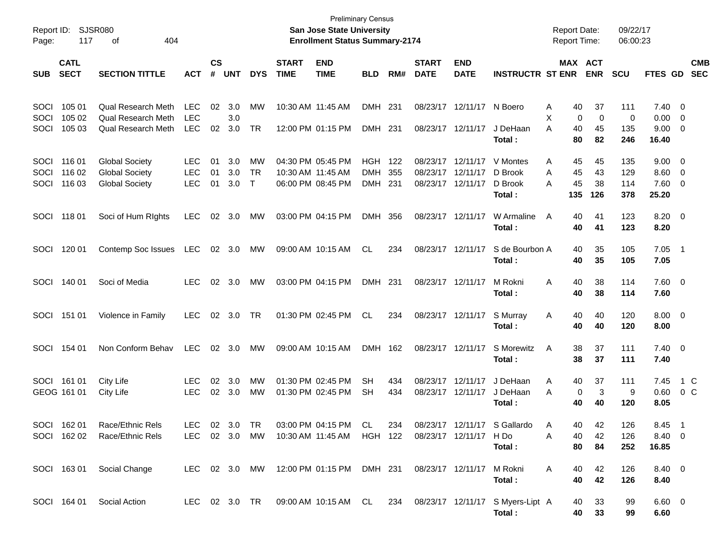| Report ID:<br>Page:  | 117                        | <b>SJSR080</b><br>404<br>οf                                    |                                        |                |                   |                     |                             | <b>Preliminary Census</b><br><b>San Jose State University</b><br><b>Enrollment Status Summary-2174</b> |                          |            |                             |                               |                                                                                   | <b>Report Date:</b><br><b>Report Time:</b> |                              | 09/22/17<br>06:00:23 |                                |                                                     |                          |
|----------------------|----------------------------|----------------------------------------------------------------|----------------------------------------|----------------|-------------------|---------------------|-----------------------------|--------------------------------------------------------------------------------------------------------|--------------------------|------------|-----------------------------|-------------------------------|-----------------------------------------------------------------------------------|--------------------------------------------|------------------------------|----------------------|--------------------------------|-----------------------------------------------------|--------------------------|
| <b>SUB</b>           | <b>CATL</b><br><b>SECT</b> | <b>SECTION TITTLE</b>                                          | <b>ACT</b>                             | <b>CS</b><br># | <b>UNT</b>        | <b>DYS</b>          | <b>START</b><br><b>TIME</b> | <b>END</b><br><b>TIME</b>                                                                              | <b>BLD</b>               | RM#        | <b>START</b><br><b>DATE</b> | <b>END</b><br><b>DATE</b>     | <b>INSTRUCTR ST ENR</b>                                                           |                                            | MAX ACT<br><b>ENR</b>        | <b>SCU</b>           | <b>FTES GD</b>                 |                                                     | <b>CMB</b><br><b>SEC</b> |
| SOCI<br>SOCI<br>SOCI | 105 01<br>105 02<br>105 03 | Qual Research Meth<br>Qual Research Meth<br>Qual Research Meth | <b>LEC</b><br><b>LEC</b><br><b>LEC</b> | 02<br>02       | 3.0<br>3.0<br>3.0 | MW<br><b>TR</b>     |                             | 10:30 AM 11:45 AM<br>12:00 PM 01:15 PM                                                                 | <b>DMH</b><br>DMH 231    | 231        | 08/23/17                    | 12/11/17<br>08/23/17 12/11/17 | N Boero<br>J DeHaan                                                               | 40<br>Α<br>X<br>A<br>40                    | 37<br>$\mathbf 0$<br>0<br>45 | 111<br>0<br>135      | $7.40 \quad 0$<br>0.00<br>9.00 | $\overline{\mathbf{0}}$<br>$\overline{\phantom{0}}$ |                          |
| SOCI                 | 116 01                     | <b>Global Society</b>                                          | <b>LEC</b>                             | 01             | 3.0               | MW                  |                             | 04:30 PM 05:45 PM                                                                                      | <b>HGH</b>               | 122        | 08/23/17                    | 12/11/17                      | Total:<br>V Montes                                                                | 80<br>45<br>Α                              | 82<br>45                     | 246<br>135           | 16.40<br>9.00                  | $\overline{\mathbf{0}}$                             |                          |
| SOCI<br>SOCI         | 116 02<br>116 03           | <b>Global Society</b><br><b>Global Society</b>                 | <b>LEC</b><br><b>LEC</b>               | 01<br>01       | 3.0<br>3.0        | <b>TR</b><br>$\top$ |                             | 10:30 AM 11:45 AM<br>06:00 PM 08:45 PM                                                                 | <b>DMH</b><br><b>DMH</b> | 355<br>231 | 08/23/17<br>08/23/17        | 12/11/17<br>12/11/17          | D Brook<br>D Brook<br>Total:                                                      | 45<br>A<br>45<br>A<br>135                  | 43<br>38<br>126              | 129<br>114<br>378    | 8.60<br>7.60<br>25.20          | $\overline{\mathbf{0}}$<br>$\overline{\phantom{0}}$ |                          |
| SOCI                 | 11801                      | Soci of Hum Rights                                             | <b>LEC</b>                             | 02             | 3.0               | МW                  |                             | 03:00 PM 04:15 PM                                                                                      | DMH 356                  |            | 08/23/17 12/11/17           |                               | W Armaline<br>Total:                                                              | 40<br>A<br>40                              | 41<br>41                     | 123<br>123           | $8.20 \ 0$<br>8.20             |                                                     |                          |
| SOCI                 | 120 01                     | Contemp Soc Issues                                             | LEC                                    | 02             | 3.0               | MW                  |                             | 09:00 AM 10:15 AM                                                                                      | CL.                      | 234        |                             | 08/23/17 12/11/17             | S de Bourbon A<br>Total:                                                          | 40<br>40                                   | 35<br>35                     | 105<br>105           | 7.05<br>7.05                   | $\overline{\phantom{1}}$                            |                          |
| SOCI                 | 140 01                     | Soci of Media                                                  | <b>LEC</b>                             | 02             | 3.0               | МW                  |                             | 03:00 PM 04:15 PM                                                                                      | DMH 231                  |            | 08/23/17 12/11/17           |                               | M Rokni<br>Total:                                                                 | A<br>40<br>40                              | 38<br>38                     | 114<br>114           | $7.60 \t 0$<br>7.60            |                                                     |                          |
| SOCI                 | 151 01                     | Violence in Family                                             | <b>LEC</b>                             | 02             | 3.0               | TR                  |                             | 01:30 PM 02:45 PM                                                                                      | CL                       | 234        |                             | 08/23/17 12/11/17             | S Murray<br>Total:                                                                | Α<br>40<br>40                              | 40<br>40                     | 120<br>120           | $8.00 \t 0$<br>8.00            |                                                     |                          |
| SOCI                 | 154 01                     | Non Conform Behav                                              | <b>LEC</b>                             | 02             | 3.0               | МW                  |                             | 09:00 AM 10:15 AM                                                                                      | DMH 162                  |            |                             | 08/23/17 12/11/17             | S Morewitz<br>Total:                                                              | 38<br>A<br>38                              | 37<br>37                     | 111<br>111           | $7.40 \quad 0$<br>7.40         |                                                     |                          |
| SOCI                 | 161 01<br>GEOG 161 01      | City Life<br>City Life                                         | <b>LEC</b><br><b>LEC</b>               | 02<br>02       | 3.0<br>3.0        | МW<br>МW            |                             | 01:30 PM 02:45 PM<br>01:30 PM 02:45 PM                                                                 | <b>SH</b><br><b>SH</b>   | 434<br>434 | 08/23/17                    | 12/11/17<br>08/23/17 12/11/17 | J DeHaan<br>J DeHaan<br>Total:                                                    | Α<br>40<br>A<br>40                         | 37<br>3<br>0<br>40           | 111<br>9<br>120      | 7.45<br>0.60<br>8.05           |                                                     | 1 C<br>0 C               |
|                      | SOCI 162 01                | Race/Ethnic Rels<br>SOCI 162 02 Race/Ethnic Rels               | LEC                                    |                | 02 3.0 TR         |                     |                             | 03:00 PM 04:15 PM<br>LEC 02 3.0 MW 10:30 AM 11:45 AM HGH 122 08/23/17 12/11/17 H Do                    | CL.                      | 234        |                             |                               | 08/23/17 12/11/17 S Gallardo A<br>Total:                                          | 40<br>A<br>40<br>80                        | 42<br>42<br>84               | 126<br>126<br>252    | 8.45 1<br>8.40 0<br>16.85      |                                                     |                          |
|                      |                            | SOCI 163 01 Social Change                                      |                                        |                |                   |                     |                             | LEC 02 3.0 MW 12:00 PM 01:15 PM DMH 231 08/23/17 12/11/17 M Rokni                                      |                          |            |                             |                               | Total:                                                                            | A<br>40<br>40                              | 42<br>42                     | 126<br>126           | 8.40 0<br>8.40                 |                                                     |                          |
|                      |                            | SOCI 164 01 Social Action                                      |                                        |                |                   |                     |                             |                                                                                                        |                          |            |                             |                               | LEC 02 3.0 TR 09:00 AM 10:15 AM CL 234 08/23/17 12/11/17 S Myers-Lipt A<br>Total: | 40<br>40                                   | 33<br>33                     | 99<br>99             | $6.60 \quad 0$<br>6.60         |                                                     |                          |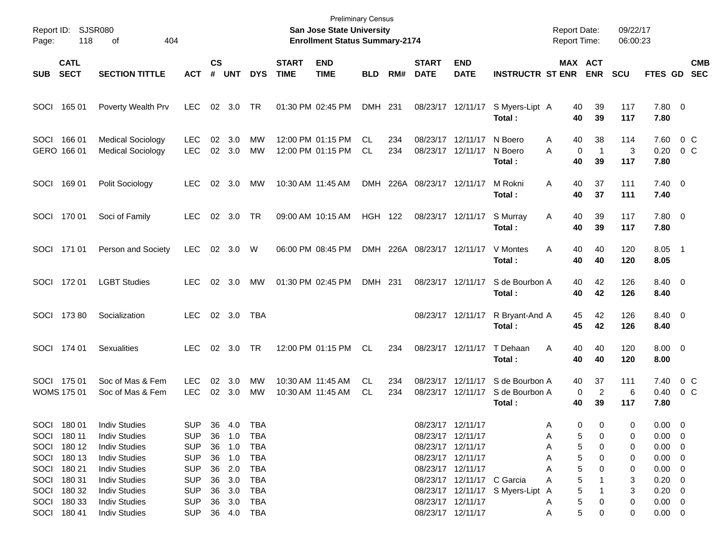| Page: | Report ID: SJSR080<br>118                                               | 404<br>оf                                                                                                            |                                                                    |                             |                                                          |                   |                             | San Jose State University<br><b>Enrollment Status Summary-2174</b> | <b>Preliminary Census</b> |            |                             |                                                                                                       |                                             | <b>Report Date:</b><br><b>Report Time:</b> |                                               | 09/22/17<br>06:00:23  |                                                                            |                       |                          |
|-------|-------------------------------------------------------------------------|----------------------------------------------------------------------------------------------------------------------|--------------------------------------------------------------------|-----------------------------|----------------------------------------------------------|-------------------|-----------------------------|--------------------------------------------------------------------|---------------------------|------------|-----------------------------|-------------------------------------------------------------------------------------------------------|---------------------------------------------|--------------------------------------------|-----------------------------------------------|-----------------------|----------------------------------------------------------------------------|-----------------------|--------------------------|
| SUB   | <b>CATL</b><br><b>SECT</b>                                              | <b>SECTION TITTLE</b>                                                                                                | <b>ACT</b>                                                         | $\mathsf{cs}$<br>$\pmb{\#}$ | <b>UNT</b>                                               | <b>DYS</b>        | <b>START</b><br><b>TIME</b> | <b>END</b><br><b>TIME</b>                                          | <b>BLD</b>                | RM#        | <b>START</b><br><b>DATE</b> | <b>END</b><br><b>DATE</b>                                                                             | <b>INSTRUCTR ST ENR</b>                     |                                            | MAX ACT<br><b>ENR</b>                         | <b>SCU</b>            | <b>FTES GD</b>                                                             |                       | <b>CMB</b><br><b>SEC</b> |
| SOCI  | 165 01                                                                  | Poverty Wealth Prv                                                                                                   | LEC.                                                               | 02                          | 3.0                                                      | TR                |                             | 01:30 PM 02:45 PM                                                  | DMH 231                   |            |                             | 08/23/17 12/11/17                                                                                     | S Myers-Lipt A<br>Total:                    | 40<br>40                                   | 39<br>39                                      | 117<br>117            | 7.80 0<br>7.80                                                             |                       |                          |
|       | SOCI 166 01<br>GERO 166 01                                              | <b>Medical Sociology</b><br><b>Medical Sociology</b>                                                                 | LEC.<br><b>LEC</b>                                                 | 02                          | 3.0<br>02 3.0                                            | MW<br>MW          |                             | 12:00 PM 01:15 PM<br>12:00 PM 01:15 PM                             | CL.<br><b>CL</b>          | 234<br>234 |                             | 08/23/17 12/11/17<br>08/23/17 12/11/17                                                                | N Boero<br>N Boero<br>Total :               | 40<br>A<br>A<br>40                         | 38<br>0<br>$\mathbf{1}$<br>39                 | 114<br>3<br>117       | 7.60<br>0.20<br>7.80                                                       | $0\,$ C<br>0 C        |                          |
| SOCI  | 169 01                                                                  | Polit Sociology                                                                                                      | LEC.                                                               |                             | 02 3.0                                                   | МW                | 10:30 AM 11:45 AM           |                                                                    |                           |            | DMH 226A 08/23/17 12/11/17  |                                                                                                       | M Rokni<br>Total:                           | Α<br>40<br>40                              | 37<br>37                                      | 111<br>111            | $7.40 \quad 0$<br>7.40                                                     |                       |                          |
|       | SOCI 170 01                                                             | Soci of Family                                                                                                       | <b>LEC</b>                                                         |                             | 02 3.0                                                   | TR                | 09:00 AM 10:15 AM           |                                                                    | <b>HGH 122</b>            |            |                             | 08/23/17 12/11/17                                                                                     | S Murray<br>Total:                          | 40<br>A<br>40                              | 39<br>39                                      | 117<br>117            | 7.80 0<br>7.80                                                             |                       |                          |
|       | SOCI 171 01                                                             | Person and Society                                                                                                   | <b>LEC</b>                                                         |                             | 02 3.0                                                   | W                 |                             | 06:00 PM 08:45 PM                                                  |                           |            | DMH 226A 08/23/17 12/11/17  |                                                                                                       | V Montes<br>Total:                          | A<br>40<br>40                              | 40<br>40                                      | 120<br>120            | 8.05 1<br>8.05                                                             |                       |                          |
|       | SOCI 172 01                                                             | <b>LGBT Studies</b>                                                                                                  | LEC.                                                               |                             | 02 3.0                                                   | МW                | 01:30 PM 02:45 PM           |                                                                    | DMH 231                   |            |                             | 08/23/17 12/11/17                                                                                     | S de Bourbon A<br>Total:                    | 40<br>40                                   | 42<br>42                                      | 126<br>126            | 8.40 0<br>8.40                                                             |                       |                          |
|       | SOCI 173 80                                                             | Socialization                                                                                                        | LEC.                                                               |                             | $02 \quad 3.0$                                           | <b>TBA</b>        |                             |                                                                    |                           |            |                             | 08/23/17 12/11/17                                                                                     | R Bryant-And A<br>Total :                   | 45<br>45                                   | 42<br>42                                      | 126<br>126            | 8.40 0<br>8.40                                                             |                       |                          |
|       | SOCI 174 01                                                             | <b>Sexualities</b>                                                                                                   | LEC.                                                               |                             | 02 3.0                                                   | TR                |                             | 12:00 PM 01:15 PM                                                  | CL                        | 234        |                             | 08/23/17 12/11/17                                                                                     | T Dehaan<br>Total:                          | A<br>40<br>40                              | 40<br>40                                      | 120<br>120            | $8.00 \t 0$<br>8.00                                                        |                       |                          |
|       | SOCI 175 01<br><b>WOMS 175 01</b>                                       | Soc of Mas & Fem<br>Soc of Mas & Fem                                                                                 | <b>LEC</b><br><b>LEC</b>                                           | 02                          | 3.0<br>02 3.0                                            | MW<br>МW          |                             | 10:30 AM 11:45 AM<br>10:30 AM 11:45 AM                             | CL.<br>CL.                | 234<br>234 | 08/23/17                    | 12/11/17<br>08/23/17 12/11/17                                                                         | S de Bourbon A<br>S de Bourbon A<br>Total : | 40<br>40                                   | 37<br>$\overline{2}$<br>0<br>39               | 111<br>6<br>117       | 7.40<br>0.40<br>7.80                                                       | 0 <sup>o</sup><br>0 C |                          |
|       | SOCI 180 01<br>SOCI 180 11<br>SOCI 180 12<br>SOCI 180 13<br>SOCI 180 21 | <b>Indiv Studies</b><br><b>Indiv Studies</b><br><b>Indiv Studies</b><br><b>Indiv Studies</b><br><b>Indiv Studies</b> | <b>SUP</b><br><b>SUP</b><br><b>SUP</b><br><b>SUP</b><br><b>SUP</b> |                             | 36  4.0  TBA<br>36 1.0 TBA<br>36 1.0<br>36 1.0<br>36 2.0 | TBA<br>TBA<br>TBA |                             |                                                                    |                           |            |                             | 08/23/17 12/11/17<br>08/23/17 12/11/17<br>08/23/17 12/11/17<br>08/23/17 12/11/17<br>08/23/17 12/11/17 |                                             | A<br>A<br>Α<br>Α                           | $\Omega$<br>- 0<br>0<br>5<br>5<br>0<br>5<br>5 | 0<br>0<br>0<br>0<br>0 | $0.00 \quad 0$<br>$0.00 \t 0$<br>$0.00 \t 0$<br>$0.00 \t 0$<br>$0.00 \t 0$ |                       |                          |
|       | SOCI 180 31<br>SOCI 180 32<br>SOCI 180 33<br>SOCI 18041                 | <b>Indiv Studies</b><br><b>Indiv Studies</b><br><b>Indiv Studies</b><br><b>Indiv Studies</b>                         | <b>SUP</b><br><b>SUP</b><br><b>SUP</b><br>SUP 36 4.0 TBA           | 36                          | 36 3.0<br>3.0<br>36 3.0                                  | TBA<br>TBA<br>TBA |                             |                                                                    |                           |            |                             | 08/23/17 12/11/17 C Garcia<br>08/23/17 12/11/17<br>08/23/17 12/11/17                                  | 08/23/17 12/11/17 S Myers-Lipt A            | A<br>A<br>A                                | 5<br>5<br>5<br>0<br>5<br>0                    | 3<br>3<br>0<br>0      | $0.20 \ 0$<br>$0.20 \ 0$<br>$0.00 \t 0$<br>$0.00 \t 0$                     |                       |                          |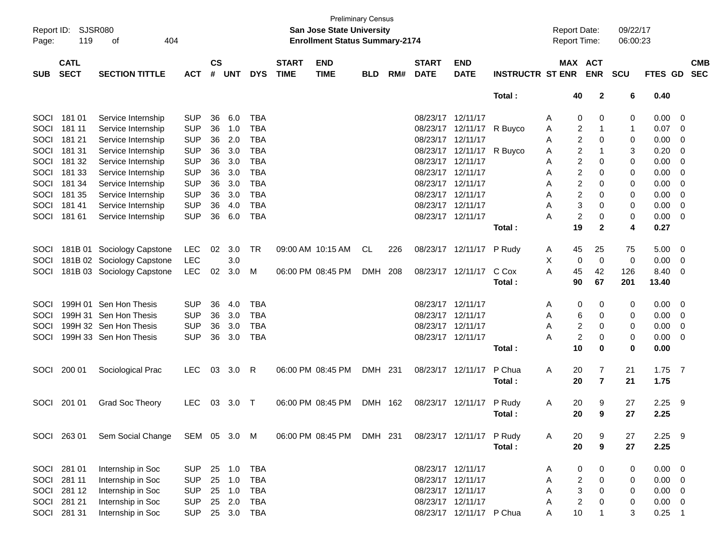| Page:      | Report ID: SJSR080<br>119<br>404<br>оf<br><b>CATL</b><br><b>SECT</b><br><b>SECTION TITTLE</b> |                            |              |                |            |            |                             | San Jose State University<br><b>Enrollment Status Summary-2174</b> | <b>Preliminary Census</b> |       |                             |                           |                         | <b>Report Date:</b><br><b>Report Time:</b> |                       | 09/22/17<br>06:00:23 |             |                         |                          |
|------------|-----------------------------------------------------------------------------------------------|----------------------------|--------------|----------------|------------|------------|-----------------------------|--------------------------------------------------------------------|---------------------------|-------|-----------------------------|---------------------------|-------------------------|--------------------------------------------|-----------------------|----------------------|-------------|-------------------------|--------------------------|
| <b>SUB</b> |                                                                                               |                            | <b>ACT</b>   | <b>CS</b><br># | <b>UNT</b> | <b>DYS</b> | <b>START</b><br><b>TIME</b> | <b>END</b><br><b>TIME</b>                                          | <b>BLD</b>                | RM#   | <b>START</b><br><b>DATE</b> | <b>END</b><br><b>DATE</b> | <b>INSTRUCTR ST ENR</b> |                                            | MAX ACT<br><b>ENR</b> | <b>SCU</b>           | FTES GD     |                         | <b>CMB</b><br><b>SEC</b> |
|            |                                                                                               |                            |              |                |            |            |                             |                                                                    |                           |       |                             |                           |                         |                                            |                       |                      |             |                         |                          |
|            |                                                                                               |                            |              |                |            |            |                             |                                                                    |                           |       |                             |                           | Total:                  | 40                                         | $\mathbf{2}$          | 6                    | 0.40        |                         |                          |
| SOCI       | 181 01                                                                                        | Service Internship         | <b>SUP</b>   | 36             | 6.0        | <b>TBA</b> |                             |                                                                    |                           |       | 08/23/17 12/11/17           |                           |                         | A                                          | 0<br>0                | 0                    | 0.00        | 0                       |                          |
| SOCI       | 181 11                                                                                        | Service Internship         | <b>SUP</b>   | 36             | 1.0        | <b>TBA</b> |                             |                                                                    |                           |       |                             | 08/23/17 12/11/17         | R Buyco                 | A                                          | 2<br>1                | -1                   | 0.07        | 0                       |                          |
| SOCI       | 181 21                                                                                        | Service Internship         | <b>SUP</b>   | 36             | 2.0        | <b>TBA</b> |                             |                                                                    |                           |       | 08/23/17 12/11/17           |                           |                         | A                                          | 2<br>0                | 0                    | 0.00        | 0                       |                          |
| SOCI       | 181 31                                                                                        | Service Internship         | <b>SUP</b>   | 36             | 3.0        | <b>TBA</b> |                             |                                                                    |                           |       |                             | 08/23/17 12/11/17         | R Buyco                 | A                                          | 2<br>1                | 3                    | 0.20        | 0                       |                          |
| SOCI       | 181 32                                                                                        | Service Internship         | <b>SUP</b>   | 36             | 3.0        | <b>TBA</b> |                             |                                                                    |                           |       | 08/23/17 12/11/17           |                           |                         | A                                          | 2<br>0                | 0                    | 0.00        | 0                       |                          |
| SOCI       | 181 33                                                                                        | Service Internship         | <b>SUP</b>   | 36             | 3.0        | <b>TBA</b> |                             |                                                                    |                           |       | 08/23/17 12/11/17           |                           |                         | A                                          | 2<br>0                | 0                    | 0.00        | 0                       |                          |
| SOCI       | 181 34                                                                                        | Service Internship         | <b>SUP</b>   | 36             | 3.0        | <b>TBA</b> |                             |                                                                    |                           |       | 08/23/17 12/11/17           |                           |                         | A                                          | 2<br>0                | 0                    | 0.00        | 0                       |                          |
| SOCI       | 181 35                                                                                        | Service Internship         | <b>SUP</b>   | 36             | 3.0        | <b>TBA</b> |                             |                                                                    |                           |       | 08/23/17 12/11/17           |                           |                         | A                                          | $\overline{2}$<br>0   | 0                    | 0.00        | 0                       |                          |
| SOCI       | 18141                                                                                         | Service Internship         | <b>SUP</b>   | 36             | 4.0        | <b>TBA</b> |                             |                                                                    |                           |       | 08/23/17 12/11/17           |                           |                         | A                                          | 3<br>0                | 0                    | 0.00        | 0                       |                          |
| SOCI       | 181 61                                                                                        | Service Internship         | <b>SUP</b>   | 36             | 6.0        | <b>TBA</b> |                             |                                                                    |                           |       | 08/23/17 12/11/17           |                           |                         | А                                          | $\overline{c}$<br>0   | 0                    | 0.00        | 0                       |                          |
|            |                                                                                               |                            |              |                |            |            |                             |                                                                    |                           |       |                             |                           | Total:                  | 19                                         | $\mathbf{2}$          | 4                    | 0.27        |                         |                          |
| SOCI       | 181B 01                                                                                       | Sociology Capstone         | <b>LEC</b>   | 02             | 3.0        | TR         |                             | 09:00 AM 10:15 AM                                                  | CL                        | 226   |                             | 08/23/17 12/11/17         | P Rudy                  | 45<br>A                                    | 25                    | 75                   | 5.00        | $\overline{\mathbf{0}}$ |                          |
| SOCI       |                                                                                               | 181B 02 Sociology Capstone | <b>LEC</b>   |                | 3.0        |            |                             |                                                                    |                           |       |                             |                           |                         | X                                          | $\mathbf 0$<br>0      | 0                    | 0.00        | $\overline{\mathbf{0}}$ |                          |
| SOCI       |                                                                                               | 181B 03 Sociology Capstone | <b>LEC</b>   | 02             | 3.0        | M          |                             | 06:00 PM 08:45 PM                                                  | <b>DMH</b>                | 208   |                             | 08/23/17 12/11/17         | C Cox                   | 45<br>А                                    | 42                    | 126                  | 8.40        | 0                       |                          |
|            |                                                                                               |                            |              |                |            |            |                             |                                                                    |                           |       |                             |                           | Total:                  | 90                                         | 67                    | 201                  | 13.40       |                         |                          |
| SOCI       | 199H 01                                                                                       | Sen Hon Thesis             | <b>SUP</b>   | 36             | 4.0        | <b>TBA</b> |                             |                                                                    |                           |       | 08/23/17 12/11/17           |                           |                         | A                                          | 0<br>0                | 0                    | 0.00        | - 0                     |                          |
| SOCI       |                                                                                               | 199H 31 Sen Hon Thesis     | <b>SUP</b>   | 36             | 3.0        | <b>TBA</b> |                             |                                                                    |                           |       | 08/23/17 12/11/17           |                           |                         | A                                          | 6<br>0                | 0                    | 0.00        | 0                       |                          |
| SOCI       |                                                                                               | 199H 32 Sen Hon Thesis     | <b>SUP</b>   | 36             | 3.0        | <b>TBA</b> |                             |                                                                    |                           |       | 08/23/17 12/11/17           |                           |                         | A                                          | $\overline{2}$<br>0   | 0                    | 0.00        | 0                       |                          |
| SOCI       |                                                                                               | 199H 33 Sen Hon Thesis     | <b>SUP</b>   | 36             | 3.0        | <b>TBA</b> |                             |                                                                    |                           |       | 08/23/17 12/11/17           |                           |                         | А                                          | $\overline{c}$<br>0   | 0                    | 0.00        | - 0                     |                          |
|            |                                                                                               |                            |              |                |            |            |                             |                                                                    |                           |       |                             |                           | Total:                  | 10                                         | 0                     | 0                    | 0.00        |                         |                          |
| SOCI       | 200 01                                                                                        | Sociological Prac          | LEC.         | 03             | 3.0        | R          |                             | 06:00 PM 08:45 PM                                                  | DMH 231                   |       |                             | 08/23/17 12/11/17         | P Chua                  | 20<br>A                                    | 7                     | 21                   | $1.75$ 7    |                         |                          |
|            |                                                                                               |                            |              |                |            |            |                             |                                                                    |                           |       |                             |                           | Total :                 | 20                                         | $\overline{7}$        | 21                   | 1.75        |                         |                          |
| SOCI       | 201 01                                                                                        | Grad Soc Theory            | <b>LEC</b>   | 03             | 3.0        | Т          |                             | 06:00 PM 08:45 PM                                                  | <b>DMH</b>                | - 162 |                             | 08/23/17 12/11/17         | P Rudy                  | 20<br>A                                    | 9                     | 27                   | 2.25        | - 9                     |                          |
|            |                                                                                               |                            |              |                |            |            |                             |                                                                    |                           |       |                             |                           | Total :                 | 20                                         | 9                     | 27                   | 2.25        |                         |                          |
|            |                                                                                               |                            |              |                |            |            |                             |                                                                    |                           |       |                             |                           |                         |                                            |                       |                      |             |                         |                          |
|            | SOCI 263 01                                                                                   | Sem Social Change          | SEM 05 3.0 M |                |            |            |                             | 06:00 PM 08:45 PM                                                  | DMH 231                   |       |                             | 08/23/17 12/11/17 P Rudy  |                         | A<br>20                                    | 9                     | 27                   | $2.25$ 9    |                         |                          |
|            |                                                                                               |                            |              |                |            |            |                             |                                                                    |                           |       |                             |                           | Total:                  | 20                                         | 9                     | 27                   | 2.25        |                         |                          |
|            | SOCI 281 01                                                                                   | Internship in Soc          | <b>SUP</b>   |                | 25 1.0     | <b>TBA</b> |                             |                                                                    |                           |       | 08/23/17 12/11/17           |                           |                         | A                                          | 0<br>0                | 0                    | $0.00 \t 0$ |                         |                          |
| SOCI       | 281 11                                                                                        | Internship in Soc          | <b>SUP</b>   |                | 25 1.0     | <b>TBA</b> |                             |                                                                    |                           |       | 08/23/17 12/11/17           |                           |                         | Α                                          | $\overline{c}$<br>0   | 0                    | $0.00 \t 0$ |                         |                          |
| SOCI       | 281 12                                                                                        | Internship in Soc          | <b>SUP</b>   |                | 25 1.0     | <b>TBA</b> |                             |                                                                    |                           |       | 08/23/17 12/11/17           |                           |                         | A                                          | 3<br>0                | 0                    | $0.00 \t 0$ |                         |                          |
|            | SOCI 281 21                                                                                   | Internship in Soc          | <b>SUP</b>   |                | 25 2.0     | <b>TBA</b> |                             |                                                                    |                           |       | 08/23/17 12/11/17           |                           |                         | A                                          | $\overline{c}$<br>0   | 0                    | $0.00 \t 0$ |                         |                          |
|            | SOCI 281 31                                                                                   | Internship in Soc          | <b>SUP</b>   |                | 25 3.0 TBA |            |                             |                                                                    |                           |       |                             | 08/23/17 12/11/17 P Chua  |                         | A                                          | 10<br>1               | 3                    | $0.25$ 1    |                         |                          |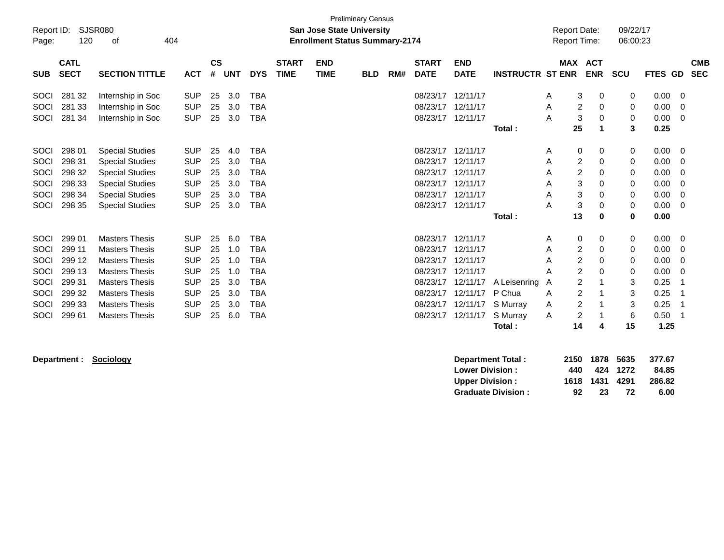| Report ID:<br>Page: | 120                        | <b>SJSR080</b><br>404<br>οf |            |                    |            |            |                             | <b>San Jose State University</b><br><b>Enrollment Status Summary-2174</b> | <b>Preliminary Census</b> |     |                             |                           |                         | <b>Report Date:</b> | Report Time: |                          | 09/22/17<br>06:00:23 |         |                          |
|---------------------|----------------------------|-----------------------------|------------|--------------------|------------|------------|-----------------------------|---------------------------------------------------------------------------|---------------------------|-----|-----------------------------|---------------------------|-------------------------|---------------------|--------------|--------------------------|----------------------|---------|--------------------------|
| <b>SUB</b>          | <b>CATL</b><br><b>SECT</b> | <b>SECTION TITTLE</b>       | <b>ACT</b> | $\mathsf{cs}$<br># | <b>UNT</b> | <b>DYS</b> | <b>START</b><br><b>TIME</b> | <b>END</b><br><b>TIME</b>                                                 | <b>BLD</b>                | RM# | <b>START</b><br><b>DATE</b> | <b>END</b><br><b>DATE</b> | <b>INSTRUCTR ST ENR</b> | <b>MAX</b>          |              | <b>ACT</b><br><b>ENR</b> | <b>SCU</b>           | FTES GD | <b>CMB</b><br><b>SEC</b> |
|                     |                            |                             |            |                    |            |            |                             |                                                                           |                           |     |                             |                           |                         |                     |              |                          |                      |         |                          |
| SOCI                | 281 32                     | Internship in Soc           | <b>SUP</b> | 25                 | 3.0        | <b>TBA</b> |                             |                                                                           |                           |     | 08/23/17                    | 12/11/17                  |                         | A                   | 3            | 0                        | 0                    | 0.00    | 0                        |
| SOCI                | 281 33                     | Internship in Soc           | <b>SUP</b> | 25                 | 3.0        | <b>TBA</b> |                             |                                                                           |                           |     | 08/23/17                    | 12/11/17                  |                         | A                   | 2            | 0                        | 0                    | 0.00    | 0                        |
| SOCI                | 281 34                     | Internship in Soc           | <b>SUP</b> | 25                 | 3.0        | <b>TBA</b> |                             |                                                                           |                           |     | 08/23/17                    | 12/11/17                  |                         | A                   | 3            | 0                        | 0                    | 0.00    | 0                        |
|                     |                            |                             |            |                    |            |            |                             |                                                                           |                           |     |                             |                           | Total:                  |                     | 25           |                          | 3                    | 0.25    |                          |
|                     |                            |                             |            |                    |            |            |                             |                                                                           |                           |     |                             |                           |                         |                     |              |                          |                      |         |                          |
| SOCI                | 298 01                     | <b>Special Studies</b>      | <b>SUP</b> | 25                 | 4.0        | <b>TBA</b> |                             |                                                                           |                           |     | 08/23/17 12/11/17           |                           |                         | A                   | 0            | 0                        | 0                    | 0.00    | - 0                      |
| SOCI                | 298 31                     | <b>Special Studies</b>      | <b>SUP</b> | 25                 | 3.0        | <b>TBA</b> |                             |                                                                           |                           |     | 08/23/17                    | 12/11/17                  |                         | A                   | 2            | 0                        | 0                    | 0.00    | -0                       |
| SOCI                | 298 32                     | <b>Special Studies</b>      | <b>SUP</b> | 25                 | 3.0        | <b>TBA</b> |                             |                                                                           |                           |     | 08/23/17                    | 12/11/17                  |                         | A                   | 2            | 0                        | 0                    | 0.00    | 0                        |
| <b>SOCI</b>         | 298 33                     | <b>Special Studies</b>      | <b>SUP</b> | 25                 | 3.0        | <b>TBA</b> |                             |                                                                           |                           |     | 08/23/17                    | 12/11/17                  |                         | A                   | 3            | 0                        | 0                    | 0.00    | 0                        |
| SOCI                | 298 34                     | <b>Special Studies</b>      | <b>SUP</b> | 25                 | 3.0        | <b>TBA</b> |                             |                                                                           |                           |     | 08/23/17                    | 12/11/17                  |                         | A                   | 3            | 0                        | 0                    | 0.00    | 0                        |
| SOCI                | 298 35                     | <b>Special Studies</b>      | <b>SUP</b> | 25                 | 3.0        | <b>TBA</b> |                             |                                                                           |                           |     | 08/23/17                    | 12/11/17                  |                         | A                   | 3            | 0                        | 0                    | 0.00    | - 0                      |
|                     |                            |                             |            |                    |            |            |                             |                                                                           |                           |     |                             |                           | Total:                  |                     | 13           | 0                        | 0                    | 0.00    |                          |
| SOCI                | 299 01                     | <b>Masters Thesis</b>       | <b>SUP</b> | 25                 | 6.0        | <b>TBA</b> |                             |                                                                           |                           |     | 08/23/17                    | 12/11/17                  |                         | A                   | 0            | 0                        | 0                    | 0.00    | 0                        |
| SOCI                | 299 11                     | <b>Masters Thesis</b>       | <b>SUP</b> | 25                 | 1.0        | TBA        |                             |                                                                           |                           |     | 08/23/17                    | 12/11/17                  |                         | A                   | 2            | 0                        | 0                    | 0.00    | 0                        |
| SOCI                | 299 12                     | <b>Masters Thesis</b>       | <b>SUP</b> | 25                 | 1.0        | TBA        |                             |                                                                           |                           |     | 08/23/17                    | 12/11/17                  |                         | A                   | 2            | 0                        | 0                    | 0.00    | 0                        |
| SOCI                | 299 13                     | <b>Masters Thesis</b>       | <b>SUP</b> | 25                 | 1.0        | <b>TBA</b> |                             |                                                                           |                           |     | 08/23/17                    | 12/11/17                  |                         | A                   | 2            | $\Omega$                 | 0                    | 0.00    | 0                        |
| SOCI                | 299 31                     | <b>Masters Thesis</b>       | <b>SUP</b> | 25                 | 3.0        | <b>TBA</b> |                             |                                                                           |                           |     | 08/23/17                    | 12/11/17                  | A Leisenring            | A                   | 2            |                          | 3                    | 0.25    |                          |
| SOCI                | 299 32                     | <b>Masters Thesis</b>       | <b>SUP</b> | 25                 | 3.0        | TBA        |                             |                                                                           |                           |     | 08/23/17                    | 12/11/17                  | P Chua                  | A                   | 2            |                          | 3                    | 0.25    |                          |
| SOCI                | 299 33                     | <b>Masters Thesis</b>       | <b>SUP</b> | 25                 | 3.0        | TBA        |                             |                                                                           |                           |     | 08/23/17                    | 12/11/17                  | S Murray                | Α                   | 2            |                          | 3                    | 0.25    |                          |
| SOCI                | 299 61                     | <b>Masters Thesis</b>       | <b>SUP</b> | 25                 | 6.0        | <b>TBA</b> |                             |                                                                           |                           |     | 08/23/17                    | 12/11/17                  | S Murray                | Α                   | 2            |                          | 6                    | 0.50    |                          |
|                     |                            |                             |            |                    |            |            |                             |                                                                           |                           |     |                             |                           | Total:                  |                     | 14           | 4                        | 15                   | 1.25    |                          |

**Department : Sociology** 

| Department Total:         |     |                |          | 2150 1878 5635 377.67 |
|---------------------------|-----|----------------|----------|-----------------------|
| <b>Lower Division:</b>    | 440 |                | 424 1272 | 84.85                 |
| <b>Upper Division:</b>    |     | 1618 1431 4291 |          | 286.82                |
| <b>Graduate Division:</b> | 92  | -23            | 72       | 6.00                  |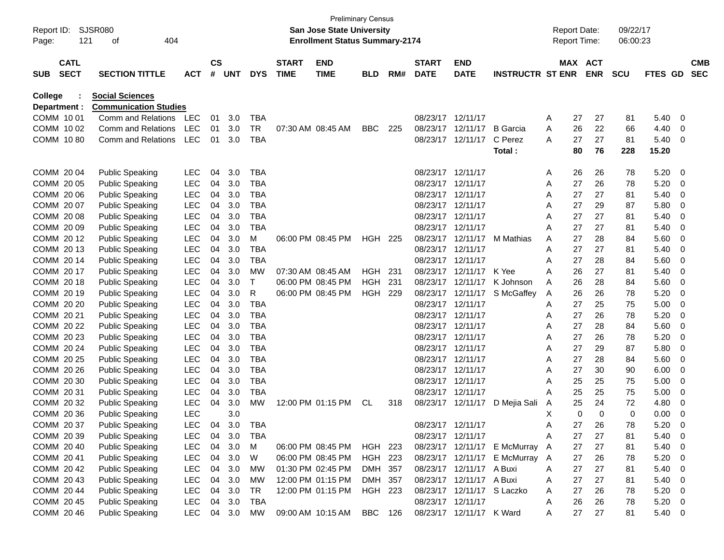| Report ID:<br>Page: |                            | 121 | SJSR080<br>404<br>οf         |            |                |     |            |                             | <b>Preliminary Census</b><br><b>San Jose State University</b><br><b>Enrollment Status Summary-2174</b> |            |     |                             |                            |                              | <b>Report Date:</b><br><b>Report Time:</b> |    |                       | 09/22/17<br>06:00:23 |                |             |                          |
|---------------------|----------------------------|-----|------------------------------|------------|----------------|-----|------------|-----------------------------|--------------------------------------------------------------------------------------------------------|------------|-----|-----------------------------|----------------------------|------------------------------|--------------------------------------------|----|-----------------------|----------------------|----------------|-------------|--------------------------|
| <b>SUB</b>          | <b>CATL</b><br><b>SECT</b> |     | <b>SECTION TITTLE</b>        | <b>ACT</b> | <b>CS</b><br># | UNT | <b>DYS</b> | <b>START</b><br><b>TIME</b> | <b>END</b><br><b>TIME</b>                                                                              | BLD        | RM# | <b>START</b><br><b>DATE</b> | <b>END</b><br><b>DATE</b>  | <b>INSTRUCTR ST ENR</b>      |                                            |    | MAX ACT<br><b>ENR</b> | <b>SCU</b>           | <b>FTES GD</b> |             | <b>CMB</b><br><b>SEC</b> |
| <b>College</b>      |                            |     | <b>Social Sciences</b>       |            |                |     |            |                             |                                                                                                        |            |     |                             |                            |                              |                                            |    |                       |                      |                |             |                          |
| Department :        |                            |     | <b>Communication Studies</b> |            |                |     |            |                             |                                                                                                        |            |     |                             |                            |                              |                                            |    |                       |                      |                |             |                          |
| COMM 1001           |                            |     | Comm and Relations           | <b>LEC</b> | 01             | 3.0 | <b>TBA</b> |                             |                                                                                                        |            |     | 08/23/17                    | 12/11/17                   |                              | Α                                          | 27 | 27                    | 81                   | 5.40           | 0           |                          |
| COMM 10 02          |                            |     | Comm and Relations           | <b>LEC</b> | 01             | 3.0 | TR         |                             | 07:30 AM 08:45 AM                                                                                      | <b>BBC</b> | 225 | 08/23/17                    | 12/11/17                   | <b>B</b> Garcia              | Α                                          | 26 | 22                    | 66                   | 4.40           | 0           |                          |
| COMM 1080           |                            |     | Comm and Relations           | <b>LEC</b> | 01             | 3.0 | <b>TBA</b> |                             |                                                                                                        |            |     |                             | 08/23/17 12/11/17          | C Perez                      | A                                          | 27 | 27                    | 81                   | 5.40           | -0          |                          |
|                     |                            |     |                              |            |                |     |            |                             |                                                                                                        |            |     |                             |                            | Total:                       |                                            | 80 | 76                    | 228                  | 15.20          |             |                          |
| COMM 2004           |                            |     | <b>Public Speaking</b>       | LEC        | 04             | 3.0 | <b>TBA</b> |                             |                                                                                                        |            |     | 08/23/17 12/11/17           |                            |                              | A                                          | 26 | 26                    | 78                   | 5.20           | - 0         |                          |
| COMM 20 05          |                            |     | <b>Public Speaking</b>       | <b>LEC</b> | 04             | 3.0 | <b>TBA</b> |                             |                                                                                                        |            |     | 08/23/17                    | 12/11/17                   |                              | Α                                          | 27 | 26                    | 78                   | 5.20           | 0           |                          |
| COMM 20 06          |                            |     | <b>Public Speaking</b>       | LEC        | 04             | 3.0 | <b>TBA</b> |                             |                                                                                                        |            |     | 08/23/17                    | 12/11/17                   |                              | Α                                          | 27 | 27                    | 81                   | 5.40           | 0           |                          |
| COMM 2007           |                            |     | <b>Public Speaking</b>       | <b>LEC</b> | 04             | 3.0 | TBA        |                             |                                                                                                        |            |     | 08/23/17                    | 12/11/17                   |                              | Α                                          | 27 | 29                    | 87                   | 5.80           | 0           |                          |
| COMM 2008           |                            |     | <b>Public Speaking</b>       | <b>LEC</b> | 04             | 3.0 | TBA        |                             |                                                                                                        |            |     | 08/23/17                    | 12/11/17                   |                              | Α                                          | 27 | 27                    | 81                   | 5.40           | 0           |                          |
| COMM 20 09          |                            |     | <b>Public Speaking</b>       | <b>LEC</b> | 04             | 3.0 | TBA        |                             |                                                                                                        |            |     | 08/23/17                    | 12/11/17                   |                              | Α                                          | 27 | 27                    | 81                   | 5.40           | 0           |                          |
| COMM 2012           |                            |     | <b>Public Speaking</b>       | <b>LEC</b> | 04             | 3.0 | м          |                             | 06:00 PM 08:45 PM                                                                                      | HGH 225    |     | 08/23/17                    | 12/11/17                   | M Mathias                    | Α                                          | 27 | 28                    | 84                   | 5.60           | 0           |                          |
| COMM 2013           |                            |     | <b>Public Speaking</b>       | <b>LEC</b> | 04             | 3.0 | <b>TBA</b> |                             |                                                                                                        |            |     | 08/23/17                    | 12/11/17                   |                              | Α                                          | 27 | 27                    | 81                   | 5.40           | 0           |                          |
| COMM 2014           |                            |     | <b>Public Speaking</b>       | <b>LEC</b> | 04             | 3.0 | TBA        |                             |                                                                                                        |            |     | 08/23/17                    | 12/11/17                   |                              | Α                                          | 27 | 28                    | 84                   | 5.60           | 0           |                          |
| COMM 20 17          |                            |     | <b>Public Speaking</b>       | <b>LEC</b> | 04             | 3.0 | MW         |                             | 07:30 AM 08:45 AM                                                                                      | <b>HGH</b> | 231 | 08/23/17                    | 12/11/17                   | K Yee                        | Α                                          | 26 | 27                    | 81                   | 5.40           | 0           |                          |
| COMM 2018           |                            |     | <b>Public Speaking</b>       | <b>LEC</b> | 04             | 3.0 | Т          |                             | 06:00 PM 08:45 PM                                                                                      | HGH        | 231 | 08/23/17                    | 12/11/17                   | K Johnson                    | Α                                          | 26 | 28                    | 84                   | 5.60           | 0           |                          |
| COMM 20 19          |                            |     | <b>Public Speaking</b>       | <b>LEC</b> | 04             | 3.0 | R          |                             | 06:00 PM 08:45 PM                                                                                      | HGH        | 229 | 08/23/17                    | 12/11/17                   | S McGaffey                   | Α                                          | 26 | 26                    | 78                   | 5.20           | 0           |                          |
| COMM 20 20          |                            |     | <b>Public Speaking</b>       | <b>LEC</b> | 04             | 3.0 | <b>TBA</b> |                             |                                                                                                        |            |     | 08/23/17                    | 12/11/17                   |                              | Α                                          | 27 | 25                    | 75                   | 5.00           | 0           |                          |
| COMM 20 21          |                            |     | <b>Public Speaking</b>       | <b>LEC</b> | 04             | 3.0 | <b>TBA</b> |                             |                                                                                                        |            |     | 08/23/17                    | 12/11/17                   |                              | Α                                          | 27 | 26                    | 78                   | 5.20           | 0           |                          |
| COMM 20 22          |                            |     | <b>Public Speaking</b>       | <b>LEC</b> | 04             | 3.0 | <b>TBA</b> |                             |                                                                                                        |            |     | 08/23/17                    | 12/11/17                   |                              | Α                                          | 27 | 28                    | 84                   | 5.60           | 0           |                          |
| COMM 20 23          |                            |     | <b>Public Speaking</b>       | <b>LEC</b> | 04             | 3.0 | <b>TBA</b> |                             |                                                                                                        |            |     | 08/23/17                    | 12/11/17                   |                              | Α                                          | 27 | 26                    | 78                   | 5.20           | 0           |                          |
| COMM 20 24          |                            |     | <b>Public Speaking</b>       | <b>LEC</b> | 04             | 3.0 | <b>TBA</b> |                             |                                                                                                        |            |     | 08/23/17                    | 12/11/17                   |                              | Α                                          | 27 | 29                    | 87                   | 5.80           | 0           |                          |
| COMM 20 25          |                            |     | <b>Public Speaking</b>       | <b>LEC</b> | 04             | 3.0 | <b>TBA</b> |                             |                                                                                                        |            |     | 08/23/17                    | 12/11/17                   |                              | Α                                          | 27 | 28                    | 84                   | 5.60           | 0           |                          |
| COMM 20 26          |                            |     | <b>Public Speaking</b>       | <b>LEC</b> | 04             | 3.0 | TBA        |                             |                                                                                                        |            |     | 08/23/17                    | 12/11/17                   |                              | Α                                          | 27 | 30                    | 90                   | 6.00           | 0           |                          |
| COMM 20 30          |                            |     | <b>Public Speaking</b>       | <b>LEC</b> | 04             | 3.0 | <b>TBA</b> |                             |                                                                                                        |            |     | 08/23/17                    | 12/11/17                   |                              | Α                                          | 25 | 25                    | 75                   | 5.00           | 0           |                          |
| COMM 20 31          |                            |     | <b>Public Speaking</b>       | <b>LEC</b> | 04             | 3.0 | <b>TBA</b> |                             |                                                                                                        |            |     | 08/23/17                    | 12/11/17                   |                              | Α                                          | 25 | 25                    | 75                   | 5.00           | 0           |                          |
| COMM 20 32          |                            |     | <b>Public Speaking</b>       | <b>LEC</b> | 04             | 3.0 | MW         |                             | 12:00 PM 01:15 PM                                                                                      | CL         | 318 | 08/23/17                    | 12/11/17                   | D Mejia Sali                 | Α                                          | 25 | 24                    | 72                   | 4.80           | 0           |                          |
| COMM 20 36          |                            |     | <b>Public Speaking</b>       | <b>LEC</b> |                | 3.0 |            |                             |                                                                                                        |            |     |                             |                            |                              | х                                          | 0  | 0                     | 0                    | 0.00           | 0           |                          |
| COMM 20 37          |                            |     | <b>Public Speaking</b>       | LEC        | 04             | 3.0 | TBA        |                             |                                                                                                        |            |     | 08/23/17 12/11/17           |                            |                              | Α                                          | 27 | 26                    | 78                   | 5.20           | 0           |                          |
| COMM 20 39          |                            |     | <b>Public Speaking</b>       | <b>LEC</b> | 04             | 3.0 | <b>TBA</b> |                             |                                                                                                        |            |     | 08/23/17 12/11/17           |                            |                              | Α                                          | 27 | 27                    | 81                   | 5.40           | 0           |                          |
| COMM 20 40          |                            |     | <b>Public Speaking</b>       | <b>LEC</b> | 04             | 3.0 | M          |                             | 06:00 PM 08:45 PM                                                                                      | HGH 223    |     |                             |                            | 08/23/17 12/11/17 E McMurray | A                                          | 27 | 27                    | 81                   | 5.40           | 0           |                          |
| COMM 20 41          |                            |     | <b>Public Speaking</b>       | <b>LEC</b> | 04             | 3.0 | W          |                             | 06:00 PM 08:45 PM                                                                                      | HGH 223    |     |                             |                            | 08/23/17 12/11/17 E McMurray | Α                                          | 27 | 26                    | 78                   | 5.20           | 0           |                          |
| COMM 20 42          |                            |     | <b>Public Speaking</b>       | <b>LEC</b> | 04             | 3.0 | MW         |                             | 01:30 PM 02:45 PM                                                                                      | DMH 357    |     |                             | 08/23/17 12/11/17 A Buxi   |                              | Α                                          | 27 | 27                    | 81                   | 5.40           | 0           |                          |
| COMM 20 43          |                            |     | <b>Public Speaking</b>       | <b>LEC</b> | 04             | 3.0 | <b>MW</b>  |                             | 12:00 PM 01:15 PM                                                                                      | DMH 357    |     |                             | 08/23/17 12/11/17 A Buxi   |                              | Α                                          | 27 | 27                    | 81                   | 5.40           | 0           |                          |
| COMM 20 44          |                            |     | <b>Public Speaking</b>       | <b>LEC</b> | 04             | 3.0 | TR         |                             | 12:00 PM 01:15 PM                                                                                      | HGH 223    |     |                             | 08/23/17 12/11/17 S Laczko |                              | Α                                          | 27 | 26                    | 78                   | 5.20           | 0           |                          |
| COMM 20 45          |                            |     | <b>Public Speaking</b>       | <b>LEC</b> | 04             | 3.0 | TBA        |                             |                                                                                                        |            |     | 08/23/17 12/11/17           |                            |                              | Α                                          | 26 | 26                    | 78                   | 5.20           | - 0         |                          |
| COMM 20 46          |                            |     | <b>Public Speaking</b>       | LEC        | 04             | 3.0 | МW         |                             | 09:00 AM 10:15 AM                                                                                      | BBC        | 126 |                             | 08/23/17 12/11/17 K Ward   |                              | A                                          | 27 | 27                    | 81                   | 5.40           | $\mathbf 0$ |                          |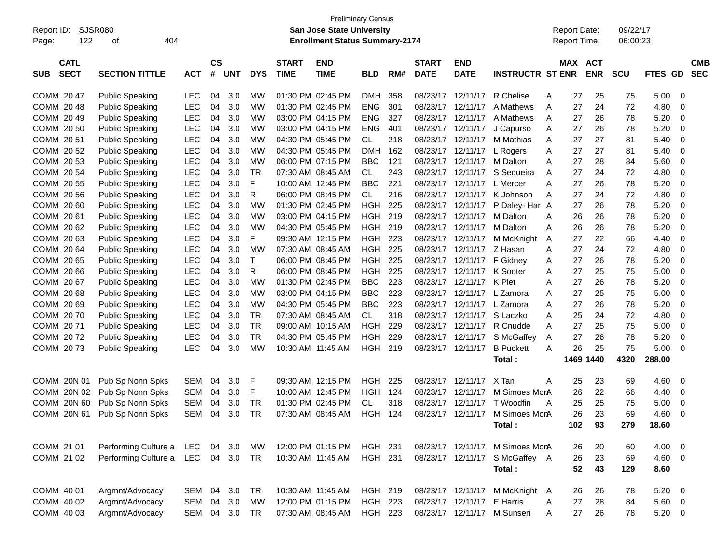| Report ID:<br>122<br>Page:               | <b>SJSR080</b><br>404<br>οf |            |                    |            |            |                             | <b>Preliminary Census</b><br><b>San Jose State University</b><br><b>Enrollment Status Summary-2174</b> |                |     |                             |                           |                             | <b>Report Date:</b><br>Report Time: |                       | 09/22/17<br>06:00:23 |             |                          |
|------------------------------------------|-----------------------------|------------|--------------------|------------|------------|-----------------------------|--------------------------------------------------------------------------------------------------------|----------------|-----|-----------------------------|---------------------------|-----------------------------|-------------------------------------|-----------------------|----------------------|-------------|--------------------------|
| <b>CATL</b><br><b>SECT</b><br><b>SUB</b> | <b>SECTION TITTLE</b>       | <b>ACT</b> | $\mathsf{cs}$<br># | <b>UNT</b> | <b>DYS</b> | <b>START</b><br><b>TIME</b> | <b>END</b><br><b>TIME</b>                                                                              | <b>BLD</b>     | RM# | <b>START</b><br><b>DATE</b> | <b>END</b><br><b>DATE</b> | <b>INSTRUCTR ST ENR</b>     |                                     | MAX ACT<br><b>ENR</b> | <b>SCU</b>           | FTES GD     | <b>CMB</b><br><b>SEC</b> |
| COMM 20 47                               | <b>Public Speaking</b>      | <b>LEC</b> | 04                 | 3.0        | МW         |                             | 01:30 PM 02:45 PM                                                                                      | <b>DMH</b>     | 358 |                             | 08/23/17 12/11/17         | R Chelise                   | 27<br>A                             | 25                    | 75                   | 5.00        | 0                        |
| COMM 20 48                               | <b>Public Speaking</b>      | <b>LEC</b> | 04                 | 3.0        | МW         |                             | 01:30 PM 02:45 PM                                                                                      | <b>ENG</b>     | 301 | 08/23/17                    | 12/11/17                  | A Mathews                   | 27<br>A                             | 24                    | 72                   | 4.80        | 0                        |
| COMM 20 49                               | <b>Public Speaking</b>      | <b>LEC</b> | 04                 | 3.0        | МW         |                             | 03:00 PM 04:15 PM                                                                                      | <b>ENG</b>     | 327 | 08/23/17                    | 12/11/17                  | A Mathews                   | 27<br>A                             | 26                    | 78                   | 5.20        | 0                        |
| COMM 20 50                               | <b>Public Speaking</b>      | <b>LEC</b> | 04                 | 3.0        | МW         |                             | 03:00 PM 04:15 PM                                                                                      | <b>ENG</b>     | 401 |                             | 08/23/17 12/11/17         | J Capurso                   | 27<br>A                             | 26                    | 78                   | 5.20        | 0                        |
| COMM 20 51                               | <b>Public Speaking</b>      | <b>LEC</b> | 04                 | 3.0        | МW         |                             | 04:30 PM 05:45 PM                                                                                      | CL.            | 218 |                             | 08/23/17 12/11/17         | M Mathias                   | 27<br>A                             | 27                    | 81                   | 5.40        | 0                        |
| COMM 20 52                               | <b>Public Speaking</b>      | <b>LEC</b> | 04                 | 3.0        | МW         |                             | 04:30 PM 05:45 PM                                                                                      | <b>DMH</b>     | 162 |                             | 08/23/17 12/11/17         | L Rogers                    | 27<br>A                             | 27                    | 81                   | 5.40        | 0                        |
| COMM 20 53                               | <b>Public Speaking</b>      | <b>LEC</b> | 04                 | 3.0        | МW         |                             | 06:00 PM 07:15 PM                                                                                      | <b>BBC</b>     | 121 |                             | 08/23/17 12/11/17         | M Dalton                    | 27<br>A                             | 28                    | 84                   | 5.60        | 0                        |
| COMM 20 54                               | <b>Public Speaking</b>      | <b>LEC</b> | 04                 | 3.0        | TR         |                             | 07:30 AM 08:45 AM                                                                                      | CL.            | 243 |                             | 08/23/17 12/11/17         | S Sequeira                  | 27<br>A                             | 24                    | 72                   | 4.80        | 0                        |
| COMM 20 55                               | <b>Public Speaking</b>      | <b>LEC</b> | 04                 | 3.0        | F          |                             | 10:00 AM 12:45 PM                                                                                      | <b>BBC</b>     | 221 |                             | 08/23/17 12/11/17         | L Mercer                    | 27<br>A                             | 26                    | 78                   | 5.20        | 0                        |
| COMM 20 56                               | <b>Public Speaking</b>      | <b>LEC</b> | 04                 | 3.0        | R          |                             | 06:00 PM 08:45 PM                                                                                      | CL             | 216 |                             | 08/23/17 12/11/17         | K Johnson                   | 27<br>A                             | 24                    | 72                   | 4.80        | 0                        |
| COMM 20 60                               | <b>Public Speaking</b>      | <b>LEC</b> | 04                 | 3.0        | МW         |                             | 01:30 PM 02:45 PM                                                                                      | HGH            | 225 |                             | 08/23/17 12/11/17         | P Daley- Har A              | 27                                  | 26                    | 78                   | 5.20        | 0                        |
| COMM 2061                                | <b>Public Speaking</b>      | <b>LEC</b> | 04                 | 3.0        | МW         |                             | 03:00 PM 04:15 PM                                                                                      | HGH            | 219 |                             | 08/23/17 12/11/17         | M Dalton                    | 26<br>A                             | 26                    | 78                   | 5.20        | 0                        |
| COMM 2062                                | <b>Public Speaking</b>      | <b>LEC</b> | 04                 | 3.0        | МW         |                             | 04:30 PM 05:45 PM                                                                                      | <b>HGH</b>     | 219 |                             | 08/23/17 12/11/17         | M Dalton                    | 26<br>A                             | 26                    | 78                   | 5.20        | 0                        |
| COMM 2063                                | <b>Public Speaking</b>      | <b>LEC</b> | 04                 | 3.0        | F          |                             | 09:30 AM 12:15 PM                                                                                      | HGH            | 223 |                             | 08/23/17 12/11/17         | M McKnight                  | 27<br>A                             | 22                    | 66                   | 4.40        | 0                        |
| COMM 2064                                | <b>Public Speaking</b>      | <b>LEC</b> | 04                 | 3.0        | МW         | 07:30 AM 08:45 AM           |                                                                                                        | <b>HGH</b>     | 225 |                             | 08/23/17 12/11/17         | Z Hasan                     | 27<br>A                             | 24                    | 72                   | 4.80        | 0                        |
| COMM 20 65                               | <b>Public Speaking</b>      | <b>LEC</b> | 04                 | 3.0        | т          |                             | 06:00 PM 08:45 PM                                                                                      | <b>HGH</b>     | 225 |                             | 08/23/17 12/11/17         | F Gidney                    | 27<br>A                             | 26                    | 78                   | 5.20        | 0                        |
| COMM 20 66                               | <b>Public Speaking</b>      | <b>LEC</b> | 04                 | 3.0        | R          |                             | 06:00 PM 08:45 PM                                                                                      | HGH            | 225 |                             | 08/23/17 12/11/17         | K Sooter                    | 27<br>A                             | 25                    | 75                   | 5.00        | 0                        |
| COMM 20 67                               | <b>Public Speaking</b>      | <b>LEC</b> | 04                 | 3.0        | МW         |                             | 01:30 PM 02:45 PM                                                                                      | <b>BBC</b>     | 223 |                             | 08/23/17 12/11/17         | K Piet                      | 27<br>A                             | 26                    | 78                   | 5.20        | 0                        |
| COMM 2068                                | <b>Public Speaking</b>      | <b>LEC</b> | 04                 | 3.0        | МW         |                             | 03:00 PM 04:15 PM                                                                                      | <b>BBC</b>     | 223 |                             | 08/23/17 12/11/17         | L Zamora                    | 27<br>A                             | 25                    | 75                   | 5.00        | 0                        |
| COMM 2069                                | <b>Public Speaking</b>      | <b>LEC</b> | 04                 | 3.0        | МW         |                             | 04:30 PM 05:45 PM                                                                                      | <b>BBC</b>     | 223 |                             | 08/23/17 12/11/17         | L Zamora                    | 27<br>A                             | 26                    | 78                   | 5.20        | 0                        |
| COMM 2070                                | <b>Public Speaking</b>      | <b>LEC</b> | 04                 | 3.0        | TR.        |                             | 07:30 AM 08:45 AM                                                                                      | <b>CL</b>      | 318 | 08/23/17                    | 12/11/17                  | S Laczko                    | 25<br>A                             | 24                    | 72                   | 4.80        | 0                        |
| COMM 2071                                | <b>Public Speaking</b>      | <b>LEC</b> | 04                 | 3.0        | <b>TR</b>  |                             | 09:00 AM 10:15 AM                                                                                      | HGH            | 229 |                             | 08/23/17 12/11/17         | R Cnudde                    | 27<br>A                             | 25                    | 75                   | 5.00        | 0                        |
| COMM 2072                                | <b>Public Speaking</b>      | <b>LEC</b> | 04                 | 3.0        | <b>TR</b>  |                             | 04:30 PM 05:45 PM                                                                                      | HGH            | 229 |                             | 08/23/17 12/11/17         | S McGaffey                  | 27<br>A                             | 26                    | 78                   | 5.20        | 0                        |
| COMM 2073                                | <b>Public Speaking</b>      | <b>LEC</b> | 04                 | 3.0        | МW         |                             | 10:30 AM 11:45 AM                                                                                      | HGH            | 219 |                             | 08/23/17 12/11/17         | <b>B</b> Puckett            | 26<br>A                             | 25                    | 75                   | 5.00        | 0                        |
|                                          |                             |            |                    |            |            |                             |                                                                                                        |                |     |                             |                           | Total :                     | 1469                                | 1440                  | 4320                 | 288.00      |                          |
| COMM 20N 01                              | Pub Sp Nonn Spks            | <b>SEM</b> | 04                 | 3.0        | F          |                             | 09:30 AM 12:15 PM                                                                                      | HGH            | 225 | 08/23/17                    | 12/11/17                  | X Tan                       | 25<br>A                             | 23                    | 69                   | 4.60        | 0                        |
| COMM 20N 02                              | Pub Sp Nonn Spks            | <b>SEM</b> | 04                 | 3.0        | F          |                             | 10:00 AM 12:45 PM                                                                                      | HGH            | 124 | 08/23/17                    | 12/11/17                  | M Simoes MorA               | 26                                  | 22                    | 66                   | 4.40        | 0                        |
| COMM 20N 60                              | Pub Sp Nonn Spks            | <b>SEM</b> | 04                 | 3.0        | TR         |                             | 01:30 PM 02:45 PM                                                                                      | CL.            | 318 | 08/23/17                    | 12/11/17                  | T Woodfin                   | 25<br>Α                             | 25                    | 75                   | 5.00        | 0                        |
| COMM 20N 61                              | Pub Sp Nonn Spks            | <b>SEM</b> | 04                 | 3.0        | TR         |                             | 07:30 AM 08:45 AM                                                                                      | HGH            | 124 |                             | 08/23/17 12/11/17         | M Simoes MonA               | 26                                  | 23                    | 69                   | 4.60        | 0                        |
|                                          |                             |            |                    |            |            |                             |                                                                                                        |                |     |                             |                           | Total:                      | 102                                 | 93                    | 279                  | 18.60       |                          |
| COMM 21 01                               | Performing Culture a        | <b>LEC</b> |                    | 04 3.0     | МW         |                             | 12:00 PM 01:15 PM                                                                                      | HGH 231        |     |                             | 08/23/17 12/11/17         | M Simoes MonA               |                                     | 26<br>20              | 60                   | 4.00 0      |                          |
| COMM 21 02                               | Performing Culture a        | LEC        |                    | 04 3.0     | TR         |                             | 10:30 AM 11:45 AM                                                                                      | <b>HGH 231</b> |     |                             | 08/23/17 12/11/17         | S McGaffey A                |                                     | 26<br>23              | 69                   | 4.60        | $\overline{0}$           |
|                                          |                             |            |                    |            |            |                             |                                                                                                        |                |     |                             |                           | Total:                      |                                     | 52<br>43              | 129                  | 8.60        |                          |
| COMM 40 01                               | Argmnt/Advocacy             | SEM        | 04                 | 3.0        | <b>TR</b>  |                             | 10:30 AM 11:45 AM                                                                                      | HGH 219        |     |                             | 08/23/17 12/11/17         | M McKnight A                |                                     | 26<br>26              | 78                   | 5.20        | $\overline{0}$           |
| COMM 40 02                               | Argmnt/Advocacy             | SEM        | 04                 | 3.0        | MW         |                             | 12:00 PM 01:15 PM                                                                                      | HGH 223        |     |                             | 08/23/17 12/11/17         | E Harris                    | 27<br>A                             | 28                    | 84                   | $5.60$ 0    |                          |
| COMM 40 03                               | Argmnt/Advocacy             | SEM        |                    | 04 3.0 TR  |            |                             | 07:30 AM 08:45 AM                                                                                      | HGH 223        |     |                             |                           | 08/23/17 12/11/17 M Sunseri | A                                   | 27<br>26              | 78                   | $5.20 \t 0$ |                          |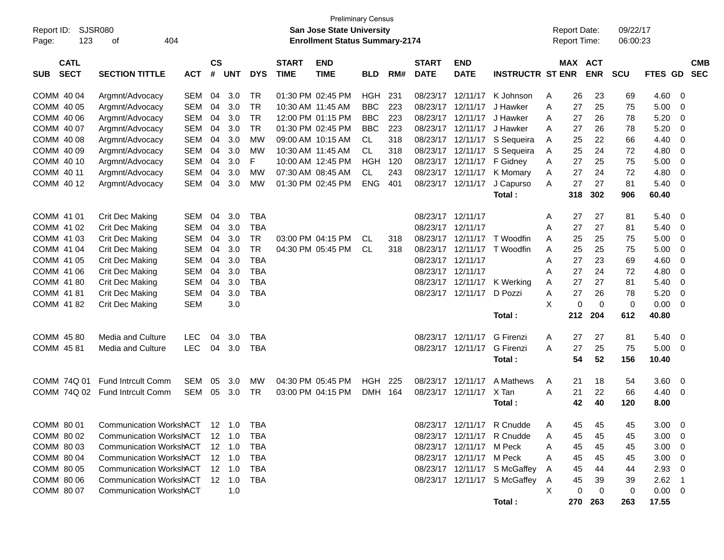| <b>Preliminary Census</b><br><b>SJSR080</b><br>San Jose State University<br><b>Report Date:</b><br>09/22/17 |                                           |            |               |                |            |              |                                       |            |     |              |                          |                              |                     |                     |            |             |             |                         |            |
|-------------------------------------------------------------------------------------------------------------|-------------------------------------------|------------|---------------|----------------|------------|--------------|---------------------------------------|------------|-----|--------------|--------------------------|------------------------------|---------------------|---------------------|------------|-------------|-------------|-------------------------|------------|
| Report ID:                                                                                                  |                                           |            |               |                |            |              |                                       |            |     |              |                          |                              |                     |                     |            |             |             |                         |            |
| 123<br>Page:                                                                                                | 404<br>of                                 |            |               |                |            |              | <b>Enrollment Status Summary-2174</b> |            |     |              |                          |                              |                     | <b>Report Time:</b> |            | 06:00:23    |             |                         |            |
| <b>CATL</b>                                                                                                 |                                           |            | $\mathsf{cs}$ |                |            | <b>START</b> | <b>END</b>                            |            |     | <b>START</b> | <b>END</b>               |                              |                     | MAX ACT             |            |             |             |                         | <b>CMB</b> |
| <b>SECT</b><br><b>SUB</b>                                                                                   | <b>SECTION TITTLE</b>                     | <b>ACT</b> | #             | <b>UNT</b>     | <b>DYS</b> | <b>TIME</b>  | <b>TIME</b>                           | <b>BLD</b> | RM# | <b>DATE</b>  | <b>DATE</b>              | <b>INSTRUCTR ST ENR</b>      |                     |                     | <b>ENR</b> | <b>SCU</b>  | FTES GD     |                         | <b>SEC</b> |
| COMM 40 04                                                                                                  | Argmnt/Advocacy                           | <b>SEM</b> | 04            | 3.0            | <b>TR</b>  |              | 01:30 PM 02:45 PM                     | <b>HGH</b> | 231 | 08/23/17     | 12/11/17                 | K Johnson                    | A                   | 26                  | 23         | 69          | 4.60        | - 0                     |            |
| COMM 40 05                                                                                                  | Argmnt/Advocacy                           | <b>SEM</b> | 04            | 3.0            | <b>TR</b>  |              | 10:30 AM 11:45 AM                     | <b>BBC</b> | 223 | 08/23/17     | 12/11/17                 | J Hawker                     | A                   | 27                  | 25         | 75          | 5.00        | 0                       |            |
| COMM 40 06                                                                                                  | Argmnt/Advocacy                           | <b>SEM</b> | 04            | 3.0            | <b>TR</b>  |              | 12:00 PM 01:15 PM                     | <b>BBC</b> | 223 | 08/23/17     | 12/11/17                 | J Hawker                     | A                   | 27                  | 26         | 78          | 5.20        | 0                       |            |
| COMM 40 07                                                                                                  | Argmnt/Advocacy                           | <b>SEM</b> | 04            | 3.0            | <b>TR</b>  |              | 01:30 PM 02:45 PM                     | <b>BBC</b> | 223 | 08/23/17     | 12/11/17                 | J Hawker                     | A                   | 27                  | 26         | 78          | 5.20        | 0                       |            |
| COMM 40 08                                                                                                  | Argmnt/Advocacy                           | <b>SEM</b> | 04            | 3.0            | <b>MW</b>  |              | 09:00 AM 10:15 AM                     | CL         | 318 | 08/23/17     | 12/11/17                 | S Sequeira                   | Α                   | 25                  | 22         | 66          | 4.40        | 0                       |            |
| COMM 40 09                                                                                                  | Argmnt/Advocacy                           | <b>SEM</b> | 04            | 3.0            | <b>MW</b>  |              | 10:30 AM 11:45 AM                     | <b>CL</b>  | 318 | 08/23/17     | 12/11/17                 | S Sequeira                   | Α                   | 25                  | 24         | 72          | 4.80        | 0                       |            |
| COMM 40 10                                                                                                  | Argmnt/Advocacy                           | <b>SEM</b> | 04            | 3.0            | F          |              | 10:00 AM 12:45 PM                     | <b>HGH</b> | 120 | 08/23/17     | 12/11/17                 | F Gidney                     | Α                   | 27                  | 25         | 75          | 5.00        | 0                       |            |
| COMM 40 11                                                                                                  | Argmnt/Advocacy                           | <b>SEM</b> | 04            | 3.0            | <b>MW</b>  |              | 07:30 AM 08:45 AM                     | CL         | 243 | 08/23/17     | 12/11/17                 | K Momary                     | Α                   | 27                  | 24         | 72          | 4.80        | 0                       |            |
| COMM 40 12                                                                                                  | Argmnt/Advocacy                           | <b>SEM</b> | 04            | 3.0            | <b>MW</b>  |              | 01:30 PM 02:45 PM                     | <b>ENG</b> | 401 | 08/23/17     | 12/11/17                 | J Capurso                    | A                   | 27                  | 27         | 81          | 5.40        | - 0                     |            |
|                                                                                                             |                                           |            |               |                |            |              |                                       |            |     |              |                          | Total:                       |                     | 318                 | 302        | 906         | 60.40       |                         |            |
|                                                                                                             |                                           |            |               |                |            |              |                                       |            |     |              |                          |                              |                     |                     |            |             |             |                         |            |
| COMM 41 01                                                                                                  | Crit Dec Making                           | <b>SEM</b> | 04            | 3.0            | <b>TBA</b> |              |                                       |            |     | 08/23/17     | 12/11/17                 |                              | Α                   | 27                  | 27         | 81          | 5.40        | - 0                     |            |
| COMM 41 02                                                                                                  | Crit Dec Making                           | <b>SEM</b> | 04            | 3.0            | <b>TBA</b> |              |                                       |            |     | 08/23/17     | 12/11/17                 |                              | A                   | 27                  | 27         | 81          | 5.40        | 0                       |            |
| COMM 41 03                                                                                                  | Crit Dec Making                           | <b>SEM</b> | 04            | 3.0            | <b>TR</b>  |              | 03:00 PM 04:15 PM                     | CL         | 318 | 08/23/17     | 12/11/17                 | T Woodfin                    | A                   | 25                  | 25         | 75          | 5.00        | 0                       |            |
| COMM 41 04                                                                                                  | Crit Dec Making                           | <b>SEM</b> | 04            | 3.0            | <b>TR</b>  |              | 04:30 PM 05:45 PM                     | <b>CL</b>  | 318 | 08/23/17     | 12/11/17                 | T Woodfin                    | A                   | 25                  | 25         | 75          | 5.00        | 0                       |            |
| COMM 41 05                                                                                                  | Crit Dec Making                           | <b>SEM</b> | 04            | 3.0            | <b>TBA</b> |              |                                       |            |     | 08/23/17     | 12/11/17                 |                              | A                   | 27                  | 23         | 69          | 4.60        | 0                       |            |
| COMM 41 06                                                                                                  | Crit Dec Making                           | <b>SEM</b> | 04            | 3.0            | <b>TBA</b> |              |                                       |            |     | 08/23/17     | 12/11/17                 |                              | A                   | 27                  | 24         | 72          | 4.80        | 0                       |            |
| COMM 41 80                                                                                                  | Crit Dec Making                           | <b>SEM</b> | 04            | 3.0            | <b>TBA</b> |              |                                       |            |     | 08/23/17     | 12/11/17                 | K Werking                    | A                   | 27                  | 27         | 81          | 5.40        | 0                       |            |
| COMM 41 81                                                                                                  | Crit Dec Making                           | <b>SEM</b> | 04            | 3.0            | <b>TBA</b> |              |                                       |            |     |              | 08/23/17 12/11/17        | D Pozzi                      | Α                   | 27                  | 26         | 78          | 5.20        | - 0                     |            |
| COMM 4182                                                                                                   | Crit Dec Making                           | <b>SEM</b> |               | 3.0            |            |              |                                       |            |     |              |                          |                              | X                   | $\Omega$            | $\Omega$   | $\mathbf 0$ | 0.00        | $\overline{0}$          |            |
|                                                                                                             |                                           |            |               |                |            |              |                                       |            |     |              |                          | Total:                       |                     | 212                 | 204        | 612         | 40.80       |                         |            |
| COMM 45 80                                                                                                  | <b>Media and Culture</b>                  | <b>LEC</b> | 04            | 3.0            | <b>TBA</b> |              |                                       |            |     | 08/23/17     | 12/11/17                 | G Firenzi                    | A                   | 27                  | 27         | 81          | 5.40        | 0                       |            |
| COMM 45 81                                                                                                  | Media and Culture                         | <b>LEC</b> | 04            | 3.0            | <b>TBA</b> |              |                                       |            |     |              | 08/23/17 12/11/17        | <b>G</b> Firenzi             | A                   | 27                  | 25         | 75          | 5.00        | $\overline{\mathbf{0}}$ |            |
|                                                                                                             |                                           |            |               |                |            |              |                                       |            |     |              |                          | Total:                       |                     | 54                  | 52         | 156         | 10.40       |                         |            |
| COMM 74Q 01                                                                                                 | <b>Fund Intrcult Comm</b>                 | <b>SEM</b> | 05            | 3.0            | МW         |              | 04:30 PM 05:45 PM                     | <b>HGH</b> | 225 | 08/23/17     | 12/11/17                 | A Mathews                    | Α                   | 21                  | 18         | 54          | 3.60        | 0                       |            |
| COMM 74Q 02                                                                                                 | Fund Intrcult Comm                        | <b>SEM</b> | 05            | 3.0            | <b>TR</b>  |              | 03:00 PM 04:15 PM                     | <b>DMH</b> | 164 | 08/23/17     | 12/11/17                 | X Tan                        | A                   | 21                  | 22         | 66          | 4.40        | 0                       |            |
|                                                                                                             |                                           |            |               |                |            |              |                                       |            |     |              |                          | Total:                       |                     | 42                  | 40         | 120         | 8.00        |                         |            |
|                                                                                                             | COMM 80 01 Communication WorkshACT 12 1.0 |            |               |                | TBA        |              |                                       |            |     |              |                          | 08/23/17 12/11/17 R Cnudde   | $\overline{a}$<br>A | 45                  | 45         | 45          | $3.00 \t 0$ |                         |            |
| COMM 80 02                                                                                                  | <b>Communication WorkshACT</b>            |            |               | $12 \quad 1.0$ | <b>TBA</b> |              |                                       |            |     |              |                          | 08/23/17 12/11/17 R Cnudde   | A                   | 45                  | 45         | 45          | 3.00        | - 0                     |            |
| COMM 80 03                                                                                                  | <b>Communication WorkshACT</b>            |            |               | 12 1.0         | TBA        |              |                                       |            |     |              | 08/23/17 12/11/17 M Peck |                              | Α                   | 45                  | 45         | 45          | 3.00        | - 0                     |            |
| COMM 80 04                                                                                                  | <b>Communication WorkshACT</b>            |            |               | 12 1.0         | TBA        |              |                                       |            |     |              | 08/23/17 12/11/17 M Peck |                              | Α                   | 45                  | 45         | 45          | 3.00        | - 0                     |            |
| COMM 80 05                                                                                                  | <b>Communication WorkshACT</b>            |            |               | $12 \quad 1.0$ | TBA        |              |                                       |            |     |              |                          | 08/23/17 12/11/17 S McGaffey | A                   | 45                  | 44         | 44          | 2.93        | - 0                     |            |
| COMM 80 06                                                                                                  | <b>Communication WorkshACT</b>            |            |               | 12 1.0         | TBA        |              |                                       |            |     |              |                          | 08/23/17 12/11/17 S McGaffey | A                   | 45                  | 39         | 39          | 2.62        | - 1                     |            |
| COMM 80 07                                                                                                  | <b>Communication WorkshACT</b>            |            |               | 1.0            |            |              |                                       |            |     |              |                          |                              | X                   | 0                   | 0          | 0           | 0.00        | $\overline{\mathbf{0}}$ |            |
|                                                                                                             |                                           |            |               |                |            |              |                                       |            |     |              |                          | Total:                       |                     | 270                 | 263        | 263         | 17.55       |                         |            |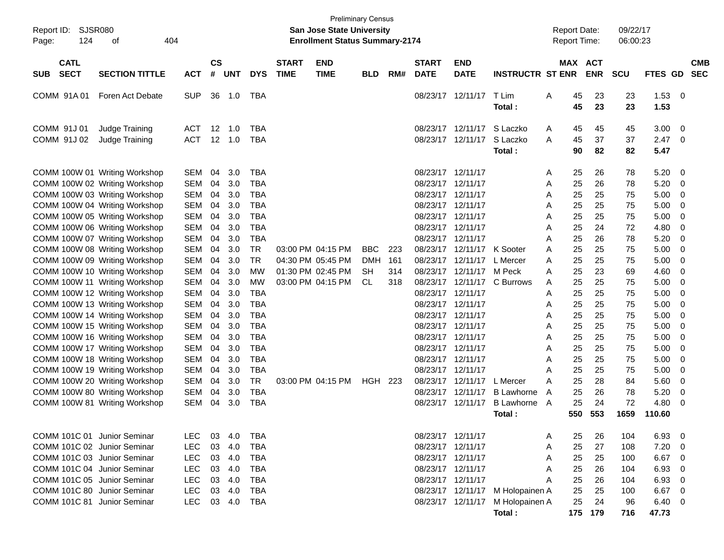| <b>SJSR080</b><br>Report ID:<br>124<br>оf<br>Page:                                                                               | 404                                                  |                      |                          |                                                      |                             | <b>Preliminary Census</b><br><b>San Jose State University</b><br><b>Enrollment Status Summary-2174</b> |                                |                   |                                                                                  |                                           |                                                          | <b>Report Date:</b><br><b>Report Time:</b> |                          | 09/22/17<br>06:00:23 |                              |                                                                                |
|----------------------------------------------------------------------------------------------------------------------------------|------------------------------------------------------|----------------------|--------------------------|------------------------------------------------------|-----------------------------|--------------------------------------------------------------------------------------------------------|--------------------------------|-------------------|----------------------------------------------------------------------------------|-------------------------------------------|----------------------------------------------------------|--------------------------------------------|--------------------------|----------------------|------------------------------|--------------------------------------------------------------------------------|
| <b>CATL</b><br><b>SECT</b><br><b>SECTION TITTLE</b><br><b>SUB</b>                                                                | <b>ACT</b>                                           | $\mathsf{cs}$<br>#   | <b>UNT</b>               | <b>DYS</b>                                           | <b>START</b><br><b>TIME</b> | <b>END</b><br><b>TIME</b>                                                                              | <b>BLD</b>                     | RM#               | <b>START</b><br><b>DATE</b>                                                      | <b>END</b><br><b>DATE</b>                 | <b>INSTRUCTR ST ENR</b>                                  | <b>MAX</b>                                 | <b>ACT</b><br><b>ENR</b> | <b>SCU</b>           | FTES GD                      | <b>CMB</b><br><b>SEC</b>                                                       |
| COMM 91A01<br>Foren Act Debate                                                                                                   | <b>SUP</b>                                           | 36                   | 1.0                      | TBA                                                  |                             |                                                                                                        |                                |                   | 08/23/17                                                                         | 12/11/17                                  | T Lim<br><b>Total :</b>                                  | 45<br>A<br>45                              | 23<br>23                 | 23<br>23             | 1.53<br>1.53                 | - 0                                                                            |
| COMM 91J 01<br>Judge Training<br>COMM 91J 02<br>Judge Training                                                                   | ACT<br><b>ACT</b>                                    | 12                   | 1.0<br>12 1.0            | TBA<br><b>TBA</b>                                    |                             |                                                                                                        |                                |                   | 08/23/17                                                                         | 12/11/17<br>08/23/17 12/11/17             | S Laczko<br>S Laczko<br><b>Total :</b>                   | 45<br>A<br>45<br>A<br>90                   | 45<br>37<br>82           | 45<br>37<br>82       | 3.00<br>2.47<br>5.47         | - 0<br>- 0                                                                     |
| COMM 100W 01 Writing Workshop<br>COMM 100W 02 Writing Workshop<br>COMM 100W 03 Writing Workshop                                  | <b>SEM</b><br><b>SEM</b><br><b>SEM</b>               | 04<br>04<br>04       | 3.0<br>3.0<br>3.0        | TBA<br><b>TBA</b><br><b>TBA</b>                      |                             |                                                                                                        |                                |                   | 08/23/17 12/11/17<br>08/23/17 12/11/17<br>08/23/17 12/11/17                      |                                           |                                                          | 25<br>A<br>25<br>Α<br>25<br>A              | 26<br>26<br>25           | 78<br>78<br>75       | 5.20<br>5.20<br>5.00         | - 0<br>- 0<br>- 0                                                              |
| COMM 100W 04 Writing Workshop<br>COMM 100W 05 Writing Workshop<br>COMM 100W 06 Writing Workshop<br>COMM 100W 07 Writing Workshop | <b>SEM</b><br><b>SEM</b><br><b>SEM</b><br><b>SEM</b> | 04<br>04<br>04<br>04 | 3.0<br>3.0<br>3.0<br>3.0 | <b>TBA</b><br><b>TBA</b><br><b>TBA</b><br><b>TBA</b> |                             |                                                                                                        |                                |                   | 08/23/17 12/11/17<br>08/23/17 12/11/17<br>08/23/17 12/11/17<br>08/23/17 12/11/17 |                                           |                                                          | 25<br>A<br>25<br>A<br>25<br>Α<br>25<br>A   | 25<br>25<br>24<br>26     | 75<br>75<br>72<br>78 | 5.00<br>5.00<br>4.80<br>5.20 | - 0<br>- 0<br>-0<br>- 0                                                        |
| COMM 100W 08 Writing Workshop<br>COMM 100W 09 Writing Workshop<br>COMM 100W 10 Writing Workshop                                  | <b>SEM</b><br><b>SEM</b><br><b>SEM</b>               | 04<br>04<br>04       | 3.0<br>3.0<br>3.0        | <b>TR</b><br><b>TR</b><br>МW                         |                             | 03:00 PM 04:15 PM<br>04:30 PM 05:45 PM<br>01:30 PM 02:45 PM                                            | <b>BBC</b><br><b>DMH</b><br>SН | 223<br>161<br>314 | 08/23/17<br>08/23/17                                                             | 08/23/17 12/11/17<br>12/11/17<br>12/11/17 | K Sooter<br>L Mercer<br>M Peck                           | 25<br>A<br>25<br>A<br>25<br>A              | 25<br>25<br>23           | 75<br>75<br>69       | 5.00<br>5.00<br>4.60         | - 0<br>- 0<br>-0                                                               |
| COMM 100W 11 Writing Workshop<br>COMM 100W 12 Writing Workshop<br>COMM 100W 13 Writing Workshop                                  | <b>SEM</b><br><b>SEM</b><br><b>SEM</b>               | 04<br>04<br>04       | 3.0<br>3.0<br>3.0        | МW<br><b>TBA</b><br><b>TBA</b><br><b>TBA</b>         |                             | 03:00 PM 04:15 PM                                                                                      | <b>CL</b>                      | 318               | 08/23/17<br>08/23/17 12/11/17<br>08/23/17 12/11/17                               | 12/11/17                                  | C Burrows                                                | 25<br>A<br>25<br>A<br>25<br>A              | 25<br>25<br>25<br>25     | 75<br>75<br>75       | 5.00<br>5.00<br>5.00         | - 0<br>- 0<br>- 0                                                              |
| COMM 100W 14 Writing Workshop<br>COMM 100W 15 Writing Workshop<br>COMM 100W 16 Writing Workshop<br>COMM 100W 17 Writing Workshop | <b>SEM</b><br><b>SEM</b><br><b>SEM</b><br><b>SEM</b> | 04<br>04<br>04<br>04 | 3.0<br>3.0<br>3.0<br>3.0 | <b>TBA</b><br><b>TBA</b><br><b>TBA</b>               |                             |                                                                                                        |                                |                   | 08/23/17 12/11/17<br>08/23/17 12/11/17<br>08/23/17 12/11/17<br>08/23/17 12/11/17 |                                           |                                                          | 25<br>Α<br>25<br>A<br>25<br>A<br>25<br>A   | 25<br>25<br>25           | 75<br>75<br>75<br>75 | 5.00<br>5.00<br>5.00<br>5.00 | - 0<br>- 0<br>- 0<br>- 0                                                       |
| COMM 100W 18 Writing Workshop<br>COMM 100W 19 Writing Workshop<br>COMM 100W 20 Writing Workshop                                  | <b>SEM</b><br><b>SEM</b><br><b>SEM</b>               | 04<br>04<br>04       | 3.0<br>3.0<br>3.0        | <b>TBA</b><br><b>TBA</b><br><b>TR</b>                |                             | 03:00 PM 04:15 PM                                                                                      | HGH                            | 223               | 08/23/17<br>08/23/17 12/11/17                                                    | 12/11/17<br>08/23/17 12/11/17             | L Mercer                                                 | 25<br>A<br>25<br>A<br>25<br>A              | 25<br>25<br>28           | 75<br>75<br>84       | 5.00<br>5.00<br>5.60         | - 0<br>- 0<br>- 0                                                              |
| COMM 100W 80 Writing Workshop<br>COMM 100W 81 Writing Workshop                                                                   | <b>SEM</b><br><b>SEM</b>                             | 04<br>04             | 3.0<br>3.0               | <b>TBA</b><br><b>TBA</b>                             |                             |                                                                                                        |                                |                   | 08/23/17<br>08/23/17                                                             | 12/11/17<br>12/11/17                      | <b>B</b> Lawhorne<br><b>B</b> Lawhorne<br><b>Total :</b> | 25<br>A<br>25<br>A<br>550                  | 26<br>24<br>553          | 78<br>72<br>1659     | 5.20<br>4.80<br>110.60       | 0<br>-0                                                                        |
| COMM 101C 01 Junior Seminar<br>COMM 101C 02 Junior Seminar<br>COMM 101C 03 Junior Seminar                                        | LEC.<br><b>LEC</b><br><b>LEC</b>                     | 03<br>03             | 4.0<br>4.0<br>03 4.0     | TBA<br><b>TBA</b><br><b>TBA</b>                      |                             |                                                                                                        |                                |                   | 08/23/17 12/11/17<br>08/23/17 12/11/17<br>08/23/17 12/11/17                      |                                           |                                                          | 25<br>A<br>25<br>Α<br>25<br>Α              | 26<br>27<br>25           | 104<br>108<br>100    | 6.93<br>7.20<br>6.67         | - 0<br>$\overline{\mathbf{0}}$<br>$\overline{\phantom{0}}$                     |
| COMM 101C 04 Junior Seminar<br>COMM 101C 05 Junior Seminar<br>COMM 101C 80 Junior Seminar                                        | <b>LEC</b><br><b>LEC</b><br><b>LEC</b>               | 03<br>03<br>03       | 4.0<br>4.0<br>4.0        | <b>TBA</b><br><b>TBA</b><br><b>TBA</b>               |                             |                                                                                                        |                                |                   | 08/23/17 12/11/17<br>08/23/17 12/11/17                                           |                                           | 08/23/17 12/11/17 M Holopainen A                         | 25<br>Α<br>25<br>A<br>25                   | 26<br>26<br>25           | 104<br>104<br>100    | 6.93<br>6.93<br>6.67         | $\overline{\mathbf{0}}$<br>$\overline{\mathbf{0}}$<br>$\overline{\phantom{0}}$ |
| COMM 101C 81 Junior Seminar                                                                                                      | <b>LEC</b>                                           |                      | 03 4.0                   | <b>TBA</b>                                           |                             |                                                                                                        |                                |                   |                                                                                  | 08/23/17 12/11/17                         | M Holopainen A<br>Total:                                 | 25                                         | 24<br>175 179            | 96<br>716            | $6.40\ 0$<br>47.73           |                                                                                |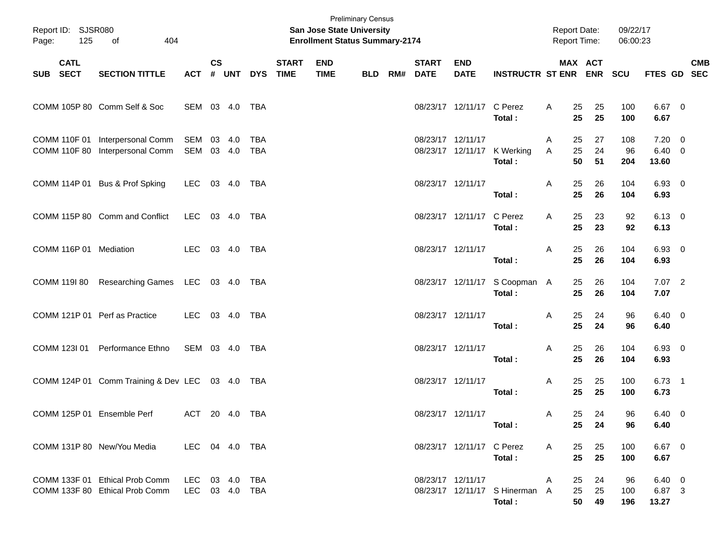| Page:    | Report ID: SJSR080<br>125<br>404<br>of<br><b>CATL</b> |                                                                    |                                  |               |       |                   |                             | <b>Preliminary Census</b><br><b>San Jose State University</b><br><b>Enrollment Status Summary-2174</b> |            |                          |                           |                                          |        | <b>Report Date:</b><br><b>Report Time:</b> |                | 09/22/17<br>06:00:23 |                                      |            |
|----------|-------------------------------------------------------|--------------------------------------------------------------------|----------------------------------|---------------|-------|-------------------|-----------------------------|--------------------------------------------------------------------------------------------------------|------------|--------------------------|---------------------------|------------------------------------------|--------|--------------------------------------------|----------------|----------------------|--------------------------------------|------------|
| SUB SECT |                                                       | <b>SECTION TITTLE</b>                                              | <b>ACT</b>                       | $\mathsf{cs}$ | # UNT | <b>DYS</b>        | <b>START</b><br><b>TIME</b> | <b>END</b><br><b>TIME</b>                                                                              | <b>BLD</b> | <b>START</b><br>RM# DATE | <b>END</b><br><b>DATE</b> | <b>INSTRUCTR ST ENR ENR</b>              |        | MAX ACT                                    |                | <b>SCU</b>           | FTES GD SEC                          | <b>CMB</b> |
|          |                                                       | COMM 105P 80 Comm Self & Soc                                       | SEM 03 4.0 TBA                   |               |       |                   |                             |                                                                                                        |            |                          | 08/23/17 12/11/17 C Perez | Total:                                   | A      | 25<br>25                                   | 25<br>25       | 100<br>100           | 6.67 0<br>6.67                       |            |
|          |                                                       | COMM 110F 01 Interpersonal Comm<br>COMM 110F 80 Interpersonal Comm | SEM 03 4.0<br>SEM 03 4.0         |               |       | <b>TBA</b><br>TBA |                             |                                                                                                        |            | 08/23/17 12/11/17        |                           | 08/23/17 12/11/17 K Werking<br>Total:    | A<br>Α | 25<br>25<br>50                             | 27<br>24<br>51 | 108<br>96<br>204     | $7.20 \ 0$<br>$6.40\quad 0$<br>13.60 |            |
|          |                                                       | COMM 114P 01 Bus & Prof Spking                                     | LEC 03 4.0 TBA                   |               |       |                   |                             |                                                                                                        |            | 08/23/17 12/11/17        |                           | Total:                                   | A      | 25<br>25                                   | 26<br>26       | 104<br>104           | $6.93$ 0<br>6.93                     |            |
|          |                                                       | COMM 115P 80 Comm and Conflict                                     | LEC 03 4.0 TBA                   |               |       |                   |                             |                                                                                                        |            |                          | 08/23/17 12/11/17 C Perez | Total:                                   | A      | 25<br>25                                   | 23<br>23       | 92<br>92             | $6.13 \quad 0$<br>6.13               |            |
|          |                                                       | COMM 116P 01 Mediation                                             | LEC 03 4.0 TBA                   |               |       |                   |                             |                                                                                                        |            | 08/23/17 12/11/17        |                           | Total:                                   | A      | 25<br>25                                   | 26<br>26       | 104<br>104           | $6.93$ 0<br>6.93                     |            |
|          |                                                       | COMM 1191 80 Researching Games LEC 03 4.0 TBA                      |                                  |               |       |                   |                             |                                                                                                        |            |                          |                           | 08/23/17 12/11/17 S Coopman A<br>Total:  |        | 25<br>25                                   | 26<br>26       | 104<br>104           | $7.07$ 2<br>7.07                     |            |
|          |                                                       | COMM 121P 01 Perf as Practice                                      | LEC 03 4.0 TBA                   |               |       |                   |                             |                                                                                                        |            | 08/23/17 12/11/17        |                           | Total:                                   | Α      | 25<br>25                                   | 24<br>24       | 96<br>96             | $6.40 \quad 0$<br>6.40               |            |
|          |                                                       | COMM 123I 01 Performance Ethno                                     | SEM 03 4.0 TBA                   |               |       |                   |                             |                                                                                                        |            | 08/23/17 12/11/17        |                           | Total:                                   | Α      | 25<br>25                                   | 26<br>26       | 104<br>104           | 6.93 0<br>6.93                       |            |
|          |                                                       | COMM 124P 01 Comm Training & Dev LEC 03 4.0 TBA                    |                                  |               |       |                   |                             |                                                                                                        |            | 08/23/17 12/11/17        |                           | Total:                                   | Α      | 25<br>25                                   | 25<br>25       | 100<br>100           | $6.73$ 1<br>6.73                     |            |
|          |                                                       | COMM 125P 01 Ensemble Perf                                         | ACT 20 4.0 TBA                   |               |       |                   |                             |                                                                                                        |            | 08/23/17 12/11/17        |                           | Total:                                   | A      | 25<br>25                                   | 24<br>24       | 96<br>96             | $6.40\quad 0$<br>6.40                |            |
|          |                                                       | COMM 131P 80 New/You Media                                         | LEC 04 4.0 TBA                   |               |       |                   |                             |                                                                                                        |            |                          | 08/23/17 12/11/17 C Perez | Total:                                   | A      | 25<br>25                                   | 25<br>25       | 100<br>100           | $6.67$ 0<br>6.67                     |            |
|          |                                                       | COMM 133F 01 Ethical Prob Comm<br>COMM 133F 80 Ethical Prob Comm   | LEC 03 4.0 TBA<br>LEC 03 4.0 TBA |               |       |                   |                             |                                                                                                        |            |                          | 08/23/17 12/11/17         | 08/23/17 12/11/17 S Hinerman A<br>Total: | A      | 25<br>25<br>50                             | 24<br>25<br>49 | 96<br>100<br>196     | $6.40\quad 0$<br>6.87 3<br>13.27     |            |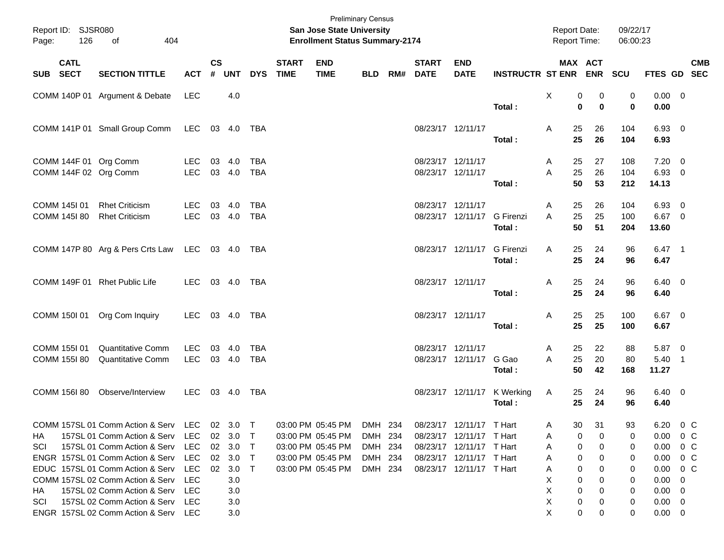| Report ID: SJSR080<br>Page:  | 126         | 404<br>of                                                                                                                                                                                                                                              |                                                         |                    |                                                    |                                      |                             | <b>Preliminary Census</b><br>San Jose State University<br><b>Enrollment Status Summary-2174</b>               |                                          |     |                                        |                                                                                                                                          |                                       | <b>Report Date:</b><br><b>Report Time:</b> |                                     |                            | 09/22/17<br>06:00:23             |                                                                     |                                                            |            |
|------------------------------|-------------|--------------------------------------------------------------------------------------------------------------------------------------------------------------------------------------------------------------------------------------------------------|---------------------------------------------------------|--------------------|----------------------------------------------------|--------------------------------------|-----------------------------|---------------------------------------------------------------------------------------------------------------|------------------------------------------|-----|----------------------------------------|------------------------------------------------------------------------------------------------------------------------------------------|---------------------------------------|--------------------------------------------|-------------------------------------|----------------------------|----------------------------------|---------------------------------------------------------------------|------------------------------------------------------------|------------|
| SUB SECT                     | <b>CATL</b> | <b>SECTION TITTLE</b>                                                                                                                                                                                                                                  | <b>ACT</b>                                              | $\mathsf{cs}$<br># | <b>UNT</b>                                         | <b>DYS</b>                           | <b>START</b><br><b>TIME</b> | <b>END</b><br><b>TIME</b>                                                                                     | <b>BLD</b>                               | RM# | <b>START</b><br><b>DATE</b>            | <b>END</b><br><b>DATE</b>                                                                                                                | INSTRUCTR ST ENR ENR SCU              |                                            | MAX ACT                             |                            |                                  | FTES GD SEC                                                         |                                                            | <b>CMB</b> |
|                              |             | COMM 140P 01 Argument & Debate                                                                                                                                                                                                                         | LEC                                                     |                    | 4.0                                                |                                      |                             |                                                                                                               |                                          |     |                                        |                                                                                                                                          | Total:                                | X                                          | 0<br>0                              | 0<br>$\bf{0}$              | 0<br>$\mathbf 0$                 | $0.00 \t 0$<br>0.00                                                 |                                                            |            |
|                              |             | COMM 141P 01 Small Group Comm                                                                                                                                                                                                                          | LEC 03 4.0 TBA                                          |                    |                                                    |                                      |                             |                                                                                                               |                                          |     | 08/23/17 12/11/17                      |                                                                                                                                          | Total:                                | A                                          | 25<br>25                            | 26<br>26                   | 104<br>104                       | 6.93 0<br>6.93                                                      |                                                            |            |
|                              |             | COMM 144F 01 Org Comm<br>COMM 144F 02 Org Comm                                                                                                                                                                                                         | LEC.<br><b>LEC</b>                                      | 03                 | 4.0<br>03 4.0                                      | TBA<br>TBA                           |                             |                                                                                                               |                                          |     | 08/23/17 12/11/17<br>08/23/17 12/11/17 |                                                                                                                                          | Total:                                | A<br>A                                     | 25<br>25<br>50                      | 27<br>26<br>53             | 108<br>104<br>212                | $7.20 \t 0$<br>6.93 0<br>14.13                                      |                                                            |            |
| COMM 145I 01<br>COMM 145I 80 |             | <b>Rhet Criticism</b><br><b>Rhet Criticism</b>                                                                                                                                                                                                         | LEC.<br><b>LEC</b>                                      | 03                 | 4.0<br>03 4.0                                      | TBA<br><b>TBA</b>                    |                             |                                                                                                               |                                          |     | 08/23/17 12/11/17                      | 08/23/17 12/11/17 G Firenzi                                                                                                              | Total:                                | A<br>A                                     | 25<br>25<br>50                      | 26<br>25<br>51             | 104<br>100<br>204                | 6.93<br>6.67 0<br>13.60                                             | $\overline{\mathbf{0}}$                                    |            |
|                              |             | COMM 147P 80 Arg & Pers Crts Law LEC 03 4.0 TBA                                                                                                                                                                                                        |                                                         |                    |                                                    |                                      |                             |                                                                                                               |                                          |     |                                        | 08/23/17 12/11/17 G Firenzi                                                                                                              | Total:                                | A                                          | 25<br>25                            | 24<br>24                   | 96<br>96                         | $6.47$ 1<br>6.47                                                    |                                                            |            |
|                              |             | COMM 149F 01 Rhet Public Life                                                                                                                                                                                                                          | LEC                                                     |                    | 03 4.0 TBA                                         |                                      |                             |                                                                                                               |                                          |     | 08/23/17 12/11/17                      |                                                                                                                                          | Total:                                | A                                          | 25<br>25                            | 24<br>24                   | 96<br>96                         | $6.40 \quad 0$<br>6.40                                              |                                                            |            |
|                              |             | COMM 150I 01 Org Com Inquiry                                                                                                                                                                                                                           | LEC                                                     |                    |                                                    |                                      |                             |                                                                                                               |                                          |     | 08/23/17 12/11/17                      |                                                                                                                                          | Total:                                | A                                          | 25<br>25                            | 25<br>25                   | 100<br>100                       | 6.67 0<br>6.67                                                      |                                                            |            |
| COMM 155I 01<br>COMM 155I 80 |             | <b>Quantitative Comm</b><br><b>Quantitative Comm</b>                                                                                                                                                                                                   | <b>LEC</b><br><b>LEC</b>                                | 03                 | 4.0<br>03 4.0                                      | TBA<br><b>TBA</b>                    |                             |                                                                                                               |                                          |     | 08/23/17 12/11/17                      | 08/23/17 12/11/17 G Gao                                                                                                                  | Total :                               | A<br>A                                     | 25<br>25<br>50                      | 22<br>20<br>42             | 88<br>80<br>168                  | $5.87 \quad 0$<br>$5.40$ 1<br>11.27                                 |                                                            |            |
| COMM 156180                  |             | Observe/Interview                                                                                                                                                                                                                                      | LEC 03 4.0 TBA                                          |                    |                                                    |                                      |                             |                                                                                                               |                                          |     |                                        |                                                                                                                                          | 08/23/17 12/11/17 K Werking<br>Total: | A                                          | 25<br>25                            | 24<br>24                   | 96<br>96                         | $6.40 \quad 0$<br>6.40                                              |                                                            |            |
| НA<br>SCI<br>HA.             |             | COMM 157SL 01 Comm Action & Serv LEC 02 3.0 T<br>157SL 01 Comm Action & Serv<br>157SL 01 Comm Action & Serv<br>ENGR 157SL 01 Comm Action & Serv<br>EDUC 157SL 01 Comm Action & Serv<br>COMM 157SL 02 Comm Action & Serv<br>157SL 02 Comm Action & Serv | LEC.<br>LEC.<br>LEC.<br>LEC<br><b>LEC</b><br><b>LEC</b> |                    | 02 3.0<br>02 3.0<br>02 3.0<br>02 3.0<br>3.0<br>3.0 | $\top$<br>$\top$<br>$\top$<br>$\top$ |                             | 03:00 PM 05:45 PM DMH 234<br>03:00 PM 05:45 PM<br>03:00 PM 05:45 PM<br>03:00 PM 05:45 PM<br>03:00 PM 05:45 PM | DMH 234<br>DMH 234<br>DMH 234<br>DMH 234 |     |                                        | 08/23/17 12/11/17 T Hart<br>08/23/17 12/11/17 T Hart<br>08/23/17 12/11/17 T Hart<br>08/23/17 12/11/17 T Hart<br>08/23/17 12/11/17 T Hart |                                       | Α<br>Α<br>A<br>A<br>A<br>х<br>Χ            | 30 31<br>0<br>0<br>0<br>0<br>0<br>0 | 0<br>0<br>0<br>0<br>0<br>0 | 93<br>0<br>0<br>0<br>0<br>0<br>0 | 6.20 0 C<br>$0.00\,$<br>0.00<br>0.00<br>0.00<br>0.00<br>$0.00 \t 0$ | $0\,$ C<br>$0\,$ C<br>$0\,$ C<br>$0\,$ C<br>$\overline{0}$ |            |
| SCI                          |             | 157SL 02 Comm Action & Serv<br>ENGR 157SL 02 Comm Action & Serv                                                                                                                                                                                        | <b>LEC</b><br><b>LEC</b>                                |                    | 3.0<br>3.0                                         |                                      |                             |                                                                                                               |                                          |     |                                        |                                                                                                                                          |                                       | Х<br>X                                     | 0<br>0                              | 0<br>0                     | 0<br>0                           | $0.00 \quad 0$<br>$0.00 \quad 0$                                    |                                                            |            |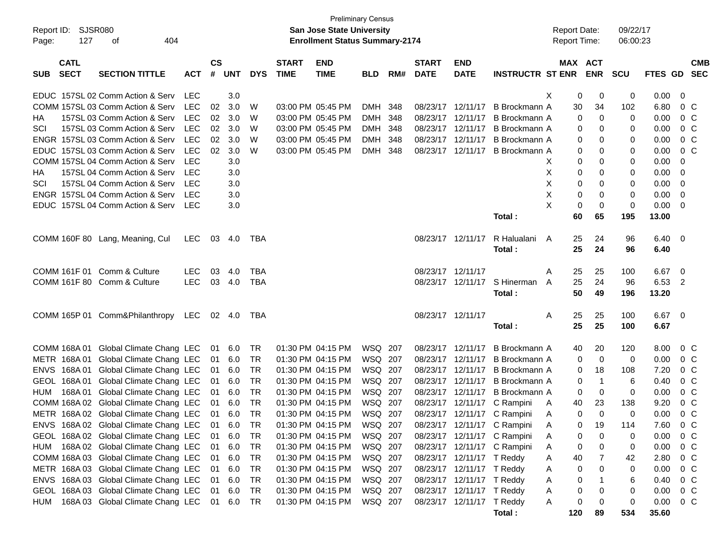|                           |                                              |            |               |            |            |              | <b>Preliminary Census</b>             |            |     |                   |                           |                             |                     |                     |            |          |                |            |
|---------------------------|----------------------------------------------|------------|---------------|------------|------------|--------------|---------------------------------------|------------|-----|-------------------|---------------------------|-----------------------------|---------------------|---------------------|------------|----------|----------------|------------|
| Report ID:                | SJSR080                                      |            |               |            |            |              | <b>San Jose State University</b>      |            |     |                   |                           |                             | <b>Report Date:</b> |                     | 09/22/17   |          |                |            |
| 127<br>Page:              | 404<br>оf                                    |            |               |            |            |              | <b>Enrollment Status Summary-2174</b> |            |     |                   |                           |                             | <b>Report Time:</b> |                     | 06:00:23   |          |                |            |
|                           |                                              |            |               |            |            |              |                                       |            |     |                   |                           |                             |                     |                     |            |          |                |            |
| <b>CATL</b>               |                                              |            | $\mathsf{cs}$ |            |            | <b>START</b> | <b>END</b>                            |            |     | <b>START</b>      | <b>END</b>                |                             |                     | MAX ACT             |            |          |                | <b>CMB</b> |
| <b>SECT</b><br><b>SUB</b> | <b>SECTION TITTLE</b>                        | <b>ACT</b> | #             | <b>UNT</b> | <b>DYS</b> | <b>TIME</b>  | <b>TIME</b>                           | <b>BLD</b> | RM# | <b>DATE</b>       | <b>DATE</b>               | <b>INSTRUCTR ST ENR</b>     |                     | <b>ENR</b>          | <b>SCU</b> | FTES GD  |                | <b>SEC</b> |
|                           | EDUC 157SL 02 Comm Action & Serv             | LEC        |               | 3.0        |            |              |                                       |            |     |                   |                           |                             | Χ                   | 0<br>0              | 0          | 0.00     | 0              |            |
|                           | COMM 157SL 03 Comm Action & Serv             | <b>LEC</b> | 02            | 3.0        | W          |              | 03:00 PM 05:45 PM                     | DMH 348    |     | 08/23/17          | 12/11/17                  | B Brockmann A               |                     | 30<br>34            | 102        | 6.80     | $0\,C$         |            |
| HА                        | 157SL 03 Comm Action & Serv                  | <b>LEC</b> | 02            | 3.0        | W          |              | 03:00 PM 05:45 PM                     | DMH 348    |     | 08/23/17          | 12/11/17                  | B Brockmann A               |                     | 0<br>0              | 0          | 0.00     | $0\,C$         |            |
| SCI                       | 157SL 03 Comm Action & Serv                  | <b>LEC</b> | 02            | 3.0        | W          |              | 03:00 PM 05:45 PM                     | DMH 348    |     | 08/23/17          | 12/11/17                  | B Brockmann A               |                     | 0<br>0              | 0          | 0.00     | 0 <sup>o</sup> |            |
|                           | ENGR 157SL 03 Comm Action & Serv             | <b>LEC</b> | 02            | 3.0        | W          |              | 03:00 PM 05:45 PM                     | DMH 348    |     | 08/23/17          | 12/11/17                  | B Brockmann A               |                     | 0<br>0              | 0          | 0.00     | $0\,C$         |            |
|                           | EDUC 157SL 03 Comm Action & Serv             | <b>LEC</b> | 02            | 3.0        | W          |              | 03:00 PM 05:45 PM                     | DMH 348    |     | 08/23/17          | 12/11/17                  | B Brockmann A               |                     | 0<br>0              | 0          | 0.00     | $0\,$ C        |            |
|                           | COMM 157SL 04 Comm Action & Serv             | <b>LEC</b> |               | 3.0        |            |              |                                       |            |     |                   |                           |                             | Х                   | 0<br>0              | 0          | 0.00     | 0              |            |
| HА                        | 157SL 04 Comm Action & Serv                  | LEC        |               | 3.0        |            |              |                                       |            |     |                   |                           |                             | Х                   | 0<br>0              | 0          | 0.00     | 0              |            |
| SCI                       | 157SL 04 Comm Action & Serv                  | LEC        |               | 3.0        |            |              |                                       |            |     |                   |                           |                             | X                   | 0<br>0              | 0          | 0.00     | 0              |            |
|                           | ENGR 157SL 04 Comm Action & Serv             | LEC        |               | 3.0        |            |              |                                       |            |     |                   |                           |                             | X                   | 0<br>0              | 0          | 0.00     | 0              |            |
|                           | EDUC 157SL 04 Comm Action & Serv             | LEC        |               | 3.0        |            |              |                                       |            |     |                   |                           |                             | X                   | 0<br>0              | 0          | 0.00     | 0              |            |
|                           |                                              |            |               |            |            |              |                                       |            |     |                   |                           | Total:                      |                     | 60<br>65            | 195        | 13.00    |                |            |
|                           |                                              |            |               |            |            |              |                                       |            |     |                   |                           |                             |                     |                     |            |          |                |            |
|                           | COMM 160F 80 Lang, Meaning, Cul              | LEC.       | 03            | 4.0        | TBA        |              |                                       |            |     |                   | 08/23/17 12/11/17         | R Halualani                 | A                   | 25<br>24            | 96         | 6.40     | - 0            |            |
|                           |                                              |            |               |            |            |              |                                       |            |     |                   |                           | Total:                      |                     | 25<br>24            | 96         | 6.40     |                |            |
|                           |                                              |            |               |            |            |              |                                       |            |     |                   |                           |                             |                     |                     |            |          |                |            |
| COMM 161F 01              | Comm & Culture                               | <b>LEC</b> | 03            | 4.0        | <b>TBA</b> |              |                                       |            |     | 08/23/17 12/11/17 |                           |                             | A                   | 25<br>25            | 100        | 6.67     | - 0            |            |
|                           | COMM 161F 80 Comm & Culture                  | <b>LEC</b> |               | 03 4.0     | <b>TBA</b> |              |                                       |            |     |                   | 08/23/17 12/11/17         | S Hinerman                  | A                   | 25<br>24            | 96         | 6.53     | $\overline{2}$ |            |
|                           |                                              |            |               |            |            |              |                                       |            |     |                   |                           | Total:                      |                     | 50<br>49            | 196        | 13.20    |                |            |
|                           |                                              |            |               |            |            |              |                                       |            |     |                   |                           |                             |                     |                     |            |          |                |            |
|                           | COMM 165P 01 Comm&Philanthropy               | LEC        |               | 02 4.0     | TBA        |              |                                       |            |     | 08/23/17 12/11/17 |                           |                             | Α                   | 25<br>25            | 100        | $6.67$ 0 |                |            |
|                           |                                              |            |               |            |            |              |                                       |            |     |                   |                           | Total:                      |                     | 25<br>25            | 100        | 6.67     |                |            |
|                           |                                              |            |               |            |            |              |                                       |            |     |                   |                           |                             |                     |                     |            |          |                |            |
| COMM 168A 01              | Global Climate Chang LEC                     |            | 01            | 6.0        | TR         |              | 01:30 PM 04:15 PM                     | WSQ 207    |     |                   | 08/23/17 12/11/17         | B Brockmann A               |                     | 40<br>20            | 120        | 8.00     | $0\,C$         |            |
| METR 168A01               | Global Climate Chang LEC                     |            | 01            | 6.0        | TR         |              | 01:30 PM 04:15 PM                     | WSQ 207    |     | 08/23/17          | 12/11/17                  | B Brockmann A               |                     | $\mathbf 0$<br>0    | 0          | 0.00     | $0\,C$         |            |
| 168A 01<br><b>ENVS</b>    | Global Climate Chang LEC                     |            | 01            | 6.0        | <b>TR</b>  |              | 01:30 PM 04:15 PM                     | WSQ 207    |     | 08/23/17          | 12/11/17                  | B Brockmann A               |                     | 18<br>0             | 108        | 7.20     | $0\,C$         |            |
| 168A 01<br><b>GEOL</b>    | Global Climate Chang LEC                     |            | 01            | 6.0        | <b>TR</b>  |              | 01:30 PM 04:15 PM                     | WSQ 207    |     | 08/23/17          | 12/11/17                  | B Brockmann A               |                     | $\overline{1}$<br>0 | 6          | 0.40     | 0 <sup>o</sup> |            |
| 168A01<br><b>HUM</b>      | Global Climate Chang LEC                     |            | 01            | 6.0        | <b>TR</b>  |              | 01:30 PM 04:15 PM                     | WSQ 207    |     | 08/23/17          | 12/11/17                  | <b>B</b> Brockmann A        |                     | 0<br>0              | 0          | 0.00     | 0 <sup>o</sup> |            |
| COMM 168A 02              | Global Climate Chang LEC                     |            | 01            | 6.0        | <b>TR</b>  |              | 01:30 PM 04:15 PM                     | WSQ 207    |     | 08/23/17          | 12/11/17                  | C Rampini                   | A                   | 40<br>23            | 138        | 9.20     | 0 <sup>o</sup> |            |
|                           | METR 168A 02 Global Climate Chang LEC        |            | 01            | 6.0        | <b>TR</b>  |              | 01:30 PM 04:15 PM                     | WSQ 207    |     |                   | 08/23/17 12/11/17         | C Rampini                   | A                   | $\mathbf 0$<br>0    | 0          | 0.00     | $0\,C$         |            |
|                           | ENVS 168A 02 Global Climate Chang LEC 01 6.0 |            |               |            | <b>TR</b>  |              | 01:30 PM 04:15 PM                     | WSQ 207    |     |                   |                           | 08/23/17 12/11/17 C Rampini | A                   | 19<br>$\Omega$      | 114        | 7.60     | 0 <sup>C</sup> |            |
|                           | GEOL 168A 02 Global Climate Chang LEC        |            |               | 01 6.0     | TR         |              | 01:30 PM 04:15 PM                     | WSQ 207    |     |                   |                           | 08/23/17 12/11/17 C Rampini | A                   | 0<br>0              | 0          | 0.00     | $0\,C$         |            |
|                           | HUM 168A 02 Global Climate Chang LEC         |            | 01            | 6.0        | TR         |              | 01:30 PM 04:15 PM                     | WSQ 207    |     |                   |                           | 08/23/17 12/11/17 C Rampini | A                   | 0<br>0              | 0          | 0.00     | 0 <sup>o</sup> |            |
|                           | COMM 168A 03 Global Climate Chang LEC        |            | 01            | 6.0        | TR         |              | 01:30 PM 04:15 PM                     | WSQ 207    |     |                   | 08/23/17 12/11/17 T Reddy |                             | A                   | 40<br>7             | 42         | 2.80     | $0\,C$         |            |
|                           | METR 168A 03 Global Climate Chang LEC        |            | 01            | 6.0        | TR         |              | 01:30 PM 04:15 PM                     | WSQ 207    |     |                   | 08/23/17 12/11/17 T Reddy |                             | A                   | 0<br>0              | 0          | 0.00     | $0\,C$         |            |
|                           | ENVS 168A 03 Global Climate Chang LEC        |            | 01            | 6.0        | TR         |              | 01:30 PM 04:15 PM                     | WSQ 207    |     |                   | 08/23/17 12/11/17 T Reddy |                             | A                   | 0                   | 6          | 0.40     | $0\,C$         |            |
|                           | GEOL 168A 03 Global Climate Chang LEC        |            | 01            | 6.0        | TR         |              | 01:30 PM 04:15 PM                     | WSQ 207    |     |                   | 08/23/17 12/11/17 T Reddy |                             | A                   | 0<br>0              | 0          | 0.00     | $0\,$ C        |            |
|                           | HUM 168A 03 Global Climate Chang LEC         |            |               | 01 6.0     | TR         |              | 01:30 PM 04:15 PM                     | WSQ 207    |     |                   | 08/23/17 12/11/17 T Reddy |                             | A                   | 0<br>0              | 0          | 0.00     | $0\,C$         |            |
|                           |                                              |            |               |            |            |              |                                       |            |     |                   |                           | Total:                      | 120                 | 89                  | 534        | 35.60    |                |            |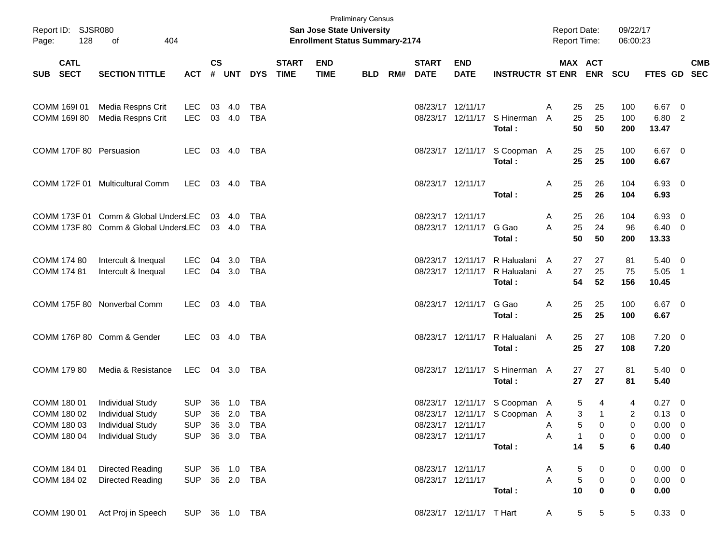| Report ID: SJSR080<br>Page: | 128         | 404<br>of                                     |                |               |        |            |                             | <b>San Jose State University</b><br><b>Enrollment Status Summary-2174</b> | <b>Preliminary Census</b> |     |                             |                           |                                | <b>Report Date:</b><br><b>Report Time:</b> |                                   | 09/22/17<br>06:00:23 |                |                          |
|-----------------------------|-------------|-----------------------------------------------|----------------|---------------|--------|------------|-----------------------------|---------------------------------------------------------------------------|---------------------------|-----|-----------------------------|---------------------------|--------------------------------|--------------------------------------------|-----------------------------------|----------------------|----------------|--------------------------|
| SUB SECT                    | <b>CATL</b> | <b>SECTION TITTLE</b>                         | <b>ACT</b>     | $\mathsf{cs}$ | # UNT  | <b>DYS</b> | <b>START</b><br><b>TIME</b> | <b>END</b><br><b>TIME</b>                                                 | <b>BLD</b>                | RM# | <b>START</b><br><b>DATE</b> | <b>END</b><br><b>DATE</b> | <b>INSTRUCTR ST ENR</b>        |                                            | MAX ACT<br><b>ENR</b>             | <b>SCU</b>           | <b>FTES GD</b> | <b>CMB</b><br><b>SEC</b> |
| COMM 169I 01                |             | Media Respns Crit                             | LEC            |               | 03 4.0 | TBA        |                             |                                                                           |                           |     |                             | 08/23/17 12/11/17         |                                | A<br>25                                    | 25                                | 100                  | $6.67$ 0       |                          |
| COMM 169I 80                |             | Media Respns Crit                             | LEC 03 4.0     |               |        | TBA        |                             |                                                                           |                           |     |                             |                           | 08/23/17 12/11/17 S Hinerman   | 25<br>A                                    | 25                                | 100                  | 6.80 2         |                          |
|                             |             |                                               |                |               |        |            |                             |                                                                           |                           |     |                             |                           | Total:                         | 50                                         | 50                                | 200                  | 13.47          |                          |
|                             |             | COMM 170F 80 Persuasion                       | LEC            |               | 03 4.0 | TBA        |                             |                                                                           |                           |     |                             |                           | 08/23/17 12/11/17 S Coopman A  | 25                                         | 25                                | 100                  | $6.67$ 0       |                          |
|                             |             |                                               |                |               |        |            |                             |                                                                           |                           |     |                             |                           | Total:                         | 25                                         | 25                                | 100                  | 6.67           |                          |
|                             |             | COMM 172F 01 Multicultural Comm               | LEC 03 4.0     |               |        | TBA        |                             |                                                                           |                           |     |                             | 08/23/17 12/11/17         |                                | A<br>25                                    | 26                                | 104                  | 6.93 0         |                          |
|                             |             |                                               |                |               |        |            |                             |                                                                           |                           |     |                             |                           | Total :                        | 25                                         | 26                                | 104                  | 6.93           |                          |
|                             |             | COMM 173F 01 Comm & Global UndersLEC          |                |               | 03 4.0 | TBA        |                             |                                                                           |                           |     |                             | 08/23/17 12/11/17         |                                | 25<br>A                                    | 26                                | 104                  | 6.93 0         |                          |
|                             |             | COMM 173F 80 Comm & Global UndersLEC 03 4.0   |                |               |        | TBA        |                             |                                                                           |                           |     |                             | 08/23/17 12/11/17 G Gao   |                                | 25<br>A                                    | 24                                | 96                   | $6.40\ 0$      |                          |
|                             |             |                                               |                |               |        |            |                             |                                                                           |                           |     |                             |                           | Total:                         | 50                                         | 50                                | 200                  | 13.33          |                          |
| COMM 174 80                 |             | Intercult & Inequal                           | LEC.           |               | 04 3.0 | TBA        |                             |                                                                           |                           |     |                             | 08/23/17 12/11/17         | R Halualani                    | 27<br>A                                    | 27                                | 81                   | $5.40 \ 0$     |                          |
| COMM 174 81                 |             | Intercult & Inequal                           | LEC 04 3.0     |               |        | TBA        |                             |                                                                           |                           |     |                             | 08/23/17 12/11/17         | R Halualani                    | 27<br>A                                    | 25                                | 75                   | $5.05$ 1       |                          |
|                             |             |                                               |                |               |        |            |                             |                                                                           |                           |     |                             |                           | Total:                         | 54                                         | 52                                | 156                  | 10.45          |                          |
|                             |             | COMM 175F 80 Nonverbal Comm                   | LEC 03 4.0 TBA |               |        |            |                             |                                                                           |                           |     |                             | 08/23/17 12/11/17         | G Gao                          | A<br>25                                    | 25                                | 100                  | $6.67$ 0       |                          |
|                             |             |                                               |                |               |        |            |                             |                                                                           |                           |     |                             |                           | Total:                         | 25                                         | 25                                | 100                  | 6.67           |                          |
|                             |             | COMM 176P 80 Comm & Gender                    | LEC 03 4.0 TBA |               |        |            |                             |                                                                           |                           |     |                             | 08/23/17 12/11/17         | R Halualani                    | A<br>25                                    | 27                                | 108                  | $7.20 \ 0$     |                          |
|                             |             |                                               |                |               |        |            |                             |                                                                           |                           |     |                             |                           | Total:                         | 25                                         | 27                                | 108                  | 7.20           |                          |
| COMM 179 80                 |             | Media & Resistance                            | LEC 04 3.0     |               |        | TBA        |                             |                                                                           |                           |     |                             |                           | 08/23/17 12/11/17 S Hinerman A | 27                                         | 27                                | 81                   | $5.40 \ 0$     |                          |
|                             |             |                                               |                |               |        |            |                             |                                                                           |                           |     |                             |                           | Total:                         | 27                                         | 27                                | 81                   | 5.40           |                          |
| COMM 180 01                 |             | <b>Individual Study</b>                       | <b>SUP</b>     |               | 36 1.0 | TBA        |                             |                                                                           |                           |     |                             |                           | 08/23/17 12/11/17 S Coopman A  |                                            | 5<br>4                            | 4                    | $0.27 \quad 0$ |                          |
| COMM 180 02                 |             | <b>Individual Study</b>                       | <b>SUP</b>     |               | 36 2.0 | TBA        |                             |                                                                           |                           |     |                             |                           | 08/23/17 12/11/17 S Coopman A  |                                            | 3<br>$\mathbf{1}$                 | $\overline{2}$       | $0.13 \ 0$     |                          |
| COMM 180 03                 |             | <b>Individual Study</b>                       | SUP 36 3.0 TBA |               |        |            |                             |                                                                           |                           |     |                             | 08/23/17 12/11/17         |                                | A                                          | 5<br>$\mathbf{0}$                 | 0                    | $0.00 \t 0$    |                          |
|                             |             | COMM 180 04 Individual Study                  | SUP 36 3.0 TBA |               |        |            |                             |                                                                           |                           |     |                             | 08/23/17 12/11/17         |                                | A                                          | 0<br>$\mathbf{1}$                 | 0                    | $0.00 \quad 0$ |                          |
|                             |             |                                               |                |               |        |            |                             |                                                                           |                           |     |                             |                           | Total:                         | 14                                         | 5                                 | 6                    | 0.40           |                          |
| COMM 184 01                 |             | Directed Reading                              | SUP 36 1.0 TBA |               |        |            |                             |                                                                           |                           |     |                             | 08/23/17 12/11/17         |                                | A                                          | 5<br>0                            | 0                    | $0.00 \quad 0$ |                          |
| COMM 184 02                 |             | <b>Directed Reading</b>                       | SUP 36 2.0 TBA |               |        |            |                             |                                                                           |                           |     |                             | 08/23/17 12/11/17         |                                | $\mathsf{A}$                               | $\sqrt{5}$<br>$\overline{0}$      | $\overline{0}$       | $0.00 \t 0$    |                          |
|                             |             |                                               |                |               |        |            |                             |                                                                           |                           |     |                             |                           | Total:                         | 10                                         | $\mathbf 0$                       | $\mathbf 0$          | 0.00           |                          |
|                             |             | COMM 190 01 Act Proj in Speech SUP 36 1.0 TBA |                |               |        |            |                             |                                                                           |                           |     |                             | 08/23/17 12/11/17 T Hart  |                                | A                                          | 5 <sub>5</sub><br>$5\phantom{.0}$ | 5                    | $0.33 \ 0$     |                          |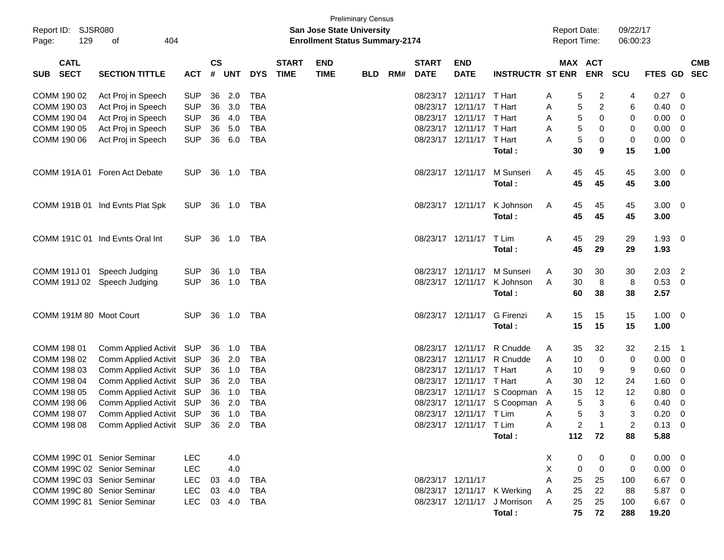| <b>Preliminary Census</b><br>Report ID: SJSR080<br>09/22/17<br><b>San Jose State University</b><br><b>Report Date:</b> |                                                 |            |               |            |            |              |                                       |            |     |                   |                          |                               |   |                     |    |                |                |                         |
|------------------------------------------------------------------------------------------------------------------------|-------------------------------------------------|------------|---------------|------------|------------|--------------|---------------------------------------|------------|-----|-------------------|--------------------------|-------------------------------|---|---------------------|----|----------------|----------------|-------------------------|
| 129<br>Page:                                                                                                           | 404<br>οf                                       |            |               |            |            |              | <b>Enrollment Status Summary-2174</b> |            |     |                   |                          |                               |   | <b>Report Time:</b> |    | 06:00:23       |                |                         |
| <b>CATL</b>                                                                                                            |                                                 |            | $\mathsf{cs}$ |            |            | <b>START</b> | <b>END</b>                            |            |     | <b>START</b>      | <b>END</b>               |                               |   | MAX ACT             |    |                |                | <b>CMB</b>              |
| <b>SECT</b><br><b>SUB</b>                                                                                              | <b>SECTION TITTLE</b>                           | <b>ACT</b> | #             | <b>UNT</b> | <b>DYS</b> | <b>TIME</b>  | <b>TIME</b>                           | <b>BLD</b> | RM# | <b>DATE</b>       | <b>DATE</b>              | <b>INSTRUCTR ST ENR ENR</b>   |   |                     |    | <b>SCU</b>     | <b>FTES GD</b> | <b>SEC</b>              |
| COMM 190 02                                                                                                            | Act Proj in Speech                              | <b>SUP</b> | 36            | 2.0        | TBA        |              |                                       |            |     |                   | 08/23/17 12/11/17 T Hart |                               | A | 5                   | 2  | 4              | 0.27           | 0                       |
| COMM 190 03                                                                                                            | Act Proj in Speech                              | <b>SUP</b> | 36            | 3.0        | <b>TBA</b> |              |                                       |            |     |                   | 08/23/17 12/11/17 T Hart |                               | Α | 5                   | 2  | 6              | 0.40           | 0                       |
| COMM 190 04                                                                                                            | Act Proj in Speech                              | <b>SUP</b> | 36            | 4.0        | <b>TBA</b> |              |                                       |            |     |                   | 08/23/17 12/11/17 T Hart |                               | Α | 5                   | 0  | 0              | 0.00           | 0                       |
| COMM 190 05                                                                                                            | Act Proj in Speech                              | <b>SUP</b> | 36            | 5.0        | <b>TBA</b> |              |                                       |            |     |                   | 08/23/17 12/11/17 T Hart |                               | Α | 5                   | 0  | 0              | 0.00           | 0                       |
| COMM 190 06                                                                                                            | Act Proj in Speech                              | <b>SUP</b> | 36            | 6.0        | <b>TBA</b> |              |                                       |            |     |                   | 08/23/17 12/11/17 T Hart |                               | A | 5                   | 0  | 0              | 0.00           | 0                       |
|                                                                                                                        |                                                 |            |               |            |            |              |                                       |            |     |                   |                          | Total:                        |   | 30                  | 9  | 15             | 1.00           |                         |
|                                                                                                                        | COMM 191A 01 Foren Act Debate                   | <b>SUP</b> | 36            | 1.0        | TBA        |              |                                       |            |     |                   | 08/23/17 12/11/17        | M Sunseri                     | A | 45                  | 45 | 45             | $3.00 \ 0$     |                         |
|                                                                                                                        |                                                 |            |               |            |            |              |                                       |            |     |                   |                          | Total:                        |   | 45                  | 45 | 45             | 3.00           |                         |
|                                                                                                                        | COMM 191B 01 Ind Evnts Plat Spk                 | <b>SUP</b> | 36            | 1.0        | TBA        |              |                                       |            |     |                   | 08/23/17 12/11/17        | K Johnson                     | A | 45                  | 45 | 45             | $3.00 \ 0$     |                         |
|                                                                                                                        |                                                 |            |               |            |            |              |                                       |            |     |                   |                          | Total:                        |   | 45                  | 45 | 45             | 3.00           |                         |
|                                                                                                                        | COMM 191C 01 Ind Evnts Oral Int                 | <b>SUP</b> | 36            | 1.0        | TBA        |              |                                       |            |     |                   | 08/23/17 12/11/17        | T Lim                         | A | 45                  | 29 | 29             | 1.93           | $\overline{0}$          |
|                                                                                                                        |                                                 |            |               |            |            |              |                                       |            |     |                   |                          | Total:                        |   | 45                  | 29 | 29             | 1.93           |                         |
| COMM 191J 01                                                                                                           | Speech Judging                                  | <b>SUP</b> | 36            | 1.0        | TBA        |              |                                       |            |     |                   | 08/23/17 12/11/17        | M Sunseri                     | A | 30                  | 30 | 30             | 2.03           | $\overline{c}$          |
|                                                                                                                        | COMM 191J 02 Speech Judging                     | <b>SUP</b> | 36            | 1.0        | TBA        |              |                                       |            |     |                   | 08/23/17 12/11/17        | K Johnson                     | A | 30                  | 8  | 8              | 0.53           | $\overline{\mathbf{0}}$ |
|                                                                                                                        |                                                 |            |               |            |            |              |                                       |            |     |                   |                          | Total:                        |   | 60                  | 38 | 38             | 2.57           |                         |
| COMM 191M 80 Moot Court                                                                                                |                                                 | SUP.       |               | 36 1.0     | TBA        |              |                                       |            |     |                   | 08/23/17 12/11/17        | G Firenzi                     | A | 15                  | 15 | 15             | $1.00 \t 0$    |                         |
|                                                                                                                        |                                                 |            |               |            |            |              |                                       |            |     |                   |                          | Total:                        |   | 15                  | 15 | 15             | 1.00           |                         |
| COMM 198 01                                                                                                            | Comm Applied Activit SUP                        |            |               | 36 1.0     | TBA        |              |                                       |            |     |                   | 08/23/17 12/11/17        | R Cnudde                      | A | 35                  | 32 | 32             | 2.15           | $\overline{1}$          |
| COMM 198 02                                                                                                            | Comm Applied Activit SUP                        |            | 36            | 2.0        | TBA        |              |                                       |            |     |                   | 08/23/17 12/11/17        | R Cnudde                      | Α | 10                  | 0  | 0              | 0.00           | $\overline{\mathbf{0}}$ |
| COMM 198 03                                                                                                            | Comm Applied Activit SUP                        |            | 36            | 1.0        | <b>TBA</b> |              |                                       |            |     |                   | 08/23/17 12/11/17        | T Hart                        | Α | 10                  | 9  | 9              | 0.60           | 0                       |
| COMM 198 04                                                                                                            | Comm Applied Activit SUP                        |            | 36            | 2.0        | <b>TBA</b> |              |                                       |            |     |                   | 08/23/17 12/11/17 T Hart |                               | Α | 30                  | 12 | 24             | 1.60           | 0                       |
| COMM 198 05                                                                                                            | Comm Applied Activit SUP                        |            | 36            | 1.0        | <b>TBA</b> |              |                                       |            |     |                   |                          | 08/23/17 12/11/17 S Coopman   | A | 15                  | 12 | 12             | 0.80           | 0                       |
| COMM 198 06                                                                                                            | Comm Applied Activit SUP                        |            | 36            | 2.0        | <b>TBA</b> |              |                                       |            |     |                   |                          | 08/23/17 12/11/17 S Coopman A |   | 5                   | 3  | 6              | 0.40           | 0                       |
| COMM 198 07                                                                                                            | Comm Applied Activit SUP                        |            |               | 36 1.0     | <b>TBA</b> |              |                                       |            |     |                   | 08/23/17 12/11/17 T Lim  |                               | Α | 5                   | 3  | 3              | 0.20           | 0                       |
|                                                                                                                        | COMM 198 08 Comm Applied Activit SUP 36 2.0 TBA |            |               |            |            |              |                                       |            |     |                   | 08/23/17 12/11/17 T Lim  |                               | Α | $\overline{2}$      |    | $\overline{2}$ | $0.13 \ 0$     |                         |
|                                                                                                                        |                                                 |            |               |            |            |              |                                       |            |     |                   |                          | Total:                        |   | 112                 | 72 | 88             | 5.88           |                         |
| COMM 199C 01 Senior Seminar                                                                                            |                                                 | LEC        |               | 4.0        |            |              |                                       |            |     |                   |                          |                               | X | 0                   | 0  | 0              | $0.00 \t 0$    |                         |
| COMM 199C 02 Senior Seminar                                                                                            |                                                 | <b>LEC</b> |               | 4.0        |            |              |                                       |            |     |                   |                          |                               | X | 0                   | 0  | 0              | $0.00 \t 0$    |                         |
| COMM 199C 03 Senior Seminar                                                                                            |                                                 | <b>LEC</b> |               | 03 4.0     | TBA        |              |                                       |            |     | 08/23/17 12/11/17 |                          |                               | Α | 25                  | 25 | 100            | 6.67 0         |                         |
| COMM 199C 80 Senior Seminar                                                                                            |                                                 | <b>LEC</b> |               | 03 4.0     | TBA        |              |                                       |            |     |                   |                          | 08/23/17 12/11/17 K Werking   | A | 25                  | 22 | 88             | 5.87 0         |                         |
| COMM 199C 81 Senior Seminar                                                                                            |                                                 | <b>LEC</b> |               | 03 4.0     | TBA        |              |                                       |            |     |                   |                          | 08/23/17 12/11/17 J Morrison  | A | 25                  | 25 | 100            | 6.67 0         |                         |
|                                                                                                                        |                                                 |            |               |            |            |              |                                       |            |     |                   |                          | Total:                        |   | 75                  | 72 | 288            | 19.20          |                         |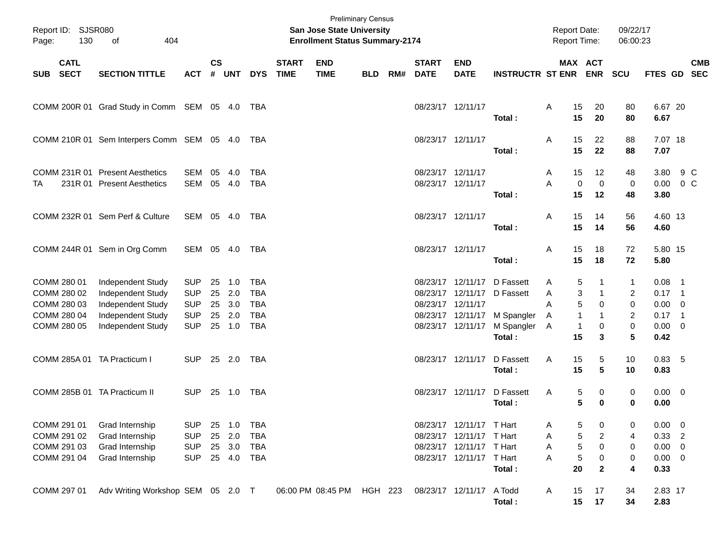| Report ID: SJSR080<br>130<br>Page:                                      |                                                                                                       |                                                                    |                            |                                 |                                                                    | <b>Preliminary Census</b><br><b>San Jose State University</b><br><b>Enrollment Status Summary-2174</b> |                           |            |     |                                        |                                                                                                              | <b>Report Date:</b><br>Report Time:                                                              |                             | 09/22/17<br>06:00:23                                                                           |                                       |                                                                        |            |
|-------------------------------------------------------------------------|-------------------------------------------------------------------------------------------------------|--------------------------------------------------------------------|----------------------------|---------------------------------|--------------------------------------------------------------------|--------------------------------------------------------------------------------------------------------|---------------------------|------------|-----|----------------------------------------|--------------------------------------------------------------------------------------------------------------|--------------------------------------------------------------------------------------------------|-----------------------------|------------------------------------------------------------------------------------------------|---------------------------------------|------------------------------------------------------------------------|------------|
| <b>CATL</b><br><b>SECT</b><br><b>SUB</b>                                | <b>SECTION TITTLE</b>                                                                                 | <b>ACT</b>                                                         | $\mathsf{cs}$              | # UNT                           | <b>DYS</b>                                                         | <b>START</b><br><b>TIME</b>                                                                            | <b>END</b><br><b>TIME</b> | <b>BLD</b> | RM# | <b>START</b><br><b>DATE</b>            | <b>END</b><br><b>DATE</b>                                                                                    | <b>INSTRUCTR ST ENR ENR</b>                                                                      |                             | MAX ACT                                                                                        | SCU                                   | FTES GD SEC                                                            | <b>CMB</b> |
|                                                                         | COMM 200R 01 Grad Study in Comm SEM 05 4.0 TBA                                                        |                                                                    |                            |                                 |                                                                    |                                                                                                        |                           |            |     | 08/23/17 12/11/17                      |                                                                                                              | Total:                                                                                           | 15<br>A<br>15               | 20<br>20                                                                                       | 80<br>80                              | 6.67 20<br>6.67                                                        |            |
|                                                                         | COMM 210R 01 Sem Interpers Comm SEM 05 4.0 TBA                                                        |                                                                    |                            |                                 |                                                                    |                                                                                                        |                           |            |     | 08/23/17 12/11/17                      |                                                                                                              | Total:                                                                                           | 15<br>A<br>15               | 22<br>22                                                                                       | 88<br>88                              | 7.07 18<br>7.07                                                        |            |
| TA                                                                      | COMM 231R 01 Present Aesthetics<br>231R 01 Present Aesthetics                                         | SEM<br>SEM                                                         | 05                         | 4.0<br>05 4.0                   | <b>TBA</b><br><b>TBA</b>                                           |                                                                                                        |                           |            |     | 08/23/17 12/11/17<br>08/23/17 12/11/17 |                                                                                                              | Total:                                                                                           | 15<br>A<br>A<br>15          | 12<br>$\mathbf 0$<br>0<br>12                                                                   | 48<br>0<br>48                         | 3.80 9 C<br>$0.00 \t 0 C$<br>3.80                                      |            |
|                                                                         | COMM 232R 01 Sem Perf & Culture                                                                       | SEM 05 4.0                                                         |                            |                                 | TBA                                                                |                                                                                                        |                           |            |     | 08/23/17 12/11/17                      |                                                                                                              | Total:                                                                                           | 15<br>A<br>15               | 14<br>14                                                                                       | 56<br>56                              | 4.60 13<br>4.60                                                        |            |
|                                                                         | COMM 244R 01 Sem in Org Comm                                                                          | SEM 05 4.0                                                         |                            |                                 | TBA                                                                |                                                                                                        |                           |            |     | 08/23/17 12/11/17                      |                                                                                                              | Total:                                                                                           | 15<br>A<br>15               | 18<br>18                                                                                       | 72<br>72                              | 5.80 15<br>5.80                                                        |            |
| COMM 280 01<br>COMM 280 02<br>COMM 280 03<br>COMM 280 04<br>COMM 280 05 | Independent Study<br>Independent Study<br>Independent Study<br>Independent Study<br>Independent Study | <b>SUP</b><br><b>SUP</b><br><b>SUP</b><br><b>SUP</b><br><b>SUP</b> | 25<br>25<br>25<br>25<br>25 | 1.0<br>2.0<br>3.0<br>2.0<br>1.0 | <b>TBA</b><br><b>TBA</b><br><b>TBA</b><br><b>TBA</b><br><b>TBA</b> |                                                                                                        |                           |            |     | 08/23/17 12/11/17                      | 08/23/17 12/11/17<br>08/23/17 12/11/17                                                                       | D Fassett<br>08/23/17 12/11/17 D Fassett<br>08/23/17 12/11/17 M Spangler<br>M Spangler<br>Total: | A<br>A<br>A<br>A<br>A<br>15 | 5<br>3<br>1<br>5<br>$\mathbf 0$<br>$\mathbf{1}$<br>1<br>$\overline{1}$<br>0<br>3               | $\mathbf{1}$<br>2<br>0<br>2<br>0<br>5 | $0.08$ 1<br>$0.17$ 1<br>$0.00 \t 0$<br>$0.17$ 1<br>$0.00 \t 0$<br>0.42 |            |
| COMM 285A 01 TA Practicum I                                             |                                                                                                       | <b>SUP</b>                                                         |                            | 25 2.0                          | TBA                                                                |                                                                                                        |                           |            |     |                                        | 08/23/17 12/11/17                                                                                            | D Fassett<br>Total:                                                                              | 15<br>A<br>15               | 5<br>5                                                                                         | 10<br>10                              | $0.83$ 5<br>0.83                                                       |            |
| COMM 285B 01 TA Practicum II                                            |                                                                                                       | <b>SUP</b>                                                         |                            | 25 1.0                          | TBA                                                                |                                                                                                        |                           |            |     |                                        | 08/23/17 12/11/17                                                                                            | D Fassett<br>Total:                                                                              | Α                           | 5<br>0<br>5<br>0                                                                               | 0<br>0                                | $0.00 \t 0$<br>0.00                                                    |            |
| COMM 291 01<br>COMM 291 02<br>COMM 291 03<br>COMM 291 04                | Grad Internship<br>Grad Internship<br>Grad Internship<br>Grad Internship                              | <b>SUP</b><br><b>SUP</b><br><b>SUP</b><br><b>SUP</b>               | 25<br>25<br>25             | 1.0<br>2.0<br>3.0<br>25 4.0     | <b>TBA</b><br>TBA<br>TBA<br>TBA                                    |                                                                                                        |                           |            |     |                                        | 08/23/17 12/11/17 T Hart<br>08/23/17 12/11/17 T Hart<br>08/23/17 12/11/17 T Hart<br>08/23/17 12/11/17 T Hart | Total:                                                                                           | A<br>Α<br>Α<br>Α<br>20      | $\mathbf 0$<br>5<br>5<br>$\overline{\mathbf{c}}$<br>5<br>0<br>$\,$ 5 $\,$<br>0<br>$\mathbf{2}$ | $\pmb{0}$<br>4<br>0<br>0<br>4         | $0.00 \t 0$<br>0.33 2<br>$0.00 \t 0$<br>$0.00 \t 0$<br>0.33            |            |
| COMM 297 01                                                             | Adv Writing Workshop SEM 05 2.0 T                                                                     |                                                                    |                            |                                 |                                                                    |                                                                                                        | 06:00 PM 08:45 PM         | HGH 223    |     |                                        | 08/23/17 12/11/17                                                                                            | A Todd<br>Total:                                                                                 | 15<br>A<br>15               | 17<br>17                                                                                       | 34<br>34                              | 2.83 17<br>2.83                                                        |            |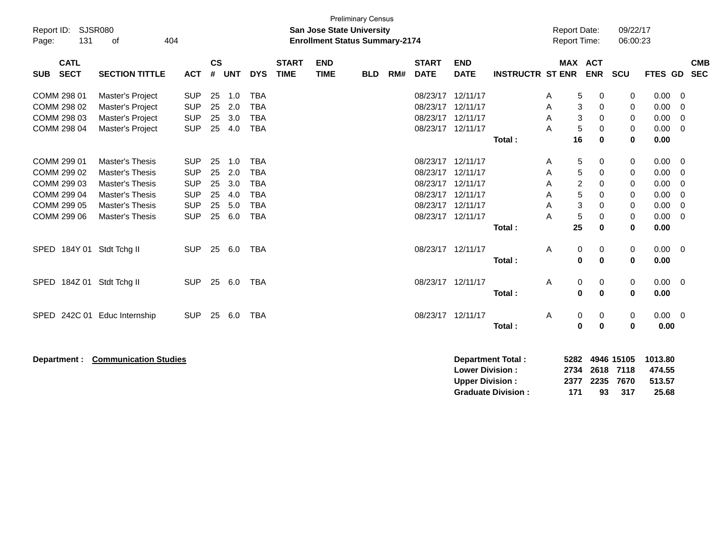| <b>Preliminary Census</b><br><b>SJSR080</b><br>Report ID:<br><b>San Jose State University</b><br>131<br>404<br><b>Enrollment Status Summary-2174</b><br>0f<br>Page: |                                                                                                                                     |                                                                                  |                                  |                                        |                                                                                  |                             |                           |            |     |                                                                               | <b>Report Date:</b><br>Report Time:                      |                          |                            | 09/22/17<br>06:00:23                          |                                 |                                           |                                                      |                                                            |
|---------------------------------------------------------------------------------------------------------------------------------------------------------------------|-------------------------------------------------------------------------------------------------------------------------------------|----------------------------------------------------------------------------------|----------------------------------|----------------------------------------|----------------------------------------------------------------------------------|-----------------------------|---------------------------|------------|-----|-------------------------------------------------------------------------------|----------------------------------------------------------|--------------------------|----------------------------|-----------------------------------------------|---------------------------------|-------------------------------------------|------------------------------------------------------|------------------------------------------------------------|
| <b>CATL</b><br><b>SECT</b><br><b>SUB</b>                                                                                                                            | <b>SECTION TITTLE</b>                                                                                                               | <b>ACT</b>                                                                       | $\mathsf{cs}$<br>#               | <b>UNT</b>                             | <b>DYS</b>                                                                       | <b>START</b><br><b>TIME</b> | <b>END</b><br><b>TIME</b> | <b>BLD</b> | RM# | <b>START</b><br><b>DATE</b>                                                   | <b>END</b><br><b>DATE</b>                                | <b>INSTRUCTR ST ENR</b>  |                            |                                               | <b>MAX ACT</b><br><b>ENR</b>    | SCU                                       | <b>FTES GD</b>                                       | <b>CMB</b><br><b>SEC</b>                                   |
| COMM 298 01<br>COMM 298 02<br>COMM 298 03<br>COMM 298 04                                                                                                            | Master's Project<br>Master's Project<br>Master's Project<br>Master's Project                                                        | <b>SUP</b><br><b>SUP</b><br><b>SUP</b><br><b>SUP</b>                             | 25<br>25<br>25<br>25             | 1.0<br>2.0<br>3.0<br>4.0               | <b>TBA</b><br><b>TBA</b><br><b>TBA</b><br><b>TBA</b>                             |                             |                           |            |     | 08/23/17<br>08/23/17<br>08/23/17<br>08/23/17                                  | 12/11/17<br>12/11/17<br>12/11/17<br>12/11/17             | Total:                   | A<br>A<br>A<br>A           | 5<br>3<br>3<br>5<br>16                        | 0<br>0<br>0<br>0<br>0           | 0<br>0<br>0<br>0<br>$\bf{0}$              | 0.00<br>0.00<br>0.00<br>0.00<br>0.00                 | 0<br>$\Omega$<br>$\Omega$<br>0                             |
| COMM 299 01<br>COMM 299 02<br>COMM 299 03<br>COMM 299 04<br>COMM 299 05<br>COMM 299 06                                                                              | <b>Master's Thesis</b><br><b>Master's Thesis</b><br><b>Master's Thesis</b><br>Master's Thesis<br>Master's Thesis<br>Master's Thesis | <b>SUP</b><br><b>SUP</b><br><b>SUP</b><br><b>SUP</b><br><b>SUP</b><br><b>SUP</b> | 25<br>25<br>25<br>25<br>25<br>25 | 1.0<br>2.0<br>3.0<br>4.0<br>5.0<br>6.0 | <b>TBA</b><br><b>TBA</b><br><b>TBA</b><br><b>TBA</b><br><b>TBA</b><br><b>TBA</b> |                             |                           |            |     | 08/23/17<br>08/23/17<br>08/23/17<br>08/23/17<br>08/23/17<br>08/23/17 12/11/17 | 12/11/17<br>12/11/17<br>12/11/17<br>12/11/17<br>12/11/17 | Total:                   | A<br>A<br>A<br>Α<br>A<br>A | 5<br>5<br>$\overline{2}$<br>5<br>3<br>5<br>25 | 0<br>0<br>0<br>0<br>0<br>0<br>0 | 0<br>0<br>0<br>0<br>0<br>0<br>$\mathbf 0$ | 0.00<br>0.00<br>0.00<br>0.00<br>0.00<br>0.00<br>0.00 | - 0<br>0<br>0<br>$\mathbf 0$<br>$\mathbf 0$<br>$\mathbf 0$ |
| SPED 184Y 01 Stdt Tchg II                                                                                                                                           |                                                                                                                                     | <b>SUP</b>                                                                       | 25                               | 6.0                                    | <b>TBA</b>                                                                       |                             |                           |            |     | 08/23/17 12/11/17                                                             |                                                          | Total:                   | A                          | 0<br>$\pmb{0}$                                | 0<br>0                          | 0<br>0                                    | 0.00<br>0.00                                         | $\overline{0}$                                             |
| SPED 184Z 01 Stdt Tchg II                                                                                                                                           |                                                                                                                                     | <b>SUP</b>                                                                       | 25                               | 6.0                                    | <b>TBA</b>                                                                       |                             |                           |            |     | 08/23/17 12/11/17                                                             |                                                          | Total:                   | A                          | 0<br>$\bf{0}$                                 | 0<br>0                          | 0<br>0                                    | 0.00<br>0.00                                         | $\overline{0}$                                             |
| <b>SPED</b>                                                                                                                                                         | 242C 01 Educ Internship                                                                                                             | <b>SUP</b>                                                                       | 25                               | 6.0                                    | <b>TBA</b>                                                                       |                             |                           |            |     | 08/23/17 12/11/17                                                             |                                                          | Total:                   | Α                          | 0<br>$\bf{0}$                                 | 0<br>0                          | 0<br>0                                    | $0.00 \t 0$<br>0.00                                  |                                                            |
| Department :                                                                                                                                                        | <b>Communication Studies</b>                                                                                                        |                                                                                  |                                  |                                        |                                                                                  |                             |                           |            |     |                                                                               | <b>Lower Division:</b><br><b>Upper Division:</b>         | <b>Department Total:</b> |                            | 5282<br>2734<br>2377                          | 2618<br>2235                    | 4946 15105<br>7118<br>7670                | 1013.80<br>474.55<br>513.57                          |                                                            |

**Graduate Division : 171 93 317 25.68**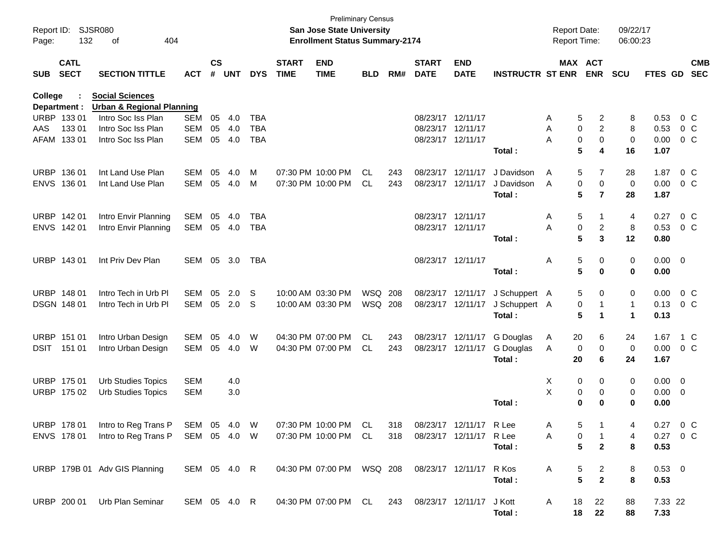| Page:       | <b>SJSR080</b><br>Report ID:<br>132<br>404<br>of |                                                                                                |              |                    |            |            |                             | <b>Preliminary Census</b><br><b>San Jose State University</b><br><b>Enrollment Status Summary-2174</b> |                | <b>Report Date:</b><br><b>Report Time:</b> |                             |                           | 09/22/17<br>06:00:23    |         |                       |              |                |  |                          |
|-------------|--------------------------------------------------|------------------------------------------------------------------------------------------------|--------------|--------------------|------------|------------|-----------------------------|--------------------------------------------------------------------------------------------------------|----------------|--------------------------------------------|-----------------------------|---------------------------|-------------------------|---------|-----------------------|--------------|----------------|--|--------------------------|
| <b>SUB</b>  | <b>CATL</b><br><b>SECT</b>                       | <b>SECTION TITTLE</b>                                                                          | <b>ACT</b>   | $\mathsf{cs}$<br># | <b>UNT</b> | <b>DYS</b> | <b>START</b><br><b>TIME</b> | <b>END</b><br><b>TIME</b>                                                                              | <b>BLD</b>     | RM#                                        | <b>START</b><br><b>DATE</b> | <b>END</b><br><b>DATE</b> | <b>INSTRUCTR ST ENR</b> |         | MAX ACT<br><b>ENR</b> | <b>SCU</b>   | <b>FTES GD</b> |  | <b>CMB</b><br><b>SEC</b> |
| College     | Department :                                     | <b>Social Sciences</b><br><b>Urban &amp; Regional Planning</b>                                 |              |                    |            |            |                             |                                                                                                        |                |                                            |                             |                           |                         |         |                       |              |                |  |                          |
|             | URBP 133 01                                      | Intro Soc Iss Plan                                                                             | <b>SEM</b>   | 05                 | 4.0        | <b>TBA</b> |                             |                                                                                                        |                |                                            |                             | 08/23/17 12/11/17         |                         | Α       | 5<br>2                | 8            | 0.53           |  | 0 C                      |
| AAS         | 133 01                                           | Intro Soc Iss Plan                                                                             | <b>SEM</b>   | 05                 | 4.0        | <b>TBA</b> |                             |                                                                                                        |                |                                            |                             | 08/23/17 12/11/17         |                         | Α       | $\overline{c}$<br>0   | 8            | 0.53           |  | 0 C                      |
|             | AFAM 133 01                                      | Intro Soc Iss Plan                                                                             | <b>SEM</b>   | 05                 | 4.0        | <b>TBA</b> |                             |                                                                                                        |                |                                            |                             | 08/23/17 12/11/17         |                         | A       | 0<br>0                | 0            | 0.00           |  | 0 C                      |
|             |                                                  |                                                                                                |              |                    |            |            |                             |                                                                                                        |                |                                            |                             |                           | Total:                  |         | 5<br>4                | 16           | 1.07           |  |                          |
| <b>URBP</b> | 136 01                                           | Int Land Use Plan                                                                              | SEM          | 05                 | 4.0        | M          |                             | 07:30 PM 10:00 PM                                                                                      | CL             | 243                                        |                             | 08/23/17 12/11/17         | J Davidson              | Α       | 5<br>7                | 28           | 1.87           |  | 0 <sup>o</sup>           |
|             | ENVS 136 01                                      | Int Land Use Plan                                                                              | SEM          | 05                 | 4.0        | м          |                             | 07:30 PM 10:00 PM                                                                                      | CL             | 243                                        |                             | 08/23/17 12/11/17         | J Davidson              | A       | 0<br>0                | 0            | 0.00           |  | 0 C                      |
|             |                                                  |                                                                                                |              |                    |            |            |                             |                                                                                                        |                |                                            |                             |                           | Total:                  |         | 5<br>$\overline{7}$   | 28           | 1.87           |  |                          |
|             | URBP 142 01                                      | Intro Envir Planning                                                                           | SEM          | 05                 | 4.0        | <b>TBA</b> |                             |                                                                                                        |                |                                            |                             | 08/23/17 12/11/17         |                         | Α       | 5                     | 4            | 0.27           |  | 0 <sup>o</sup>           |
|             | ENVS 142 01                                      | Intro Envir Planning                                                                           | SEM          |                    | 05 4.0     | TBA        |                             |                                                                                                        |                |                                            |                             | 08/23/17 12/11/17         |                         | A       | 0<br>2                | 8            | 0.53           |  | 0 <sup>o</sup>           |
|             |                                                  |                                                                                                |              |                    |            |            |                             |                                                                                                        |                |                                            |                             |                           | Total:                  |         | 5<br>3                | 12           | 0.80           |  |                          |
|             | URBP 143 01                                      | Int Priv Dev Plan                                                                              | SEM 05       |                    | 3.0        | TBA        |                             |                                                                                                        |                |                                            |                             | 08/23/17 12/11/17         |                         | Α       | 5<br>0                | 0            | $0.00 \t 0$    |  |                          |
|             |                                                  |                                                                                                |              |                    |            |            |                             |                                                                                                        |                |                                            |                             |                           | Total:                  |         | 5<br>0                | 0            | 0.00           |  |                          |
|             | URBP 148 01                                      | Intro Tech in Urb Pl                                                                           | SEM          | 05                 | 2.0        | S.         |                             | 10:00 AM 03:30 PM                                                                                      | WSQ 208        |                                            |                             | 08/23/17 12/11/17         | J Schuppert A           |         | 0<br>5                | 0            | 0.00           |  | 0 C                      |
|             | DSGN 148 01                                      | Intro Tech in Urb PI                                                                           | SEM          |                    | 05 2.0     | S          |                             | 10:00 AM 03:30 PM                                                                                      | <b>WSQ 208</b> |                                            |                             | 08/23/17 12/11/17         | J Schuppert A           |         | 0                     | $\mathbf{1}$ | 0.13           |  | 0 C                      |
|             |                                                  |                                                                                                |              |                    |            |            |                             |                                                                                                        |                |                                            |                             |                           | Total:                  |         | 5<br>1                | 1            | 0.13           |  |                          |
|             | URBP 151 01                                      | Intro Urban Design                                                                             | SEM          | 05                 | 4.0        | W          |                             | 04:30 PM 07:00 PM                                                                                      | CL             | 243                                        |                             | 08/23/17 12/11/17         | G Douglas               | 20<br>A | 6                     | 24           | 1.67           |  | 1 C                      |
| DSIT        | 151 01                                           | Intro Urban Design                                                                             | SEM          | 05                 | 4.0        | W          |                             | 04:30 PM 07:00 PM                                                                                      | CL             | 243                                        |                             | 08/23/17 12/11/17         | G Douglas               | A       | 0<br>0                | 0            | 0.00           |  | 0 C                      |
|             |                                                  |                                                                                                |              |                    |            |            |                             |                                                                                                        |                |                                            |                             |                           | Total :                 | 20      | 6                     | 24           | 1.67           |  |                          |
|             | URBP 175 01                                      | <b>Urb Studies Topics</b>                                                                      | <b>SEM</b>   |                    | 4.0        |            |                             |                                                                                                        |                |                                            |                             |                           |                         | X       | 0<br>0                | 0            | $0.00 \t 0$    |  |                          |
|             | URBP 175 02                                      | <b>Urb Studies Topics</b>                                                                      | <b>SEM</b>   |                    | 3.0        |            |                             |                                                                                                        |                |                                            |                             |                           |                         | X       | 0<br>0                | 0            | $0.00 \t 0$    |  |                          |
|             |                                                  |                                                                                                |              |                    |            |            |                             |                                                                                                        |                |                                            |                             |                           | Total:                  |         | $\bf{0}$<br>0         | 0            | 0.00           |  |                          |
|             | URBP 17801                                       | Intro to Reg Trans P                                                                           | SEM 05 4.0 W |                    |            |            |                             | 07:30 PM 10:00 PM                                                                                      | CL             | 318                                        |                             | 08/23/17 12/11/17         | RLee                    | A       | 5                     | 4            | 0.27           |  | $0\,C$                   |
|             |                                                  | ENVS 178 01 Intro to Reg Trans P SEM 05 4.0 W 07:30 PM 10:00 PM CL 318 08/23/17 12/11/17 R Lee |              |                    |            |            |                             |                                                                                                        |                |                                            |                             |                           |                         | A       | 0                     | 4            | 0.27 0 C       |  |                          |
|             |                                                  |                                                                                                |              |                    |            |            |                             |                                                                                                        |                |                                            |                             |                           | Total:                  |         | 5<br>$\mathbf{2}$     | 8            | 0.53           |  |                          |
|             |                                                  | URBP 179B 01 Adv GIS Planning                                                                  | SEM 05 4.0 R |                    |            |            |                             | 04:30 PM 07:00 PM  WSQ 208  08/23/17  12/11/17  R Kos                                                  |                |                                            |                             |                           |                         | A       | 5<br>2                | 8            | $0.53 \ 0$     |  |                          |
|             |                                                  |                                                                                                |              |                    |            |            |                             |                                                                                                        |                |                                            |                             |                           | Total:                  |         | 5<br>$\mathbf{2}$     | 8            | 0.53           |  |                          |
|             |                                                  | URBP 200 01 Urb Plan Seminar                                                                   |              |                    |            |            |                             | SEM 05 4.0 R  04:30 PM 07:00 PM  CL  243  08/23/17  12/11/17  J Kott                                   |                |                                            |                             |                           |                         | A<br>18 | 22                    | 88           | 7.33 22        |  |                          |
|             |                                                  |                                                                                                |              |                    |            |            |                             |                                                                                                        |                |                                            |                             |                           | Total:                  |         | 18 22                 | 88           | 7.33           |  |                          |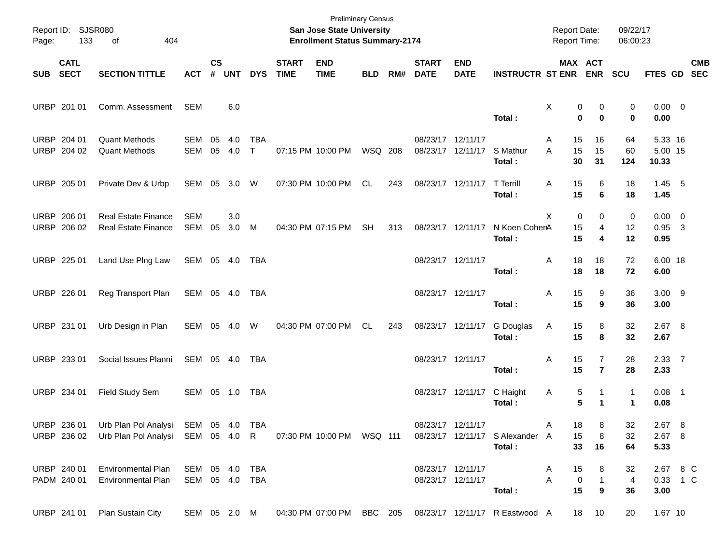| Report ID:<br>Page: | <b>SJSR080</b><br>133      | 404                                                                                  | <b>Preliminary Census</b><br>San Jose State University<br><b>Enrollment Status Summary-2174</b> |                    |            |                            |                             |                           |            |     |                             |                                        | Report Date:<br>Report Time:              |                                 | 09/22/17<br>06:00:23                  |                                      |                                 |                          |
|---------------------|----------------------------|--------------------------------------------------------------------------------------|-------------------------------------------------------------------------------------------------|--------------------|------------|----------------------------|-----------------------------|---------------------------|------------|-----|-----------------------------|----------------------------------------|-------------------------------------------|---------------------------------|---------------------------------------|--------------------------------------|---------------------------------|--------------------------|
| <b>SUB</b>          | <b>CATL</b><br><b>SECT</b> | <b>SECTION TITTLE</b>                                                                | <b>ACT</b>                                                                                      | $\mathsf{cs}$<br># | <b>UNT</b> | <b>DYS</b>                 | <b>START</b><br><b>TIME</b> | <b>END</b><br><b>TIME</b> | <b>BLD</b> | RM# | <b>START</b><br><b>DATE</b> | <b>END</b><br><b>DATE</b>              | <b>INSTRUCTR ST ENR</b>                   | MAX ACT                         | <b>ENR</b>                            | <b>SCU</b>                           | <b>FTES GD</b>                  | <b>CMB</b><br><b>SEC</b> |
|                     | URBP 201 01                | Comm. Assessment                                                                     | SEM                                                                                             |                    | 6.0        |                            |                             |                           |            |     |                             |                                        | Total:                                    | Χ<br>0<br>$\bf{0}$              | 0<br>$\mathbf 0$                      | 0<br>0                               | $0.00 \t 0$<br>0.00             |                          |
| <b>URBP</b>         | 204 01<br>URBP 204 02      | <b>Quant Methods</b><br><b>Quant Methods</b>                                         | <b>SEM</b><br>SEM                                                                               | 05<br>05           | 4.0<br>4.0 | <b>TBA</b><br>$\mathsf{T}$ |                             | 07:15 PM 10:00 PM         | WSQ 208    |     |                             | 08/23/17 12/11/17<br>08/23/17 12/11/17 | S Mathur<br>Total:                        | 15<br>Α<br>15<br>A<br>30        | 16<br>15<br>31                        | 64<br>60<br>124                      | 5.33 16<br>5.00 15<br>10.33     |                          |
|                     | URBP 205 01                | Private Dev & Urbp                                                                   | SEM 05 3.0                                                                                      |                    |            | W                          |                             | 07:30 PM 10:00 PM         | CL         | 243 |                             | 08/23/17 12/11/17                      | <b>T</b> Terrill<br>Total:                | 15<br>A<br>15                   | 6<br>6                                | 18<br>18                             | $1.45$ 5<br>1.45                |                          |
| <b>URBP</b>         | 206 01<br>URBP 206 02      | <b>Real Estate Finance</b><br><b>Real Estate Finance</b>                             | <b>SEM</b><br>SEM                                                                               | 05                 | 3.0<br>3.0 | M                          |                             | 04:30 PM 07:15 PM         | <b>SH</b>  | 313 |                             | 08/23/17 12/11/17                      | N Koen CohenA<br>Total:                   | X<br>0<br>15<br>15              | 0<br>4<br>4                           | 0<br>12<br>12                        | $0.00 \t 0$<br>$0.95$ 3<br>0.95 |                          |
|                     | URBP 225 01                | Land Use Plng Law                                                                    | SEM 05 4.0                                                                                      |                    |            | TBA                        |                             |                           |            |     |                             | 08/23/17 12/11/17                      | Total:                                    | 18<br>Α<br>18                   | 18<br>18                              | 72<br>72                             | 6.00 18<br>6.00                 |                          |
|                     | URBP 226 01                | Reg Transport Plan                                                                   | SEM 05 4.0                                                                                      |                    |            | TBA                        |                             |                           |            |     |                             | 08/23/17 12/11/17                      | Total:                                    | 15<br>Α<br>15                   | 9<br>9                                | 36<br>36                             | $3.00$ 9<br>3.00                |                          |
|                     | URBP 231 01                | Urb Design in Plan                                                                   | SEM 05 4.0                                                                                      |                    |            | W                          |                             | 04:30 PM 07:00 PM         | CL         | 243 |                             | 08/23/17 12/11/17                      | G Douglas<br>Total:                       | Α<br>15<br>15                   | 8<br>8                                | 32<br>32                             | 2.67 8<br>2.67                  |                          |
|                     | URBP 233 01                | Social Issues Planni                                                                 | SEM 05 4.0                                                                                      |                    |            | TBA                        |                             |                           |            |     |                             | 08/23/17 12/11/17                      | Total:                                    | 15<br>Α<br>15                   | 7<br>$\overline{7}$                   | 28<br>28                             | 2.3377<br>2.33                  |                          |
|                     | URBP 234 01                | Field Study Sem                                                                      | SEM 05 1.0                                                                                      |                    |            | TBA                        |                             |                           |            |     |                             | 08/23/17 12/11/17                      | C Haight<br>Total:                        | 5<br>A<br>5                     | 1<br>1                                | $\mathbf{1}$<br>$\blacktriangleleft$ | $0.08$ 1<br>0.08                |                          |
|                     | URBP 236 02                | URBP 236 01 Urb Plan Pol Analysi SEM 05 4.0 TBA<br>Urb Plan Pol Analysi SEM 05 4.0 R |                                                                                                 |                    |            |                            |                             | 07:30 PM 10:00 PM WSQ 111 |            |     |                             | 08/23/17 12/11/17                      | 08/23/17 12/11/17 S Alexander A<br>Total: | 18<br>Α<br>15<br>33             | 8<br>8<br>16                          | 32<br>32<br>64                       | 2.67 8<br>2.67 8<br>5.33        |                          |
|                     | URBP 240 01<br>PADM 240 01 | <b>Environmental Plan</b><br><b>Environmental Plan</b>                               | SEM 05 4.0                                                                                      |                    |            | TBA<br>SEM 05 4.0 TBA      |                             |                           |            |     |                             | 08/23/17 12/11/17<br>08/23/17 12/11/17 | Total:                                    | 15<br>Α<br>A<br>$\pmb{0}$<br>15 | 8<br>$\mathbf{1}$<br>$\boldsymbol{9}$ | 32<br>$\overline{4}$<br>36           | 2.67 8 C<br>0.33 1 C<br>3.00    |                          |
|                     | URBP 241 01                | Plan Sustain City                                                                    | SEM 05 2.0 M                                                                                    |                    |            |                            |                             | 04:30 PM 07:00 PM BBC 205 |            |     |                             |                                        | 08/23/17 12/11/17 R Eastwood A            |                                 | 18<br>10                              | 20                                   | 1.67 10                         |                          |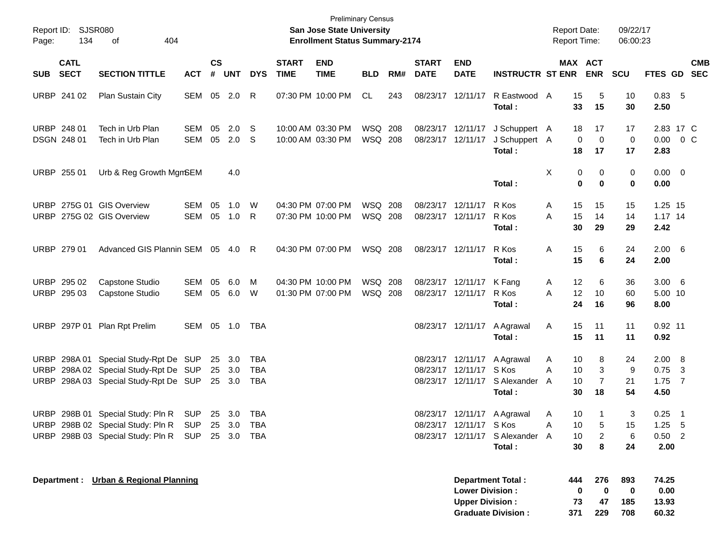| Report ID: SJSR080<br>134<br>Page:                     | 404<br>οf                                                                                                                                 |                   |                |                            |                   |                             | <b>Preliminary Census</b><br>San Jose State University<br><b>Enrollment Status Summary-2174</b> |                           |     |                                        |                                                  |                                                                          | <b>Report Date:</b><br><b>Report Time:</b> |                                 |                                | 09/22/17<br>06:00:23   |                                               |                          |            |
|--------------------------------------------------------|-------------------------------------------------------------------------------------------------------------------------------------------|-------------------|----------------|----------------------------|-------------------|-----------------------------|-------------------------------------------------------------------------------------------------|---------------------------|-----|----------------------------------------|--------------------------------------------------|--------------------------------------------------------------------------|--------------------------------------------|---------------------------------|--------------------------------|------------------------|-----------------------------------------------|--------------------------|------------|
| <b>CATL</b><br><b>SECT</b><br><b>SUB</b>               | <b>SECTION TITTLE</b>                                                                                                                     | <b>ACT</b>        | <b>CS</b><br># | <b>UNT</b>                 | <b>DYS</b>        | <b>START</b><br><b>TIME</b> | <b>END</b><br><b>TIME</b>                                                                       | <b>BLD</b>                | RM# | <b>START</b><br><b>DATE</b>            | <b>END</b><br><b>DATE</b>                        | <b>INSTRUCTR ST ENR</b>                                                  |                                            |                                 | MAX ACT<br><b>ENR</b>          | <b>SCU</b>             | FTES GD SEC                                   |                          | <b>CMB</b> |
| URBP 241 02                                            | Plan Sustain City                                                                                                                         | SEM 05 2.0        |                |                            | R                 |                             | 07:30 PM 10:00 PM                                                                               | CL.                       | 243 |                                        | 08/23/17 12/11/17                                | R Eastwood A<br>Total:                                                   |                                            | 15<br>33                        | 5<br>15                        | 10<br>30               | 0.83, 5<br>2.50                               |                          |            |
| URBP 248 01<br>DSGN 248 01                             | Tech in Urb Plan<br>Tech in Urb Plan                                                                                                      | SEM<br>SEM        | 05             | 2.0<br>05 2.0              | -S<br>-S          |                             | 10:00 AM 03:30 PM<br>10:00 AM 03:30 PM                                                          | WSQ 208<br><b>WSQ 208</b> |     | 08/23/17 12/11/17<br>08/23/17 12/11/17 |                                                  | J Schuppert A<br>J Schuppert A<br>Total:                                 |                                            | 18<br>0<br>18                   | 17<br>0<br>17                  | 17<br>0<br>17          | 2.83 17 C<br>$0.00 \t 0 C$<br>2.83            |                          |            |
| URBP 255 01                                            | Urb & Reg Growth MgmSEM                                                                                                                   |                   |                | 4.0                        |                   |                             |                                                                                                 |                           |     |                                        |                                                  | Total:                                                                   | X                                          | 0<br>0                          | 0<br>$\bf{0}$                  | 0<br>0                 | $0.00 \quad 0$<br>0.00                        |                          |            |
| URBP 275G 01 GIS Overview<br>URBP 275G 02 GIS Overview |                                                                                                                                           | SEM<br>SEM 05     | 05             | 1.0<br>1.0                 | W<br>R            |                             | 04:30 PM 07:00 PM<br>07:30 PM 10:00 PM                                                          | WSQ 208<br><b>WSQ 208</b> |     |                                        | 08/23/17 12/11/17<br>08/23/17 12/11/17           | R Kos<br>R Kos<br>Total:                                                 | A<br>A                                     | 15<br>15<br>30                  | 15<br>14<br>29                 | 15<br>14<br>29         | 1.25 15<br>$1.17$ 14<br>2.42                  |                          |            |
| URBP 279 01                                            | Advanced GIS Plannin SEM 05 4.0                                                                                                           |                   |                |                            | R                 |                             | 04:30 PM 07:00 PM                                                                               | WSQ 208                   |     |                                        | 08/23/17 12/11/17                                | R Kos<br>Total:                                                          | Α                                          | 15<br>15                        | 6<br>6                         | 24<br>24               | $2.00\quad 6$<br>2.00                         |                          |            |
| URBP 295 02<br>URBP 295 03                             | Capstone Studio<br>Capstone Studio                                                                                                        | SEM<br>SEM 05 6.0 | 05             | 6.0                        | M<br>W            |                             | 04:30 PM 10:00 PM<br>01:30 PM 07:00 PM                                                          | WSQ 208<br><b>WSQ 208</b> |     |                                        | 08/23/17 12/11/17<br>08/23/17 12/11/17           | K Fang<br>R Kos<br>Total:                                                | A<br>A                                     | 12<br>12<br>24                  | 6<br>10<br>16                  | 36<br>60<br>96         | $3.00\quad 6$<br>5.00 10<br>8.00              |                          |            |
|                                                        | URBP 297P 01 Plan Rpt Prelim                                                                                                              | SEM 05 1.0        |                |                            | TBA               |                             |                                                                                                 |                           |     |                                        | 08/23/17 12/11/17                                | A Agrawal<br>Total:                                                      | A                                          | 15<br>15                        | 11<br>11                       | 11<br>11               | $0.92$ 11<br>0.92                             |                          |            |
| URBP                                                   | URBP 298A 01 Special Study-Rpt De SUP<br>298A 02 Special Study-Rpt De SUP<br>URBP 298A 03 Special Study-Rpt De SUP                        |                   |                | 25 3.0<br>25 3.0<br>25 3.0 | TBA<br>TBA<br>TBA |                             |                                                                                                 |                           |     |                                        | 08/23/17 12/11/17<br>08/23/17 12/11/17 S Kos     | A Agrawal<br>08/23/17 12/11/17 S Alexander<br>Total :                    | A<br>Α<br>A                                | 10<br>10<br>10<br>30            | 8<br>3<br>$\overline{7}$<br>18 | 24<br>9<br>21<br>54    | $2.00\quad 8$<br>$0.75$ 3<br>$1.75$ 7<br>4.50 |                          |            |
|                                                        | URBP 298B 01 Special Study: Pln R<br>URBP 298B 02 Special Study: Pln R SUP 25 3.0 TBA<br>URBP 298B 03 Special Study: Pln R SUP 25 3.0 TBA | <b>SUP</b>        |                | 25 3.0                     | TBA               |                             |                                                                                                 |                           |     |                                        | 08/23/17 12/11/17 S Kos                          | 08/23/17 12/11/17 A Agrawal<br>08/23/17 12/11/17 S Alexander A<br>Total: | A<br>A                                     | 10<br>10<br>10<br>30            | $\overline{2}$<br>8            | 3<br>15<br>6<br>24     | 0.25<br>$1.25$ 5<br>$0.50$ 2<br>2.00          | $\overline{\phantom{0}}$ |            |
|                                                        | Department : Urban & Regional Planning                                                                                                    |                   |                |                            |                   |                             |                                                                                                 |                           |     |                                        | <b>Lower Division:</b><br><b>Upper Division:</b> | <b>Department Total:</b><br><b>Graduate Division:</b>                    |                                            | 444<br>$\mathbf 0$<br>73<br>371 | 276<br>0<br>47<br>229          | 893<br>0<br>185<br>708 | 74.25<br>0.00<br>13.93<br>60.32               |                          |            |